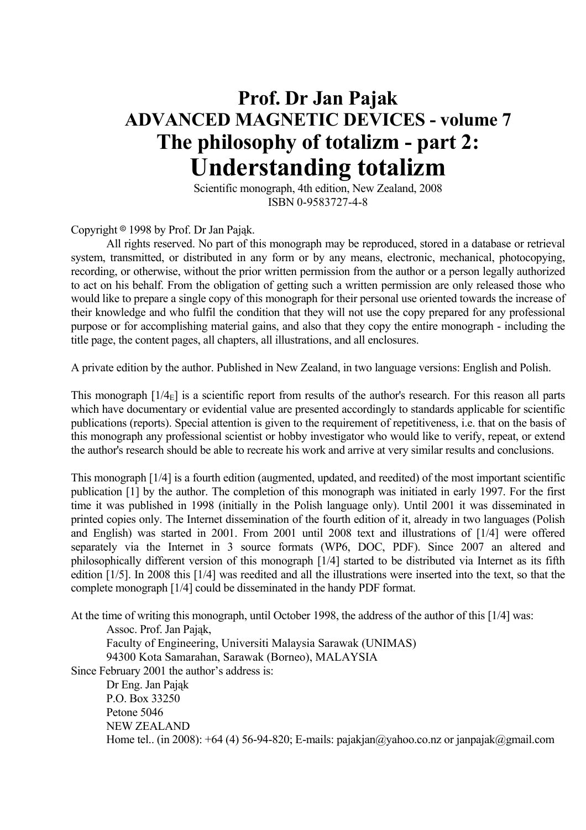# **Prof. Dr Jan Pajak ADVANCED MAGNETIC DEVICES - volume 7 The philosophy of totalizm - part 2: Understanding totalizm**

 Scientific monograph, 4th edition, New Zealand, 2008 ISBN 0-9583727-4-8

Copyright  $\circ$  1998 by Prof. Dr Jan Pająk.

 All rights reserved. No part of this monograph may be reproduced, stored in a database or retrieval system, transmitted, or distributed in any form or by any means, electronic, mechanical, photocopying, recording, or otherwise, without the prior written permission from the author or a person legally authorized to act on his behalf. From the obligation of getting such a written permission are only released those who would like to prepare a single copy of this monograph for their personal use oriented towards the increase of their knowledge and who fulfil the condition that they will not use the copy prepared for any professional purpose or for accomplishing material gains, and also that they copy the entire monograph - including the title page, the content pages, all chapters, all illustrations, and all enclosures.

A private edition by the author. Published in New Zealand, in two language versions: English and Polish.

This monograph  $[1/4<sub>E</sub>]$  is a scientific report from results of the author's research. For this reason all parts which have documentary or evidential value are presented accordingly to standards applicable for scientific publications (reports). Special attention is given to the requirement of repetitiveness, i.e. that on the basis of this monograph any professional scientist or hobby investigator who would like to verify, repeat, or extend the author's research should be able to recreate his work and arrive at very similar results and conclusions.

This monograph [1/4] is a fourth edition (augmented, updated, and reedited) of the most important scientific publication [1] by the author. The completion of this monograph was initiated in early 1997. For the first time it was published in 1998 (initially in the Polish language only). Until 2001 it was disseminated in printed copies only. The Internet dissemination of the fourth edition of it, already in two languages (Polish and English) was started in 2001. From 2001 until 2008 text and illustrations of [1/4] were offered separately via the Internet in 3 source formats (WP6, DOC, PDF). Since 2007 an altered and philosophically different version of this monograph [1/4] started to be distributed via Internet as its fifth edition [1/5]. In 2008 this [1/4] was reedited and all the illustrations were inserted into the text, so that the complete monograph [1/4] could be disseminated in the handy PDF format.

At the time of writing this monograph, until October 1998, the address of the author of this [1/4] was:

 Assoc. Prof. Jan Pająk, Faculty of Engineering, Universiti Malaysia Sarawak (UNIMAS) 94300 Kota Samarahan, Sarawak (Borneo), MALAYSIA

Since February 2001 the author's address is:

 Dr Eng. Jan Pająk P.O. Box 33250 Petone 5046 NEW ZEALAND Home tel.. (in 2008):  $+64$  (4) 56-94-820; E-mails: pajakjan@yahoo.co.nz or janpajak@gmail.com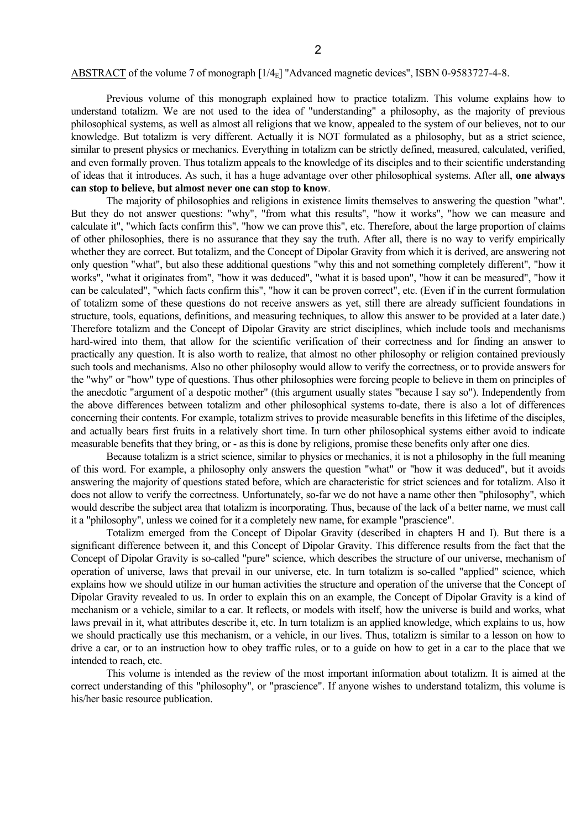#### ABSTRACT of the volume 7 of monograph [1/4<sub>E</sub>] "Advanced magnetic devices", ISBN 0-9583727-4-8.

 Previous volume of this monograph explained how to practice totalizm. This volume explains how to understand totalizm. We are not used to the idea of "understanding" a philosophy, as the majority of previous philosophical systems, as well as almost all religions that we know, appealed to the system of our believes, not to our knowledge. But totalizm is very different. Actually it is NOT formulated as a philosophy, but as a strict science, similar to present physics or mechanics. Everything in totalizm can be strictly defined, measured, calculated, verified, and even formally proven. Thus totalizm appeals to the knowledge of its disciples and to their scientific understanding of ideas that it introduces. As such, it has a huge advantage over other philosophical systems. After all, **one always can stop to believe, but almost never one can stop to know**.

 The majority of philosophies and religions in existence limits themselves to answering the question "what". But they do not answer questions: "why", "from what this results", "how it works", "how we can measure and calculate it", "which facts confirm this", "how we can prove this", etc. Therefore, about the large proportion of claims of other philosophies, there is no assurance that they say the truth. After all, there is no way to verify empirically whether they are correct. But totalizm, and the Concept of Dipolar Gravity from which it is derived, are answering not only question "what", but also these additional questions "why this and not something completely different", "how it works", "what it originates from", "how it was deduced", "what it is based upon", "how it can be measured", "how it can be calculated", "which facts confirm this", "how it can be proven correct", etc. (Even if in the current formulation of totalizm some of these questions do not receive answers as yet, still there are already sufficient foundations in structure, tools, equations, definitions, and measuring techniques, to allow this answer to be provided at a later date.) Therefore totalizm and the Concept of Dipolar Gravity are strict disciplines, which include tools and mechanisms hard-wired into them, that allow for the scientific verification of their correctness and for finding an answer to practically any question. It is also worth to realize, that almost no other philosophy or religion contained previously such tools and mechanisms. Also no other philosophy would allow to verify the correctness, or to provide answers for the "why" or "how" type of questions. Thus other philosophies were forcing people to believe in them on principles of the anecdotic "argument of a despotic mother" (this argument usually states "because I say so"). Independently from the above differences between totalizm and other philosophical systems to-date, there is also a lot of differences concerning their contents. For example, totalizm strives to provide measurable benefits in this lifetime of the disciples, and actually bears first fruits in a relatively short time. In turn other philosophical systems either avoid to indicate measurable benefits that they bring, or - as this is done by religions, promise these benefits only after one dies.

 Because totalizm is a strict science, similar to physics or mechanics, it is not a philosophy in the full meaning of this word. For example, a philosophy only answers the question "what" or "how it was deduced", but it avoids answering the majority of questions stated before, which are characteristic for strict sciences and for totalizm. Also it does not allow to verify the correctness. Unfortunately, so-far we do not have a name other then "philosophy", which would describe the subject area that totalizm is incorporating. Thus, because of the lack of a better name, we must call it a "philosophy", unless we coined for it a completely new name, for example "prascience".

 Totalizm emerged from the Concept of Dipolar Gravity (described in chapters H and I). But there is a significant difference between it, and this Concept of Dipolar Gravity. This difference results from the fact that the Concept of Dipolar Gravity is so-called "pure" science, which describes the structure of our universe, mechanism of operation of universe, laws that prevail in our universe, etc. In turn totalizm is so-called "applied" science, which explains how we should utilize in our human activities the structure and operation of the universe that the Concept of Dipolar Gravity revealed to us. In order to explain this on an example, the Concept of Dipolar Gravity is a kind of mechanism or a vehicle, similar to a car. It reflects, or models with itself, how the universe is build and works, what laws prevail in it, what attributes describe it, etc. In turn totalizm is an applied knowledge, which explains to us, how we should practically use this mechanism, or a vehicle, in our lives. Thus, totalizm is similar to a lesson on how to drive a car, or to an instruction how to obey traffic rules, or to a guide on how to get in a car to the place that we intended to reach, etc.

 This volume is intended as the review of the most important information about totalizm. It is aimed at the correct understanding of this "philosophy", or "prascience". If anyone wishes to understand totalizm, this volume is his/her basic resource publication.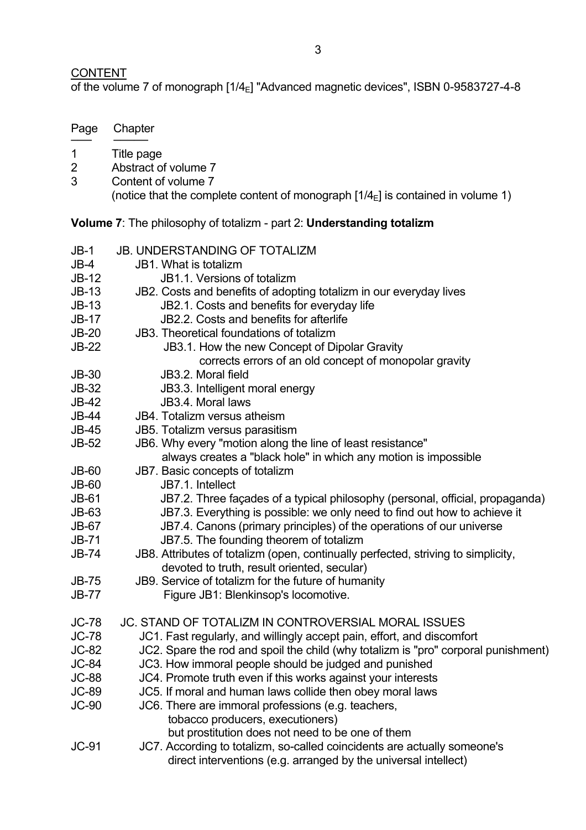# CONTENT

Page Chapter

of the volume 7 of monograph  $[1/4<sub>E</sub>]$  "Advanced magnetic devices", ISBN 0-9583727-4-8

| 1<br>Title page<br>2<br>Abstract of volume 7<br>3<br>Content of volume 7<br>(notice that the complete content of monograph $[1/4_{\rm E}]$ is contained in volume 1)<br>Volume 7: The philosophy of totalizm - part 2: Understanding totalizm<br><b>JB. UNDERSTANDING OF TOTALIZM</b><br>JB-1<br>JB-4<br>JB1. What is totalizm<br>JB-12<br>JB1.1. Versions of totalizm<br><b>JB-13</b><br>JB2. Costs and benefits of adopting totalizm in our everyday lives<br><b>JB-13</b><br>JB2.1. Costs and benefits for everyday life<br>JB2.2. Costs and benefits for afterlife<br>JB-17<br><b>JB-20</b><br>JB3. Theoretical foundations of totalizm<br><b>JB-22</b><br>JB3.1. How the new Concept of Dipolar Gravity<br>corrects errors of an old concept of monopolar gravity<br>JB3.2. Moral field<br>JB-30<br><b>JB-32</b><br>JB3.3. Intelligent moral energy<br>JB3.4. Moral laws<br>JB-42<br><b>JB-44</b><br>JB4. Totalizm versus atheism<br>JB-45<br>JB5. Totalizm versus parasitism<br>JB6. Why every "motion along the line of least resistance"<br>JB-52<br>always creates a "black hole" in which any motion is impossible<br>JB7. Basic concepts of totalizm<br>JB-60<br>JB-60<br>JB7.1. Intellect<br>JB7.2. Three façades of a typical philosophy (personal, official, propaganda)<br>JB-61<br>JB7.3. Everything is possible: we only need to find out how to achieve it<br>JB-63<br>JB7.4. Canons (primary principles) of the operations of our universe<br>JB-67<br>JB7.5. The founding theorem of totalizm<br>JB-71<br>JB8. Attributes of totalizm (open, continually perfected, striving to simplicity,<br>JB-74<br>devoted to truth, result oriented, secular)<br>JB-75<br>JB9. Service of totalizm for the future of humanity<br><b>JB-77</b><br>Figure JB1: Blenkinsop's locomotive. |
|-------------------------------------------------------------------------------------------------------------------------------------------------------------------------------------------------------------------------------------------------------------------------------------------------------------------------------------------------------------------------------------------------------------------------------------------------------------------------------------------------------------------------------------------------------------------------------------------------------------------------------------------------------------------------------------------------------------------------------------------------------------------------------------------------------------------------------------------------------------------------------------------------------------------------------------------------------------------------------------------------------------------------------------------------------------------------------------------------------------------------------------------------------------------------------------------------------------------------------------------------------------------------------------------------------------------------------------------------------------------------------------------------------------------------------------------------------------------------------------------------------------------------------------------------------------------------------------------------------------------------------------------------------------------------------------------------------------------------------------------------------------------------------------------------|
|                                                                                                                                                                                                                                                                                                                                                                                                                                                                                                                                                                                                                                                                                                                                                                                                                                                                                                                                                                                                                                                                                                                                                                                                                                                                                                                                                                                                                                                                                                                                                                                                                                                                                                                                                                                                 |
|                                                                                                                                                                                                                                                                                                                                                                                                                                                                                                                                                                                                                                                                                                                                                                                                                                                                                                                                                                                                                                                                                                                                                                                                                                                                                                                                                                                                                                                                                                                                                                                                                                                                                                                                                                                                 |
|                                                                                                                                                                                                                                                                                                                                                                                                                                                                                                                                                                                                                                                                                                                                                                                                                                                                                                                                                                                                                                                                                                                                                                                                                                                                                                                                                                                                                                                                                                                                                                                                                                                                                                                                                                                                 |
|                                                                                                                                                                                                                                                                                                                                                                                                                                                                                                                                                                                                                                                                                                                                                                                                                                                                                                                                                                                                                                                                                                                                                                                                                                                                                                                                                                                                                                                                                                                                                                                                                                                                                                                                                                                                 |
|                                                                                                                                                                                                                                                                                                                                                                                                                                                                                                                                                                                                                                                                                                                                                                                                                                                                                                                                                                                                                                                                                                                                                                                                                                                                                                                                                                                                                                                                                                                                                                                                                                                                                                                                                                                                 |
|                                                                                                                                                                                                                                                                                                                                                                                                                                                                                                                                                                                                                                                                                                                                                                                                                                                                                                                                                                                                                                                                                                                                                                                                                                                                                                                                                                                                                                                                                                                                                                                                                                                                                                                                                                                                 |
|                                                                                                                                                                                                                                                                                                                                                                                                                                                                                                                                                                                                                                                                                                                                                                                                                                                                                                                                                                                                                                                                                                                                                                                                                                                                                                                                                                                                                                                                                                                                                                                                                                                                                                                                                                                                 |
|                                                                                                                                                                                                                                                                                                                                                                                                                                                                                                                                                                                                                                                                                                                                                                                                                                                                                                                                                                                                                                                                                                                                                                                                                                                                                                                                                                                                                                                                                                                                                                                                                                                                                                                                                                                                 |
|                                                                                                                                                                                                                                                                                                                                                                                                                                                                                                                                                                                                                                                                                                                                                                                                                                                                                                                                                                                                                                                                                                                                                                                                                                                                                                                                                                                                                                                                                                                                                                                                                                                                                                                                                                                                 |
|                                                                                                                                                                                                                                                                                                                                                                                                                                                                                                                                                                                                                                                                                                                                                                                                                                                                                                                                                                                                                                                                                                                                                                                                                                                                                                                                                                                                                                                                                                                                                                                                                                                                                                                                                                                                 |
|                                                                                                                                                                                                                                                                                                                                                                                                                                                                                                                                                                                                                                                                                                                                                                                                                                                                                                                                                                                                                                                                                                                                                                                                                                                                                                                                                                                                                                                                                                                                                                                                                                                                                                                                                                                                 |
|                                                                                                                                                                                                                                                                                                                                                                                                                                                                                                                                                                                                                                                                                                                                                                                                                                                                                                                                                                                                                                                                                                                                                                                                                                                                                                                                                                                                                                                                                                                                                                                                                                                                                                                                                                                                 |
|                                                                                                                                                                                                                                                                                                                                                                                                                                                                                                                                                                                                                                                                                                                                                                                                                                                                                                                                                                                                                                                                                                                                                                                                                                                                                                                                                                                                                                                                                                                                                                                                                                                                                                                                                                                                 |
|                                                                                                                                                                                                                                                                                                                                                                                                                                                                                                                                                                                                                                                                                                                                                                                                                                                                                                                                                                                                                                                                                                                                                                                                                                                                                                                                                                                                                                                                                                                                                                                                                                                                                                                                                                                                 |
|                                                                                                                                                                                                                                                                                                                                                                                                                                                                                                                                                                                                                                                                                                                                                                                                                                                                                                                                                                                                                                                                                                                                                                                                                                                                                                                                                                                                                                                                                                                                                                                                                                                                                                                                                                                                 |
|                                                                                                                                                                                                                                                                                                                                                                                                                                                                                                                                                                                                                                                                                                                                                                                                                                                                                                                                                                                                                                                                                                                                                                                                                                                                                                                                                                                                                                                                                                                                                                                                                                                                                                                                                                                                 |
|                                                                                                                                                                                                                                                                                                                                                                                                                                                                                                                                                                                                                                                                                                                                                                                                                                                                                                                                                                                                                                                                                                                                                                                                                                                                                                                                                                                                                                                                                                                                                                                                                                                                                                                                                                                                 |
|                                                                                                                                                                                                                                                                                                                                                                                                                                                                                                                                                                                                                                                                                                                                                                                                                                                                                                                                                                                                                                                                                                                                                                                                                                                                                                                                                                                                                                                                                                                                                                                                                                                                                                                                                                                                 |
|                                                                                                                                                                                                                                                                                                                                                                                                                                                                                                                                                                                                                                                                                                                                                                                                                                                                                                                                                                                                                                                                                                                                                                                                                                                                                                                                                                                                                                                                                                                                                                                                                                                                                                                                                                                                 |
|                                                                                                                                                                                                                                                                                                                                                                                                                                                                                                                                                                                                                                                                                                                                                                                                                                                                                                                                                                                                                                                                                                                                                                                                                                                                                                                                                                                                                                                                                                                                                                                                                                                                                                                                                                                                 |
|                                                                                                                                                                                                                                                                                                                                                                                                                                                                                                                                                                                                                                                                                                                                                                                                                                                                                                                                                                                                                                                                                                                                                                                                                                                                                                                                                                                                                                                                                                                                                                                                                                                                                                                                                                                                 |
|                                                                                                                                                                                                                                                                                                                                                                                                                                                                                                                                                                                                                                                                                                                                                                                                                                                                                                                                                                                                                                                                                                                                                                                                                                                                                                                                                                                                                                                                                                                                                                                                                                                                                                                                                                                                 |
|                                                                                                                                                                                                                                                                                                                                                                                                                                                                                                                                                                                                                                                                                                                                                                                                                                                                                                                                                                                                                                                                                                                                                                                                                                                                                                                                                                                                                                                                                                                                                                                                                                                                                                                                                                                                 |
|                                                                                                                                                                                                                                                                                                                                                                                                                                                                                                                                                                                                                                                                                                                                                                                                                                                                                                                                                                                                                                                                                                                                                                                                                                                                                                                                                                                                                                                                                                                                                                                                                                                                                                                                                                                                 |
|                                                                                                                                                                                                                                                                                                                                                                                                                                                                                                                                                                                                                                                                                                                                                                                                                                                                                                                                                                                                                                                                                                                                                                                                                                                                                                                                                                                                                                                                                                                                                                                                                                                                                                                                                                                                 |
|                                                                                                                                                                                                                                                                                                                                                                                                                                                                                                                                                                                                                                                                                                                                                                                                                                                                                                                                                                                                                                                                                                                                                                                                                                                                                                                                                                                                                                                                                                                                                                                                                                                                                                                                                                                                 |
|                                                                                                                                                                                                                                                                                                                                                                                                                                                                                                                                                                                                                                                                                                                                                                                                                                                                                                                                                                                                                                                                                                                                                                                                                                                                                                                                                                                                                                                                                                                                                                                                                                                                                                                                                                                                 |
|                                                                                                                                                                                                                                                                                                                                                                                                                                                                                                                                                                                                                                                                                                                                                                                                                                                                                                                                                                                                                                                                                                                                                                                                                                                                                                                                                                                                                                                                                                                                                                                                                                                                                                                                                                                                 |
|                                                                                                                                                                                                                                                                                                                                                                                                                                                                                                                                                                                                                                                                                                                                                                                                                                                                                                                                                                                                                                                                                                                                                                                                                                                                                                                                                                                                                                                                                                                                                                                                                                                                                                                                                                                                 |
|                                                                                                                                                                                                                                                                                                                                                                                                                                                                                                                                                                                                                                                                                                                                                                                                                                                                                                                                                                                                                                                                                                                                                                                                                                                                                                                                                                                                                                                                                                                                                                                                                                                                                                                                                                                                 |
| JC. STAND OF TOTALIZM IN CONTROVERSIAL MORAL ISSUES<br><b>JC-78</b>                                                                                                                                                                                                                                                                                                                                                                                                                                                                                                                                                                                                                                                                                                                                                                                                                                                                                                                                                                                                                                                                                                                                                                                                                                                                                                                                                                                                                                                                                                                                                                                                                                                                                                                             |
| <b>JC-78</b><br>JC1. Fast regularly, and willingly accept pain, effort, and discomfort                                                                                                                                                                                                                                                                                                                                                                                                                                                                                                                                                                                                                                                                                                                                                                                                                                                                                                                                                                                                                                                                                                                                                                                                                                                                                                                                                                                                                                                                                                                                                                                                                                                                                                          |
| <b>JC-82</b><br>JC2. Spare the rod and spoil the child (why totalizm is "pro" corporal punishment)                                                                                                                                                                                                                                                                                                                                                                                                                                                                                                                                                                                                                                                                                                                                                                                                                                                                                                                                                                                                                                                                                                                                                                                                                                                                                                                                                                                                                                                                                                                                                                                                                                                                                              |
| <b>JC-84</b><br>JC3. How immoral people should be judged and punished                                                                                                                                                                                                                                                                                                                                                                                                                                                                                                                                                                                                                                                                                                                                                                                                                                                                                                                                                                                                                                                                                                                                                                                                                                                                                                                                                                                                                                                                                                                                                                                                                                                                                                                           |
| <b>JC-88</b><br>JC4. Promote truth even if this works against your interests                                                                                                                                                                                                                                                                                                                                                                                                                                                                                                                                                                                                                                                                                                                                                                                                                                                                                                                                                                                                                                                                                                                                                                                                                                                                                                                                                                                                                                                                                                                                                                                                                                                                                                                    |
| <b>JC-89</b><br>JC5. If moral and human laws collide then obey moral laws                                                                                                                                                                                                                                                                                                                                                                                                                                                                                                                                                                                                                                                                                                                                                                                                                                                                                                                                                                                                                                                                                                                                                                                                                                                                                                                                                                                                                                                                                                                                                                                                                                                                                                                       |
| JC6. There are immoral professions (e.g. teachers,<br>JC-90                                                                                                                                                                                                                                                                                                                                                                                                                                                                                                                                                                                                                                                                                                                                                                                                                                                                                                                                                                                                                                                                                                                                                                                                                                                                                                                                                                                                                                                                                                                                                                                                                                                                                                                                     |
| tobacco producers, executioners)                                                                                                                                                                                                                                                                                                                                                                                                                                                                                                                                                                                                                                                                                                                                                                                                                                                                                                                                                                                                                                                                                                                                                                                                                                                                                                                                                                                                                                                                                                                                                                                                                                                                                                                                                                |
| but prostitution does not need to be one of them                                                                                                                                                                                                                                                                                                                                                                                                                                                                                                                                                                                                                                                                                                                                                                                                                                                                                                                                                                                                                                                                                                                                                                                                                                                                                                                                                                                                                                                                                                                                                                                                                                                                                                                                                |
| JC7. According to totalizm, so-called coincidents are actually someone's<br>JC-91                                                                                                                                                                                                                                                                                                                                                                                                                                                                                                                                                                                                                                                                                                                                                                                                                                                                                                                                                                                                                                                                                                                                                                                                                                                                                                                                                                                                                                                                                                                                                                                                                                                                                                               |
| direct interventions (e.g. arranged by the universal intellect)                                                                                                                                                                                                                                                                                                                                                                                                                                                                                                                                                                                                                                                                                                                                                                                                                                                                                                                                                                                                                                                                                                                                                                                                                                                                                                                                                                                                                                                                                                                                                                                                                                                                                                                                 |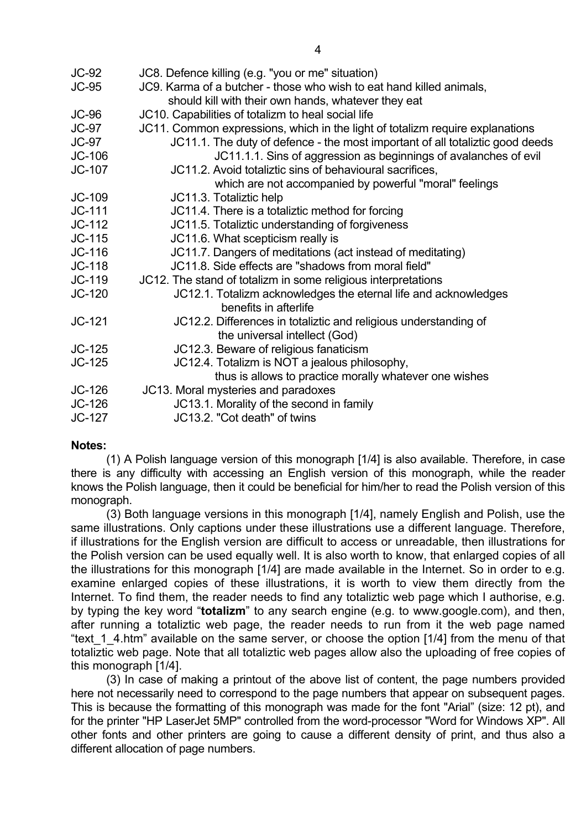| <b>JC-92</b>  | JC8. Defence killing (e.g. "you or me" situation)                             |
|---------------|-------------------------------------------------------------------------------|
| $JC-95$       | JC9. Karma of a butcher - those who wish to eat hand killed animals,          |
|               | should kill with their own hands, whatever they eat                           |
| <b>JC-96</b>  | JC10. Capabilities of totalizm to heal social life                            |
| $JC-97$       | JC11. Common expressions, which in the light of totalizm require explanations |
| $JC-97$       | JC11.1. The duty of defence - the most important of all totaliztic good deeds |
| <b>JC-106</b> | JC11.1.1. Sins of aggression as beginnings of avalanches of evil              |
| <b>JC-107</b> | JC11.2. Avoid totaliztic sins of behavioural sacrifices,                      |
|               | which are not accompanied by powerful "moral" feelings                        |
| <b>JC-109</b> | JC11.3. Totaliztic help                                                       |
| $JC-111$      | JC11.4. There is a totaliztic method for forcing                              |
| $JC-112$      | JC11.5. Totaliztic understanding of forgiveness                               |
| $JC-115$      | JC11.6. What scepticism really is                                             |
| $JC-116$      | JC11.7. Dangers of meditations (act instead of meditating)                    |
| JC-118        | JC11.8. Side effects are "shadows from moral field"                           |
| JC-119        | JC12. The stand of totalizm in some religious interpretations                 |
| $JC-120$      | JC12.1. Totalizm acknowledges the eternal life and acknowledges               |
|               | benefits in afterlife                                                         |
| $JC-121$      | JC12.2. Differences in totaliztic and religious understanding of              |
|               | the universal intellect (God)                                                 |
| $JC-125$      | JC12.3. Beware of religious fanaticism                                        |
| $JC-125$      | JC12.4. Totalizm is NOT a jealous philosophy,                                 |
|               | thus is allows to practice morally whatever one wishes                        |
| $JC-126$      | JC13. Moral mysteries and paradoxes                                           |
| $JC-126$      | JC13.1. Morality of the second in family                                      |
| <b>JC-127</b> | JC13.2. "Cot death" of twins                                                  |

# **Notes:**

 (1) A Polish language version of this monograph [1/4] is also available. Therefore, in case there is any difficulty with accessing an English version of this monograph, while the reader knows the Polish language, then it could be beneficial for him/her to read the Polish version of this monograph.

 (3) Both language versions in this monograph [1/4], namely English and Polish, use the same illustrations. Only captions under these illustrations use a different language. Therefore, if illustrations for the English version are difficult to access or unreadable, then illustrations for the Polish version can be used equally well. It is also worth to know, that enlarged copies of all the illustrations for this monograph [1/4] are made available in the Internet. So in order to e.g. examine enlarged copies of these illustrations, it is worth to view them directly from the Internet. To find them, the reader needs to find any totaliztic web page which I authorise, e.g. by typing the key word "**totalizm**" to any search engine (e.g. to www.google.com), and then, after running a totaliztic web page, the reader needs to run from it the web page named "text 1 4.htm" available on the same server, or choose the option [1/4] from the menu of that totaliztic web page. Note that all totaliztic web pages allow also the uploading of free copies of this monograph [1/4].

 (3) In case of making a printout of the above list of content, the page numbers provided here not necessarily need to correspond to the page numbers that appear on subsequent pages. This is because the formatting of this monograph was made for the font "Arial" (size: 12 pt), and for the printer "HP LaserJet 5MP" controlled from the word-processor "Word for Windows XP". All other fonts and other printers are going to cause a different density of print, and thus also a different allocation of page numbers.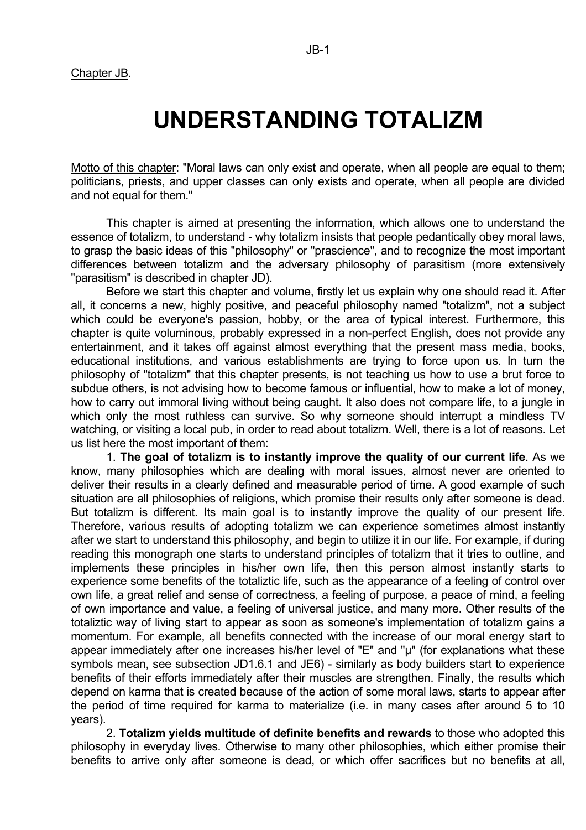Chapter JB.

# **UNDERSTANDING TOTALIZM**

Motto of this chapter: "Moral laws can only exist and operate, when all people are equal to them; politicians, priests, and upper classes can only exists and operate, when all people are divided and not equal for them."

 This chapter is aimed at presenting the information, which allows one to understand the essence of totalizm, to understand - why totalizm insists that people pedantically obey moral laws, to grasp the basic ideas of this "philosophy" or "prascience", and to recognize the most important differences between totalizm and the adversary philosophy of parasitism (more extensively "parasitism" is described in chapter JD).

 Before we start this chapter and volume, firstly let us explain why one should read it. After all, it concerns a new, highly positive, and peaceful philosophy named "totalizm", not a subject which could be everyone's passion, hobby, or the area of typical interest. Furthermore, this chapter is quite voluminous, probably expressed in a non-perfect English, does not provide any entertainment, and it takes off against almost everything that the present mass media, books, educational institutions, and various establishments are trying to force upon us. In turn the philosophy of "totalizm" that this chapter presents, is not teaching us how to use a brut force to subdue others, is not advising how to become famous or influential, how to make a lot of money, how to carry out immoral living without being caught. It also does not compare life, to a jungle in which only the most ruthless can survive. So why someone should interrupt a mindless TV watching, or visiting a local pub, in order to read about totalizm. Well, there is a lot of reasons. Let us list here the most important of them:

 1. **The goal of totalizm is to instantly improve the quality of our current life**. As we know, many philosophies which are dealing with moral issues, almost never are oriented to deliver their results in a clearly defined and measurable period of time. A good example of such situation are all philosophies of religions, which promise their results only after someone is dead. But totalizm is different. Its main goal is to instantly improve the quality of our present life. Therefore, various results of adopting totalizm we can experience sometimes almost instantly after we start to understand this philosophy, and begin to utilize it in our life. For example, if during reading this monograph one starts to understand principles of totalizm that it tries to outline, and implements these principles in his/her own life, then this person almost instantly starts to experience some benefits of the totaliztic life, such as the appearance of a feeling of control over own life, a great relief and sense of correctness, a feeling of purpose, a peace of mind, a feeling of own importance and value, a feeling of universal justice, and many more. Other results of the totaliztic way of living start to appear as soon as someone's implementation of totalizm gains a momentum. For example, all benefits connected with the increase of our moral energy start to appear immediately after one increases his/her level of "E" and "µ" (for explanations what these symbols mean, see subsection JD1.6.1 and JE6) - similarly as body builders start to experience benefits of their efforts immediately after their muscles are strengthen. Finally, the results which depend on karma that is created because of the action of some moral laws, starts to appear after the period of time required for karma to materialize (i.e. in many cases after around 5 to 10 years).

 2. **Totalizm yields multitude of definite benefits and rewards** to those who adopted this philosophy in everyday lives. Otherwise to many other philosophies, which either promise their benefits to arrive only after someone is dead, or which offer sacrifices but no benefits at all,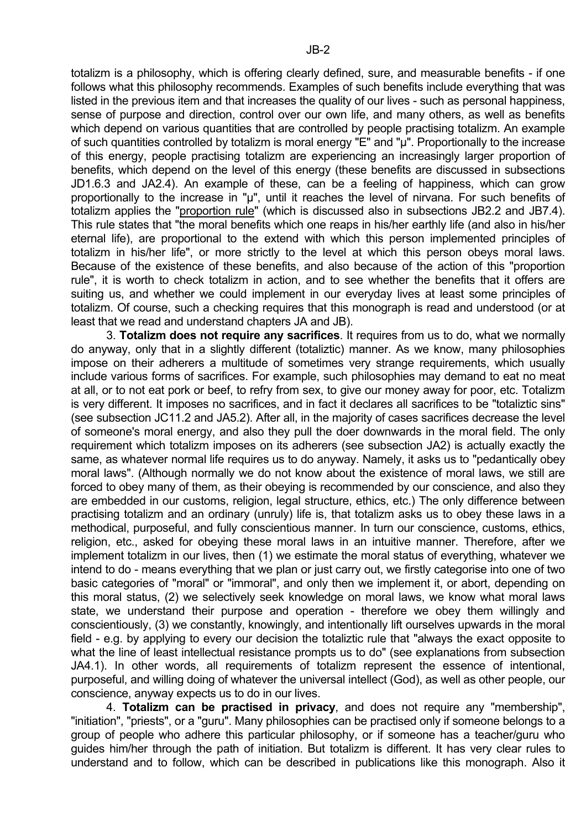totalizm is a philosophy, which is offering clearly defined, sure, and measurable benefits - if one follows what this philosophy recommends. Examples of such benefits include everything that was listed in the previous item and that increases the quality of our lives - such as personal happiness, sense of purpose and direction, control over our own life, and many others, as well as benefits which depend on various quantities that are controlled by people practising totalizm. An example of such quantities controlled by totalizm is moral energy "E" and "µ". Proportionally to the increase of this energy, people practising totalizm are experiencing an increasingly larger proportion of benefits, which depend on the level of this energy (these benefits are discussed in subsections JD1.6.3 and JA2.4). An example of these, can be a feeling of happiness, which can grow proportionally to the increase in "µ", until it reaches the level of nirvana. For such benefits of totalizm applies the "proportion rule" (which is discussed also in subsections JB2.2 and JB7.4). This rule states that "the moral benefits which one reaps in his/her earthly life (and also in his/her eternal life), are proportional to the extend with which this person implemented principles of totalizm in his/her life", or more strictly to the level at which this person obeys moral laws. Because of the existence of these benefits, and also because of the action of this "proportion rule", it is worth to check totalizm in action, and to see whether the benefits that it offers are suiting us, and whether we could implement in our everyday lives at least some principles of totalizm. Of course, such a checking requires that this monograph is read and understood (or at least that we read and understand chapters JA and JB).

 3. **Totalizm does not require any sacrifices**. It requires from us to do, what we normally do anyway, only that in a slightly different (totaliztic) manner. As we know, many philosophies impose on their adherers a multitude of sometimes very strange requirements, which usually include various forms of sacrifices. For example, such philosophies may demand to eat no meat at all, or to not eat pork or beef, to refry from sex, to give our money away for poor, etc. Totalizm is very different. It imposes no sacrifices, and in fact it declares all sacrifices to be "totaliztic sins" (see subsection JC11.2 and JA5.2). After all, in the majority of cases sacrifices decrease the level of someone's moral energy, and also they pull the doer downwards in the moral field. The only requirement which totalizm imposes on its adherers (see subsection JA2) is actually exactly the same, as whatever normal life requires us to do anyway. Namely, it asks us to "pedantically obey moral laws". (Although normally we do not know about the existence of moral laws, we still are forced to obey many of them, as their obeying is recommended by our conscience, and also they are embedded in our customs, religion, legal structure, ethics, etc.) The only difference between practising totalizm and an ordinary (unruly) life is, that totalizm asks us to obey these laws in a methodical, purposeful, and fully conscientious manner. In turn our conscience, customs, ethics, religion, etc., asked for obeying these moral laws in an intuitive manner. Therefore, after we implement totalizm in our lives, then (1) we estimate the moral status of everything, whatever we intend to do - means everything that we plan or just carry out, we firstly categorise into one of two basic categories of "moral" or "immoral", and only then we implement it, or abort, depending on this moral status, (2) we selectively seek knowledge on moral laws, we know what moral laws state, we understand their purpose and operation - therefore we obey them willingly and conscientiously, (3) we constantly, knowingly, and intentionally lift ourselves upwards in the moral field - e.g. by applying to every our decision the totaliztic rule that "always the exact opposite to what the line of least intellectual resistance prompts us to do" (see explanations from subsection JA4.1). In other words, all requirements of totalizm represent the essence of intentional, purposeful, and willing doing of whatever the universal intellect (God), as well as other people, our conscience, anyway expects us to do in our lives.

 4. **Totalizm can be practised in privacy**, and does not require any "membership", "initiation", "priests", or a "guru". Many philosophies can be practised only if someone belongs to a group of people who adhere this particular philosophy, or if someone has a teacher/guru who guides him/her through the path of initiation. But totalizm is different. It has very clear rules to understand and to follow, which can be described in publications like this monograph. Also it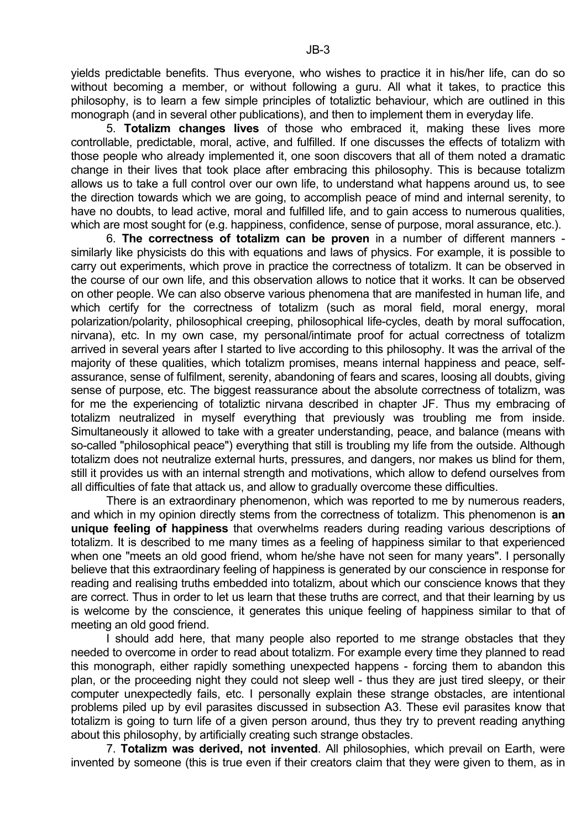yields predictable benefits. Thus everyone, who wishes to practice it in his/her life, can do so without becoming a member, or without following a guru. All what it takes, to practice this philosophy, is to learn a few simple principles of totaliztic behaviour, which are outlined in this monograph (and in several other publications), and then to implement them in everyday life.

 5. **Totalizm changes lives** of those who embraced it, making these lives more controllable, predictable, moral, active, and fulfilled. If one discusses the effects of totalizm with those people who already implemented it, one soon discovers that all of them noted a dramatic change in their lives that took place after embracing this philosophy. This is because totalizm allows us to take a full control over our own life, to understand what happens around us, to see the direction towards which we are going, to accomplish peace of mind and internal serenity, to have no doubts, to lead active, moral and fulfilled life, and to gain access to numerous qualities, which are most sought for (e.g. happiness, confidence, sense of purpose, moral assurance, etc.).

 6. **The correctness of totalizm can be proven** in a number of different manners similarly like physicists do this with equations and laws of physics. For example, it is possible to carry out experiments, which prove in practice the correctness of totalizm. It can be observed in the course of our own life, and this observation allows to notice that it works. It can be observed on other people. We can also observe various phenomena that are manifested in human life, and which certify for the correctness of totalizm (such as moral field, moral energy, moral polarization/polarity, philosophical creeping, philosophical life-cycles, death by moral suffocation, nirvana), etc. In my own case, my personal/intimate proof for actual correctness of totalizm arrived in several years after I started to live according to this philosophy. It was the arrival of the majority of these qualities, which totalizm promises, means internal happiness and peace, selfassurance, sense of fulfilment, serenity, abandoning of fears and scares, loosing all doubts, giving sense of purpose, etc. The biggest reassurance about the absolute correctness of totalizm, was for me the experiencing of totaliztic nirvana described in chapter JF. Thus my embracing of totalizm neutralized in myself everything that previously was troubling me from inside. Simultaneously it allowed to take with a greater understanding, peace, and balance (means with so-called "philosophical peace") everything that still is troubling my life from the outside. Although totalizm does not neutralize external hurts, pressures, and dangers, nor makes us blind for them, still it provides us with an internal strength and motivations, which allow to defend ourselves from all difficulties of fate that attack us, and allow to gradually overcome these difficulties.

 There is an extraordinary phenomenon, which was reported to me by numerous readers, and which in my opinion directly stems from the correctness of totalizm. This phenomenon is **an unique feeling of happiness** that overwhelms readers during reading various descriptions of totalizm. It is described to me many times as a feeling of happiness similar to that experienced when one "meets an old good friend, whom he/she have not seen for many years". I personally believe that this extraordinary feeling of happiness is generated by our conscience in response for reading and realising truths embedded into totalizm, about which our conscience knows that they are correct. Thus in order to let us learn that these truths are correct, and that their learning by us is welcome by the conscience, it generates this unique feeling of happiness similar to that of meeting an old good friend.

 I should add here, that many people also reported to me strange obstacles that they needed to overcome in order to read about totalizm. For example every time they planned to read this monograph, either rapidly something unexpected happens - forcing them to abandon this plan, or the proceeding night they could not sleep well - thus they are just tired sleepy, or their computer unexpectedly fails, etc. I personally explain these strange obstacles, are intentional problems piled up by evil parasites discussed in subsection A3. These evil parasites know that totalizm is going to turn life of a given person around, thus they try to prevent reading anything about this philosophy, by artificially creating such strange obstacles.

 7. **Totalizm was derived, not invented**. All philosophies, which prevail on Earth, were invented by someone (this is true even if their creators claim that they were given to them, as in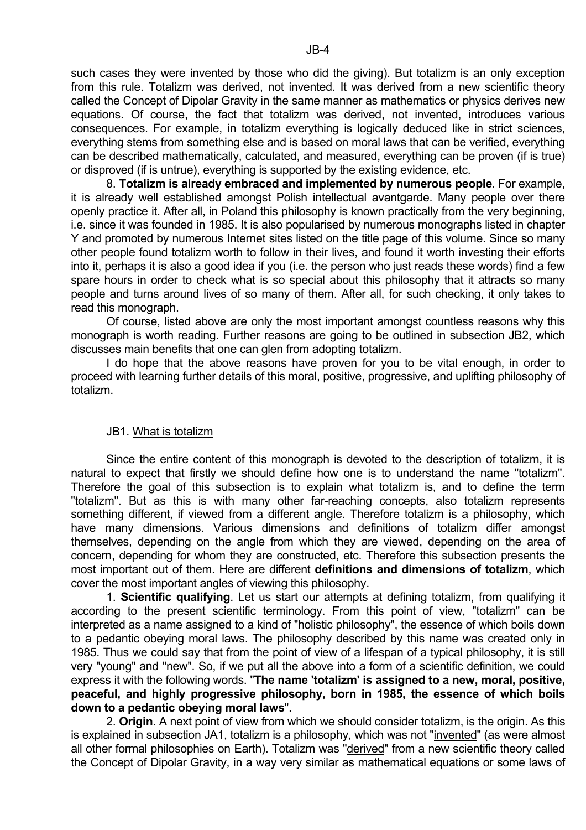such cases they were invented by those who did the giving). But totalizm is an only exception from this rule. Totalizm was derived, not invented. It was derived from a new scientific theory called the Concept of Dipolar Gravity in the same manner as mathematics or physics derives new equations. Of course, the fact that totalizm was derived, not invented, introduces various consequences. For example, in totalizm everything is logically deduced like in strict sciences, everything stems from something else and is based on moral laws that can be verified, everything can be described mathematically, calculated, and measured, everything can be proven (if is true) or disproved (if is untrue), everything is supported by the existing evidence, etc.

 8. **Totalizm is already embraced and implemented by numerous people**. For example, it is already well established amongst Polish intellectual avantgarde. Many people over there openly practice it. After all, in Poland this philosophy is known practically from the very beginning, i.e. since it was founded in 1985. It is also popularised by numerous monographs listed in chapter Y and promoted by numerous Internet sites listed on the title page of this volume. Since so many other people found totalizm worth to follow in their lives, and found it worth investing their efforts into it, perhaps it is also a good idea if you (i.e. the person who just reads these words) find a few spare hours in order to check what is so special about this philosophy that it attracts so many people and turns around lives of so many of them. After all, for such checking, it only takes to read this monograph.

 Of course, listed above are only the most important amongst countless reasons why this monograph is worth reading. Further reasons are going to be outlined in subsection JB2, which discusses main benefits that one can glen from adopting totalizm.

 I do hope that the above reasons have proven for you to be vital enough, in order to proceed with learning further details of this moral, positive, progressive, and uplifting philosophy of totalizm.

# JB1. What is totalizm

 Since the entire content of this monograph is devoted to the description of totalizm, it is natural to expect that firstly we should define how one is to understand the name "totalizm". Therefore the goal of this subsection is to explain what totalizm is, and to define the term "totalizm". But as this is with many other far-reaching concepts, also totalizm represents something different, if viewed from a different angle. Therefore totalizm is a philosophy, which have many dimensions. Various dimensions and definitions of totalizm differ amongst themselves, depending on the angle from which they are viewed, depending on the area of concern, depending for whom they are constructed, etc. Therefore this subsection presents the most important out of them. Here are different **definitions and dimensions of totalizm**, which cover the most important angles of viewing this philosophy.

 1. **Scientific qualifying**. Let us start our attempts at defining totalizm, from qualifying it according to the present scientific terminology. From this point of view, "totalizm" can be interpreted as a name assigned to a kind of "holistic philosophy", the essence of which boils down to a pedantic obeying moral laws. The philosophy described by this name was created only in 1985. Thus we could say that from the point of view of a lifespan of a typical philosophy, it is still very "young" and "new". So, if we put all the above into a form of a scientific definition, we could express it with the following words. "**The name 'totalizm' is assigned to a new, moral, positive, peaceful, and highly progressive philosophy, born in 1985, the essence of which boils down to a pedantic obeying moral laws**".

 2. **Origin**. A next point of view from which we should consider totalizm, is the origin. As this is explained in subsection JA1, totalizm is a philosophy, which was not "invented" (as were almost all other formal philosophies on Earth). Totalizm was "derived" from a new scientific theory called the Concept of Dipolar Gravity, in a way very similar as mathematical equations or some laws of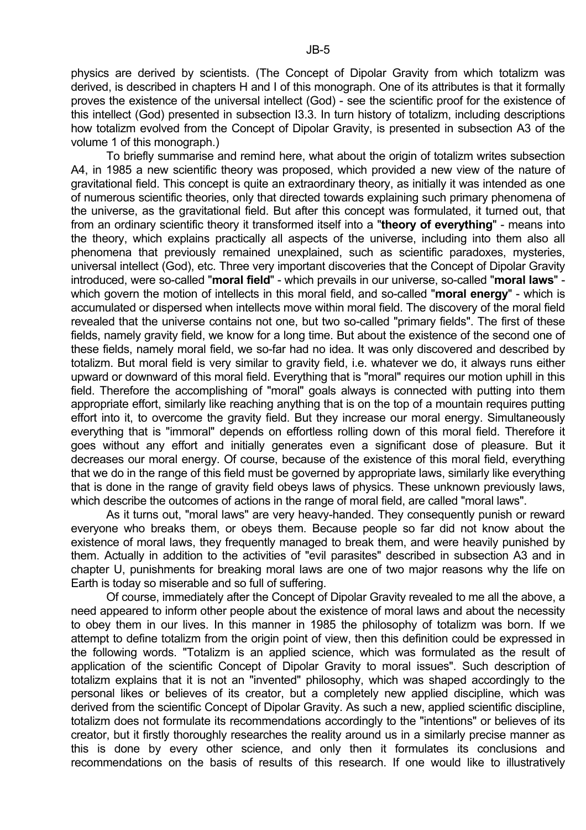physics are derived by scientists. (The Concept of Dipolar Gravity from which totalizm was derived, is described in chapters H and I of this monograph. One of its attributes is that it formally proves the existence of the universal intellect (God) - see the scientific proof for the existence of this intellect (God) presented in subsection I3.3. In turn history of totalizm, including descriptions how totalizm evolved from the Concept of Dipolar Gravity, is presented in subsection A3 of the volume 1 of this monograph.)

 To briefly summarise and remind here, what about the origin of totalizm writes subsection A4, in 1985 a new scientific theory was proposed, which provided a new view of the nature of gravitational field. This concept is quite an extraordinary theory, as initially it was intended as one of numerous scientific theories, only that directed towards explaining such primary phenomena of the universe, as the gravitational field. But after this concept was formulated, it turned out, that from an ordinary scientific theory it transformed itself into a "**theory of everything**" - means into the theory, which explains practically all aspects of the universe, including into them also all phenomena that previously remained unexplained, such as scientific paradoxes, mysteries, universal intellect (God), etc. Three very important discoveries that the Concept of Dipolar Gravity introduced, were so-called "**moral field**" - which prevails in our universe, so-called "**moral laws**" which govern the motion of intellects in this moral field, and so-called "**moral energy**" - which is accumulated or dispersed when intellects move within moral field. The discovery of the moral field revealed that the universe contains not one, but two so-called "primary fields". The first of these fields, namely gravity field, we know for a long time. But about the existence of the second one of these fields, namely moral field, we so-far had no idea. It was only discovered and described by totalizm. But moral field is very similar to gravity field, i.e. whatever we do, it always runs either upward or downward of this moral field. Everything that is "moral" requires our motion uphill in this field. Therefore the accomplishing of "moral" goals always is connected with putting into them appropriate effort, similarly like reaching anything that is on the top of a mountain requires putting effort into it, to overcome the gravity field. But they increase our moral energy. Simultaneously everything that is "immoral" depends on effortless rolling down of this moral field. Therefore it goes without any effort and initially generates even a significant dose of pleasure. But it decreases our moral energy. Of course, because of the existence of this moral field, everything that we do in the range of this field must be governed by appropriate laws, similarly like everything that is done in the range of gravity field obeys laws of physics. These unknown previously laws, which describe the outcomes of actions in the range of moral field, are called "moral laws".

 As it turns out, "moral laws" are very heavy-handed. They consequently punish or reward everyone who breaks them, or obeys them. Because people so far did not know about the existence of moral laws, they frequently managed to break them, and were heavily punished by them. Actually in addition to the activities of "evil parasites" described in subsection A3 and in chapter U, punishments for breaking moral laws are one of two major reasons why the life on Earth is today so miserable and so full of suffering.

 Of course, immediately after the Concept of Dipolar Gravity revealed to me all the above, a need appeared to inform other people about the existence of moral laws and about the necessity to obey them in our lives. In this manner in 1985 the philosophy of totalizm was born. If we attempt to define totalizm from the origin point of view, then this definition could be expressed in the following words. "Totalizm is an applied science, which was formulated as the result of application of the scientific Concept of Dipolar Gravity to moral issues". Such description of totalizm explains that it is not an "invented" philosophy, which was shaped accordingly to the personal likes or believes of its creator, but a completely new applied discipline, which was derived from the scientific Concept of Dipolar Gravity. As such a new, applied scientific discipline, totalizm does not formulate its recommendations accordingly to the "intentions" or believes of its creator, but it firstly thoroughly researches the reality around us in a similarly precise manner as this is done by every other science, and only then it formulates its conclusions and recommendations on the basis of results of this research. If one would like to illustratively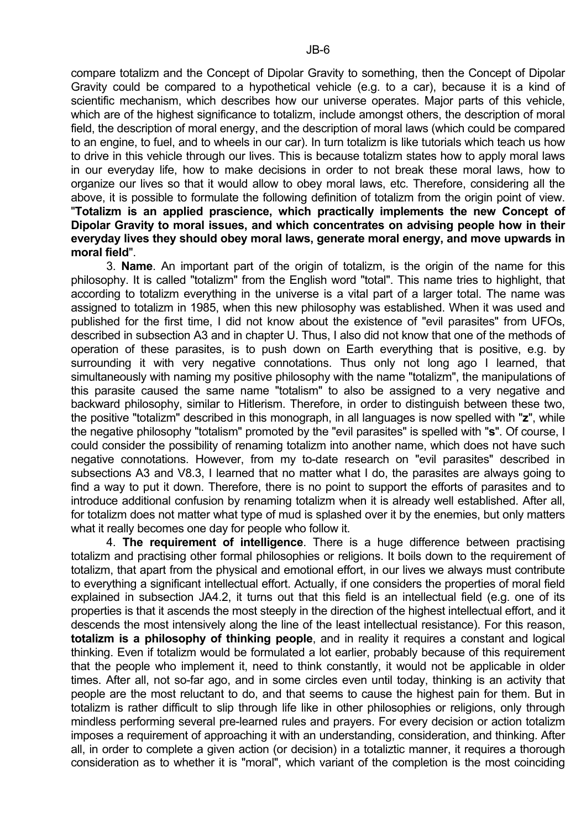compare totalizm and the Concept of Dipolar Gravity to something, then the Concept of Dipolar Gravity could be compared to a hypothetical vehicle (e.g. to a car), because it is a kind of scientific mechanism, which describes how our universe operates. Major parts of this vehicle, which are of the highest significance to totalizm, include amongst others, the description of moral field, the description of moral energy, and the description of moral laws (which could be compared to an engine, to fuel, and to wheels in our car). In turn totalizm is like tutorials which teach us how to drive in this vehicle through our lives. This is because totalizm states how to apply moral laws in our everyday life, how to make decisions in order to not break these moral laws, how to organize our lives so that it would allow to obey moral laws, etc. Therefore, considering all the above, it is possible to formulate the following definition of totalizm from the origin point of view. "**Totalizm is an applied prascience, which practically implements the new Concept of Dipolar Gravity to moral issues, and which concentrates on advising people how in their everyday lives they should obey moral laws, generate moral energy, and move upwards in moral field**".

 3. **Name**. An important part of the origin of totalizm, is the origin of the name for this philosophy. It is called "totalizm" from the English word "total". This name tries to highlight, that according to totalizm everything in the universe is a vital part of a larger total. The name was assigned to totalizm in 1985, when this new philosophy was established. When it was used and published for the first time, I did not know about the existence of "evil parasites" from UFOs, described in subsection A3 and in chapter U. Thus, I also did not know that one of the methods of operation of these parasites, is to push down on Earth everything that is positive, e.g. by surrounding it with very negative connotations. Thus only not long ago I learned, that simultaneously with naming my positive philosophy with the name "totalizm", the manipulations of this parasite caused the same name "totalism" to also be assigned to a very negative and backward philosophy, similar to Hitlerism. Therefore, in order to distinguish between these two, the positive "totalizm" described in this monograph, in all languages is now spelled with "**z**", while the negative philosophy "totalism" promoted by the "evil parasites" is spelled with "**s**". Of course, I could consider the possibility of renaming totalizm into another name, which does not have such negative connotations. However, from my to-date research on "evil parasites" described in subsections A3 and V8.3, I learned that no matter what I do, the parasites are always going to find a way to put it down. Therefore, there is no point to support the efforts of parasites and to introduce additional confusion by renaming totalizm when it is already well established. After all, for totalizm does not matter what type of mud is splashed over it by the enemies, but only matters what it really becomes one day for people who follow it.

 4. **The requirement of intelligence**. There is a huge difference between practising totalizm and practising other formal philosophies or religions. It boils down to the requirement of totalizm, that apart from the physical and emotional effort, in our lives we always must contribute to everything a significant intellectual effort. Actually, if one considers the properties of moral field explained in subsection JA4.2, it turns out that this field is an intellectual field (e.g. one of its properties is that it ascends the most steeply in the direction of the highest intellectual effort, and it descends the most intensively along the line of the least intellectual resistance). For this reason, **totalizm is a philosophy of thinking people**, and in reality it requires a constant and logical thinking. Even if totalizm would be formulated a lot earlier, probably because of this requirement that the people who implement it, need to think constantly, it would not be applicable in older times. After all, not so-far ago, and in some circles even until today, thinking is an activity that people are the most reluctant to do, and that seems to cause the highest pain for them. But in totalizm is rather difficult to slip through life like in other philosophies or religions, only through mindless performing several pre-learned rules and prayers. For every decision or action totalizm imposes a requirement of approaching it with an understanding, consideration, and thinking. After all, in order to complete a given action (or decision) in a totaliztic manner, it requires a thorough consideration as to whether it is "moral", which variant of the completion is the most coinciding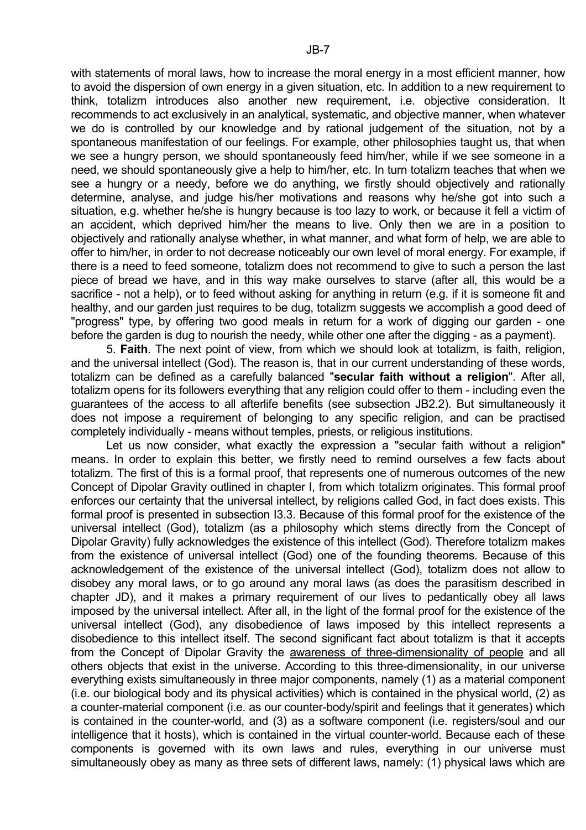with statements of moral laws, how to increase the moral energy in a most efficient manner, how to avoid the dispersion of own energy in a given situation, etc. In addition to a new requirement to think, totalizm introduces also another new requirement, i.e. objective consideration. It recommends to act exclusively in an analytical, systematic, and objective manner, when whatever we do is controlled by our knowledge and by rational judgement of the situation, not by a spontaneous manifestation of our feelings. For example, other philosophies taught us, that when we see a hungry person, we should spontaneously feed him/her, while if we see someone in a need, we should spontaneously give a help to him/her, etc. In turn totalizm teaches that when we see a hungry or a needy, before we do anything, we firstly should objectively and rationally determine, analyse, and judge his/her motivations and reasons why he/she got into such a situation, e.g. whether he/she is hungry because is too lazy to work, or because it fell a victim of an accident, which deprived him/her the means to live. Only then we are in a position to objectively and rationally analyse whether, in what manner, and what form of help, we are able to offer to him/her, in order to not decrease noticeably our own level of moral energy. For example, if there is a need to feed someone, totalizm does not recommend to give to such a person the last piece of bread we have, and in this way make ourselves to starve (after all, this would be a sacrifice - not a help), or to feed without asking for anything in return (e.g. if it is someone fit and healthy, and our garden just requires to be dug, totalizm suggests we accomplish a good deed of "progress" type, by offering two good meals in return for a work of digging our garden - one before the garden is dug to nourish the needy, while other one after the digging - as a payment).

 5. **Faith**. The next point of view, from which we should look at totalizm, is faith, religion, and the universal intellect (God). The reason is, that in our current understanding of these words, totalizm can be defined as a carefully balanced "**secular faith without a religion**". After all, totalizm opens for its followers everything that any religion could offer to them - including even the guarantees of the access to all afterlife benefits (see subsection JB2.2). But simultaneously it does not impose a requirement of belonging to any specific religion, and can be practised completely individually - means without temples, priests, or religious institutions.

 Let us now consider, what exactly the expression a "secular faith without a religion" means. In order to explain this better, we firstly need to remind ourselves a few facts about totalizm. The first of this is a formal proof, that represents one of numerous outcomes of the new Concept of Dipolar Gravity outlined in chapter I, from which totalizm originates. This formal proof enforces our certainty that the universal intellect, by religions called God, in fact does exists. This formal proof is presented in subsection I3.3. Because of this formal proof for the existence of the universal intellect (God), totalizm (as a philosophy which stems directly from the Concept of Dipolar Gravity) fully acknowledges the existence of this intellect (God). Therefore totalizm makes from the existence of universal intellect (God) one of the founding theorems. Because of this acknowledgement of the existence of the universal intellect (God), totalizm does not allow to disobey any moral laws, or to go around any moral laws (as does the parasitism described in chapter JD), and it makes a primary requirement of our lives to pedantically obey all laws imposed by the universal intellect. After all, in the light of the formal proof for the existence of the universal intellect (God), any disobedience of laws imposed by this intellect represents a disobedience to this intellect itself. The second significant fact about totalizm is that it accepts from the Concept of Dipolar Gravity the awareness of three-dimensionality of people and all others objects that exist in the universe. According to this three-dimensionality, in our universe everything exists simultaneously in three major components, namely (1) as a material component (i.e. our biological body and its physical activities) which is contained in the physical world, (2) as a counter-material component (i.e. as our counter-body/spirit and feelings that it generates) which is contained in the counter-world, and (3) as a software component (i.e. registers/soul and our intelligence that it hosts), which is contained in the virtual counter-world. Because each of these components is governed with its own laws and rules, everything in our universe must simultaneously obey as many as three sets of different laws, namely: (1) physical laws which are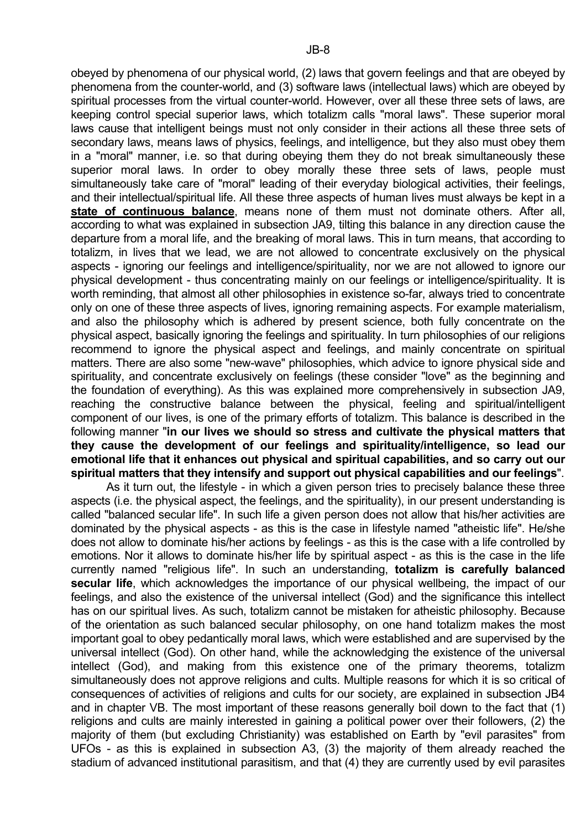obeyed by phenomena of our physical world, (2) laws that govern feelings and that are obeyed by phenomena from the counter-world, and (3) software laws (intellectual laws) which are obeyed by spiritual processes from the virtual counter-world. However, over all these three sets of laws, are keeping control special superior laws, which totalizm calls "moral laws". These superior moral laws cause that intelligent beings must not only consider in their actions all these three sets of secondary laws, means laws of physics, feelings, and intelligence, but they also must obey them in a "moral" manner, i.e. so that during obeying them they do not break simultaneously these superior moral laws. In order to obey morally these three sets of laws, people must simultaneously take care of "moral" leading of their everyday biological activities, their feelings, and their intellectual/spiritual life. All these three aspects of human lives must always be kept in a **state of continuous balance**, means none of them must not dominate others. After all, according to what was explained in subsection JA9, tilting this balance in any direction cause the departure from a moral life, and the breaking of moral laws. This in turn means, that according to totalizm, in lives that we lead, we are not allowed to concentrate exclusively on the physical aspects - ignoring our feelings and intelligence/spirituality, nor we are not allowed to ignore our physical development - thus concentrating mainly on our feelings or intelligence/spirituality. It is worth reminding, that almost all other philosophies in existence so-far, always tried to concentrate only on one of these three aspects of lives, ignoring remaining aspects. For example materialism, and also the philosophy which is adhered by present science, both fully concentrate on the physical aspect, basically ignoring the feelings and spirituality. In turn philosophies of our religions recommend to ignore the physical aspect and feelings, and mainly concentrate on spiritual matters. There are also some "new-wave" philosophies, which advice to ignore physical side and spirituality, and concentrate exclusively on feelings (these consider "love" as the beginning and the foundation of everything). As this was explained more comprehensively in subsection JA9, reaching the constructive balance between the physical, feeling and spiritual/intelligent component of our lives, is one of the primary efforts of totalizm. This balance is described in the following manner "**in our lives we should so stress and cultivate the physical matters that they cause the development of our feelings and spirituality/intelligence, so lead our emotional life that it enhances out physical and spiritual capabilities, and so carry out our spiritual matters that they intensify and support out physical capabilities and our feelings**".

 As it turn out, the lifestyle - in which a given person tries to precisely balance these three aspects (i.e. the physical aspect, the feelings, and the spirituality), in our present understanding is called "balanced secular life". In such life a given person does not allow that his/her activities are dominated by the physical aspects - as this is the case in lifestyle named "atheistic life". He/she does not allow to dominate his/her actions by feelings - as this is the case with a life controlled by emotions. Nor it allows to dominate his/her life by spiritual aspect - as this is the case in the life currently named "religious life". In such an understanding, **totalizm is carefully balanced secular life**, which acknowledges the importance of our physical wellbeing, the impact of our feelings, and also the existence of the universal intellect (God) and the significance this intellect has on our spiritual lives. As such, totalizm cannot be mistaken for atheistic philosophy. Because of the orientation as such balanced secular philosophy, on one hand totalizm makes the most important goal to obey pedantically moral laws, which were established and are supervised by the universal intellect (God). On other hand, while the acknowledging the existence of the universal intellect (God), and making from this existence one of the primary theorems, totalizm simultaneously does not approve religions and cults. Multiple reasons for which it is so critical of consequences of activities of religions and cults for our society, are explained in subsection JB4 and in chapter VB. The most important of these reasons generally boil down to the fact that (1) religions and cults are mainly interested in gaining a political power over their followers, (2) the majority of them (but excluding Christianity) was established on Earth by "evil parasites" from UFOs - as this is explained in subsection A3, (3) the majority of them already reached the stadium of advanced institutional parasitism, and that (4) they are currently used by evil parasites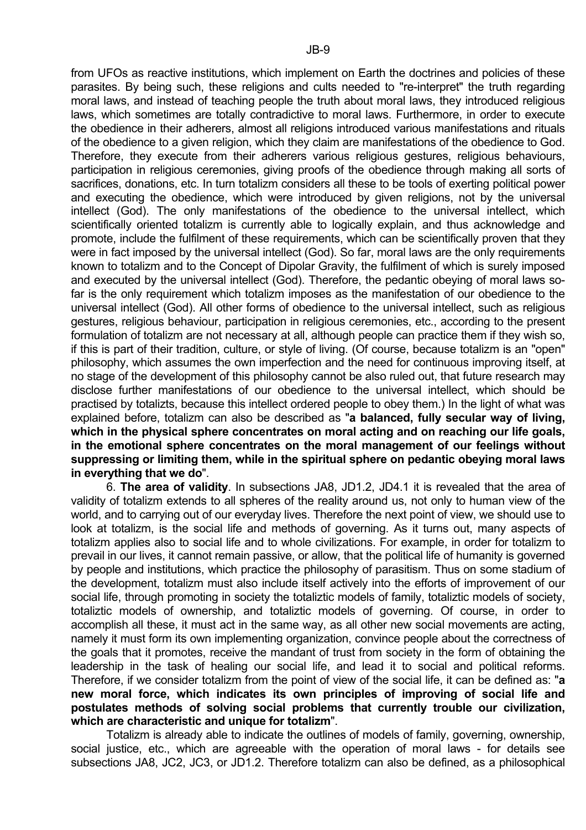from UFOs as reactive institutions, which implement on Earth the doctrines and policies of these parasites. By being such, these religions and cults needed to "re-interpret" the truth regarding moral laws, and instead of teaching people the truth about moral laws, they introduced religious laws, which sometimes are totally contradictive to moral laws. Furthermore, in order to execute the obedience in their adherers, almost all religions introduced various manifestations and rituals of the obedience to a given religion, which they claim are manifestations of the obedience to God. Therefore, they execute from their adherers various religious gestures, religious behaviours, participation in religious ceremonies, giving proofs of the obedience through making all sorts of sacrifices, donations, etc. In turn totalizm considers all these to be tools of exerting political power and executing the obedience, which were introduced by given religions, not by the universal intellect (God). The only manifestations of the obedience to the universal intellect, which scientifically oriented totalizm is currently able to logically explain, and thus acknowledge and promote, include the fulfilment of these requirements, which can be scientifically proven that they were in fact imposed by the universal intellect (God). So far, moral laws are the only requirements known to totalizm and to the Concept of Dipolar Gravity, the fulfilment of which is surely imposed and executed by the universal intellect (God). Therefore, the pedantic obeying of moral laws sofar is the only requirement which totalizm imposes as the manifestation of our obedience to the universal intellect (God). All other forms of obedience to the universal intellect, such as religious gestures, religious behaviour, participation in religious ceremonies, etc., according to the present formulation of totalizm are not necessary at all, although people can practice them if they wish so, if this is part of their tradition, culture, or style of living. (Of course, because totalizm is an "open" philosophy, which assumes the own imperfection and the need for continuous improving itself, at no stage of the development of this philosophy cannot be also ruled out, that future research may disclose further manifestations of our obedience to the universal intellect, which should be practised by totalizts, because this intellect ordered people to obey them.) In the light of what was explained before, totalizm can also be described as "**a balanced, fully secular way of living, which in the physical sphere concentrates on moral acting and on reaching our life goals, in the emotional sphere concentrates on the moral management of our feelings without suppressing or limiting them, while in the spiritual sphere on pedantic obeying moral laws in everything that we do**".

 6. **The area of validity**. In subsections JA8, JD1.2, JD4.1 it is revealed that the area of validity of totalizm extends to all spheres of the reality around us, not only to human view of the world, and to carrying out of our everyday lives. Therefore the next point of view, we should use to look at totalizm, is the social life and methods of governing. As it turns out, many aspects of totalizm applies also to social life and to whole civilizations. For example, in order for totalizm to prevail in our lives, it cannot remain passive, or allow, that the political life of humanity is governed by people and institutions, which practice the philosophy of parasitism. Thus on some stadium of the development, totalizm must also include itself actively into the efforts of improvement of our social life, through promoting in society the totaliztic models of family, totaliztic models of society, totaliztic models of ownership, and totaliztic models of governing. Of course, in order to accomplish all these, it must act in the same way, as all other new social movements are acting, namely it must form its own implementing organization, convince people about the correctness of the goals that it promotes, receive the mandant of trust from society in the form of obtaining the leadership in the task of healing our social life, and lead it to social and political reforms. Therefore, if we consider totalizm from the point of view of the social life, it can be defined as: "**a new moral force, which indicates its own principles of improving of social life and postulates methods of solving social problems that currently trouble our civilization, which are characteristic and unique for totalizm**".

 Totalizm is already able to indicate the outlines of models of family, governing, ownership, social justice, etc., which are agreeable with the operation of moral laws - for details see subsections JA8, JC2, JC3, or JD1.2. Therefore totalizm can also be defined, as a philosophical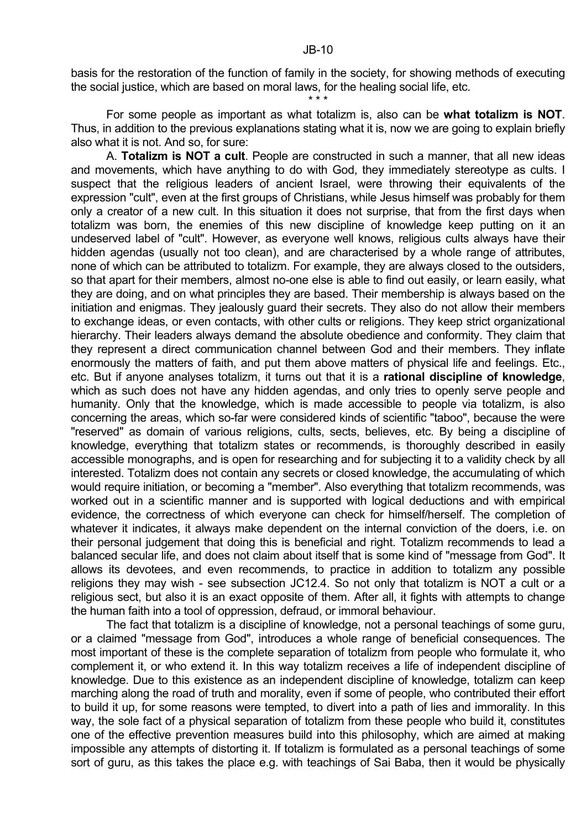basis for the restoration of the function of family in the society, for showing methods of executing the social justice, which are based on moral laws, for the healing social life, etc.

 $\star \star \star$ 

 For some people as important as what totalizm is, also can be **what totalizm is NOT**. Thus, in addition to the previous explanations stating what it is, now we are going to explain briefly also what it is not. And so, for sure:

 A. **Totalizm is NOT a cult**. People are constructed in such a manner, that all new ideas and movements, which have anything to do with God, they immediately stereotype as cults. I suspect that the religious leaders of ancient Israel, were throwing their equivalents of the expression "cult", even at the first groups of Christians, while Jesus himself was probably for them only a creator of a new cult. In this situation it does not surprise, that from the first days when totalizm was born, the enemies of this new discipline of knowledge keep putting on it an undeserved label of "cult". However, as everyone well knows, religious cults always have their hidden agendas (usually not too clean), and are characterised by a whole range of attributes, none of which can be attributed to totalizm. For example, they are always closed to the outsiders, so that apart for their members, almost no-one else is able to find out easily, or learn easily, what they are doing, and on what principles they are based. Their membership is always based on the initiation and enigmas. They jealously guard their secrets. They also do not allow their members to exchange ideas, or even contacts, with other cults or religions. They keep strict organizational hierarchy. Their leaders always demand the absolute obedience and conformity. They claim that they represent a direct communication channel between God and their members. They inflate enormously the matters of faith, and put them above matters of physical life and feelings. Etc., etc. But if anyone analyses totalizm, it turns out that it is a **rational discipline of knowledge**, which as such does not have any hidden agendas, and only tries to openly serve people and humanity. Only that the knowledge, which is made accessible to people via totalizm, is also concerning the areas, which so-far were considered kinds of scientific "taboo", because the were "reserved" as domain of various religions, cults, sects, believes, etc. By being a discipline of knowledge, everything that totalizm states or recommends, is thoroughly described in easily accessible monographs, and is open for researching and for subjecting it to a validity check by all interested. Totalizm does not contain any secrets or closed knowledge, the accumulating of which would require initiation, or becoming a "member". Also everything that totalizm recommends, was worked out in a scientific manner and is supported with logical deductions and with empirical evidence, the correctness of which everyone can check for himself/herself. The completion of whatever it indicates, it always make dependent on the internal conviction of the doers, i.e. on their personal judgement that doing this is beneficial and right. Totalizm recommends to lead a balanced secular life, and does not claim about itself that is some kind of "message from God". It allows its devotees, and even recommends, to practice in addition to totalizm any possible religions they may wish - see subsection JC12.4. So not only that totalizm is NOT a cult or a religious sect, but also it is an exact opposite of them. After all, it fights with attempts to change the human faith into a tool of oppression, defraud, or immoral behaviour.

 The fact that totalizm is a discipline of knowledge, not a personal teachings of some guru, or a claimed "message from God", introduces a whole range of beneficial consequences. The most important of these is the complete separation of totalizm from people who formulate it, who complement it, or who extend it. In this way totalizm receives a life of independent discipline of knowledge. Due to this existence as an independent discipline of knowledge, totalizm can keep marching along the road of truth and morality, even if some of people, who contributed their effort to build it up, for some reasons were tempted, to divert into a path of lies and immorality. In this way, the sole fact of a physical separation of totalizm from these people who build it, constitutes one of the effective prevention measures build into this philosophy, which are aimed at making impossible any attempts of distorting it. If totalizm is formulated as a personal teachings of some sort of guru, as this takes the place e.g. with teachings of Sai Baba, then it would be physically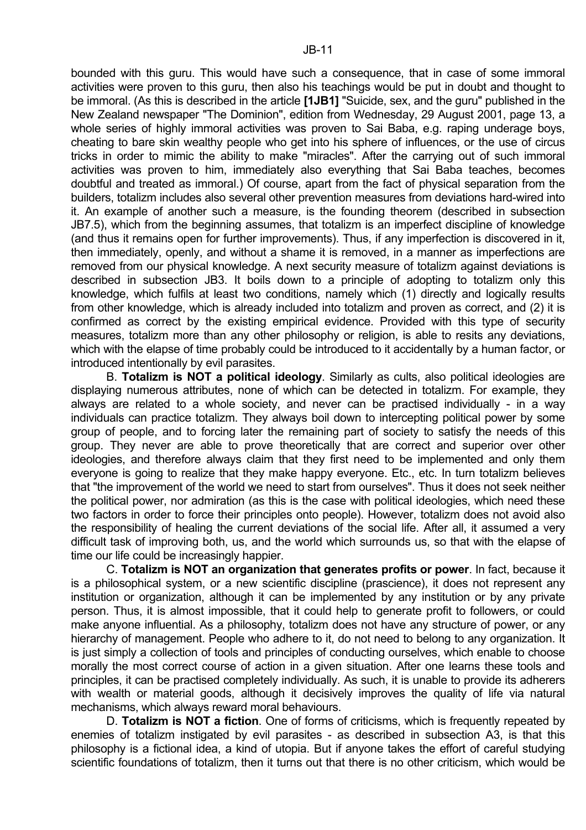bounded with this guru. This would have such a consequence, that in case of some immoral activities were proven to this guru, then also his teachings would be put in doubt and thought to be immoral. (As this is described in the article **[1JB1]** "Suicide, sex, and the guru" published in the New Zealand newspaper "The Dominion", edition from Wednesday, 29 August 2001, page 13, a whole series of highly immoral activities was proven to Sai Baba, e.g. raping underage boys, cheating to bare skin wealthy people who get into his sphere of influences, or the use of circus tricks in order to mimic the ability to make "miracles". After the carrying out of such immoral activities was proven to him, immediately also everything that Sai Baba teaches, becomes doubtful and treated as immoral.) Of course, apart from the fact of physical separation from the builders, totalizm includes also several other prevention measures from deviations hard-wired into it. An example of another such a measure, is the founding theorem (described in subsection JB7.5), which from the beginning assumes, that totalizm is an imperfect discipline of knowledge (and thus it remains open for further improvements). Thus, if any imperfection is discovered in it, then immediately, openly, and without a shame it is removed, in a manner as imperfections are removed from our physical knowledge. A next security measure of totalizm against deviations is described in subsection JB3. It boils down to a principle of adopting to totalizm only this knowledge, which fulfils at least two conditions, namely which (1) directly and logically results from other knowledge, which is already included into totalizm and proven as correct, and (2) it is confirmed as correct by the existing empirical evidence. Provided with this type of security measures, totalizm more than any other philosophy or religion, is able to resits any deviations, which with the elapse of time probably could be introduced to it accidentally by a human factor, or introduced intentionally by evil parasites.

 B. **Totalizm is NOT a political ideology**. Similarly as cults, also political ideologies are displaying numerous attributes, none of which can be detected in totalizm. For example, they always are related to a whole society, and never can be practised individually - in a way individuals can practice totalizm. They always boil down to intercepting political power by some group of people, and to forcing later the remaining part of society to satisfy the needs of this group. They never are able to prove theoretically that are correct and superior over other ideologies, and therefore always claim that they first need to be implemented and only them everyone is going to realize that they make happy everyone. Etc., etc. In turn totalizm believes that "the improvement of the world we need to start from ourselves". Thus it does not seek neither the political power, nor admiration (as this is the case with political ideologies, which need these two factors in order to force their principles onto people). However, totalizm does not avoid also the responsibility of healing the current deviations of the social life. After all, it assumed a very difficult task of improving both, us, and the world which surrounds us, so that with the elapse of time our life could be increasingly happier.

 C. **Totalizm is NOT an organization that generates profits or power**. In fact, because it is a philosophical system, or a new scientific discipline (prascience), it does not represent any institution or organization, although it can be implemented by any institution or by any private person. Thus, it is almost impossible, that it could help to generate profit to followers, or could make anyone influential. As a philosophy, totalizm does not have any structure of power, or any hierarchy of management. People who adhere to it, do not need to belong to any organization. It is just simply a collection of tools and principles of conducting ourselves, which enable to choose morally the most correct course of action in a given situation. After one learns these tools and principles, it can be practised completely individually. As such, it is unable to provide its adherers with wealth or material goods, although it decisively improves the quality of life via natural mechanisms, which always reward moral behaviours.

 D. **Totalizm is NOT a fiction**. One of forms of criticisms, which is frequently repeated by enemies of totalizm instigated by evil parasites - as described in subsection A3, is that this philosophy is a fictional idea, a kind of utopia. But if anyone takes the effort of careful studying scientific foundations of totalizm, then it turns out that there is no other criticism, which would be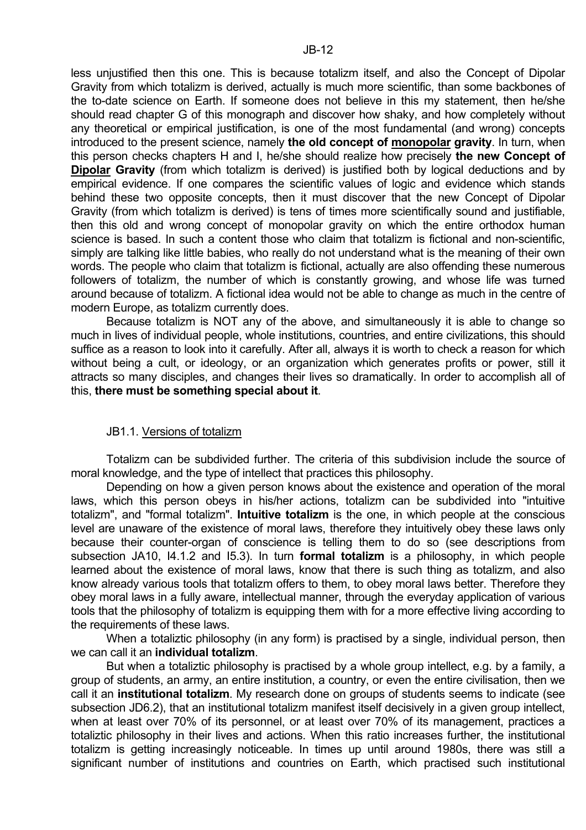less unjustified then this one. This is because totalizm itself, and also the Concept of Dipolar Gravity from which totalizm is derived, actually is much more scientific, than some backbones of the to-date science on Earth. If someone does not believe in this my statement, then he/she should read chapter G of this monograph and discover how shaky, and how completely without any theoretical or empirical justification, is one of the most fundamental (and wrong) concepts introduced to the present science, namely **the old concept of monopolar gravity**. In turn, when this person checks chapters H and I, he/she should realize how precisely **the new Concept of Dipolar Gravity** (from which totalizm is derived) is justified both by logical deductions and by empirical evidence. If one compares the scientific values of logic and evidence which stands behind these two opposite concepts, then it must discover that the new Concept of Dipolar Gravity (from which totalizm is derived) is tens of times more scientifically sound and justifiable, then this old and wrong concept of monopolar gravity on which the entire orthodox human science is based. In such a content those who claim that totalizm is fictional and non-scientific, simply are talking like little babies, who really do not understand what is the meaning of their own words. The people who claim that totalizm is fictional, actually are also offending these numerous followers of totalizm, the number of which is constantly growing, and whose life was turned around because of totalizm. A fictional idea would not be able to change as much in the centre of modern Europe, as totalizm currently does.

 Because totalizm is NOT any of the above, and simultaneously it is able to change so much in lives of individual people, whole institutions, countries, and entire civilizations, this should suffice as a reason to look into it carefully. After all, always it is worth to check a reason for which without being a cult, or ideology, or an organization which generates profits or power, still it attracts so many disciples, and changes their lives so dramatically. In order to accomplish all of this, **there must be something special about it**.

# JB1.1. Versions of totalizm

 Totalizm can be subdivided further. The criteria of this subdivision include the source of moral knowledge, and the type of intellect that practices this philosophy.

 Depending on how a given person knows about the existence and operation of the moral laws, which this person obeys in his/her actions, totalizm can be subdivided into "intuitive totalizm", and "formal totalizm". **Intuitive totalizm** is the one, in which people at the conscious level are unaware of the existence of moral laws, therefore they intuitively obey these laws only because their counter-organ of conscience is telling them to do so (see descriptions from subsection JA10, I4.1.2 and I5.3). In turn **formal totalizm** is a philosophy, in which people learned about the existence of moral laws, know that there is such thing as totalizm, and also know already various tools that totalizm offers to them, to obey moral laws better. Therefore they obey moral laws in a fully aware, intellectual manner, through the everyday application of various tools that the philosophy of totalizm is equipping them with for a more effective living according to the requirements of these laws.

 When a totaliztic philosophy (in any form) is practised by a single, individual person, then we can call it an **individual totalizm**.

But when a totaliztic philosophy is practised by a whole group intellect, e.g. by a family, a group of students, an army, an entire institution, a country, or even the entire civilisation, then we call it an **institutional totalizm**. My research done on groups of students seems to indicate (see subsection JD6.2), that an institutional totalizm manifest itself decisively in a given group intellect, when at least over 70% of its personnel, or at least over 70% of its management, practices a totaliztic philosophy in their lives and actions. When this ratio increases further, the institutional totalizm is getting increasingly noticeable. In times up until around 1980s, there was still a significant number of institutions and countries on Earth, which practised such institutional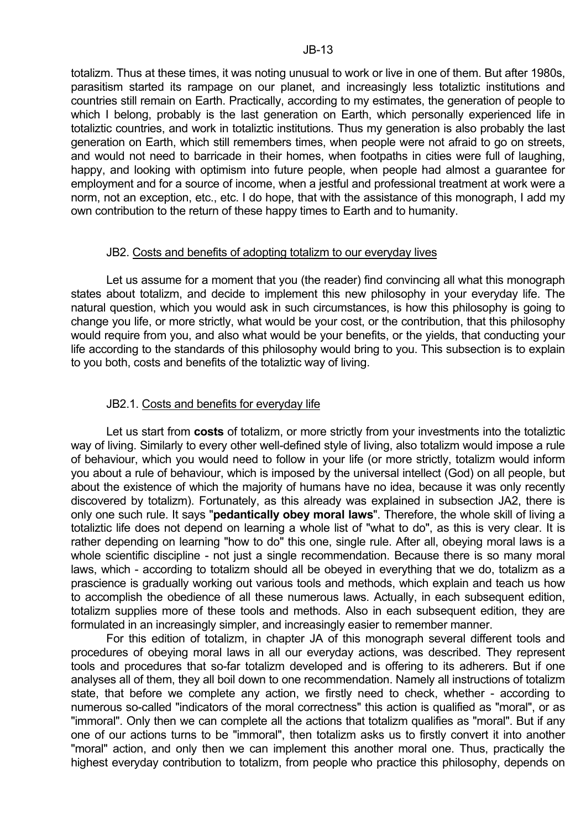totalizm. Thus at these times, it was noting unusual to work or live in one of them. But after 1980s, parasitism started its rampage on our planet, and increasingly less totaliztic institutions and countries still remain on Earth. Practically, according to my estimates, the generation of people to which I belong, probably is the last generation on Earth, which personally experienced life in totaliztic countries, and work in totaliztic institutions. Thus my generation is also probably the last generation on Earth, which still remembers times, when people were not afraid to go on streets, and would not need to barricade in their homes, when footpaths in cities were full of laughing, happy, and looking with optimism into future people, when people had almost a guarantee for employment and for a source of income, when a jestful and professional treatment at work were a norm, not an exception, etc., etc. I do hope, that with the assistance of this monograph, I add my own contribution to the return of these happy times to Earth and to humanity.

#### JB2. Costs and benefits of adopting totalizm to our everyday lives

 Let us assume for a moment that you (the reader) find convincing all what this monograph states about totalizm, and decide to implement this new philosophy in your everyday life. The natural question, which you would ask in such circumstances, is how this philosophy is going to change you life, or more strictly, what would be your cost, or the contribution, that this philosophy would require from you, and also what would be your benefits, or the yields, that conducting your life according to the standards of this philosophy would bring to you. This subsection is to explain to you both, costs and benefits of the totaliztic way of living.

# JB2.1. Costs and benefits for everyday life

 Let us start from **costs** of totalizm, or more strictly from your investments into the totaliztic way of living. Similarly to every other well-defined style of living, also totalizm would impose a rule of behaviour, which you would need to follow in your life (or more strictly, totalizm would inform you about a rule of behaviour, which is imposed by the universal intellect (God) on all people, but about the existence of which the majority of humans have no idea, because it was only recently discovered by totalizm). Fortunately, as this already was explained in subsection JA2, there is only one such rule. It says "**pedantically obey moral laws**". Therefore, the whole skill of living a totaliztic life does not depend on learning a whole list of "what to do", as this is very clear. It is rather depending on learning "how to do" this one, single rule. After all, obeying moral laws is a whole scientific discipline - not just a single recommendation. Because there is so many moral laws, which - according to totalizm should all be obeyed in everything that we do, totalizm as a prascience is gradually working out various tools and methods, which explain and teach us how to accomplish the obedience of all these numerous laws. Actually, in each subsequent edition, totalizm supplies more of these tools and methods. Also in each subsequent edition, they are formulated in an increasingly simpler, and increasingly easier to remember manner.

 For this edition of totalizm, in chapter JA of this monograph several different tools and procedures of obeying moral laws in all our everyday actions, was described. They represent tools and procedures that so-far totalizm developed and is offering to its adherers. But if one analyses all of them, they all boil down to one recommendation. Namely all instructions of totalizm state, that before we complete any action, we firstly need to check, whether - according to numerous so-called "indicators of the moral correctness" this action is qualified as "moral", or as "immoral". Only then we can complete all the actions that totalizm qualifies as "moral". But if any one of our actions turns to be "immoral", then totalizm asks us to firstly convert it into another "moral" action, and only then we can implement this another moral one. Thus, practically the highest everyday contribution to totalizm, from people who practice this philosophy, depends on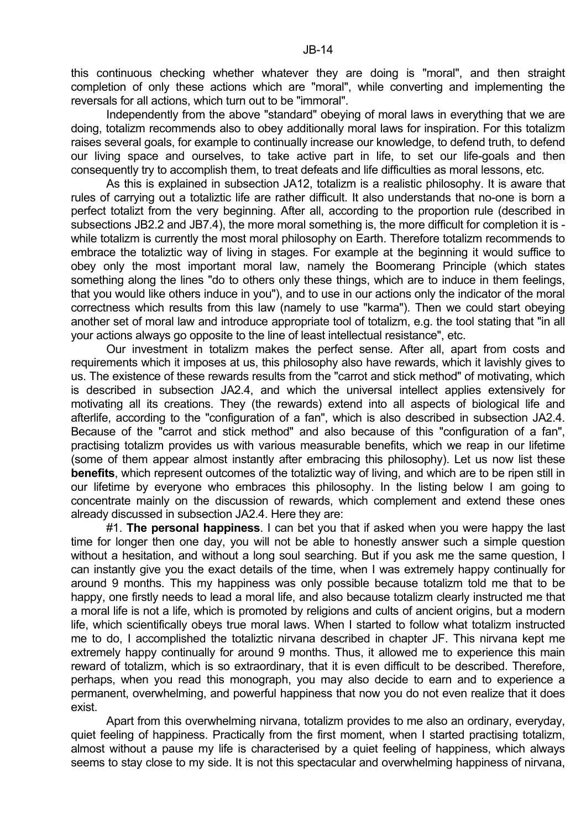this continuous checking whether whatever they are doing is "moral", and then straight completion of only these actions which are "moral", while converting and implementing the reversals for all actions, which turn out to be "immoral".

 Independently from the above "standard" obeying of moral laws in everything that we are doing, totalizm recommends also to obey additionally moral laws for inspiration. For this totalizm raises several goals, for example to continually increase our knowledge, to defend truth, to defend our living space and ourselves, to take active part in life, to set our life-goals and then consequently try to accomplish them, to treat defeats and life difficulties as moral lessons, etc.

 As this is explained in subsection JA12, totalizm is a realistic philosophy. It is aware that rules of carrying out a totaliztic life are rather difficult. It also understands that no-one is born a perfect totalizt from the very beginning. After all, according to the proportion rule (described in subsections JB2.2 and JB7.4), the more moral something is, the more difficult for completion it is while totalizm is currently the most moral philosophy on Earth. Therefore totalizm recommends to embrace the totaliztic way of living in stages. For example at the beginning it would suffice to obey only the most important moral law, namely the Boomerang Principle (which states something along the lines "do to others only these things, which are to induce in them feelings, that you would like others induce in you"), and to use in our actions only the indicator of the moral correctness which results from this law (namely to use "karma"). Then we could start obeying another set of moral law and introduce appropriate tool of totalizm, e.g. the tool stating that "in all your actions always go opposite to the line of least intellectual resistance", etc.

 Our investment in totalizm makes the perfect sense. After all, apart from costs and requirements which it imposes at us, this philosophy also have rewards, which it lavishly gives to us. The existence of these rewards results from the "carrot and stick method" of motivating, which is described in subsection JA2.4, and which the universal intellect applies extensively for motivating all its creations. They (the rewards) extend into all aspects of biological life and afterlife, according to the "configuration of a fan", which is also described in subsection JA2.4. Because of the "carrot and stick method" and also because of this "configuration of a fan", practising totalizm provides us with various measurable benefits, which we reap in our lifetime (some of them appear almost instantly after embracing this philosophy). Let us now list these **benefits**, which represent outcomes of the totaliztic way of living, and which are to be ripen still in our lifetime by everyone who embraces this philosophy. In the listing below I am going to concentrate mainly on the discussion of rewards, which complement and extend these ones already discussed in subsection JA2.4. Here they are:

 #1. **The personal happiness**. I can bet you that if asked when you were happy the last time for longer then one day, you will not be able to honestly answer such a simple question without a hesitation, and without a long soul searching. But if you ask me the same question, I can instantly give you the exact details of the time, when I was extremely happy continually for around 9 months. This my happiness was only possible because totalizm told me that to be happy, one firstly needs to lead a moral life, and also because totalizm clearly instructed me that a moral life is not a life, which is promoted by religions and cults of ancient origins, but a modern life, which scientifically obeys true moral laws. When I started to follow what totalizm instructed me to do, I accomplished the totaliztic nirvana described in chapter JF. This nirvana kept me extremely happy continually for around 9 months. Thus, it allowed me to experience this main reward of totalizm, which is so extraordinary, that it is even difficult to be described. Therefore, perhaps, when you read this monograph, you may also decide to earn and to experience a permanent, overwhelming, and powerful happiness that now you do not even realize that it does exist.

 Apart from this overwhelming nirvana, totalizm provides to me also an ordinary, everyday, quiet feeling of happiness. Practically from the first moment, when I started practising totalizm, almost without a pause my life is characterised by a quiet feeling of happiness, which always seems to stay close to my side. It is not this spectacular and overwhelming happiness of nirvana,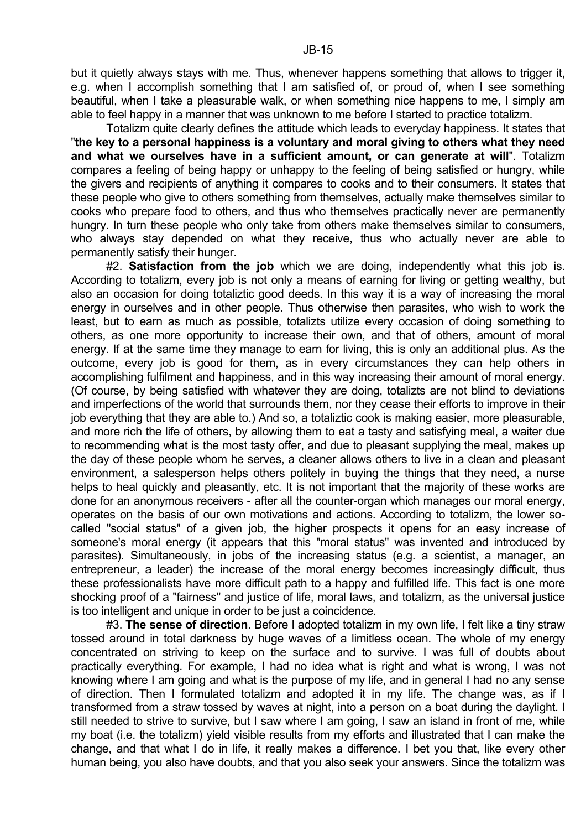but it quietly always stays with me. Thus, whenever happens something that allows to trigger it, e.g. when I accomplish something that I am satisfied of, or proud of, when I see something beautiful, when I take a pleasurable walk, or when something nice happens to me, I simply am able to feel happy in a manner that was unknown to me before I started to practice totalizm.

 Totalizm quite clearly defines the attitude which leads to everyday happiness. It states that "**the key to a personal happiness is a voluntary and moral giving to others what they need and what we ourselves have in a sufficient amount, or can generate at will**". Totalizm compares a feeling of being happy or unhappy to the feeling of being satisfied or hungry, while the givers and recipients of anything it compares to cooks and to their consumers. It states that these people who give to others something from themselves, actually make themselves similar to cooks who prepare food to others, and thus who themselves practically never are permanently hungry. In turn these people who only take from others make themselves similar to consumers, who always stay depended on what they receive, thus who actually never are able to permanently satisfy their hunger.

 #2. **Satisfaction from the job** which we are doing, independently what this job is. According to totalizm, every job is not only a means of earning for living or getting wealthy, but also an occasion for doing totaliztic good deeds. In this way it is a way of increasing the moral energy in ourselves and in other people. Thus otherwise then parasites, who wish to work the least, but to earn as much as possible, totalizts utilize every occasion of doing something to others, as one more opportunity to increase their own, and that of others, amount of moral energy. If at the same time they manage to earn for living, this is only an additional plus. As the outcome, every job is good for them, as in every circumstances they can help others in accomplishing fulfilment and happiness, and in this way increasing their amount of moral energy. (Of course, by being satisfied with whatever they are doing, totalizts are not blind to deviations and imperfections of the world that surrounds them, nor they cease their efforts to improve in their job everything that they are able to.) And so, a totaliztic cook is making easier, more pleasurable, and more rich the life of others, by allowing them to eat a tasty and satisfying meal, a waiter due to recommending what is the most tasty offer, and due to pleasant supplying the meal, makes up the day of these people whom he serves, a cleaner allows others to live in a clean and pleasant environment, a salesperson helps others politely in buying the things that they need, a nurse helps to heal quickly and pleasantly, etc. It is not important that the majority of these works are done for an anonymous receivers - after all the counter-organ which manages our moral energy, operates on the basis of our own motivations and actions. According to totalizm, the lower socalled "social status" of a given job, the higher prospects it opens for an easy increase of someone's moral energy (it appears that this "moral status" was invented and introduced by parasites). Simultaneously, in jobs of the increasing status (e.g. a scientist, a manager, an entrepreneur, a leader) the increase of the moral energy becomes increasingly difficult, thus these professionalists have more difficult path to a happy and fulfilled life. This fact is one more shocking proof of a "fairness" and justice of life, moral laws, and totalizm, as the universal justice is too intelligent and unique in order to be just a coincidence.

 #3. **The sense of direction**. Before I adopted totalizm in my own life, I felt like a tiny straw tossed around in total darkness by huge waves of a limitless ocean. The whole of my energy concentrated on striving to keep on the surface and to survive. I was full of doubts about practically everything. For example, I had no idea what is right and what is wrong, I was not knowing where I am going and what is the purpose of my life, and in general I had no any sense of direction. Then I formulated totalizm and adopted it in my life. The change was, as if I transformed from a straw tossed by waves at night, into a person on a boat during the daylight. I still needed to strive to survive, but I saw where I am going, I saw an island in front of me, while my boat (i.e. the totalizm) yield visible results from my efforts and illustrated that I can make the change, and that what I do in life, it really makes a difference. I bet you that, like every other human being, you also have doubts, and that you also seek your answers. Since the totalizm was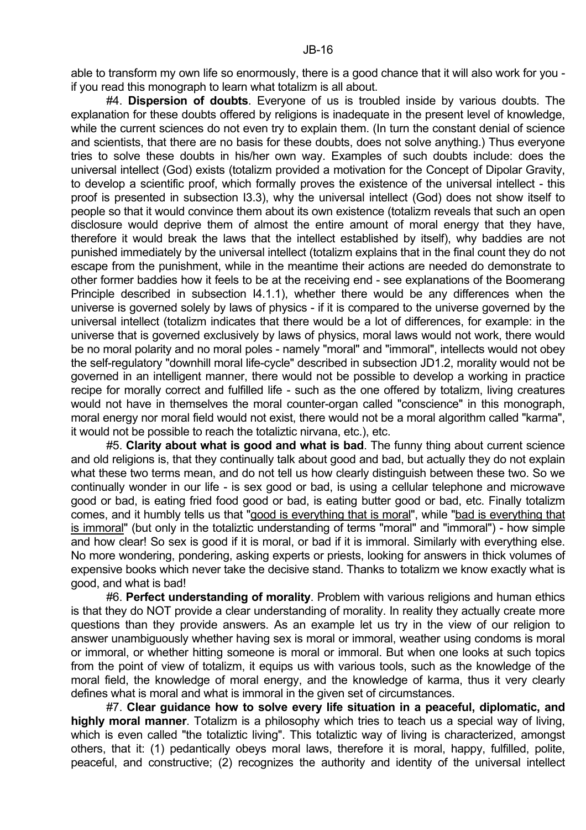#4. **Dispersion of doubts**. Everyone of us is troubled inside by various doubts. The explanation for these doubts offered by religions is inadequate in the present level of knowledge, while the current sciences do not even try to explain them. (In turn the constant denial of science and scientists, that there are no basis for these doubts, does not solve anything.) Thus everyone tries to solve these doubts in his/her own way. Examples of such doubts include: does the universal intellect (God) exists (totalizm provided a motivation for the Concept of Dipolar Gravity, to develop a scientific proof, which formally proves the existence of the universal intellect - this proof is presented in subsection I3.3), why the universal intellect (God) does not show itself to people so that it would convince them about its own existence (totalizm reveals that such an open disclosure would deprive them of almost the entire amount of moral energy that they have, therefore it would break the laws that the intellect established by itself), why baddies are not punished immediately by the universal intellect (totalizm explains that in the final count they do not escape from the punishment, while in the meantime their actions are needed do demonstrate to other former baddies how it feels to be at the receiving end - see explanations of the Boomerang Principle described in subsection I4.1.1), whether there would be any differences when the universe is governed solely by laws of physics - if it is compared to the universe governed by the universal intellect (totalizm indicates that there would be a lot of differences, for example: in the universe that is governed exclusively by laws of physics, moral laws would not work, there would be no moral polarity and no moral poles - namely "moral" and "immoral", intellects would not obey the self-regulatory "downhill moral life-cycle" described in subsection JD1.2, morality would not be governed in an intelligent manner, there would not be possible to develop a working in practice recipe for morally correct and fulfilled life - such as the one offered by totalizm, living creatures would not have in themselves the moral counter-organ called "conscience" in this monograph, moral energy nor moral field would not exist, there would not be a moral algorithm called "karma", it would not be possible to reach the totaliztic nirvana, etc.), etc.

 #5. **Clarity about what is good and what is bad**. The funny thing about current science and old religions is, that they continually talk about good and bad, but actually they do not explain what these two terms mean, and do not tell us how clearly distinguish between these two. So we continually wonder in our life - is sex good or bad, is using a cellular telephone and microwave good or bad, is eating fried food good or bad, is eating butter good or bad, etc. Finally totalizm comes, and it humbly tells us that "good is everything that is moral", while "bad is everything that is immoral" (but only in the totaliztic understanding of terms "moral" and "immoral") - how simple and how clear! So sex is good if it is moral, or bad if it is immoral. Similarly with everything else. No more wondering, pondering, asking experts or priests, looking for answers in thick volumes of expensive books which never take the decisive stand. Thanks to totalizm we know exactly what is good, and what is bad!

 #6. **Perfect understanding of morality**. Problem with various religions and human ethics is that they do NOT provide a clear understanding of morality. In reality they actually create more questions than they provide answers. As an example let us try in the view of our religion to answer unambiguously whether having sex is moral or immoral, weather using condoms is moral or immoral, or whether hitting someone is moral or immoral. But when one looks at such topics from the point of view of totalizm, it equips us with various tools, such as the knowledge of the moral field, the knowledge of moral energy, and the knowledge of karma, thus it very clearly defines what is moral and what is immoral in the given set of circumstances.

 #7. **Clear guidance how to solve every life situation in a peaceful, diplomatic, and highly moral manner**. Totalizm is a philosophy which tries to teach us a special way of living, which is even called "the totaliztic living". This totaliztic way of living is characterized, amongst others, that it: (1) pedantically obeys moral laws, therefore it is moral, happy, fulfilled, polite, peaceful, and constructive; (2) recognizes the authority and identity of the universal intellect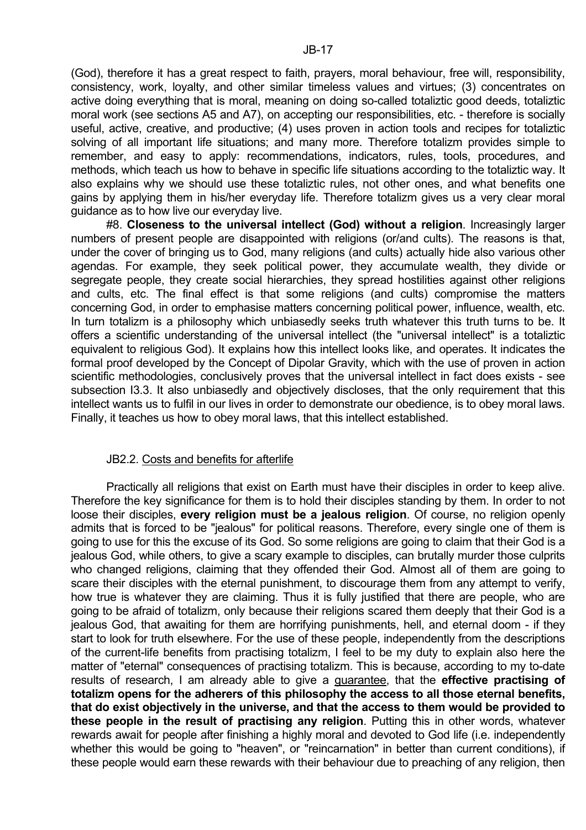(God), therefore it has a great respect to faith, prayers, moral behaviour, free will, responsibility, consistency, work, loyalty, and other similar timeless values and virtues; (3) concentrates on active doing everything that is moral, meaning on doing so-called totaliztic good deeds, totaliztic moral work (see sections A5 and A7), on accepting our responsibilities, etc. - therefore is socially useful, active, creative, and productive; (4) uses proven in action tools and recipes for totaliztic solving of all important life situations; and many more. Therefore totalizm provides simple to remember, and easy to apply: recommendations, indicators, rules, tools, procedures, and methods, which teach us how to behave in specific life situations according to the totaliztic way. It also explains why we should use these totaliztic rules, not other ones, and what benefits one gains by applying them in his/her everyday life. Therefore totalizm gives us a very clear moral guidance as to how live our everyday live.

 #8. **Closeness to the universal intellect (God) without a religion**. Increasingly larger numbers of present people are disappointed with religions (or/and cults). The reasons is that, under the cover of bringing us to God, many religions (and cults) actually hide also various other agendas. For example, they seek political power, they accumulate wealth, they divide or segregate people, they create social hierarchies, they spread hostilities against other religions and cults, etc. The final effect is that some religions (and cults) compromise the matters concerning God, in order to emphasise matters concerning political power, influence, wealth, etc. In turn totalizm is a philosophy which unbiasedly seeks truth whatever this truth turns to be. It offers a scientific understanding of the universal intellect (the "universal intellect" is a totaliztic equivalent to religious God). It explains how this intellect looks like, and operates. It indicates the formal proof developed by the Concept of Dipolar Gravity, which with the use of proven in action scientific methodologies, conclusively proves that the universal intellect in fact does exists - see subsection I3.3. It also unbiasedly and objectively discloses, that the only requirement that this intellect wants us to fulfil in our lives in order to demonstrate our obedience, is to obey moral laws. Finally, it teaches us how to obey moral laws, that this intellect established.

# JB2.2. Costs and benefits for afterlife

 Practically all religions that exist on Earth must have their disciples in order to keep alive. Therefore the key significance for them is to hold their disciples standing by them. In order to not loose their disciples, **every religion must be a jealous religion**. Of course, no religion openly admits that is forced to be "jealous" for political reasons. Therefore, every single one of them is going to use for this the excuse of its God. So some religions are going to claim that their God is a jealous God, while others, to give a scary example to disciples, can brutally murder those culprits who changed religions, claiming that they offended their God. Almost all of them are going to scare their disciples with the eternal punishment, to discourage them from any attempt to verify, how true is whatever they are claiming. Thus it is fully justified that there are people, who are going to be afraid of totalizm, only because their religions scared them deeply that their God is a jealous God, that awaiting for them are horrifying punishments, hell, and eternal doom - if they start to look for truth elsewhere. For the use of these people, independently from the descriptions of the current-life benefits from practising totalizm, I feel to be my duty to explain also here the matter of "eternal" consequences of practising totalizm. This is because, according to my to-date results of research, I am already able to give a guarantee, that the **effective practising of totalizm opens for the adherers of this philosophy the access to all those eternal benefits, that do exist objectively in the universe, and that the access to them would be provided to these people in the result of practising any religion**. Putting this in other words, whatever rewards await for people after finishing a highly moral and devoted to God life (i.e. independently whether this would be going to "heaven", or "reincarnation" in better than current conditions), if these people would earn these rewards with their behaviour due to preaching of any religion, then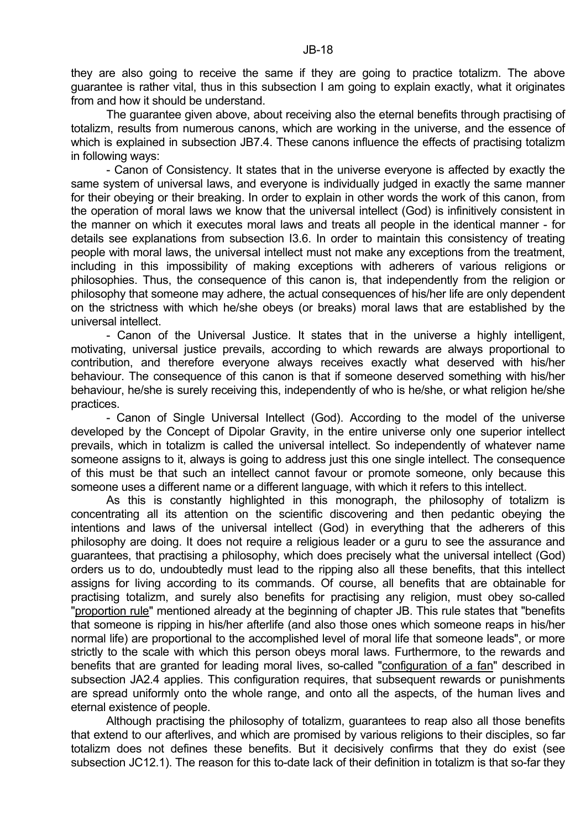they are also going to receive the same if they are going to practice totalizm. The above guarantee is rather vital, thus in this subsection I am going to explain exactly, what it originates from and how it should be understand.

 The guarantee given above, about receiving also the eternal benefits through practising of totalizm, results from numerous canons, which are working in the universe, and the essence of which is explained in subsection JB7.4. These canons influence the effects of practising totalizm in following ways:

 - Canon of Consistency. It states that in the universe everyone is affected by exactly the same system of universal laws, and everyone is individually judged in exactly the same manner for their obeying or their breaking. In order to explain in other words the work of this canon, from the operation of moral laws we know that the universal intellect (God) is infinitively consistent in the manner on which it executes moral laws and treats all people in the identical manner - for details see explanations from subsection I3.6. In order to maintain this consistency of treating people with moral laws, the universal intellect must not make any exceptions from the treatment, including in this impossibility of making exceptions with adherers of various religions or philosophies. Thus, the consequence of this canon is, that independently from the religion or philosophy that someone may adhere, the actual consequences of his/her life are only dependent on the strictness with which he/she obeys (or breaks) moral laws that are established by the universal intellect.

 - Canon of the Universal Justice. It states that in the universe a highly intelligent, motivating, universal justice prevails, according to which rewards are always proportional to contribution, and therefore everyone always receives exactly what deserved with his/her behaviour. The consequence of this canon is that if someone deserved something with his/her behaviour, he/she is surely receiving this, independently of who is he/she, or what religion he/she practices.

 - Canon of Single Universal Intellect (God). According to the model of the universe developed by the Concept of Dipolar Gravity, in the entire universe only one superior intellect prevails, which in totalizm is called the universal intellect. So independently of whatever name someone assigns to it, always is going to address just this one single intellect. The consequence of this must be that such an intellect cannot favour or promote someone, only because this someone uses a different name or a different language, with which it refers to this intellect.

 As this is constantly highlighted in this monograph, the philosophy of totalizm is concentrating all its attention on the scientific discovering and then pedantic obeying the intentions and laws of the universal intellect (God) in everything that the adherers of this philosophy are doing. It does not require a religious leader or a guru to see the assurance and guarantees, that practising a philosophy, which does precisely what the universal intellect (God) orders us to do, undoubtedly must lead to the ripping also all these benefits, that this intellect assigns for living according to its commands. Of course, all benefits that are obtainable for practising totalizm, and surely also benefits for practising any religion, must obey so-called "proportion rule" mentioned already at the beginning of chapter JB. This rule states that "benefits that someone is ripping in his/her afterlife (and also those ones which someone reaps in his/her normal life) are proportional to the accomplished level of moral life that someone leads", or more strictly to the scale with which this person obeys moral laws. Furthermore, to the rewards and benefits that are granted for leading moral lives, so-called "configuration of a fan" described in subsection JA2.4 applies. This configuration requires, that subsequent rewards or punishments are spread uniformly onto the whole range, and onto all the aspects, of the human lives and eternal existence of people.

 Although practising the philosophy of totalizm, guarantees to reap also all those benefits that extend to our afterlives, and which are promised by various religions to their disciples, so far totalizm does not defines these benefits. But it decisively confirms that they do exist (see subsection JC12.1). The reason for this to-date lack of their definition in totalizm is that so-far they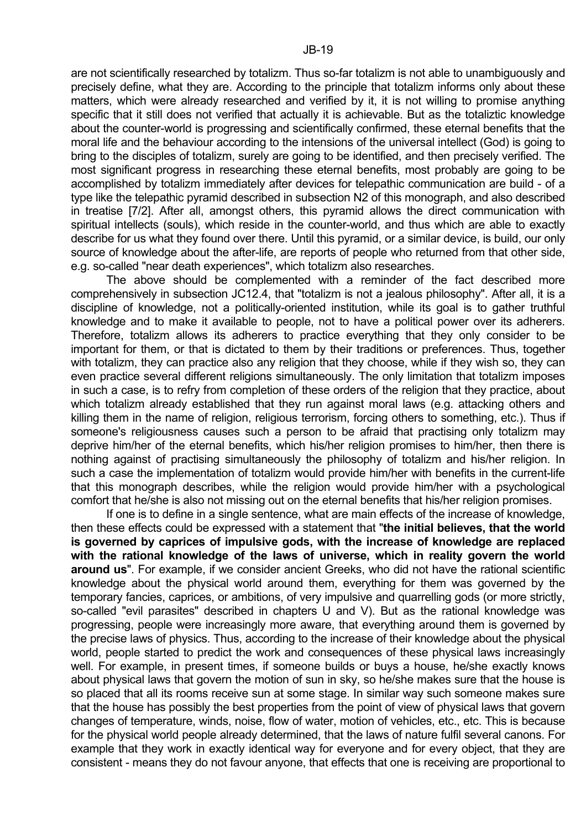are not scientifically researched by totalizm. Thus so-far totalizm is not able to unambiguously and precisely define, what they are. According to the principle that totalizm informs only about these matters, which were already researched and verified by it, it is not willing to promise anything specific that it still does not verified that actually it is achievable. But as the totaliztic knowledge about the counter-world is progressing and scientifically confirmed, these eternal benefits that the moral life and the behaviour according to the intensions of the universal intellect (God) is going to bring to the disciples of totalizm, surely are going to be identified, and then precisely verified. The most significant progress in researching these eternal benefits, most probably are going to be accomplished by totalizm immediately after devices for telepathic communication are build - of a type like the telepathic pyramid described in subsection N2 of this monograph, and also described in treatise [7/2]. After all, amongst others, this pyramid allows the direct communication with spiritual intellects (souls), which reside in the counter-world, and thus which are able to exactly describe for us what they found over there. Until this pyramid, or a similar device, is build, our only source of knowledge about the after-life, are reports of people who returned from that other side, e.g. so-called "near death experiences", which totalizm also researches.

 The above should be complemented with a reminder of the fact described more comprehensively in subsection JC12.4, that "totalizm is not a jealous philosophy". After all, it is a discipline of knowledge, not a politically-oriented institution, while its goal is to gather truthful knowledge and to make it available to people, not to have a political power over its adherers. Therefore, totalizm allows its adherers to practice everything that they only consider to be important for them, or that is dictated to them by their traditions or preferences. Thus, together with totalizm, they can practice also any religion that they choose, while if they wish so, they can even practice several different religions simultaneously. The only limitation that totalizm imposes in such a case, is to refry from completion of these orders of the religion that they practice, about which totalizm already established that they run against moral laws (e.g. attacking others and killing them in the name of religion, religious terrorism, forcing others to something, etc.). Thus if someone's religiousness causes such a person to be afraid that practising only totalizm may deprive him/her of the eternal benefits, which his/her religion promises to him/her, then there is nothing against of practising simultaneously the philosophy of totalizm and his/her religion. In such a case the implementation of totalizm would provide him/her with benefits in the current-life that this monograph describes, while the religion would provide him/her with a psychological comfort that he/she is also not missing out on the eternal benefits that his/her religion promises.

 If one is to define in a single sentence, what are main effects of the increase of knowledge, then these effects could be expressed with a statement that "**the initial believes, that the world is governed by caprices of impulsive gods, with the increase of knowledge are replaced with the rational knowledge of the laws of universe, which in reality govern the world around us**". For example, if we consider ancient Greeks, who did not have the rational scientific knowledge about the physical world around them, everything for them was governed by the temporary fancies, caprices, or ambitions, of very impulsive and quarrelling gods (or more strictly, so-called "evil parasites" described in chapters U and V). But as the rational knowledge was progressing, people were increasingly more aware, that everything around them is governed by the precise laws of physics. Thus, according to the increase of their knowledge about the physical world, people started to predict the work and consequences of these physical laws increasingly well. For example, in present times, if someone builds or buys a house, he/she exactly knows about physical laws that govern the motion of sun in sky, so he/she makes sure that the house is so placed that all its rooms receive sun at some stage. In similar way such someone makes sure that the house has possibly the best properties from the point of view of physical laws that govern changes of temperature, winds, noise, flow of water, motion of vehicles, etc., etc. This is because for the physical world people already determined, that the laws of nature fulfil several canons. For example that they work in exactly identical way for everyone and for every object, that they are consistent - means they do not favour anyone, that effects that one is receiving are proportional to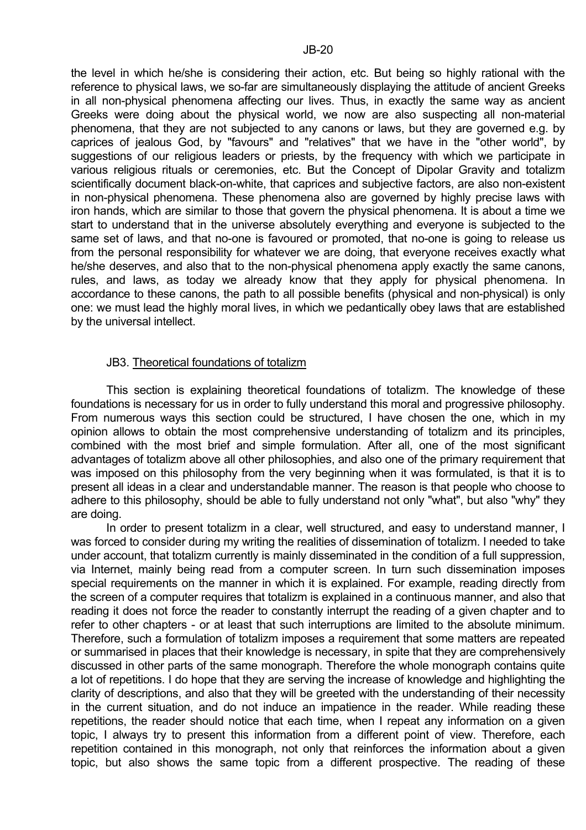the level in which he/she is considering their action, etc. But being so highly rational with the reference to physical laws, we so-far are simultaneously displaying the attitude of ancient Greeks in all non-physical phenomena affecting our lives. Thus, in exactly the same way as ancient Greeks were doing about the physical world, we now are also suspecting all non-material phenomena, that they are not subjected to any canons or laws, but they are governed e.g. by caprices of jealous God, by "favours" and "relatives" that we have in the "other world", by suggestions of our religious leaders or priests, by the frequency with which we participate in various religious rituals or ceremonies, etc. But the Concept of Dipolar Gravity and totalizm scientifically document black-on-white, that caprices and subjective factors, are also non-existent in non-physical phenomena. These phenomena also are governed by highly precise laws with iron hands, which are similar to those that govern the physical phenomena. It is about a time we start to understand that in the universe absolutely everything and everyone is subjected to the same set of laws, and that no-one is favoured or promoted, that no-one is going to release us from the personal responsibility for whatever we are doing, that everyone receives exactly what he/she deserves, and also that to the non-physical phenomena apply exactly the same canons, rules, and laws, as today we already know that they apply for physical phenomena. In accordance to these canons, the path to all possible benefits (physical and non-physical) is only one: we must lead the highly moral lives, in which we pedantically obey laws that are established by the universal intellect.

# JB3. Theoretical foundations of totalizm

 This section is explaining theoretical foundations of totalizm. The knowledge of these foundations is necessary for us in order to fully understand this moral and progressive philosophy. From numerous ways this section could be structured, I have chosen the one, which in my opinion allows to obtain the most comprehensive understanding of totalizm and its principles, combined with the most brief and simple formulation. After all, one of the most significant advantages of totalizm above all other philosophies, and also one of the primary requirement that was imposed on this philosophy from the very beginning when it was formulated, is that it is to present all ideas in a clear and understandable manner. The reason is that people who choose to adhere to this philosophy, should be able to fully understand not only "what", but also "why" they are doing.

In order to present totalizm in a clear, well structured, and easy to understand manner, I was forced to consider during my writing the realities of dissemination of totalizm. I needed to take under account, that totalizm currently is mainly disseminated in the condition of a full suppression, via Internet, mainly being read from a computer screen. In turn such dissemination imposes special requirements on the manner in which it is explained. For example, reading directly from the screen of a computer requires that totalizm is explained in a continuous manner, and also that reading it does not force the reader to constantly interrupt the reading of a given chapter and to refer to other chapters - or at least that such interruptions are limited to the absolute minimum. Therefore, such a formulation of totalizm imposes a requirement that some matters are repeated or summarised in places that their knowledge is necessary, in spite that they are comprehensively discussed in other parts of the same monograph. Therefore the whole monograph contains quite a lot of repetitions. I do hope that they are serving the increase of knowledge and highlighting the clarity of descriptions, and also that they will be greeted with the understanding of their necessity in the current situation, and do not induce an impatience in the reader. While reading these repetitions, the reader should notice that each time, when I repeat any information on a given topic, I always try to present this information from a different point of view. Therefore, each repetition contained in this monograph, not only that reinforces the information about a given topic, but also shows the same topic from a different prospective. The reading of these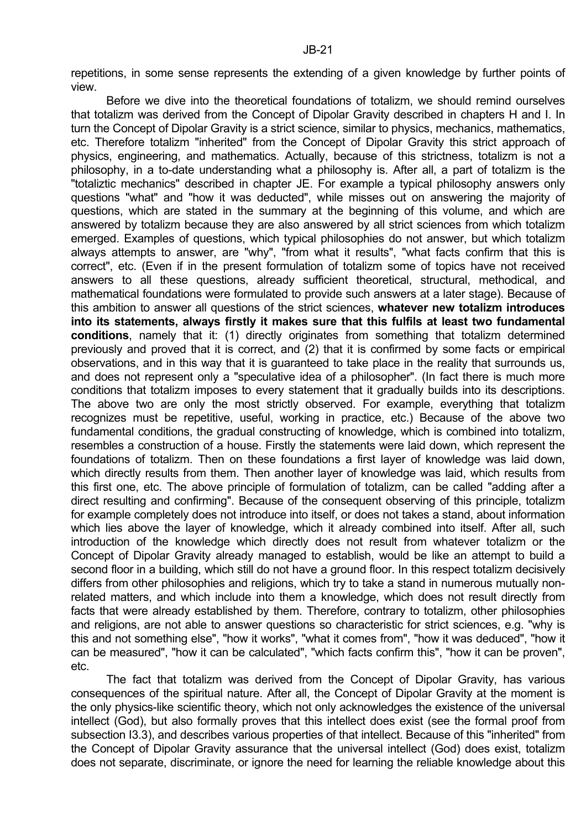repetitions, in some sense represents the extending of a given knowledge by further points of view.

 Before we dive into the theoretical foundations of totalizm, we should remind ourselves that totalizm was derived from the Concept of Dipolar Gravity described in chapters H and I. In turn the Concept of Dipolar Gravity is a strict science, similar to physics, mechanics, mathematics, etc. Therefore totalizm "inherited" from the Concept of Dipolar Gravity this strict approach of physics, engineering, and mathematics. Actually, because of this strictness, totalizm is not a philosophy, in a to-date understanding what a philosophy is. After all, a part of totalizm is the "totaliztic mechanics" described in chapter JE. For example a typical philosophy answers only questions "what" and "how it was deducted", while misses out on answering the majority of questions, which are stated in the summary at the beginning of this volume, and which are answered by totalizm because they are also answered by all strict sciences from which totalizm emerged. Examples of questions, which typical philosophies do not answer, but which totalizm always attempts to answer, are "why", "from what it results", "what facts confirm that this is correct", etc. (Even if in the present formulation of totalizm some of topics have not received answers to all these questions, already sufficient theoretical, structural, methodical, and mathematical foundations were formulated to provide such answers at a later stage). Because of this ambition to answer all questions of the strict sciences, **whatever new totalizm introduces into its statements, always firstly it makes sure that this fulfils at least two fundamental conditions**, namely that it: (1) directly originates from something that totalizm determined previously and proved that it is correct, and (2) that it is confirmed by some facts or empirical observations, and in this way that it is guaranteed to take place in the reality that surrounds us, and does not represent only a "speculative idea of a philosopher". (In fact there is much more conditions that totalizm imposes to every statement that it gradually builds into its descriptions. The above two are only the most strictly observed. For example, everything that totalizm recognizes must be repetitive, useful, working in practice, etc.) Because of the above two fundamental conditions, the gradual constructing of knowledge, which is combined into totalizm, resembles a construction of a house. Firstly the statements were laid down, which represent the foundations of totalizm. Then on these foundations a first layer of knowledge was laid down, which directly results from them. Then another layer of knowledge was laid, which results from this first one, etc. The above principle of formulation of totalizm, can be called "adding after a direct resulting and confirming". Because of the consequent observing of this principle, totalizm for example completely does not introduce into itself, or does not takes a stand, about information which lies above the layer of knowledge, which it already combined into itself. After all, such introduction of the knowledge which directly does not result from whatever totalizm or the Concept of Dipolar Gravity already managed to establish, would be like an attempt to build a second floor in a building, which still do not have a ground floor. In this respect totalizm decisively differs from other philosophies and religions, which try to take a stand in numerous mutually nonrelated matters, and which include into them a knowledge, which does not result directly from facts that were already established by them. Therefore, contrary to totalizm, other philosophies and religions, are not able to answer questions so characteristic for strict sciences, e.g. "why is this and not something else", "how it works", "what it comes from", "how it was deduced", "how it can be measured", "how it can be calculated", "which facts confirm this", "how it can be proven", etc.

 The fact that totalizm was derived from the Concept of Dipolar Gravity, has various consequences of the spiritual nature. After all, the Concept of Dipolar Gravity at the moment is the only physics-like scientific theory, which not only acknowledges the existence of the universal intellect (God), but also formally proves that this intellect does exist (see the formal proof from subsection I3.3), and describes various properties of that intellect. Because of this "inherited" from the Concept of Dipolar Gravity assurance that the universal intellect (God) does exist, totalizm does not separate, discriminate, or ignore the need for learning the reliable knowledge about this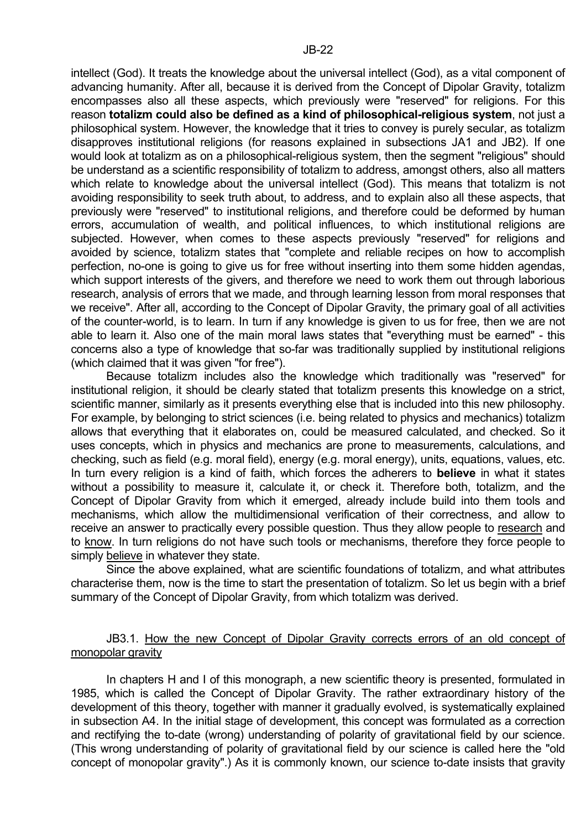intellect (God). It treats the knowledge about the universal intellect (God), as a vital component of advancing humanity. After all, because it is derived from the Concept of Dipolar Gravity, totalizm encompasses also all these aspects, which previously were "reserved" for religions. For this reason **totalizm could also be defined as a kind of philosophical-religious system**, not just a philosophical system. However, the knowledge that it tries to convey is purely secular, as totalizm disapproves institutional religions (for reasons explained in subsections JA1 and JB2). If one would look at totalizm as on a philosophical-religious system, then the segment "religious" should be understand as a scientific responsibility of totalizm to address, amongst others, also all matters which relate to knowledge about the universal intellect (God). This means that totalizm is not avoiding responsibility to seek truth about, to address, and to explain also all these aspects, that previously were "reserved" to institutional religions, and therefore could be deformed by human errors, accumulation of wealth, and political influences, to which institutional religions are subjected. However, when comes to these aspects previously "reserved" for religions and avoided by science, totalizm states that "complete and reliable recipes on how to accomplish perfection, no-one is going to give us for free without inserting into them some hidden agendas, which support interests of the givers, and therefore we need to work them out through laborious research, analysis of errors that we made, and through learning lesson from moral responses that we receive". After all, according to the Concept of Dipolar Gravity, the primary goal of all activities of the counter-world, is to learn. In turn if any knowledge is given to us for free, then we are not able to learn it. Also one of the main moral laws states that "everything must be earned" - this concerns also a type of knowledge that so-far was traditionally supplied by institutional religions (which claimed that it was given "for free").

 Because totalizm includes also the knowledge which traditionally was "reserved" for institutional religion, it should be clearly stated that totalizm presents this knowledge on a strict, scientific manner, similarly as it presents everything else that is included into this new philosophy. For example, by belonging to strict sciences (i.e. being related to physics and mechanics) totalizm allows that everything that it elaborates on, could be measured calculated, and checked. So it uses concepts, which in physics and mechanics are prone to measurements, calculations, and checking, such as field (e.g. moral field), energy (e.g. moral energy), units, equations, values, etc. In turn every religion is a kind of faith, which forces the adherers to **believe** in what it states without a possibility to measure it, calculate it, or check it. Therefore both, totalizm, and the Concept of Dipolar Gravity from which it emerged, already include build into them tools and mechanisms, which allow the multidimensional verification of their correctness, and allow to receive an answer to practically every possible question. Thus they allow people to research and to know. In turn religions do not have such tools or mechanisms, therefore they force people to simply believe in whatever they state.

 Since the above explained, what are scientific foundations of totalizm, and what attributes characterise them, now is the time to start the presentation of totalizm. So let us begin with a brief summary of the Concept of Dipolar Gravity, from which totalizm was derived.

# JB3.1. How the new Concept of Dipolar Gravity corrects errors of an old concept of monopolar gravity

In chapters H and I of this monograph, a new scientific theory is presented, formulated in 1985, which is called the Concept of Dipolar Gravity. The rather extraordinary history of the development of this theory, together with manner it gradually evolved, is systematically explained in subsection A4. In the initial stage of development, this concept was formulated as a correction and rectifying the to-date (wrong) understanding of polarity of gravitational field by our science. (This wrong understanding of polarity of gravitational field by our science is called here the "old concept of monopolar gravity".) As it is commonly known, our science to-date insists that gravity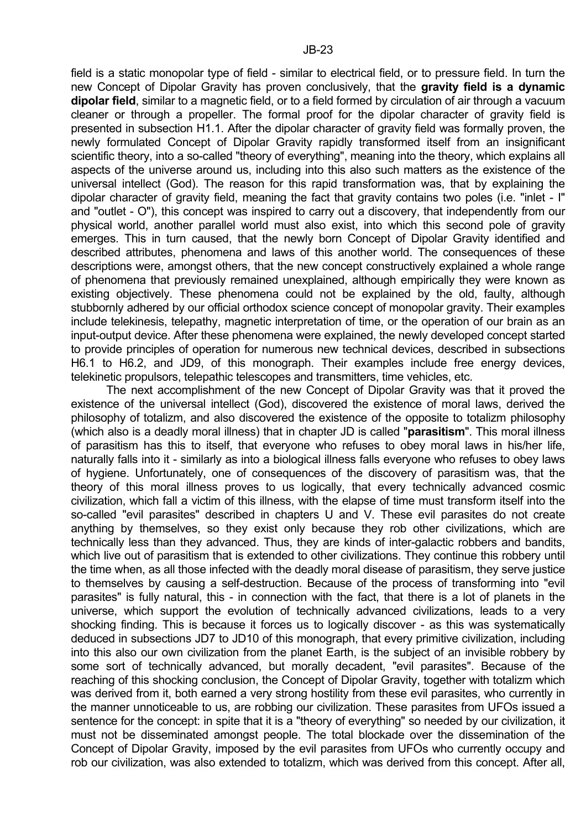field is a static monopolar type of field - similar to electrical field, or to pressure field. In turn the new Concept of Dipolar Gravity has proven conclusively, that the **gravity field is a dynamic dipolar field**, similar to a magnetic field, or to a field formed by circulation of air through a vacuum cleaner or through a propeller. The formal proof for the dipolar character of gravity field is presented in subsection H1.1. After the dipolar character of gravity field was formally proven, the newly formulated Concept of Dipolar Gravity rapidly transformed itself from an insignificant scientific theory, into a so-called "theory of everything", meaning into the theory, which explains all aspects of the universe around us, including into this also such matters as the existence of the universal intellect (God). The reason for this rapid transformation was, that by explaining the dipolar character of gravity field, meaning the fact that gravity contains two poles (i.e. "inlet - I" and "outlet - O"), this concept was inspired to carry out a discovery, that independently from our physical world, another parallel world must also exist, into which this second pole of gravity emerges. This in turn caused, that the newly born Concept of Dipolar Gravity identified and described attributes, phenomena and laws of this another world. The consequences of these descriptions were, amongst others, that the new concept constructively explained a whole range of phenomena that previously remained unexplained, although empirically they were known as existing objectively. These phenomena could not be explained by the old, faulty, although stubbornly adhered by our official orthodox science concept of monopolar gravity. Their examples include telekinesis, telepathy, magnetic interpretation of time, or the operation of our brain as an input-output device. After these phenomena were explained, the newly developed concept started to provide principles of operation for numerous new technical devices, described in subsections H6.1 to H6.2, and JD9, of this monograph. Their examples include free energy devices, telekinetic propulsors, telepathic telescopes and transmitters, time vehicles, etc.

 The next accomplishment of the new Concept of Dipolar Gravity was that it proved the existence of the universal intellect (God), discovered the existence of moral laws, derived the philosophy of totalizm, and also discovered the existence of the opposite to totalizm philosophy (which also is a deadly moral illness) that in chapter JD is called "**parasitism**". This moral illness of parasitism has this to itself, that everyone who refuses to obey moral laws in his/her life, naturally falls into it - similarly as into a biological illness falls everyone who refuses to obey laws of hygiene. Unfortunately, one of consequences of the discovery of parasitism was, that the theory of this moral illness proves to us logically, that every technically advanced cosmic civilization, which fall a victim of this illness, with the elapse of time must transform itself into the so-called "evil parasites" described in chapters U and V. These evil parasites do not create anything by themselves, so they exist only because they rob other civilizations, which are technically less than they advanced. Thus, they are kinds of inter-galactic robbers and bandits, which live out of parasitism that is extended to other civilizations. They continue this robbery until the time when, as all those infected with the deadly moral disease of parasitism, they serve justice to themselves by causing a self-destruction. Because of the process of transforming into "evil parasites" is fully natural, this - in connection with the fact, that there is a lot of planets in the universe, which support the evolution of technically advanced civilizations, leads to a very shocking finding. This is because it forces us to logically discover - as this was systematically deduced in subsections JD7 to JD10 of this monograph, that every primitive civilization, including into this also our own civilization from the planet Earth, is the subject of an invisible robbery by some sort of technically advanced, but morally decadent, "evil parasites". Because of the reaching of this shocking conclusion, the Concept of Dipolar Gravity, together with totalizm which was derived from it, both earned a very strong hostility from these evil parasites, who currently in the manner unnoticeable to us, are robbing our civilization. These parasites from UFOs issued a sentence for the concept: in spite that it is a "theory of everything" so needed by our civilization, it must not be disseminated amongst people. The total blockade over the dissemination of the Concept of Dipolar Gravity, imposed by the evil parasites from UFOs who currently occupy and rob our civilization, was also extended to totalizm, which was derived from this concept. After all,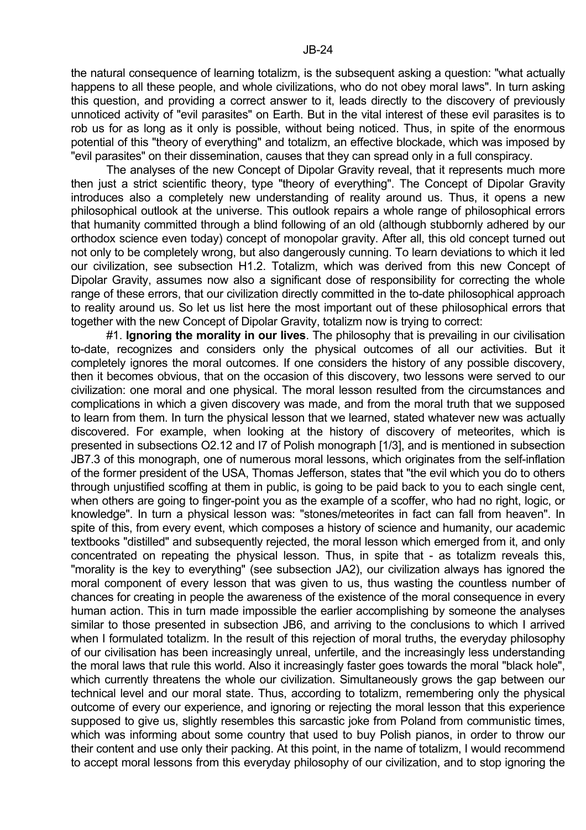the natural consequence of learning totalizm, is the subsequent asking a question: "what actually happens to all these people, and whole civilizations, who do not obey moral laws". In turn asking this question, and providing a correct answer to it, leads directly to the discovery of previously unnoticed activity of "evil parasites" on Earth. But in the vital interest of these evil parasites is to rob us for as long as it only is possible, without being noticed. Thus, in spite of the enormous potential of this "theory of everything" and totalizm, an effective blockade, which was imposed by "evil parasites" on their dissemination, causes that they can spread only in a full conspiracy.

 The analyses of the new Concept of Dipolar Gravity reveal, that it represents much more then just a strict scientific theory, type "theory of everything". The Concept of Dipolar Gravity introduces also a completely new understanding of reality around us. Thus, it opens a new philosophical outlook at the universe. This outlook repairs a whole range of philosophical errors that humanity committed through a blind following of an old (although stubbornly adhered by our orthodox science even today) concept of monopolar gravity. After all, this old concept turned out not only to be completely wrong, but also dangerously cunning. To learn deviations to which it led our civilization, see subsection H1.2. Totalizm, which was derived from this new Concept of Dipolar Gravity, assumes now also a significant dose of responsibility for correcting the whole range of these errors, that our civilization directly committed in the to-date philosophical approach to reality around us. So let us list here the most important out of these philosophical errors that together with the new Concept of Dipolar Gravity, totalizm now is trying to correct:

 #1. **Ignoring the morality in our lives**. The philosophy that is prevailing in our civilisation to-date, recognizes and considers only the physical outcomes of all our activities. But it completely ignores the moral outcomes. If one considers the history of any possible discovery, then it becomes obvious, that on the occasion of this discovery, two lessons were served to our civilization: one moral and one physical. The moral lesson resulted from the circumstances and complications in which a given discovery was made, and from the moral truth that we supposed to learn from them. In turn the physical lesson that we learned, stated whatever new was actually discovered. For example, when looking at the history of discovery of meteorites, which is presented in subsections O2.12 and I7 of Polish monograph [1/3], and is mentioned in subsection JB7.3 of this monograph, one of numerous moral lessons, which originates from the self-inflation of the former president of the USA, Thomas Jefferson, states that "the evil which you do to others through unjustified scoffing at them in public, is going to be paid back to you to each single cent, when others are going to finger-point you as the example of a scoffer, who had no right, logic, or knowledge". In turn a physical lesson was: "stones/meteorites in fact can fall from heaven". In spite of this, from every event, which composes a history of science and humanity, our academic textbooks "distilled" and subsequently rejected, the moral lesson which emerged from it, and only concentrated on repeating the physical lesson. Thus, in spite that - as totalizm reveals this, "morality is the key to everything" (see subsection JA2), our civilization always has ignored the moral component of every lesson that was given to us, thus wasting the countless number of chances for creating in people the awareness of the existence of the moral consequence in every human action. This in turn made impossible the earlier accomplishing by someone the analyses similar to those presented in subsection JB6, and arriving to the conclusions to which I arrived when I formulated totalizm. In the result of this rejection of moral truths, the everyday philosophy of our civilisation has been increasingly unreal, unfertile, and the increasingly less understanding the moral laws that rule this world. Also it increasingly faster goes towards the moral "black hole", which currently threatens the whole our civilization. Simultaneously grows the gap between our technical level and our moral state. Thus, according to totalizm, remembering only the physical outcome of every our experience, and ignoring or rejecting the moral lesson that this experience supposed to give us, slightly resembles this sarcastic joke from Poland from communistic times, which was informing about some country that used to buy Polish pianos, in order to throw our their content and use only their packing. At this point, in the name of totalizm, I would recommend to accept moral lessons from this everyday philosophy of our civilization, and to stop ignoring the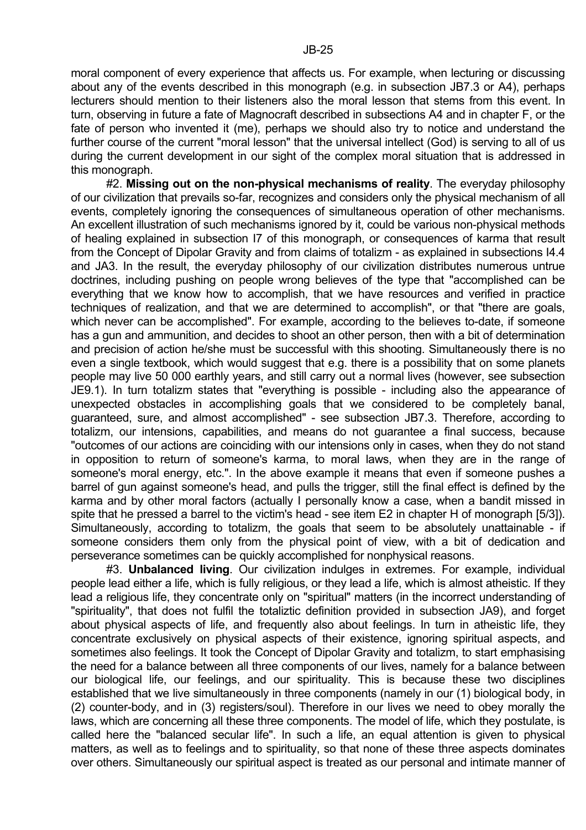moral component of every experience that affects us. For example, when lecturing or discussing about any of the events described in this monograph (e.g. in subsection JB7.3 or A4), perhaps lecturers should mention to their listeners also the moral lesson that stems from this event. In turn, observing in future a fate of Magnocraft described in subsections A4 and in chapter F, or the fate of person who invented it (me), perhaps we should also try to notice and understand the further course of the current "moral lesson" that the universal intellect (God) is serving to all of us during the current development in our sight of the complex moral situation that is addressed in this monograph.

 #2. **Missing out on the non-physical mechanisms of reality**. The everyday philosophy of our civilization that prevails so-far, recognizes and considers only the physical mechanism of all events, completely ignoring the consequences of simultaneous operation of other mechanisms. An excellent illustration of such mechanisms ignored by it, could be various non-physical methods of healing explained in subsection I7 of this monograph, or consequences of karma that result from the Concept of Dipolar Gravity and from claims of totalizm - as explained in subsections I4.4 and JA3. In the result, the everyday philosophy of our civilization distributes numerous untrue doctrines, including pushing on people wrong believes of the type that "accomplished can be everything that we know how to accomplish, that we have resources and verified in practice techniques of realization, and that we are determined to accomplish", or that "there are goals, which never can be accomplished". For example, according to the believes to-date, if someone has a gun and ammunition, and decides to shoot an other person, then with a bit of determination and precision of action he/she must be successful with this shooting. Simultaneously there is no even a single textbook, which would suggest that e.g. there is a possibility that on some planets people may live 50 000 earthly years, and still carry out a normal lives (however, see subsection JE9.1). In turn totalizm states that "everything is possible - including also the appearance of unexpected obstacles in accomplishing goals that we considered to be completely banal, guaranteed, sure, and almost accomplished" - see subsection JB7.3. Therefore, according to totalizm, our intensions, capabilities, and means do not guarantee a final success, because "outcomes of our actions are coinciding with our intensions only in cases, when they do not stand in opposition to return of someone's karma, to moral laws, when they are in the range of someone's moral energy, etc.". In the above example it means that even if someone pushes a barrel of gun against someone's head, and pulls the trigger, still the final effect is defined by the karma and by other moral factors (actually I personally know a case, when a bandit missed in spite that he pressed a barrel to the victim's head - see item E2 in chapter H of monograph [5/3]). Simultaneously, according to totalizm, the goals that seem to be absolutely unattainable - if someone considers them only from the physical point of view, with a bit of dedication and perseverance sometimes can be quickly accomplished for nonphysical reasons.

 #3. **Unbalanced living**. Our civilization indulges in extremes. For example, individual people lead either a life, which is fully religious, or they lead a life, which is almost atheistic. If they lead a religious life, they concentrate only on "spiritual" matters (in the incorrect understanding of "spirituality", that does not fulfil the totaliztic definition provided in subsection JA9), and forget about physical aspects of life, and frequently also about feelings. In turn in atheistic life, they concentrate exclusively on physical aspects of their existence, ignoring spiritual aspects, and sometimes also feelings. It took the Concept of Dipolar Gravity and totalizm, to start emphasising the need for a balance between all three components of our lives, namely for a balance between our biological life, our feelings, and our spirituality. This is because these two disciplines established that we live simultaneously in three components (namely in our (1) biological body, in (2) counter-body, and in (3) registers/soul). Therefore in our lives we need to obey morally the laws, which are concerning all these three components. The model of life, which they postulate, is called here the "balanced secular life". In such a life, an equal attention is given to physical matters, as well as to feelings and to spirituality, so that none of these three aspects dominates over others. Simultaneously our spiritual aspect is treated as our personal and intimate manner of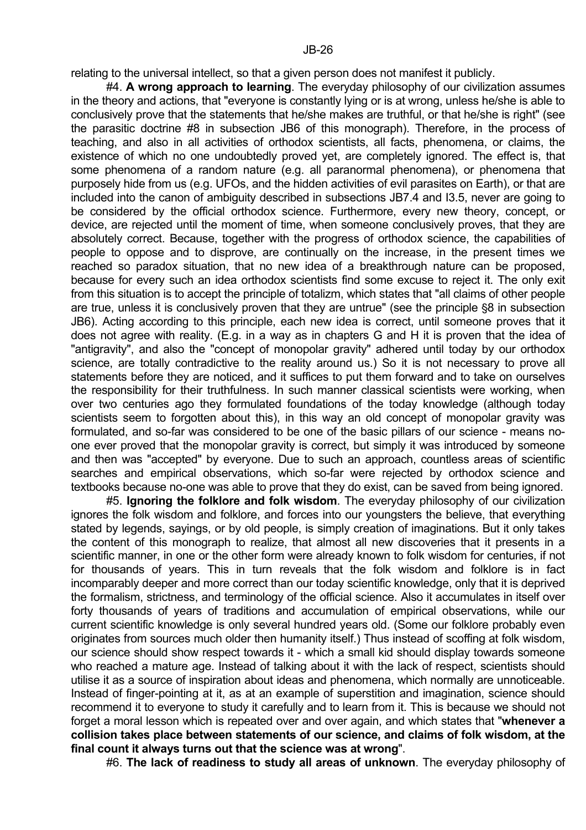relating to the universal intellect, so that a given person does not manifest it publicly.

 #4. **A wrong approach to learning**. The everyday philosophy of our civilization assumes in the theory and actions, that "everyone is constantly lying or is at wrong, unless he/she is able to conclusively prove that the statements that he/she makes are truthful, or that he/she is right" (see the parasitic doctrine #8 in subsection JB6 of this monograph). Therefore, in the process of teaching, and also in all activities of orthodox scientists, all facts, phenomena, or claims, the existence of which no one undoubtedly proved yet, are completely ignored. The effect is, that some phenomena of a random nature (e.g. all paranormal phenomena), or phenomena that purposely hide from us (e.g. UFOs, and the hidden activities of evil parasites on Earth), or that are included into the canon of ambiguity described in subsections JB7.4 and I3.5, never are going to be considered by the official orthodox science. Furthermore, every new theory, concept, or device, are rejected until the moment of time, when someone conclusively proves, that they are absolutely correct. Because, together with the progress of orthodox science, the capabilities of people to oppose and to disprove, are continually on the increase, in the present times we reached so paradox situation, that no new idea of a breakthrough nature can be proposed, because for every such an idea orthodox scientists find some excuse to reject it. The only exit from this situation is to accept the principle of totalizm, which states that "all claims of other people are true, unless it is conclusively proven that they are untrue" (see the principle §8 in subsection JB6). Acting according to this principle, each new idea is correct, until someone proves that it does not agree with reality. (E.g. in a way as in chapters G and H it is proven that the idea of "antigravity", and also the "concept of monopolar gravity" adhered until today by our orthodox science, are totally contradictive to the reality around us.) So it is not necessary to prove all statements before they are noticed, and it suffices to put them forward and to take on ourselves the responsibility for their truthfulness. In such manner classical scientists were working, when over two centuries ago they formulated foundations of the today knowledge (although today scientists seem to forgotten about this), in this way an old concept of monopolar gravity was formulated, and so-far was considered to be one of the basic pillars of our science - means noone ever proved that the monopolar gravity is correct, but simply it was introduced by someone and then was "accepted" by everyone. Due to such an approach, countless areas of scientific searches and empirical observations, which so-far were rejected by orthodox science and textbooks because no-one was able to prove that they do exist, can be saved from being ignored.

 #5. **Ignoring the folklore and folk wisdom**. The everyday philosophy of our civilization ignores the folk wisdom and folklore, and forces into our youngsters the believe, that everything stated by legends, sayings, or by old people, is simply creation of imaginations. But it only takes the content of this monograph to realize, that almost all new discoveries that it presents in a scientific manner, in one or the other form were already known to folk wisdom for centuries, if not for thousands of years. This in turn reveals that the folk wisdom and folklore is in fact incomparably deeper and more correct than our today scientific knowledge, only that it is deprived the formalism, strictness, and terminology of the official science. Also it accumulates in itself over forty thousands of years of traditions and accumulation of empirical observations, while our current scientific knowledge is only several hundred years old. (Some our folklore probably even originates from sources much older then humanity itself.) Thus instead of scoffing at folk wisdom, our science should show respect towards it - which a small kid should display towards someone who reached a mature age. Instead of talking about it with the lack of respect, scientists should utilise it as a source of inspiration about ideas and phenomena, which normally are unnoticeable. Instead of finger-pointing at it, as at an example of superstition and imagination, science should recommend it to everyone to study it carefully and to learn from it. This is because we should not forget a moral lesson which is repeated over and over again, and which states that "**whenever a collision takes place between statements of our science, and claims of folk wisdom, at the final count it always turns out that the science was at wrong**".

#6. **The lack of readiness to study all areas of unknown**. The everyday philosophy of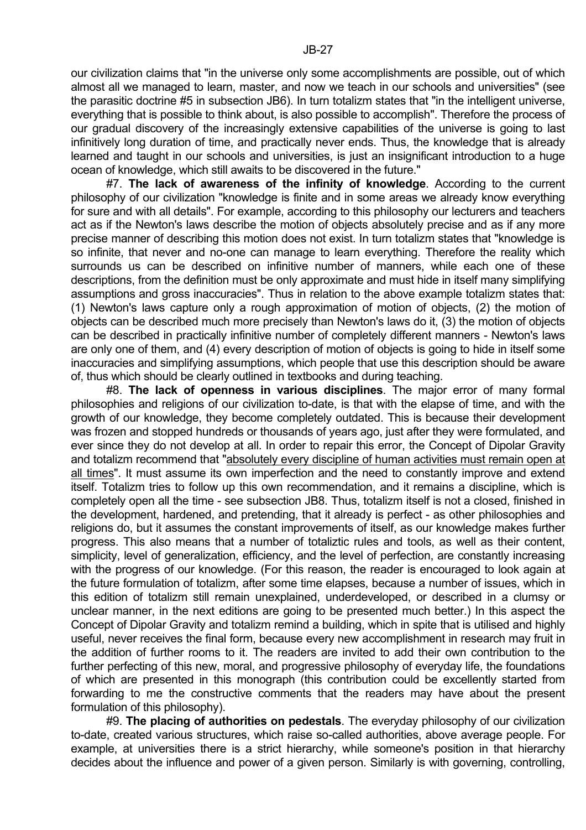our civilization claims that "in the universe only some accomplishments are possible, out of which almost all we managed to learn, master, and now we teach in our schools and universities" (see the parasitic doctrine #5 in subsection JB6). In turn totalizm states that "in the intelligent universe, everything that is possible to think about, is also possible to accomplish". Therefore the process of our gradual discovery of the increasingly extensive capabilities of the universe is going to last infinitively long duration of time, and practically never ends. Thus, the knowledge that is already learned and taught in our schools and universities, is just an insignificant introduction to a huge ocean of knowledge, which still awaits to be discovered in the future."

 #7. **The lack of awareness of the infinity of knowledge**. According to the current philosophy of our civilization "knowledge is finite and in some areas we already know everything for sure and with all details". For example, according to this philosophy our lecturers and teachers act as if the Newton's laws describe the motion of objects absolutely precise and as if any more precise manner of describing this motion does not exist. In turn totalizm states that "knowledge is so infinite, that never and no-one can manage to learn everything. Therefore the reality which surrounds us can be described on infinitive number of manners, while each one of these descriptions, from the definition must be only approximate and must hide in itself many simplifying assumptions and gross inaccuracies". Thus in relation to the above example totalizm states that: (1) Newton's laws capture only a rough approximation of motion of objects, (2) the motion of objects can be described much more precisely than Newton's laws do it, (3) the motion of objects can be described in practically infinitive number of completely different manners - Newton's laws are only one of them, and (4) every description of motion of objects is going to hide in itself some inaccuracies and simplifying assumptions, which people that use this description should be aware of, thus which should be clearly outlined in textbooks and during teaching.

 #8. **The lack of openness in various disciplines**. The major error of many formal philosophies and religions of our civilization to-date, is that with the elapse of time, and with the growth of our knowledge, they become completely outdated. This is because their development was frozen and stopped hundreds or thousands of years ago, just after they were formulated, and ever since they do not develop at all. In order to repair this error, the Concept of Dipolar Gravity and totalizm recommend that "absolutely every discipline of human activities must remain open at all times". It must assume its own imperfection and the need to constantly improve and extend itself. Totalizm tries to follow up this own recommendation, and it remains a discipline, which is completely open all the time - see subsection JB8. Thus, totalizm itself is not a closed, finished in the development, hardened, and pretending, that it already is perfect - as other philosophies and religions do, but it assumes the constant improvements of itself, as our knowledge makes further progress. This also means that a number of totaliztic rules and tools, as well as their content, simplicity, level of generalization, efficiency, and the level of perfection, are constantly increasing with the progress of our knowledge. (For this reason, the reader is encouraged to look again at the future formulation of totalizm, after some time elapses, because a number of issues, which in this edition of totalizm still remain unexplained, underdeveloped, or described in a clumsy or unclear manner, in the next editions are going to be presented much better.) In this aspect the Concept of Dipolar Gravity and totalizm remind a building, which in spite that is utilised and highly useful, never receives the final form, because every new accomplishment in research may fruit in the addition of further rooms to it. The readers are invited to add their own contribution to the further perfecting of this new, moral, and progressive philosophy of everyday life, the foundations of which are presented in this monograph (this contribution could be excellently started from forwarding to me the constructive comments that the readers may have about the present formulation of this philosophy).

 #9. **The placing of authorities on pedestals**. The everyday philosophy of our civilization to-date, created various structures, which raise so-called authorities, above average people. For example, at universities there is a strict hierarchy, while someone's position in that hierarchy decides about the influence and power of a given person. Similarly is with governing, controlling,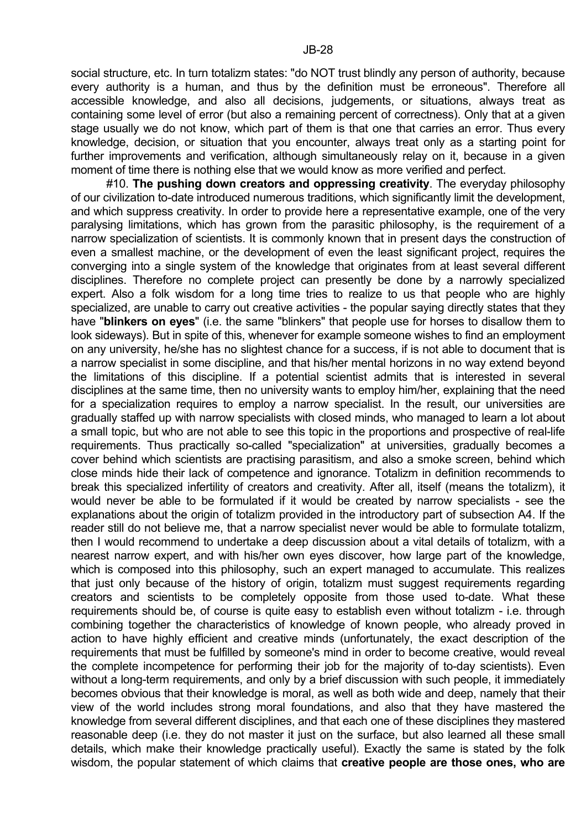social structure, etc. In turn totalizm states: "do NOT trust blindly any person of authority, because every authority is a human, and thus by the definition must be erroneous". Therefore all accessible knowledge, and also all decisions, judgements, or situations, always treat as containing some level of error (but also a remaining percent of correctness). Only that at a given stage usually we do not know, which part of them is that one that carries an error. Thus every knowledge, decision, or situation that you encounter, always treat only as a starting point for further improvements and verification, although simultaneously relay on it, because in a given moment of time there is nothing else that we would know as more verified and perfect.

 #10. **The pushing down creators and oppressing creativity**. The everyday philosophy of our civilization to-date introduced numerous traditions, which significantly limit the development, and which suppress creativity. In order to provide here a representative example, one of the very paralysing limitations, which has grown from the parasitic philosophy, is the requirement of a narrow specialization of scientists. It is commonly known that in present days the construction of even a smallest machine, or the development of even the least significant project, requires the converging into a single system of the knowledge that originates from at least several different disciplines. Therefore no complete project can presently be done by a narrowly specialized expert. Also a folk wisdom for a long time tries to realize to us that people who are highly specialized, are unable to carry out creative activities - the popular saying directly states that they have "**blinkers on eyes**" (i.e. the same "blinkers" that people use for horses to disallow them to look sideways). But in spite of this, whenever for example someone wishes to find an employment on any university, he/she has no slightest chance for a success, if is not able to document that is a narrow specialist in some discipline, and that his/her mental horizons in no way extend beyond the limitations of this discipline. If a potential scientist admits that is interested in several disciplines at the same time, then no university wants to employ him/her, explaining that the need for a specialization requires to employ a narrow specialist. In the result, our universities are gradually staffed up with narrow specialists with closed minds, who managed to learn a lot about a small topic, but who are not able to see this topic in the proportions and prospective of real-life requirements. Thus practically so-called "specialization" at universities, gradually becomes a cover behind which scientists are practising parasitism, and also a smoke screen, behind which close minds hide their lack of competence and ignorance. Totalizm in definition recommends to break this specialized infertility of creators and creativity. After all, itself (means the totalizm), it would never be able to be formulated if it would be created by narrow specialists - see the explanations about the origin of totalizm provided in the introductory part of subsection A4. If the reader still do not believe me, that a narrow specialist never would be able to formulate totalizm, then I would recommend to undertake a deep discussion about a vital details of totalizm, with a nearest narrow expert, and with his/her own eyes discover, how large part of the knowledge, which is composed into this philosophy, such an expert managed to accumulate. This realizes that just only because of the history of origin, totalizm must suggest requirements regarding creators and scientists to be completely opposite from those used to-date. What these requirements should be, of course is quite easy to establish even without totalizm - i.e. through combining together the characteristics of knowledge of known people, who already proved in action to have highly efficient and creative minds (unfortunately, the exact description of the requirements that must be fulfilled by someone's mind in order to become creative, would reveal the complete incompetence for performing their job for the majority of to-day scientists). Even without a long-term requirements, and only by a brief discussion with such people, it immediately becomes obvious that their knowledge is moral, as well as both wide and deep, namely that their view of the world includes strong moral foundations, and also that they have mastered the knowledge from several different disciplines, and that each one of these disciplines they mastered reasonable deep (i.e. they do not master it just on the surface, but also learned all these small details, which make their knowledge practically useful). Exactly the same is stated by the folk wisdom, the popular statement of which claims that **creative people are those ones, who are**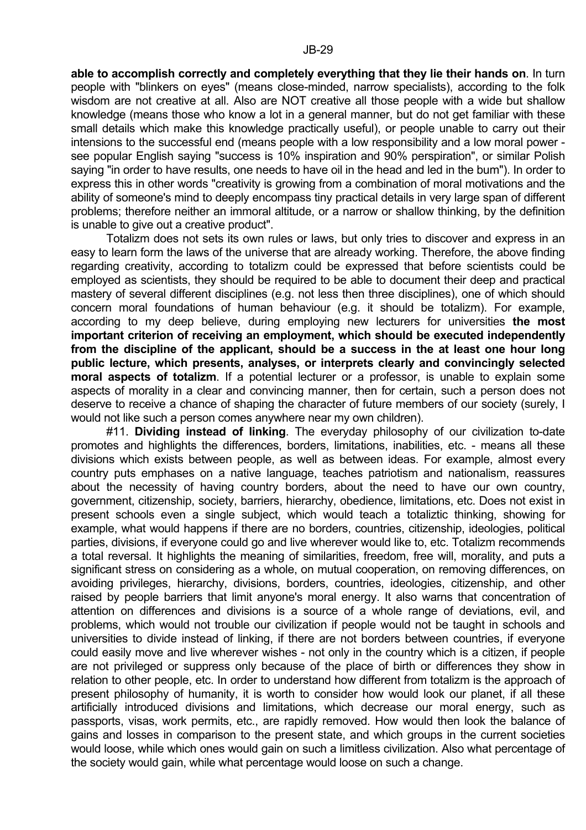**able to accomplish correctly and completely everything that they lie their hands on**. In turn people with "blinkers on eyes" (means close-minded, narrow specialists), according to the folk wisdom are not creative at all. Also are NOT creative all those people with a wide but shallow knowledge (means those who know a lot in a general manner, but do not get familiar with these small details which make this knowledge practically useful), or people unable to carry out their intensions to the successful end (means people with a low responsibility and a low moral power see popular English saying "success is 10% inspiration and 90% perspiration", or similar Polish saying "in order to have results, one needs to have oil in the head and led in the bum"). In order to express this in other words "creativity is growing from a combination of moral motivations and the ability of someone's mind to deeply encompass tiny practical details in very large span of different problems; therefore neither an immoral altitude, or a narrow or shallow thinking, by the definition is unable to give out a creative product".

 Totalizm does not sets its own rules or laws, but only tries to discover and express in an easy to learn form the laws of the universe that are already working. Therefore, the above finding regarding creativity, according to totalizm could be expressed that before scientists could be employed as scientists, they should be required to be able to document their deep and practical mastery of several different disciplines (e.g. not less then three disciplines), one of which should concern moral foundations of human behaviour (e.g. it should be totalizm). For example, according to my deep believe, during employing new lecturers for universities **the most important criterion of receiving an employment, which should be executed independently from the discipline of the applicant, should be a success in the at least one hour long public lecture, which presents, analyses, or interprets clearly and convincingly selected moral aspects of totalizm**. If a potential lecturer or a professor, is unable to explain some aspects of morality in a clear and convincing manner, then for certain, such a person does not deserve to receive a chance of shaping the character of future members of our society (surely, I would not like such a person comes anywhere near my own children).

 #11. **Dividing instead of linking**. The everyday philosophy of our civilization to-date promotes and highlights the differences, borders, limitations, inabilities, etc. - means all these divisions which exists between people, as well as between ideas. For example, almost every country puts emphases on a native language, teaches patriotism and nationalism, reassures about the necessity of having country borders, about the need to have our own country, government, citizenship, society, barriers, hierarchy, obedience, limitations, etc. Does not exist in present schools even a single subject, which would teach a totaliztic thinking, showing for example, what would happens if there are no borders, countries, citizenship, ideologies, political parties, divisions, if everyone could go and live wherever would like to, etc. Totalizm recommends a total reversal. It highlights the meaning of similarities, freedom, free will, morality, and puts a significant stress on considering as a whole, on mutual cooperation, on removing differences, on avoiding privileges, hierarchy, divisions, borders, countries, ideologies, citizenship, and other raised by people barriers that limit anyone's moral energy. It also warns that concentration of attention on differences and divisions is a source of a whole range of deviations, evil, and problems, which would not trouble our civilization if people would not be taught in schools and universities to divide instead of linking, if there are not borders between countries, if everyone could easily move and live wherever wishes - not only in the country which is a citizen, if people are not privileged or suppress only because of the place of birth or differences they show in relation to other people, etc. In order to understand how different from totalizm is the approach of present philosophy of humanity, it is worth to consider how would look our planet, if all these artificially introduced divisions and limitations, which decrease our moral energy, such as passports, visas, work permits, etc., are rapidly removed. How would then look the balance of gains and losses in comparison to the present state, and which groups in the current societies would loose, while which ones would gain on such a limitless civilization. Also what percentage of the society would gain, while what percentage would loose on such a change.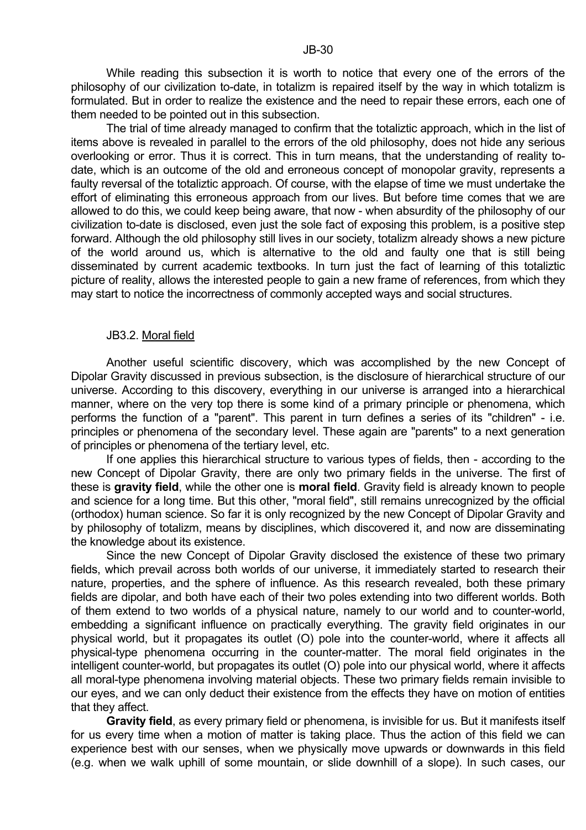While reading this subsection it is worth to notice that every one of the errors of the philosophy of our civilization to-date, in totalizm is repaired itself by the way in which totalizm is formulated. But in order to realize the existence and the need to repair these errors, each one of them needed to be pointed out in this subsection.

 The trial of time already managed to confirm that the totaliztic approach, which in the list of items above is revealed in parallel to the errors of the old philosophy, does not hide any serious overlooking or error. Thus it is correct. This in turn means, that the understanding of reality todate, which is an outcome of the old and erroneous concept of monopolar gravity, represents a faulty reversal of the totaliztic approach. Of course, with the elapse of time we must undertake the effort of eliminating this erroneous approach from our lives. But before time comes that we are allowed to do this, we could keep being aware, that now - when absurdity of the philosophy of our civilization to-date is disclosed, even just the sole fact of exposing this problem, is a positive step forward. Although the old philosophy still lives in our society, totalizm already shows a new picture of the world around us, which is alternative to the old and faulty one that is still being disseminated by current academic textbooks. In turn just the fact of learning of this totaliztic picture of reality, allows the interested people to gain a new frame of references, from which they may start to notice the incorrectness of commonly accepted ways and social structures.

#### JB3.2. Moral field

 Another useful scientific discovery, which was accomplished by the new Concept of Dipolar Gravity discussed in previous subsection, is the disclosure of hierarchical structure of our universe. According to this discovery, everything in our universe is arranged into a hierarchical manner, where on the very top there is some kind of a primary principle or phenomena, which performs the function of a "parent". This parent in turn defines a series of its "children" - i.e. principles or phenomena of the secondary level. These again are "parents" to a next generation of principles or phenomena of the tertiary level, etc.

 If one applies this hierarchical structure to various types of fields, then - according to the new Concept of Dipolar Gravity, there are only two primary fields in the universe. The first of these is **gravity field**, while the other one is **moral field**. Gravity field is already known to people and science for a long time. But this other, "moral field", still remains unrecognized by the official (orthodox) human science. So far it is only recognized by the new Concept of Dipolar Gravity and by philosophy of totalizm, means by disciplines, which discovered it, and now are disseminating the knowledge about its existence.

 Since the new Concept of Dipolar Gravity disclosed the existence of these two primary fields, which prevail across both worlds of our universe, it immediately started to research their nature, properties, and the sphere of influence. As this research revealed, both these primary fields are dipolar, and both have each of their two poles extending into two different worlds. Both of them extend to two worlds of a physical nature, namely to our world and to counter-world, embedding a significant influence on practically everything. The gravity field originates in our physical world, but it propagates its outlet (O) pole into the counter-world, where it affects all physical-type phenomena occurring in the counter-matter. The moral field originates in the intelligent counter-world, but propagates its outlet (O) pole into our physical world, where it affects all moral-type phenomena involving material objects. These two primary fields remain invisible to our eyes, and we can only deduct their existence from the effects they have on motion of entities that they affect.

 **Gravity field**, as every primary field or phenomena, is invisible for us. But it manifests itself for us every time when a motion of matter is taking place. Thus the action of this field we can experience best with our senses, when we physically move upwards or downwards in this field (e.g. when we walk uphill of some mountain, or slide downhill of a slope). In such cases, our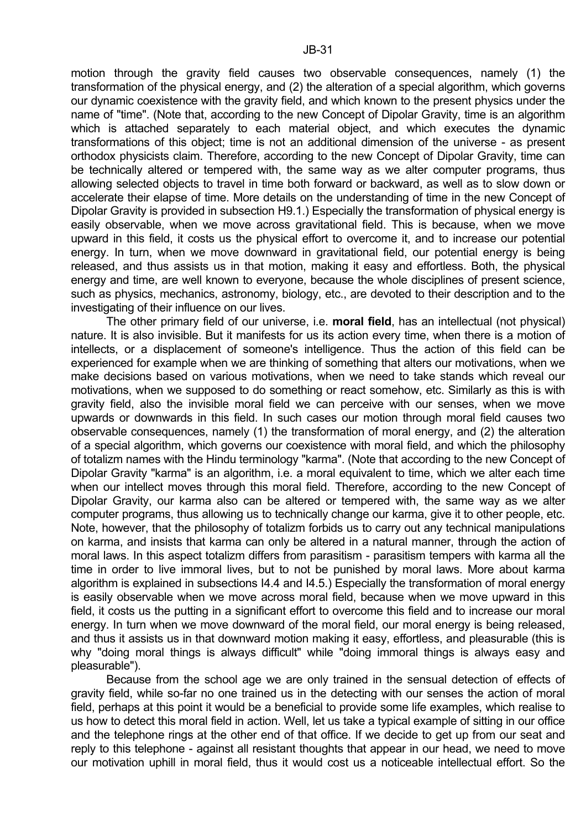motion through the gravity field causes two observable consequences, namely (1) the transformation of the physical energy, and (2) the alteration of a special algorithm, which governs our dynamic coexistence with the gravity field, and which known to the present physics under the name of "time". (Note that, according to the new Concept of Dipolar Gravity, time is an algorithm which is attached separately to each material object, and which executes the dynamic transformations of this object; time is not an additional dimension of the universe - as present orthodox physicists claim. Therefore, according to the new Concept of Dipolar Gravity, time can be technically altered or tempered with, the same way as we alter computer programs, thus allowing selected objects to travel in time both forward or backward, as well as to slow down or accelerate their elapse of time. More details on the understanding of time in the new Concept of Dipolar Gravity is provided in subsection H9.1.) Especially the transformation of physical energy is easily observable, when we move across gravitational field. This is because, when we move upward in this field, it costs us the physical effort to overcome it, and to increase our potential energy. In turn, when we move downward in gravitational field, our potential energy is being released, and thus assists us in that motion, making it easy and effortless. Both, the physical energy and time, are well known to everyone, because the whole disciplines of present science, such as physics, mechanics, astronomy, biology, etc., are devoted to their description and to the investigating of their influence on our lives.

 The other primary field of our universe, i.e. **moral field**, has an intellectual (not physical) nature. It is also invisible. But it manifests for us its action every time, when there is a motion of intellects, or a displacement of someone's intelligence. Thus the action of this field can be experienced for example when we are thinking of something that alters our motivations, when we make decisions based on various motivations, when we need to take stands which reveal our motivations, when we supposed to do something or react somehow, etc. Similarly as this is with gravity field, also the invisible moral field we can perceive with our senses, when we move upwards or downwards in this field. In such cases our motion through moral field causes two observable consequences, namely (1) the transformation of moral energy, and (2) the alteration of a special algorithm, which governs our coexistence with moral field, and which the philosophy of totalizm names with the Hindu terminology "karma". (Note that according to the new Concept of Dipolar Gravity "karma" is an algorithm, i.e. a moral equivalent to time, which we alter each time when our intellect moves through this moral field. Therefore, according to the new Concept of Dipolar Gravity, our karma also can be altered or tempered with, the same way as we alter computer programs, thus allowing us to technically change our karma, give it to other people, etc. Note, however, that the philosophy of totalizm forbids us to carry out any technical manipulations on karma, and insists that karma can only be altered in a natural manner, through the action of moral laws. In this aspect totalizm differs from parasitism - parasitism tempers with karma all the time in order to live immoral lives, but to not be punished by moral laws. More about karma algorithm is explained in subsections I4.4 and I4.5.) Especially the transformation of moral energy is easily observable when we move across moral field, because when we move upward in this field, it costs us the putting in a significant effort to overcome this field and to increase our moral energy. In turn when we move downward of the moral field, our moral energy is being released, and thus it assists us in that downward motion making it easy, effortless, and pleasurable (this is why "doing moral things is always difficult" while "doing immoral things is always easy and pleasurable").

 Because from the school age we are only trained in the sensual detection of effects of gravity field, while so-far no one trained us in the detecting with our senses the action of moral field, perhaps at this point it would be a beneficial to provide some life examples, which realise to us how to detect this moral field in action. Well, let us take a typical example of sitting in our office and the telephone rings at the other end of that office. If we decide to get up from our seat and reply to this telephone - against all resistant thoughts that appear in our head, we need to move our motivation uphill in moral field, thus it would cost us a noticeable intellectual effort. So the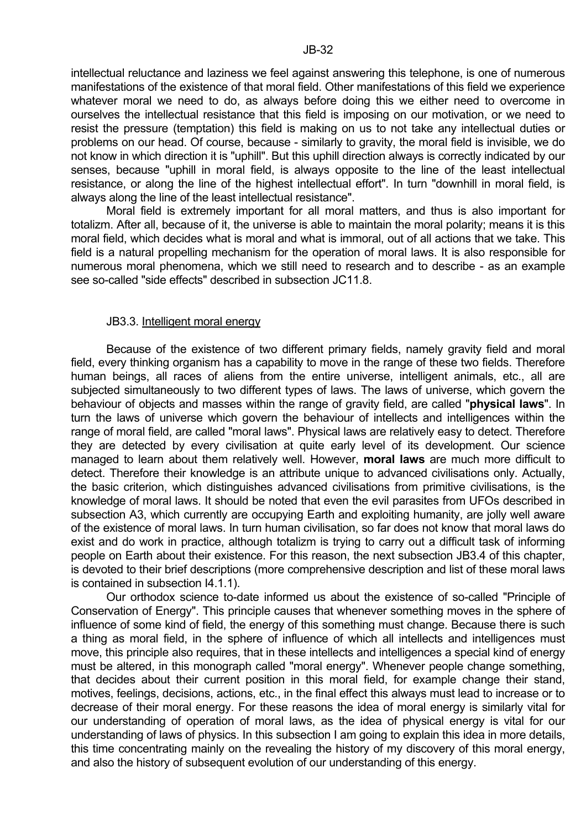intellectual reluctance and laziness we feel against answering this telephone, is one of numerous manifestations of the existence of that moral field. Other manifestations of this field we experience whatever moral we need to do, as always before doing this we either need to overcome in ourselves the intellectual resistance that this field is imposing on our motivation, or we need to resist the pressure (temptation) this field is making on us to not take any intellectual duties or problems on our head. Of course, because - similarly to gravity, the moral field is invisible, we do not know in which direction it is "uphill". But this uphill direction always is correctly indicated by our senses, because "uphill in moral field, is always opposite to the line of the least intellectual resistance, or along the line of the highest intellectual effort". In turn "downhill in moral field, is always along the line of the least intellectual resistance".

 Moral field is extremely important for all moral matters, and thus is also important for totalizm. After all, because of it, the universe is able to maintain the moral polarity; means it is this moral field, which decides what is moral and what is immoral, out of all actions that we take. This field is a natural propelling mechanism for the operation of moral laws. It is also responsible for numerous moral phenomena, which we still need to research and to describe - as an example see so-called "side effects" described in subsection JC11.8.

# JB3.3. Intelligent moral energy

 Because of the existence of two different primary fields, namely gravity field and moral field, every thinking organism has a capability to move in the range of these two fields. Therefore human beings, all races of aliens from the entire universe, intelligent animals, etc., all are subjected simultaneously to two different types of laws. The laws of universe, which govern the behaviour of objects and masses within the range of gravity field, are called "**physical laws**". In turn the laws of universe which govern the behaviour of intellects and intelligences within the range of moral field, are called "moral laws". Physical laws are relatively easy to detect. Therefore they are detected by every civilisation at quite early level of its development. Our science managed to learn about them relatively well. However, **moral laws** are much more difficult to detect. Therefore their knowledge is an attribute unique to advanced civilisations only. Actually, the basic criterion, which distinguishes advanced civilisations from primitive civilisations, is the knowledge of moral laws. It should be noted that even the evil parasites from UFOs described in subsection A3, which currently are occupying Earth and exploiting humanity, are jolly well aware of the existence of moral laws. In turn human civilisation, so far does not know that moral laws do exist and do work in practice, although totalizm is trying to carry out a difficult task of informing people on Earth about their existence. For this reason, the next subsection JB3.4 of this chapter, is devoted to their brief descriptions (more comprehensive description and list of these moral laws is contained in subsection I4.1.1).

 Our orthodox science to-date informed us about the existence of so-called "Principle of Conservation of Energy". This principle causes that whenever something moves in the sphere of influence of some kind of field, the energy of this something must change. Because there is such a thing as moral field, in the sphere of influence of which all intellects and intelligences must move, this principle also requires, that in these intellects and intelligences a special kind of energy must be altered, in this monograph called "moral energy". Whenever people change something, that decides about their current position in this moral field, for example change their stand, motives, feelings, decisions, actions, etc., in the final effect this always must lead to increase or to decrease of their moral energy. For these reasons the idea of moral energy is similarly vital for our understanding of operation of moral laws, as the idea of physical energy is vital for our understanding of laws of physics. In this subsection I am going to explain this idea in more details, this time concentrating mainly on the revealing the history of my discovery of this moral energy, and also the history of subsequent evolution of our understanding of this energy.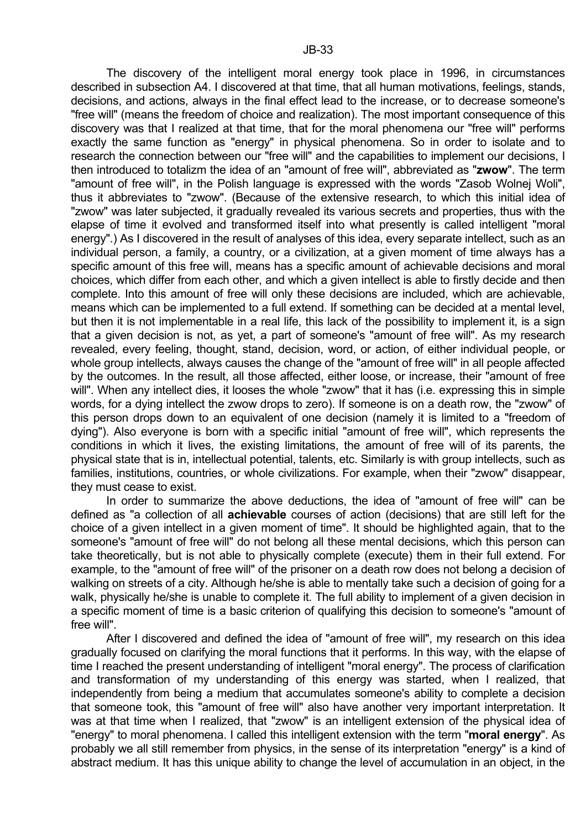The discovery of the intelligent moral energy took place in 1996, in circumstances described in subsection A4. I discovered at that time, that all human motivations, feelings, stands, decisions, and actions, always in the final effect lead to the increase, or to decrease someone's "free will" (means the freedom of choice and realization). The most important consequence of this discovery was that I realized at that time, that for the moral phenomena our "free will" performs exactly the same function as "energy" in physical phenomena. So in order to isolate and to research the connection between our "free will" and the capabilities to implement our decisions, I then introduced to totalizm the idea of an "amount of free will", abbreviated as "**zwow**". The term "amount of free will", in the Polish language is expressed with the words "Zasob Wolnej Woli", thus it abbreviates to "zwow". (Because of the extensive research, to which this initial idea of "zwow" was later subjected, it gradually revealed its various secrets and properties, thus with the elapse of time it evolved and transformed itself into what presently is called intelligent "moral energy".) As I discovered in the result of analyses of this idea, every separate intellect, such as an individual person, a family, a country, or a civilization, at a given moment of time always has a specific amount of this free will, means has a specific amount of achievable decisions and moral choices, which differ from each other, and which a given intellect is able to firstly decide and then complete. Into this amount of free will only these decisions are included, which are achievable, means which can be implemented to a full extend. If something can be decided at a mental level, but then it is not implementable in a real life, this lack of the possibility to implement it, is a sign that a given decision is not, as yet, a part of someone's "amount of free will". As my research revealed, every feeling, thought, stand, decision, word, or action, of either individual people, or whole group intellects, always causes the change of the "amount of free will" in all people affected by the outcomes. In the result, all those affected, either loose, or increase, their "amount of free will". When any intellect dies, it looses the whole "zwow" that it has (i.e. expressing this in simple words, for a dying intellect the zwow drops to zero). If someone is on a death row, the "zwow" of this person drops down to an equivalent of one decision (namely it is limited to a "freedom of dying"). Also everyone is born with a specific initial "amount of free will", which represents the conditions in which it lives, the existing limitations, the amount of free will of its parents, the physical state that is in, intellectual potential, talents, etc. Similarly is with group intellects, such as families, institutions, countries, or whole civilizations. For example, when their "zwow" disappear, they must cease to exist.

 In order to summarize the above deductions, the idea of "amount of free will" can be defined as "a collection of all **achievable** courses of action (decisions) that are still left for the choice of a given intellect in a given moment of time". It should be highlighted again, that to the someone's "amount of free will" do not belong all these mental decisions, which this person can take theoretically, but is not able to physically complete (execute) them in their full extend. For example, to the "amount of free will" of the prisoner on a death row does not belong a decision of walking on streets of a city. Although he/she is able to mentally take such a decision of going for a walk, physically he/she is unable to complete it. The full ability to implement of a given decision in a specific moment of time is a basic criterion of qualifying this decision to someone's "amount of free will".

 After I discovered and defined the idea of "amount of free will", my research on this idea gradually focused on clarifying the moral functions that it performs. In this way, with the elapse of time I reached the present understanding of intelligent "moral energy". The process of clarification and transformation of my understanding of this energy was started, when I realized, that independently from being a medium that accumulates someone's ability to complete a decision that someone took, this "amount of free will" also have another very important interpretation. It was at that time when I realized, that "zwow" is an intelligent extension of the physical idea of "energy" to moral phenomena. I called this intelligent extension with the term "**moral energy**". As probably we all still remember from physics, in the sense of its interpretation "energy" is a kind of abstract medium. It has this unique ability to change the level of accumulation in an object, in the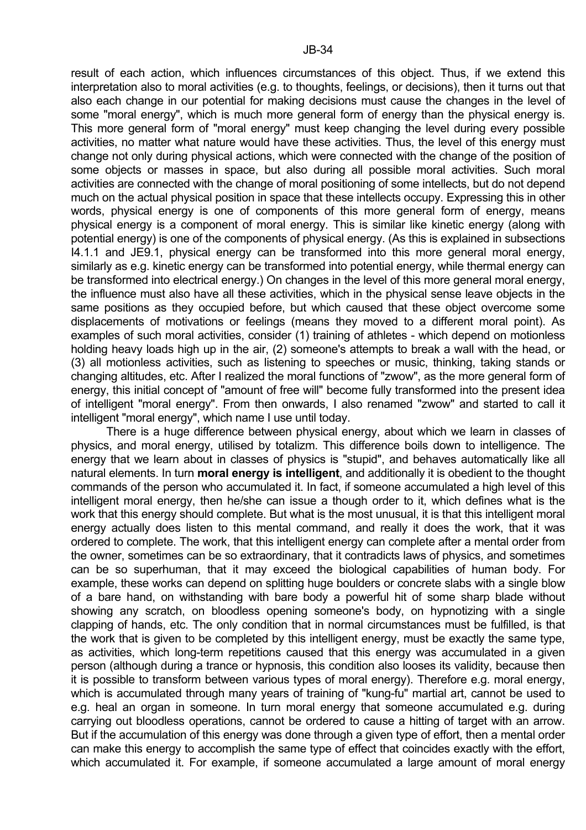result of each action, which influences circumstances of this object. Thus, if we extend this interpretation also to moral activities (e.g. to thoughts, feelings, or decisions), then it turns out that also each change in our potential for making decisions must cause the changes in the level of some "moral energy", which is much more general form of energy than the physical energy is. This more general form of "moral energy" must keep changing the level during every possible activities, no matter what nature would have these activities. Thus, the level of this energy must change not only during physical actions, which were connected with the change of the position of some objects or masses in space, but also during all possible moral activities. Such moral activities are connected with the change of moral positioning of some intellects, but do not depend much on the actual physical position in space that these intellects occupy. Expressing this in other words, physical energy is one of components of this more general form of energy, means physical energy is a component of moral energy. This is similar like kinetic energy (along with potential energy) is one of the components of physical energy. (As this is explained in subsections I4.1.1 and JE9.1, physical energy can be transformed into this more general moral energy, similarly as e.g. kinetic energy can be transformed into potential energy, while thermal energy can be transformed into electrical energy.) On changes in the level of this more general moral energy, the influence must also have all these activities, which in the physical sense leave objects in the same positions as they occupied before, but which caused that these object overcome some displacements of motivations or feelings (means they moved to a different moral point). As examples of such moral activities, consider (1) training of athletes - which depend on motionless holding heavy loads high up in the air, (2) someone's attempts to break a wall with the head, or (3) all motionless activities, such as listening to speeches or music, thinking, taking stands or changing altitudes, etc. After I realized the moral functions of "zwow", as the more general form of energy, this initial concept of "amount of free will" become fully transformed into the present idea of intelligent "moral energy". From then onwards, I also renamed "zwow" and started to call it intelligent "moral energy", which name I use until today.

 There is a huge difference between physical energy, about which we learn in classes of physics, and moral energy, utilised by totalizm. This difference boils down to intelligence. The energy that we learn about in classes of physics is "stupid", and behaves automatically like all natural elements. In turn **moral energy is intelligent**, and additionally it is obedient to the thought commands of the person who accumulated it. In fact, if someone accumulated a high level of this intelligent moral energy, then he/she can issue a though order to it, which defines what is the work that this energy should complete. But what is the most unusual, it is that this intelligent moral energy actually does listen to this mental command, and really it does the work, that it was ordered to complete. The work, that this intelligent energy can complete after a mental order from the owner, sometimes can be so extraordinary, that it contradicts laws of physics, and sometimes can be so superhuman, that it may exceed the biological capabilities of human body. For example, these works can depend on splitting huge boulders or concrete slabs with a single blow of a bare hand, on withstanding with bare body a powerful hit of some sharp blade without showing any scratch, on bloodless opening someone's body, on hypnotizing with a single clapping of hands, etc. The only condition that in normal circumstances must be fulfilled, is that the work that is given to be completed by this intelligent energy, must be exactly the same type, as activities, which long-term repetitions caused that this energy was accumulated in a given person (although during a trance or hypnosis, this condition also looses its validity, because then it is possible to transform between various types of moral energy). Therefore e.g. moral energy, which is accumulated through many years of training of "kung-fu" martial art, cannot be used to e.g. heal an organ in someone. In turn moral energy that someone accumulated e.g. during carrying out bloodless operations, cannot be ordered to cause a hitting of target with an arrow. But if the accumulation of this energy was done through a given type of effort, then a mental order can make this energy to accomplish the same type of effect that coincides exactly with the effort, which accumulated it. For example, if someone accumulated a large amount of moral energy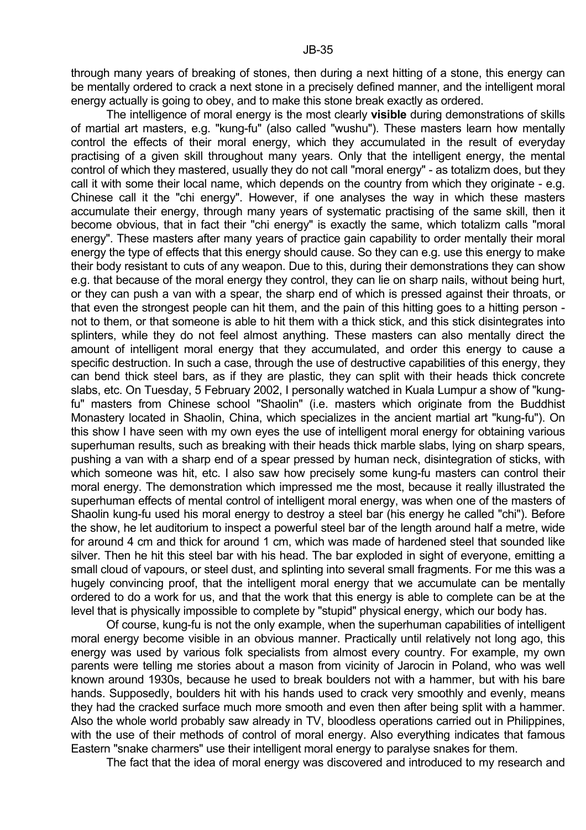The intelligence of moral energy is the most clearly **visible** during demonstrations of skills of martial art masters, e.g. "kung-fu" (also called "wushu"). These masters learn how mentally control the effects of their moral energy, which they accumulated in the result of everyday practising of a given skill throughout many years. Only that the intelligent energy, the mental control of which they mastered, usually they do not call "moral energy" - as totalizm does, but they call it with some their local name, which depends on the country from which they originate - e.g. Chinese call it the "chi energy". However, if one analyses the way in which these masters accumulate their energy, through many years of systematic practising of the same skill, then it become obvious, that in fact their "chi energy" is exactly the same, which totalizm calls "moral energy". These masters after many years of practice gain capability to order mentally their moral energy the type of effects that this energy should cause. So they can e.g. use this energy to make their body resistant to cuts of any weapon. Due to this, during their demonstrations they can show e.g. that because of the moral energy they control, they can lie on sharp nails, without being hurt, or they can push a van with a spear, the sharp end of which is pressed against their throats, or that even the strongest people can hit them, and the pain of this hitting goes to a hitting person not to them, or that someone is able to hit them with a thick stick, and this stick disintegrates into splinters, while they do not feel almost anything. These masters can also mentally direct the amount of intelligent moral energy that they accumulated, and order this energy to cause a specific destruction. In such a case, through the use of destructive capabilities of this energy, they can bend thick steel bars, as if they are plastic, they can split with their heads thick concrete slabs, etc. On Tuesday, 5 February 2002, I personally watched in Kuala Lumpur a show of "kungfu" masters from Chinese school "Shaolin" (i.e. masters which originate from the Buddhist Monastery located in Shaolin, China, which specializes in the ancient martial art "kung-fu"). On this show I have seen with my own eyes the use of intelligent moral energy for obtaining various superhuman results, such as breaking with their heads thick marble slabs, lying on sharp spears, pushing a van with a sharp end of a spear pressed by human neck, disintegration of sticks, with which someone was hit, etc. I also saw how precisely some kung-fu masters can control their moral energy. The demonstration which impressed me the most, because it really illustrated the superhuman effects of mental control of intelligent moral energy, was when one of the masters of Shaolin kung-fu used his moral energy to destroy a steel bar (his energy he called "chi"). Before the show, he let auditorium to inspect a powerful steel bar of the length around half a metre, wide for around 4 cm and thick for around 1 cm, which was made of hardened steel that sounded like silver. Then he hit this steel bar with his head. The bar exploded in sight of everyone, emitting a small cloud of vapours, or steel dust, and splinting into several small fragments. For me this was a hugely convincing proof, that the intelligent moral energy that we accumulate can be mentally ordered to do a work for us, and that the work that this energy is able to complete can be at the level that is physically impossible to complete by "stupid" physical energy, which our body has.

 Of course, kung-fu is not the only example, when the superhuman capabilities of intelligent moral energy become visible in an obvious manner. Practically until relatively not long ago, this energy was used by various folk specialists from almost every country. For example, my own parents were telling me stories about a mason from vicinity of Jarocin in Poland, who was well known around 1930s, because he used to break boulders not with a hammer, but with his bare hands. Supposedly, boulders hit with his hands used to crack very smoothly and evenly, means they had the cracked surface much more smooth and even then after being split with a hammer. Also the whole world probably saw already in TV, bloodless operations carried out in Philippines, with the use of their methods of control of moral energy. Also everything indicates that famous Eastern "snake charmers" use their intelligent moral energy to paralyse snakes for them.

The fact that the idea of moral energy was discovered and introduced to my research and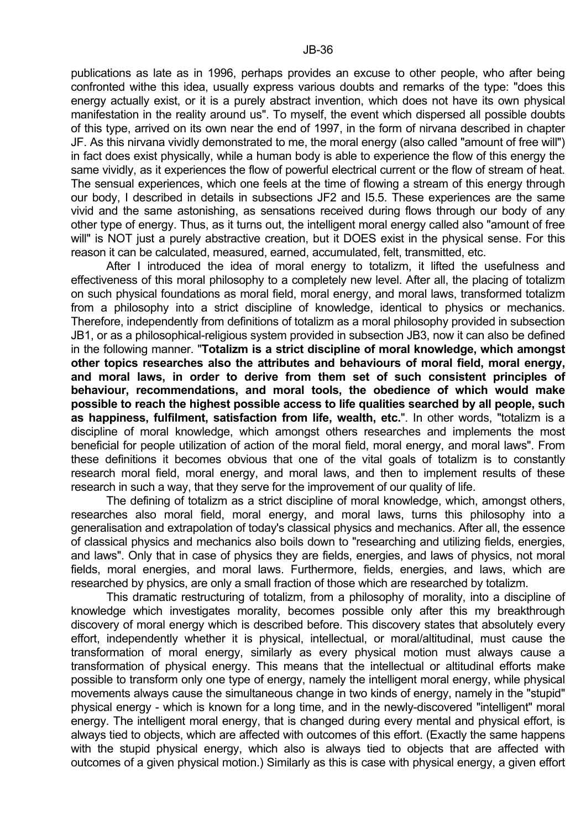publications as late as in 1996, perhaps provides an excuse to other people, who after being confronted withe this idea, usually express various doubts and remarks of the type: "does this energy actually exist, or it is a purely abstract invention, which does not have its own physical manifestation in the reality around us". To myself, the event which dispersed all possible doubts of this type, arrived on its own near the end of 1997, in the form of nirvana described in chapter JF. As this nirvana vividly demonstrated to me, the moral energy (also called "amount of free will") in fact does exist physically, while a human body is able to experience the flow of this energy the same vividly, as it experiences the flow of powerful electrical current or the flow of stream of heat. The sensual experiences, which one feels at the time of flowing a stream of this energy through our body, I described in details in subsections JF2 and I5.5. These experiences are the same vivid and the same astonishing, as sensations received during flows through our body of any other type of energy. Thus, as it turns out, the intelligent moral energy called also "amount of free will" is NOT just a purely abstractive creation, but it DOES exist in the physical sense. For this reason it can be calculated, measured, earned, accumulated, felt, transmitted, etc.

 After I introduced the idea of moral energy to totalizm, it lifted the usefulness and effectiveness of this moral philosophy to a completely new level. After all, the placing of totalizm on such physical foundations as moral field, moral energy, and moral laws, transformed totalizm from a philosophy into a strict discipline of knowledge, identical to physics or mechanics. Therefore, independently from definitions of totalizm as a moral philosophy provided in subsection JB1, or as a philosophical-religious system provided in subsection JB3, now it can also be defined in the following manner. "**Totalizm is a strict discipline of moral knowledge, which amongst other topics researches also the attributes and behaviours of moral field, moral energy, and moral laws, in order to derive from them set of such consistent principles of behaviour, recommendations, and moral tools, the obedience of which would make possible to reach the highest possible access to life qualities searched by all people, such as happiness, fulfilment, satisfaction from life, wealth, etc.**". In other words, "totalizm is a discipline of moral knowledge, which amongst others researches and implements the most beneficial for people utilization of action of the moral field, moral energy, and moral laws". From these definitions it becomes obvious that one of the vital goals of totalizm is to constantly research moral field, moral energy, and moral laws, and then to implement results of these research in such a way, that they serve for the improvement of our quality of life.

 The defining of totalizm as a strict discipline of moral knowledge, which, amongst others, researches also moral field, moral energy, and moral laws, turns this philosophy into a generalisation and extrapolation of today's classical physics and mechanics. After all, the essence of classical physics and mechanics also boils down to "researching and utilizing fields, energies, and laws". Only that in case of physics they are fields, energies, and laws of physics, not moral fields, moral energies, and moral laws. Furthermore, fields, energies, and laws, which are researched by physics, are only a small fraction of those which are researched by totalizm.

 This dramatic restructuring of totalizm, from a philosophy of morality, into a discipline of knowledge which investigates morality, becomes possible only after this my breakthrough discovery of moral energy which is described before. This discovery states that absolutely every effort, independently whether it is physical, intellectual, or moral/altitudinal, must cause the transformation of moral energy, similarly as every physical motion must always cause a transformation of physical energy. This means that the intellectual or altitudinal efforts make possible to transform only one type of energy, namely the intelligent moral energy, while physical movements always cause the simultaneous change in two kinds of energy, namely in the "stupid" physical energy - which is known for a long time, and in the newly-discovered "intelligent" moral energy. The intelligent moral energy, that is changed during every mental and physical effort, is always tied to objects, which are affected with outcomes of this effort. (Exactly the same happens with the stupid physical energy, which also is always tied to objects that are affected with outcomes of a given physical motion.) Similarly as this is case with physical energy, a given effort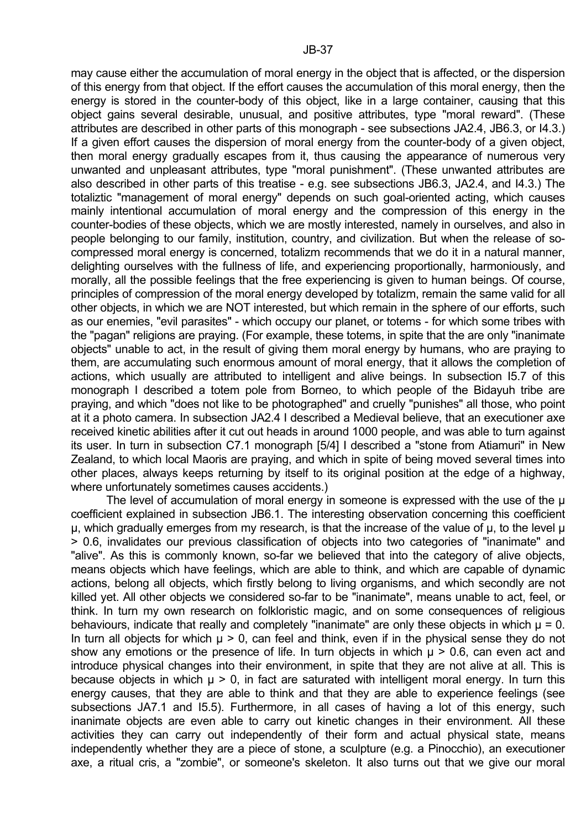may cause either the accumulation of moral energy in the object that is affected, or the dispersion of this energy from that object. If the effort causes the accumulation of this moral energy, then the energy is stored in the counter-body of this object, like in a large container, causing that this object gains several desirable, unusual, and positive attributes, type "moral reward". (These attributes are described in other parts of this monograph - see subsections JA2.4, JB6.3, or I4.3.) If a given effort causes the dispersion of moral energy from the counter-body of a given object, then moral energy gradually escapes from it, thus causing the appearance of numerous very unwanted and unpleasant attributes, type "moral punishment". (These unwanted attributes are also described in other parts of this treatise - e.g. see subsections JB6.3, JA2.4, and I4.3.) The totaliztic "management of moral energy" depends on such goal-oriented acting, which causes mainly intentional accumulation of moral energy and the compression of this energy in the counter-bodies of these objects, which we are mostly interested, namely in ourselves, and also in people belonging to our family, institution, country, and civilization. But when the release of socompressed moral energy is concerned, totalizm recommends that we do it in a natural manner, delighting ourselves with the fullness of life, and experiencing proportionally, harmoniously, and morally, all the possible feelings that the free experiencing is given to human beings. Of course, principles of compression of the moral energy developed by totalizm, remain the same valid for all other objects, in which we are NOT interested, but which remain in the sphere of our efforts, such as our enemies, "evil parasites" - which occupy our planet, or totems - for which some tribes with the "pagan" religions are praying. (For example, these totems, in spite that the are only "inanimate objects" unable to act, in the result of giving them moral energy by humans, who are praying to them, are accumulating such enormous amount of moral energy, that it allows the completion of actions, which usually are attributed to intelligent and alive beings. In subsection I5.7 of this monograph I described a totem pole from Borneo, to which people of the Bidayuh tribe are praying, and which "does not like to be photographed" and cruelly "punishes" all those, who point at it a photo camera. In subsection JA2.4 I described a Medieval believe, that an executioner axe received kinetic abilities after it cut out heads in around 1000 people, and was able to turn against its user. In turn in subsection C7.1 monograph [5/4] I described a "stone from Atiamuri" in New Zealand, to which local Maoris are praying, and which in spite of being moved several times into other places, always keeps returning by itself to its original position at the edge of a highway, where unfortunately sometimes causes accidents.)

The level of accumulation of moral energy in someone is expressed with the use of the  $\mu$ coefficient explained in subsection JB6.1. The interesting observation concerning this coefficient  $\mu$ , which gradually emerges from my research, is that the increase of the value of  $\mu$ , to the level  $\mu$ > 0.6, invalidates our previous classification of objects into two categories of "inanimate" and "alive". As this is commonly known, so-far we believed that into the category of alive objects, means objects which have feelings, which are able to think, and which are capable of dynamic actions, belong all objects, which firstly belong to living organisms, and which secondly are not killed yet. All other objects we considered so-far to be "inanimate", means unable to act, feel, or think. In turn my own research on folkloristic magic, and on some consequences of religious behaviours, indicate that really and completely "inanimate" are only these objects in which  $\mu = 0$ . In turn all objects for which  $\mu > 0$ , can feel and think, even if in the physical sense they do not show any emotions or the presence of life. In turn objects in which  $\mu > 0.6$ , can even act and introduce physical changes into their environment, in spite that they are not alive at all. This is because objects in which  $\mu > 0$ , in fact are saturated with intelligent moral energy. In turn this energy causes, that they are able to think and that they are able to experience feelings (see subsections JA7.1 and I5.5). Furthermore, in all cases of having a lot of this energy, such inanimate objects are even able to carry out kinetic changes in their environment. All these activities they can carry out independently of their form and actual physical state, means independently whether they are a piece of stone, a sculpture (e.g. a Pinocchio), an executioner axe, a ritual cris, a "zombie", or someone's skeleton. It also turns out that we give our moral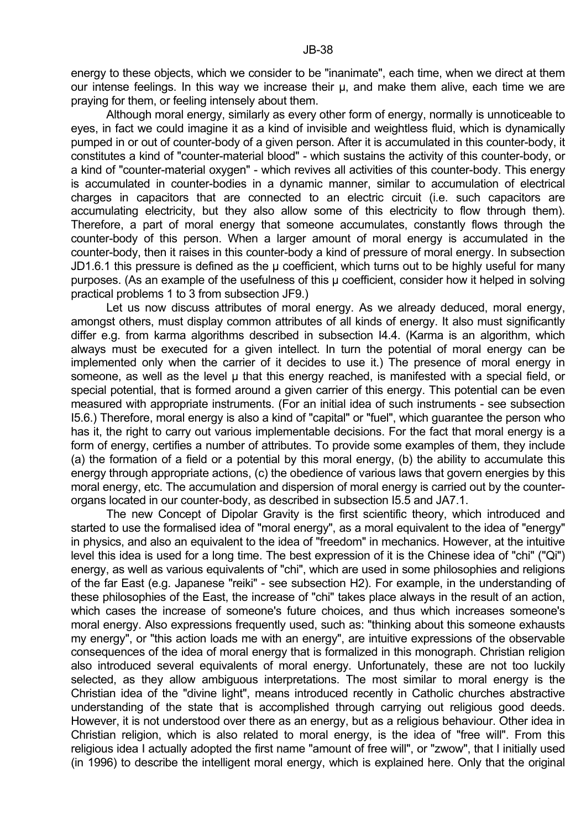energy to these objects, which we consider to be "inanimate", each time, when we direct at them our intense feelings. In this way we increase their µ, and make them alive, each time we are praying for them, or feeling intensely about them.

 Although moral energy, similarly as every other form of energy, normally is unnoticeable to eyes, in fact we could imagine it as a kind of invisible and weightless fluid, which is dynamically pumped in or out of counter-body of a given person. After it is accumulated in this counter-body, it constitutes a kind of "counter-material blood" - which sustains the activity of this counter-body, or a kind of "counter-material oxygen" - which revives all activities of this counter-body. This energy is accumulated in counter-bodies in a dynamic manner, similar to accumulation of electrical charges in capacitors that are connected to an electric circuit (i.e. such capacitors are accumulating electricity, but they also allow some of this electricity to flow through them). Therefore, a part of moral energy that someone accumulates, constantly flows through the counter-body of this person. When a larger amount of moral energy is accumulated in the counter-body, then it raises in this counter-body a kind of pressure of moral energy. In subsection JD1.6.1 this pressure is defined as the  $\mu$  coefficient, which turns out to be highly useful for many purposes. (As an example of the usefulness of this µ coefficient, consider how it helped in solving practical problems 1 to 3 from subsection JF9.)

 Let us now discuss attributes of moral energy. As we already deduced, moral energy, amongst others, must display common attributes of all kinds of energy. It also must significantly differ e.g. from karma algorithms described in subsection I4.4. (Karma is an algorithm, which always must be executed for a given intellect. In turn the potential of moral energy can be implemented only when the carrier of it decides to use it.) The presence of moral energy in someone, as well as the level  $\mu$  that this energy reached, is manifested with a special field, or special potential, that is formed around a given carrier of this energy. This potential can be even measured with appropriate instruments. (For an initial idea of such instruments - see subsection I5.6.) Therefore, moral energy is also a kind of "capital" or "fuel", which guarantee the person who has it, the right to carry out various implementable decisions. For the fact that moral energy is a form of energy, certifies a number of attributes. To provide some examples of them, they include (a) the formation of a field or a potential by this moral energy, (b) the ability to accumulate this energy through appropriate actions, (c) the obedience of various laws that govern energies by this moral energy, etc. The accumulation and dispersion of moral energy is carried out by the counterorgans located in our counter-body, as described in subsection I5.5 and JA7.1.

 The new Concept of Dipolar Gravity is the first scientific theory, which introduced and started to use the formalised idea of "moral energy", as a moral equivalent to the idea of "energy" in physics, and also an equivalent to the idea of "freedom" in mechanics. However, at the intuitive level this idea is used for a long time. The best expression of it is the Chinese idea of "chi" ("Qi") energy, as well as various equivalents of "chi", which are used in some philosophies and religions of the far East (e.g. Japanese "reiki" - see subsection H2). For example, in the understanding of these philosophies of the East, the increase of "chi" takes place always in the result of an action, which cases the increase of someone's future choices, and thus which increases someone's moral energy. Also expressions frequently used, such as: "thinking about this someone exhausts my energy", or "this action loads me with an energy", are intuitive expressions of the observable consequences of the idea of moral energy that is formalized in this monograph. Christian religion also introduced several equivalents of moral energy. Unfortunately, these are not too luckily selected, as they allow ambiguous interpretations. The most similar to moral energy is the Christian idea of the "divine light", means introduced recently in Catholic churches abstractive understanding of the state that is accomplished through carrying out religious good deeds. However, it is not understood over there as an energy, but as a religious behaviour. Other idea in Christian religion, which is also related to moral energy, is the idea of "free will". From this religious idea I actually adopted the first name "amount of free will", or "zwow", that I initially used (in 1996) to describe the intelligent moral energy, which is explained here. Only that the original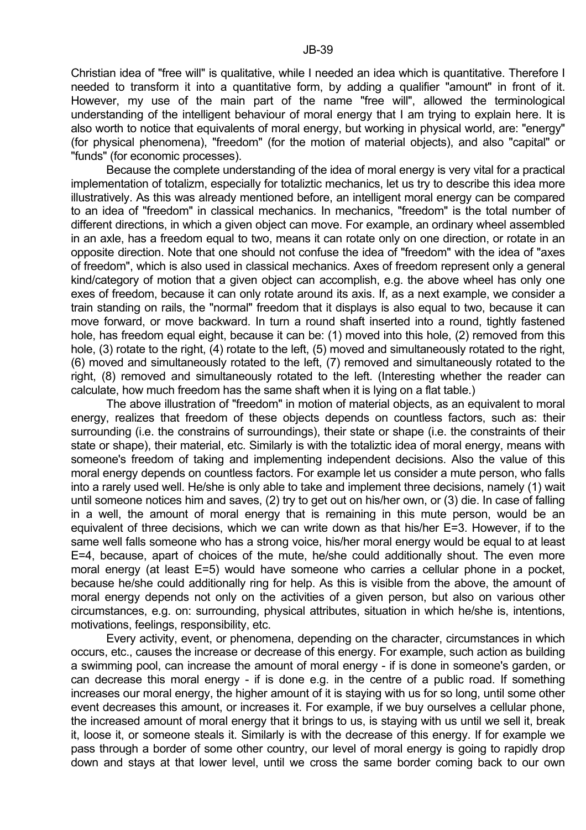Christian idea of "free will" is qualitative, while I needed an idea which is quantitative. Therefore I needed to transform it into a quantitative form, by adding a qualifier "amount" in front of it. However, my use of the main part of the name "free will", allowed the terminological understanding of the intelligent behaviour of moral energy that I am trying to explain here. It is also worth to notice that equivalents of moral energy, but working in physical world, are: "energy" (for physical phenomena), "freedom" (for the motion of material objects), and also "capital" or "funds" (for economic processes).

 Because the complete understanding of the idea of moral energy is very vital for a practical implementation of totalizm, especially for totaliztic mechanics, let us try to describe this idea more illustratively. As this was already mentioned before, an intelligent moral energy can be compared to an idea of "freedom" in classical mechanics. In mechanics, "freedom" is the total number of different directions, in which a given object can move. For example, an ordinary wheel assembled in an axle, has a freedom equal to two, means it can rotate only on one direction, or rotate in an opposite direction. Note that one should not confuse the idea of "freedom" with the idea of "axes of freedom", which is also used in classical mechanics. Axes of freedom represent only a general kind/category of motion that a given object can accomplish, e.g. the above wheel has only one exes of freedom, because it can only rotate around its axis. If, as a next example, we consider a train standing on rails, the "normal" freedom that it displays is also equal to two, because it can move forward, or move backward. In turn a round shaft inserted into a round, tightly fastened hole, has freedom equal eight, because it can be: (1) moved into this hole, (2) removed from this hole, (3) rotate to the right, (4) rotate to the left, (5) moved and simultaneously rotated to the right, (6) moved and simultaneously rotated to the left, (7) removed and simultaneously rotated to the right, (8) removed and simultaneously rotated to the left. (Interesting whether the reader can calculate, how much freedom has the same shaft when it is lying on a flat table.)

 The above illustration of "freedom" in motion of material objects, as an equivalent to moral energy, realizes that freedom of these objects depends on countless factors, such as: their surrounding (i.e. the constrains of surroundings), their state or shape (i.e. the constraints of their state or shape), their material, etc. Similarly is with the totaliztic idea of moral energy, means with someone's freedom of taking and implementing independent decisions. Also the value of this moral energy depends on countless factors. For example let us consider a mute person, who falls into a rarely used well. He/she is only able to take and implement three decisions, namely (1) wait until someone notices him and saves, (2) try to get out on his/her own, or (3) die. In case of falling in a well, the amount of moral energy that is remaining in this mute person, would be an equivalent of three decisions, which we can write down as that his/her E=3. However, if to the same well falls someone who has a strong voice, his/her moral energy would be equal to at least E=4, because, apart of choices of the mute, he/she could additionally shout. The even more moral energy (at least E=5) would have someone who carries a cellular phone in a pocket, because he/she could additionally ring for help. As this is visible from the above, the amount of moral energy depends not only on the activities of a given person, but also on various other circumstances, e.g. on: surrounding, physical attributes, situation in which he/she is, intentions, motivations, feelings, responsibility, etc.

 Every activity, event, or phenomena, depending on the character, circumstances in which occurs, etc., causes the increase or decrease of this energy. For example, such action as building a swimming pool, can increase the amount of moral energy - if is done in someone's garden, or can decrease this moral energy - if is done e.g. in the centre of a public road. If something increases our moral energy, the higher amount of it is staying with us for so long, until some other event decreases this amount, or increases it. For example, if we buy ourselves a cellular phone, the increased amount of moral energy that it brings to us, is staying with us until we sell it, break it, loose it, or someone steals it. Similarly is with the decrease of this energy. If for example we pass through a border of some other country, our level of moral energy is going to rapidly drop down and stays at that lower level, until we cross the same border coming back to our own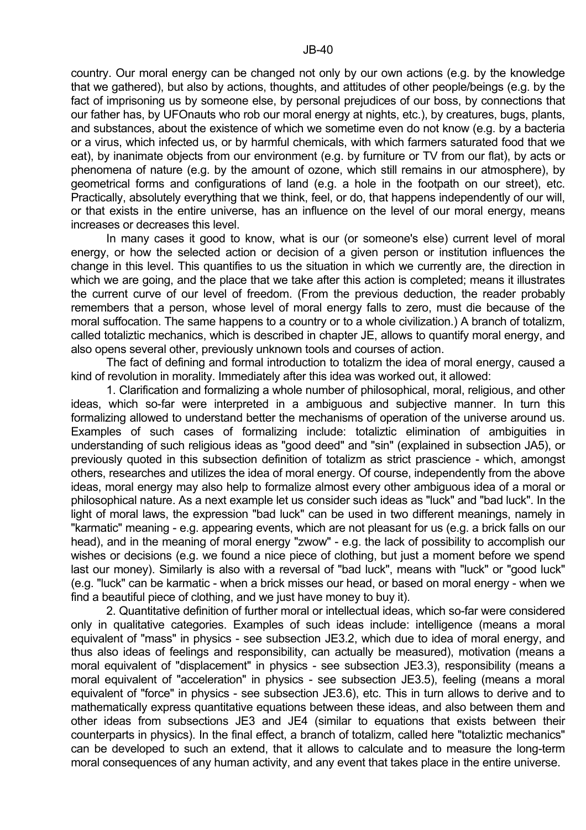country. Our moral energy can be changed not only by our own actions (e.g. by the knowledge that we gathered), but also by actions, thoughts, and attitudes of other people/beings (e.g. by the fact of imprisoning us by someone else, by personal prejudices of our boss, by connections that our father has, by UFOnauts who rob our moral energy at nights, etc.), by creatures, bugs, plants, and substances, about the existence of which we sometime even do not know (e.g. by a bacteria or a virus, which infected us, or by harmful chemicals, with which farmers saturated food that we eat), by inanimate objects from our environment (e.g. by furniture or TV from our flat), by acts or phenomena of nature (e.g. by the amount of ozone, which still remains in our atmosphere), by geometrical forms and configurations of land (e.g. a hole in the footpath on our street), etc. Practically, absolutely everything that we think, feel, or do, that happens independently of our will, or that exists in the entire universe, has an influence on the level of our moral energy, means increases or decreases this level.

 In many cases it good to know, what is our (or someone's else) current level of moral energy, or how the selected action or decision of a given person or institution influences the change in this level. This quantifies to us the situation in which we currently are, the direction in which we are going, and the place that we take after this action is completed; means it illustrates the current curve of our level of freedom. (From the previous deduction, the reader probably remembers that a person, whose level of moral energy falls to zero, must die because of the moral suffocation. The same happens to a country or to a whole civilization.) A branch of totalizm, called totaliztic mechanics, which is described in chapter JE, allows to quantify moral energy, and also opens several other, previously unknown tools and courses of action.

 The fact of defining and formal introduction to totalizm the idea of moral energy, caused a kind of revolution in morality. Immediately after this idea was worked out, it allowed:

 1. Clarification and formalizing a whole number of philosophical, moral, religious, and other ideas, which so-far were interpreted in a ambiguous and subjective manner. In turn this formalizing allowed to understand better the mechanisms of operation of the universe around us. Examples of such cases of formalizing include: totaliztic elimination of ambiguities in understanding of such religious ideas as "good deed" and "sin" (explained in subsection JA5), or previously quoted in this subsection definition of totalizm as strict prascience - which, amongst others, researches and utilizes the idea of moral energy. Of course, independently from the above ideas, moral energy may also help to formalize almost every other ambiguous idea of a moral or philosophical nature. As a next example let us consider such ideas as "luck" and "bad luck". In the light of moral laws, the expression "bad luck" can be used in two different meanings, namely in "karmatic" meaning - e.g. appearing events, which are not pleasant for us (e.g. a brick falls on our head), and in the meaning of moral energy "zwow" - e.g. the lack of possibility to accomplish our wishes or decisions (e.g. we found a nice piece of clothing, but just a moment before we spend last our money). Similarly is also with a reversal of "bad luck", means with "luck" or "good luck" (e.g. "luck" can be karmatic - when a brick misses our head, or based on moral energy - when we find a beautiful piece of clothing, and we just have money to buy it).

 2. Quantitative definition of further moral or intellectual ideas, which so-far were considered only in qualitative categories. Examples of such ideas include: intelligence (means a moral equivalent of "mass" in physics - see subsection JE3.2, which due to idea of moral energy, and thus also ideas of feelings and responsibility, can actually be measured), motivation (means a moral equivalent of "displacement" in physics - see subsection JE3.3), responsibility (means a moral equivalent of "acceleration" in physics - see subsection JE3.5), feeling (means a moral equivalent of "force" in physics - see subsection JE3.6), etc. This in turn allows to derive and to mathematically express quantitative equations between these ideas, and also between them and other ideas from subsections JE3 and JE4 (similar to equations that exists between their counterparts in physics). In the final effect, a branch of totalizm, called here "totaliztic mechanics" can be developed to such an extend, that it allows to calculate and to measure the long-term moral consequences of any human activity, and any event that takes place in the entire universe.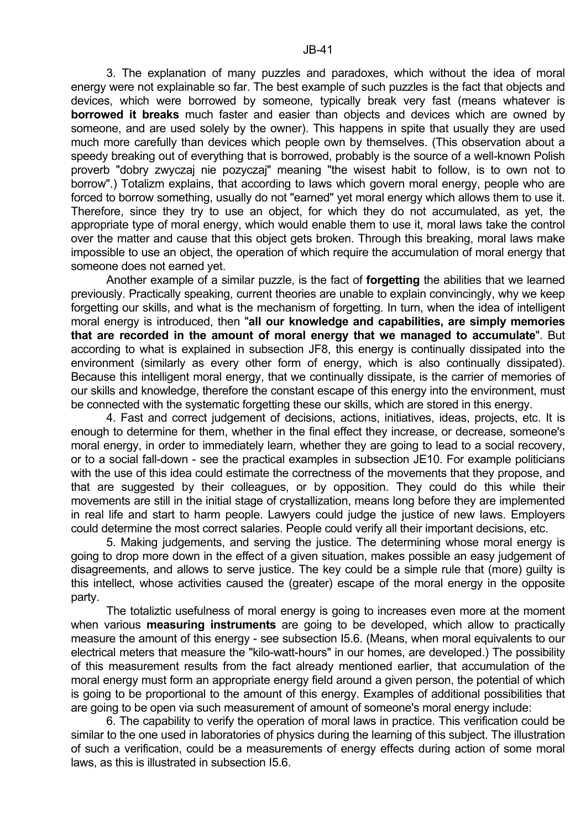3. The explanation of many puzzles and paradoxes, which without the idea of moral energy were not explainable so far. The best example of such puzzles is the fact that objects and devices, which were borrowed by someone, typically break very fast (means whatever is **borrowed it breaks** much faster and easier than objects and devices which are owned by someone, and are used solely by the owner). This happens in spite that usually they are used much more carefully than devices which people own by themselves. (This observation about a speedy breaking out of everything that is borrowed, probably is the source of a well-known Polish proverb "dobry zwyczaj nie pozyczaj" meaning "the wisest habit to follow, is to own not to borrow".) Totalizm explains, that according to laws which govern moral energy, people who are forced to borrow something, usually do not "earned" yet moral energy which allows them to use it. Therefore, since they try to use an object, for which they do not accumulated, as yet, the appropriate type of moral energy, which would enable them to use it, moral laws take the control over the matter and cause that this object gets broken. Through this breaking, moral laws make impossible to use an object, the operation of which require the accumulation of moral energy that someone does not earned yet.

 Another example of a similar puzzle, is the fact of **forgetting** the abilities that we learned previously. Practically speaking, current theories are unable to explain convincingly, why we keep forgetting our skills, and what is the mechanism of forgetting. In turn, when the idea of intelligent moral energy is introduced, then "**all our knowledge and capabilities, are simply memories that are recorded in the amount of moral energy that we managed to accumulate**". But according to what is explained in subsection JF8, this energy is continually dissipated into the environment (similarly as every other form of energy, which is also continually dissipated). Because this intelligent moral energy, that we continually dissipate, is the carrier of memories of our skills and knowledge, therefore the constant escape of this energy into the environment, must be connected with the systematic forgetting these our skills, which are stored in this energy.

 4. Fast and correct judgement of decisions, actions, initiatives, ideas, projects, etc. It is enough to determine for them, whether in the final effect they increase, or decrease, someone's moral energy, in order to immediately learn, whether they are going to lead to a social recovery, or to a social fall-down - see the practical examples in subsection JE10. For example politicians with the use of this idea could estimate the correctness of the movements that they propose, and that are suggested by their colleagues, or by opposition. They could do this while their movements are still in the initial stage of crystallization, means long before they are implemented in real life and start to harm people. Lawyers could judge the justice of new laws. Employers could determine the most correct salaries. People could verify all their important decisions, etc.

 5. Making judgements, and serving the justice. The determining whose moral energy is going to drop more down in the effect of a given situation, makes possible an easy judgement of disagreements, and allows to serve justice. The key could be a simple rule that (more) guilty is this intellect, whose activities caused the (greater) escape of the moral energy in the opposite party.

 The totaliztic usefulness of moral energy is going to increases even more at the moment when various **measuring instruments** are going to be developed, which allow to practically measure the amount of this energy - see subsection I5.6. (Means, when moral equivalents to our electrical meters that measure the "kilo-watt-hours" in our homes, are developed.) The possibility of this measurement results from the fact already mentioned earlier, that accumulation of the moral energy must form an appropriate energy field around a given person, the potential of which is going to be proportional to the amount of this energy. Examples of additional possibilities that are going to be open via such measurement of amount of someone's moral energy include:

 6. The capability to verify the operation of moral laws in practice. This verification could be similar to the one used in laboratories of physics during the learning of this subject. The illustration of such a verification, could be a measurements of energy effects during action of some moral laws, as this is illustrated in subsection I5.6.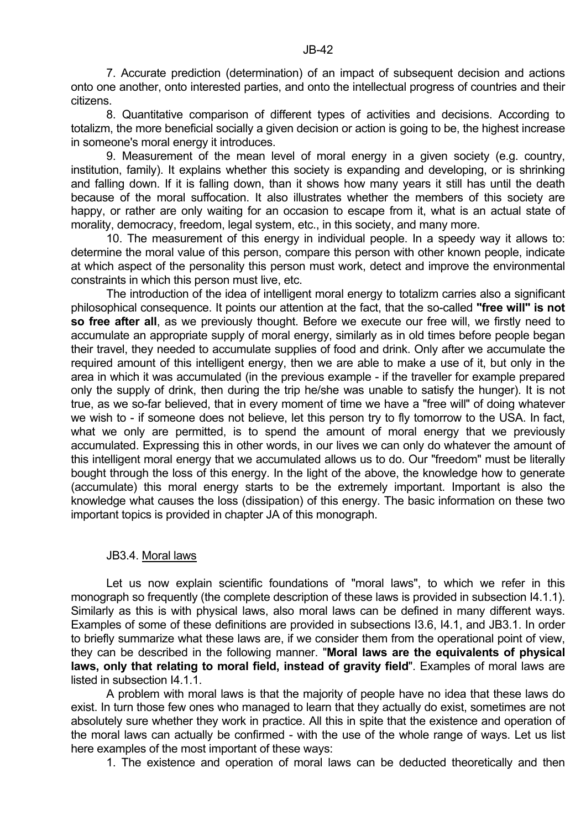7. Accurate prediction (determination) of an impact of subsequent decision and actions onto one another, onto interested parties, and onto the intellectual progress of countries and their citizens.

 8. Quantitative comparison of different types of activities and decisions. According to totalizm, the more beneficial socially a given decision or action is going to be, the highest increase in someone's moral energy it introduces.

 9. Measurement of the mean level of moral energy in a given society (e.g. country, institution, family). It explains whether this society is expanding and developing, or is shrinking and falling down. If it is falling down, than it shows how many years it still has until the death because of the moral suffocation. It also illustrates whether the members of this society are happy, or rather are only waiting for an occasion to escape from it, what is an actual state of morality, democracy, freedom, legal system, etc., in this society, and many more.

 10. The measurement of this energy in individual people. In a speedy way it allows to: determine the moral value of this person, compare this person with other known people, indicate at which aspect of the personality this person must work, detect and improve the environmental constraints in which this person must live, etc.

 The introduction of the idea of intelligent moral energy to totalizm carries also a significant philosophical consequence. It points our attention at the fact, that the so-called **"free will" is not so free after all**, as we previously thought. Before we execute our free will, we firstly need to accumulate an appropriate supply of moral energy, similarly as in old times before people began their travel, they needed to accumulate supplies of food and drink. Only after we accumulate the required amount of this intelligent energy, then we are able to make a use of it, but only in the area in which it was accumulated (in the previous example - if the traveller for example prepared only the supply of drink, then during the trip he/she was unable to satisfy the hunger). It is not true, as we so-far believed, that in every moment of time we have a "free will" of doing whatever we wish to - if someone does not believe, let this person try to fly tomorrow to the USA. In fact, what we only are permitted, is to spend the amount of moral energy that we previously accumulated. Expressing this in other words, in our lives we can only do whatever the amount of this intelligent moral energy that we accumulated allows us to do. Our "freedom" must be literally bought through the loss of this energy. In the light of the above, the knowledge how to generate (accumulate) this moral energy starts to be the extremely important. Important is also the knowledge what causes the loss (dissipation) of this energy. The basic information on these two important topics is provided in chapter JA of this monograph.

## JB3.4. Moral laws

 Let us now explain scientific foundations of "moral laws", to which we refer in this monograph so frequently (the complete description of these laws is provided in subsection I4.1.1). Similarly as this is with physical laws, also moral laws can be defined in many different ways. Examples of some of these definitions are provided in subsections I3.6, I4.1, and JB3.1. In order to briefly summarize what these laws are, if we consider them from the operational point of view, they can be described in the following manner. "**Moral laws are the equivalents of physical laws, only that relating to moral field, instead of gravity field**". Examples of moral laws are listed in subsection I4.1.1.

 A problem with moral laws is that the majority of people have no idea that these laws do exist. In turn those few ones who managed to learn that they actually do exist, sometimes are not absolutely sure whether they work in practice. All this in spite that the existence and operation of the moral laws can actually be confirmed - with the use of the whole range of ways. Let us list here examples of the most important of these ways:

1. The existence and operation of moral laws can be deducted theoretically and then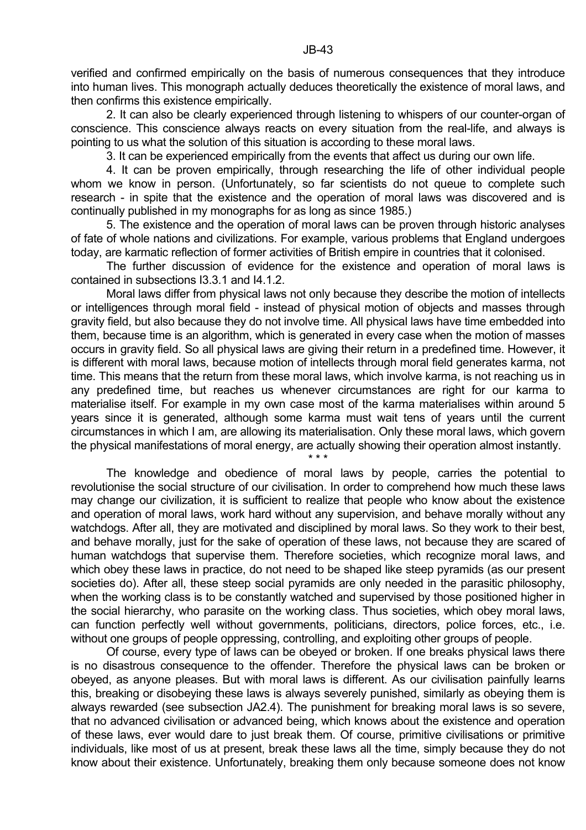verified and confirmed empirically on the basis of numerous consequences that they introduce into human lives. This monograph actually deduces theoretically the existence of moral laws, and then confirms this existence empirically.

 2. It can also be clearly experienced through listening to whispers of our counter-organ of conscience. This conscience always reacts on every situation from the real-life, and always is pointing to us what the solution of this situation is according to these moral laws.

3. It can be experienced empirically from the events that affect us during our own life.

 4. It can be proven empirically, through researching the life of other individual people whom we know in person. (Unfortunately, so far scientists do not queue to complete such research - in spite that the existence and the operation of moral laws was discovered and is continually published in my monographs for as long as since 1985.)

 5. The existence and the operation of moral laws can be proven through historic analyses of fate of whole nations and civilizations. For example, various problems that England undergoes today, are karmatic reflection of former activities of British empire in countries that it colonised.

 The further discussion of evidence for the existence and operation of moral laws is contained in subsections I3.3.1 and I4.1.2.

 Moral laws differ from physical laws not only because they describe the motion of intellects or intelligences through moral field - instead of physical motion of objects and masses through gravity field, but also because they do not involve time. All physical laws have time embedded into them, because time is an algorithm, which is generated in every case when the motion of masses occurs in gravity field. So all physical laws are giving their return in a predefined time. However, it is different with moral laws, because motion of intellects through moral field generates karma, not time. This means that the return from these moral laws, which involve karma, is not reaching us in any predefined time, but reaches us whenever circumstances are right for our karma to materialise itself. For example in my own case most of the karma materialises within around 5 years since it is generated, although some karma must wait tens of years until the current circumstances in which I am, are allowing its materialisation. Only these moral laws, which govern the physical manifestations of moral energy, are actually showing their operation almost instantly.

 $\star \star \star$ 

 The knowledge and obedience of moral laws by people, carries the potential to revolutionise the social structure of our civilisation. In order to comprehend how much these laws may change our civilization, it is sufficient to realize that people who know about the existence and operation of moral laws, work hard without any supervision, and behave morally without any watchdogs. After all, they are motivated and disciplined by moral laws. So they work to their best, and behave morally, just for the sake of operation of these laws, not because they are scared of human watchdogs that supervise them. Therefore societies, which recognize moral laws, and which obey these laws in practice, do not need to be shaped like steep pyramids (as our present societies do). After all, these steep social pyramids are only needed in the parasitic philosophy, when the working class is to be constantly watched and supervised by those positioned higher in the social hierarchy, who parasite on the working class. Thus societies, which obey moral laws, can function perfectly well without governments, politicians, directors, police forces, etc., i.e. without one groups of people oppressing, controlling, and exploiting other groups of people.

 Of course, every type of laws can be obeyed or broken. If one breaks physical laws there is no disastrous consequence to the offender. Therefore the physical laws can be broken or obeyed, as anyone pleases. But with moral laws is different. As our civilisation painfully learns this, breaking or disobeying these laws is always severely punished, similarly as obeying them is always rewarded (see subsection JA2.4). The punishment for breaking moral laws is so severe, that no advanced civilisation or advanced being, which knows about the existence and operation of these laws, ever would dare to just break them. Of course, primitive civilisations or primitive individuals, like most of us at present, break these laws all the time, simply because they do not know about their existence. Unfortunately, breaking them only because someone does not know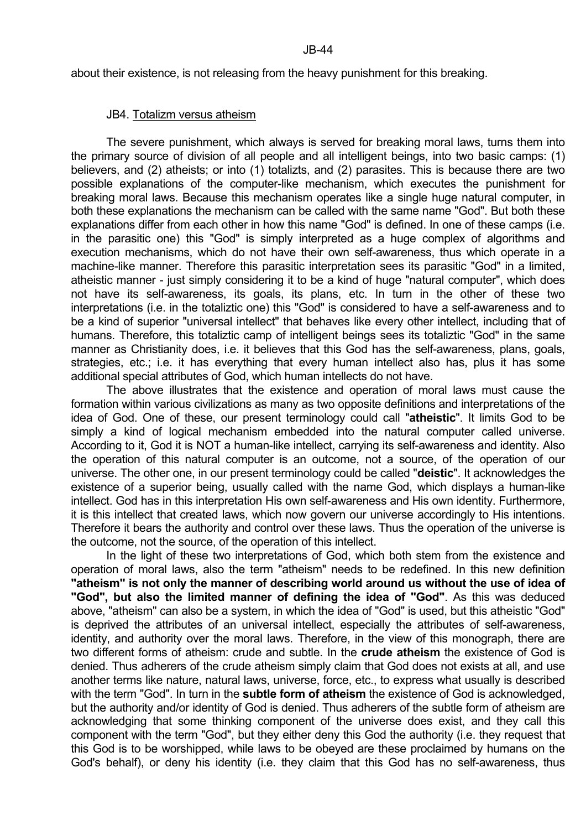about their existence, is not releasing from the heavy punishment for this breaking.

#### JB4. Totalizm versus atheism

 The severe punishment, which always is served for breaking moral laws, turns them into the primary source of division of all people and all intelligent beings, into two basic camps: (1) believers, and (2) atheists; or into (1) totalizts, and (2) parasites. This is because there are two possible explanations of the computer-like mechanism, which executes the punishment for breaking moral laws. Because this mechanism operates like a single huge natural computer, in both these explanations the mechanism can be called with the same name "God". But both these explanations differ from each other in how this name "God" is defined. In one of these camps (i.e. in the parasitic one) this "God" is simply interpreted as a huge complex of algorithms and execution mechanisms, which do not have their own self-awareness, thus which operate in a machine-like manner. Therefore this parasitic interpretation sees its parasitic "God" in a limited, atheistic manner - just simply considering it to be a kind of huge "natural computer", which does not have its self-awareness, its goals, its plans, etc. In turn in the other of these two interpretations (i.e. in the totaliztic one) this "God" is considered to have a self-awareness and to be a kind of superior "universal intellect" that behaves like every other intellect, including that of humans. Therefore, this totaliztic camp of intelligent beings sees its totaliztic "God" in the same manner as Christianity does, i.e. it believes that this God has the self-awareness, plans, goals, strategies, etc.; i.e. it has everything that every human intellect also has, plus it has some additional special attributes of God, which human intellects do not have.

 The above illustrates that the existence and operation of moral laws must cause the formation within various civilizations as many as two opposite definitions and interpretations of the idea of God. One of these, our present terminology could call "**atheistic**". It limits God to be simply a kind of logical mechanism embedded into the natural computer called universe. According to it, God it is NOT a human-like intellect, carrying its self-awareness and identity. Also the operation of this natural computer is an outcome, not a source, of the operation of our universe. The other one, in our present terminology could be called "**deistic**". It acknowledges the existence of a superior being, usually called with the name God, which displays a human-like intellect. God has in this interpretation His own self-awareness and His own identity. Furthermore, it is this intellect that created laws, which now govern our universe accordingly to His intentions. Therefore it bears the authority and control over these laws. Thus the operation of the universe is the outcome, not the source, of the operation of this intellect.

In the light of these two interpretations of God, which both stem from the existence and operation of moral laws, also the term "atheism" needs to be redefined. In this new definition **"atheism" is not only the manner of describing world around us without the use of idea of "God", but also the limited manner of defining the idea of "God"**. As this was deduced above, "atheism" can also be a system, in which the idea of "God" is used, but this atheistic "God" is deprived the attributes of an universal intellect, especially the attributes of self-awareness, identity, and authority over the moral laws. Therefore, in the view of this monograph, there are two different forms of atheism: crude and subtle. In the **crude atheism** the existence of God is denied. Thus adherers of the crude atheism simply claim that God does not exists at all, and use another terms like nature, natural laws, universe, force, etc., to express what usually is described with the term "God". In turn in the **subtle form of atheism** the existence of God is acknowledged, but the authority and/or identity of God is denied. Thus adherers of the subtle form of atheism are acknowledging that some thinking component of the universe does exist, and they call this component with the term "God", but they either deny this God the authority (i.e. they request that this God is to be worshipped, while laws to be obeyed are these proclaimed by humans on the God's behalf), or deny his identity (i.e. they claim that this God has no self-awareness, thus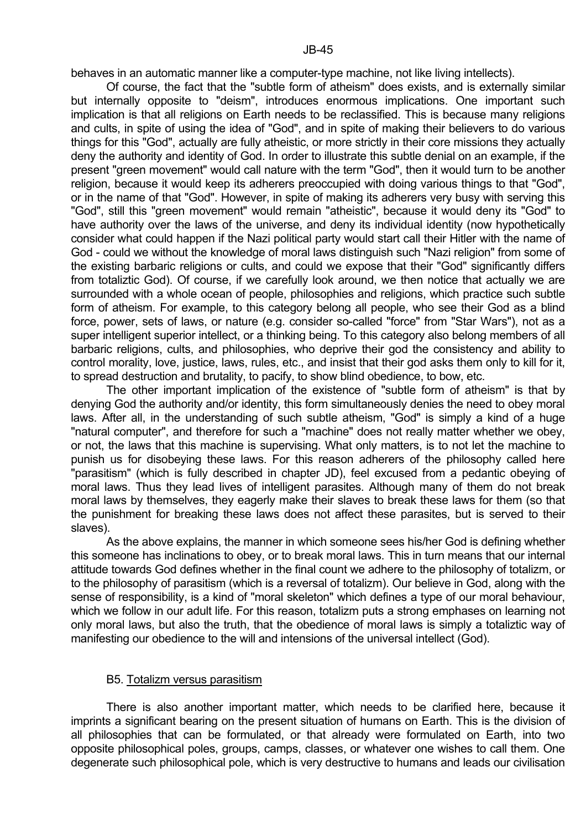behaves in an automatic manner like a computer-type machine, not like living intellects).

 Of course, the fact that the "subtle form of atheism" does exists, and is externally similar but internally opposite to "deism", introduces enormous implications. One important such implication is that all religions on Earth needs to be reclassified. This is because many religions and cults, in spite of using the idea of "God", and in spite of making their believers to do various things for this "God", actually are fully atheistic, or more strictly in their core missions they actually deny the authority and identity of God. In order to illustrate this subtle denial on an example, if the present "green movement" would call nature with the term "God", then it would turn to be another religion, because it would keep its adherers preoccupied with doing various things to that "God", or in the name of that "God". However, in spite of making its adherers very busy with serving this "God", still this "green movement" would remain "atheistic", because it would deny its "God" to have authority over the laws of the universe, and deny its individual identity (now hypothetically consider what could happen if the Nazi political party would start call their Hitler with the name of God - could we without the knowledge of moral laws distinguish such "Nazi religion" from some of the existing barbaric religions or cults, and could we expose that their "God" significantly differs from totaliztic God). Of course, if we carefully look around, we then notice that actually we are surrounded with a whole ocean of people, philosophies and religions, which practice such subtle form of atheism. For example, to this category belong all people, who see their God as a blind force, power, sets of laws, or nature (e.g. consider so-called "force" from "Star Wars"), not as a super intelligent superior intellect, or a thinking being. To this category also belong members of all barbaric religions, cults, and philosophies, who deprive their god the consistency and ability to control morality, love, justice, laws, rules, etc., and insist that their god asks them only to kill for it, to spread destruction and brutality, to pacify, to show blind obedience, to bow, etc.

 The other important implication of the existence of "subtle form of atheism" is that by denying God the authority and/or identity, this form simultaneously denies the need to obey moral laws. After all, in the understanding of such subtle atheism, "God" is simply a kind of a huge "natural computer", and therefore for such a "machine" does not really matter whether we obey, or not, the laws that this machine is supervising. What only matters, is to not let the machine to punish us for disobeying these laws. For this reason adherers of the philosophy called here "parasitism" (which is fully described in chapter JD), feel excused from a pedantic obeying of moral laws. Thus they lead lives of intelligent parasites. Although many of them do not break moral laws by themselves, they eagerly make their slaves to break these laws for them (so that the punishment for breaking these laws does not affect these parasites, but is served to their slaves).

 As the above explains, the manner in which someone sees his/her God is defining whether this someone has inclinations to obey, or to break moral laws. This in turn means that our internal attitude towards God defines whether in the final count we adhere to the philosophy of totalizm, or to the philosophy of parasitism (which is a reversal of totalizm). Our believe in God, along with the sense of responsibility, is a kind of "moral skeleton" which defines a type of our moral behaviour, which we follow in our adult life. For this reason, totalizm puts a strong emphases on learning not only moral laws, but also the truth, that the obedience of moral laws is simply a totaliztic way of manifesting our obedience to the will and intensions of the universal intellect (God).

#### B5. Totalizm versus parasitism

 There is also another important matter, which needs to be clarified here, because it imprints a significant bearing on the present situation of humans on Earth. This is the division of all philosophies that can be formulated, or that already were formulated on Earth, into two opposite philosophical poles, groups, camps, classes, or whatever one wishes to call them. One degenerate such philosophical pole, which is very destructive to humans and leads our civilisation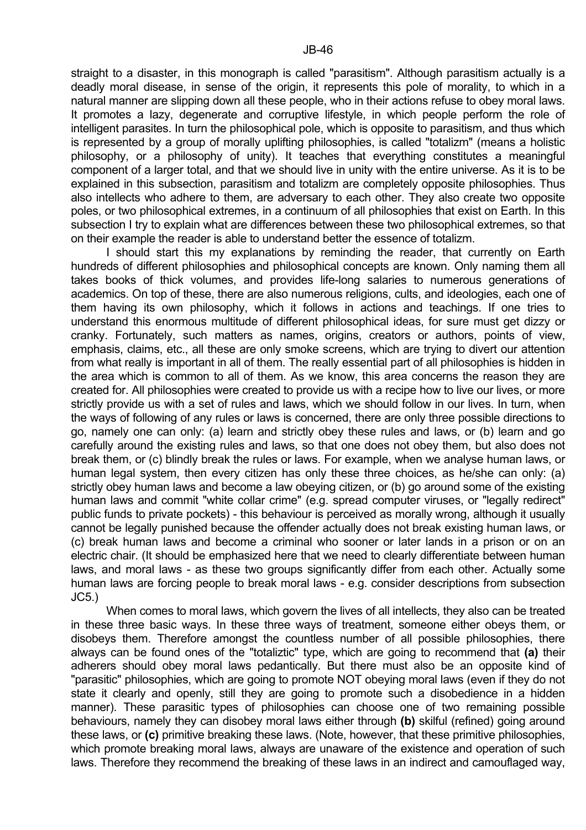straight to a disaster, in this monograph is called "parasitism". Although parasitism actually is a deadly moral disease, in sense of the origin, it represents this pole of morality, to which in a natural manner are slipping down all these people, who in their actions refuse to obey moral laws. It promotes a lazy, degenerate and corruptive lifestyle, in which people perform the role of intelligent parasites. In turn the philosophical pole, which is opposite to parasitism, and thus which is represented by a group of morally uplifting philosophies, is called "totalizm" (means a holistic philosophy, or a philosophy of unity). It teaches that everything constitutes a meaningful component of a larger total, and that we should live in unity with the entire universe. As it is to be explained in this subsection, parasitism and totalizm are completely opposite philosophies. Thus also intellects who adhere to them, are adversary to each other. They also create two opposite poles, or two philosophical extremes, in a continuum of all philosophies that exist on Earth. In this subsection I try to explain what are differences between these two philosophical extremes, so that on their example the reader is able to understand better the essence of totalizm.

 I should start this my explanations by reminding the reader, that currently on Earth hundreds of different philosophies and philosophical concepts are known. Only naming them all takes books of thick volumes, and provides life-long salaries to numerous generations of academics. On top of these, there are also numerous religions, cults, and ideologies, each one of them having its own philosophy, which it follows in actions and teachings. If one tries to understand this enormous multitude of different philosophical ideas, for sure must get dizzy or cranky. Fortunately, such matters as names, origins, creators or authors, points of view, emphasis, claims, etc., all these are only smoke screens, which are trying to divert our attention from what really is important in all of them. The really essential part of all philosophies is hidden in the area which is common to all of them. As we know, this area concerns the reason they are created for. All philosophies were created to provide us with a recipe how to live our lives, or more strictly provide us with a set of rules and laws, which we should follow in our lives. In turn, when the ways of following of any rules or laws is concerned, there are only three possible directions to go, namely one can only: (a) learn and strictly obey these rules and laws, or (b) learn and go carefully around the existing rules and laws, so that one does not obey them, but also does not break them, or (c) blindly break the rules or laws. For example, when we analyse human laws, or human legal system, then every citizen has only these three choices, as he/she can only: (a) strictly obey human laws and become a law obeying citizen, or (b) go around some of the existing human laws and commit "white collar crime" (e.g. spread computer viruses, or "legally redirect" public funds to private pockets) - this behaviour is perceived as morally wrong, although it usually cannot be legally punished because the offender actually does not break existing human laws, or (c) break human laws and become a criminal who sooner or later lands in a prison or on an electric chair. (It should be emphasized here that we need to clearly differentiate between human laws, and moral laws - as these two groups significantly differ from each other. Actually some human laws are forcing people to break moral laws - e.g. consider descriptions from subsection JC5.)

 When comes to moral laws, which govern the lives of all intellects, they also can be treated in these three basic ways. In these three ways of treatment, someone either obeys them, or disobeys them. Therefore amongst the countless number of all possible philosophies, there always can be found ones of the "totaliztic" type, which are going to recommend that **(a)** their adherers should obey moral laws pedantically. But there must also be an opposite kind of "parasitic" philosophies, which are going to promote NOT obeying moral laws (even if they do not state it clearly and openly, still they are going to promote such a disobedience in a hidden manner). These parasitic types of philosophies can choose one of two remaining possible behaviours, namely they can disobey moral laws either through **(b)** skilful (refined) going around these laws, or **(c)** primitive breaking these laws. (Note, however, that these primitive philosophies, which promote breaking moral laws, always are unaware of the existence and operation of such laws. Therefore they recommend the breaking of these laws in an indirect and camouflaged way,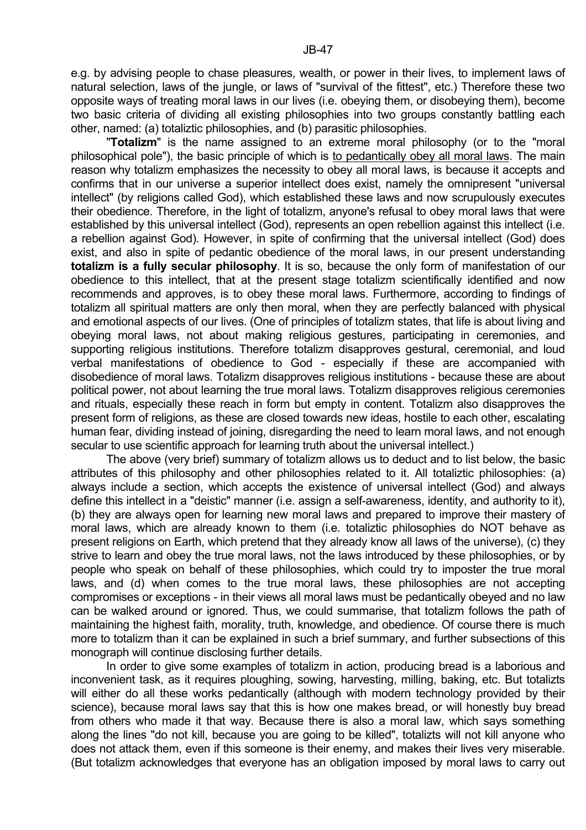e.g. by advising people to chase pleasures, wealth, or power in their lives, to implement laws of natural selection, laws of the jungle, or laws of "survival of the fittest", etc.) Therefore these two opposite ways of treating moral laws in our lives (i.e. obeying them, or disobeying them), become two basic criteria of dividing all existing philosophies into two groups constantly battling each other, named: (a) totaliztic philosophies, and (b) parasitic philosophies.

 "**Totalizm**" is the name assigned to an extreme moral philosophy (or to the "moral philosophical pole"), the basic principle of which is to pedantically obey all moral laws. The main reason why totalizm emphasizes the necessity to obey all moral laws, is because it accepts and confirms that in our universe a superior intellect does exist, namely the omnipresent "universal intellect" (by religions called God), which established these laws and now scrupulously executes their obedience. Therefore, in the light of totalizm, anyone's refusal to obey moral laws that were established by this universal intellect (God), represents an open rebellion against this intellect (i.e. a rebellion against God). However, in spite of confirming that the universal intellect (God) does exist, and also in spite of pedantic obedience of the moral laws, in our present understanding **totalizm is a fully secular philosophy**. It is so, because the only form of manifestation of our obedience to this intellect, that at the present stage totalizm scientifically identified and now recommends and approves, is to obey these moral laws. Furthermore, according to findings of totalizm all spiritual matters are only then moral, when they are perfectly balanced with physical and emotional aspects of our lives. (One of principles of totalizm states, that life is about living and obeying moral laws, not about making religious gestures, participating in ceremonies, and supporting religious institutions. Therefore totalizm disapproves gestural, ceremonial, and loud verbal manifestations of obedience to God - especially if these are accompanied with disobedience of moral laws. Totalizm disapproves religious institutions - because these are about political power, not about learning the true moral laws. Totalizm disapproves religious ceremonies and rituals, especially these reach in form but empty in content. Totalizm also disapproves the present form of religions, as these are closed towards new ideas, hostile to each other, escalating human fear, dividing instead of joining, disregarding the need to learn moral laws, and not enough secular to use scientific approach for learning truth about the universal intellect.)

 The above (very brief) summary of totalizm allows us to deduct and to list below, the basic attributes of this philosophy and other philosophies related to it. All totaliztic philosophies: (a) always include a section, which accepts the existence of universal intellect (God) and always define this intellect in a "deistic" manner (i.e. assign a self-awareness, identity, and authority to it), (b) they are always open for learning new moral laws and prepared to improve their mastery of moral laws, which are already known to them (i.e. totaliztic philosophies do NOT behave as present religions on Earth, which pretend that they already know all laws of the universe), (c) they strive to learn and obey the true moral laws, not the laws introduced by these philosophies, or by people who speak on behalf of these philosophies, which could try to imposter the true moral laws, and (d) when comes to the true moral laws, these philosophies are not accepting compromises or exceptions - in their views all moral laws must be pedantically obeyed and no law can be walked around or ignored. Thus, we could summarise, that totalizm follows the path of maintaining the highest faith, morality, truth, knowledge, and obedience. Of course there is much more to totalizm than it can be explained in such a brief summary, and further subsections of this monograph will continue disclosing further details.

In order to give some examples of totalizm in action, producing bread is a laborious and inconvenient task, as it requires ploughing, sowing, harvesting, milling, baking, etc. But totalizts will either do all these works pedantically (although with modern technology provided by their science), because moral laws say that this is how one makes bread, or will honestly buy bread from others who made it that way. Because there is also a moral law, which says something along the lines "do not kill, because you are going to be killed", totalizts will not kill anyone who does not attack them, even if this someone is their enemy, and makes their lives very miserable. (But totalizm acknowledges that everyone has an obligation imposed by moral laws to carry out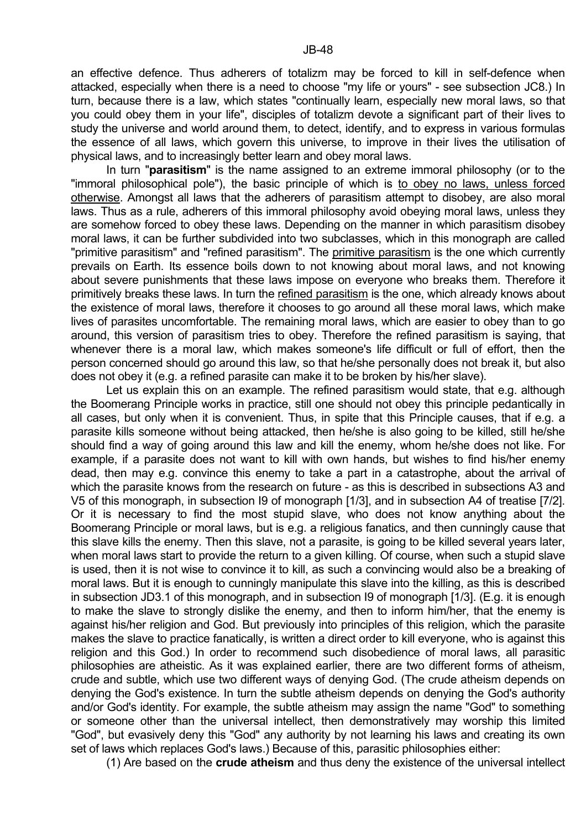an effective defence. Thus adherers of totalizm may be forced to kill in self-defence when attacked, especially when there is a need to choose "my life or yours" - see subsection JC8.) In turn, because there is a law, which states "continually learn, especially new moral laws, so that you could obey them in your life", disciples of totalizm devote a significant part of their lives to study the universe and world around them, to detect, identify, and to express in various formulas the essence of all laws, which govern this universe, to improve in their lives the utilisation of physical laws, and to increasingly better learn and obey moral laws.

 In turn "**parasitism**" is the name assigned to an extreme immoral philosophy (or to the "immoral philosophical pole"), the basic principle of which is to obey no laws, unless forced otherwise. Amongst all laws that the adherers of parasitism attempt to disobey, are also moral laws. Thus as a rule, adherers of this immoral philosophy avoid obeying moral laws, unless they are somehow forced to obey these laws. Depending on the manner in which parasitism disobey moral laws, it can be further subdivided into two subclasses, which in this monograph are called "primitive parasitism" and "refined parasitism". The primitive parasitism is the one which currently prevails on Earth. Its essence boils down to not knowing about moral laws, and not knowing about severe punishments that these laws impose on everyone who breaks them. Therefore it primitively breaks these laws. In turn the refined parasitism is the one, which already knows about the existence of moral laws, therefore it chooses to go around all these moral laws, which make lives of parasites uncomfortable. The remaining moral laws, which are easier to obey than to go around, this version of parasitism tries to obey. Therefore the refined parasitism is saying, that whenever there is a moral law, which makes someone's life difficult or full of effort, then the person concerned should go around this law, so that he/she personally does not break it, but also does not obey it (e.g. a refined parasite can make it to be broken by his/her slave).

 Let us explain this on an example. The refined parasitism would state, that e.g. although the Boomerang Principle works in practice, still one should not obey this principle pedantically in all cases, but only when it is convenient. Thus, in spite that this Principle causes, that if e.g. a parasite kills someone without being attacked, then he/she is also going to be killed, still he/she should find a way of going around this law and kill the enemy, whom he/she does not like. For example, if a parasite does not want to kill with own hands, but wishes to find his/her enemy dead, then may e.g. convince this enemy to take a part in a catastrophe, about the arrival of which the parasite knows from the research on future - as this is described in subsections A3 and V5 of this monograph, in subsection I9 of monograph [1/3], and in subsection A4 of treatise [7/2]. Or it is necessary to find the most stupid slave, who does not know anything about the Boomerang Principle or moral laws, but is e.g. a religious fanatics, and then cunningly cause that this slave kills the enemy. Then this slave, not a parasite, is going to be killed several years later, when moral laws start to provide the return to a given killing. Of course, when such a stupid slave is used, then it is not wise to convince it to kill, as such a convincing would also be a breaking of moral laws. But it is enough to cunningly manipulate this slave into the killing, as this is described in subsection JD3.1 of this monograph, and in subsection I9 of monograph [1/3]. (E.g. it is enough to make the slave to strongly dislike the enemy, and then to inform him/her, that the enemy is against his/her religion and God. But previously into principles of this religion, which the parasite makes the slave to practice fanatically, is written a direct order to kill everyone, who is against this religion and this God.) In order to recommend such disobedience of moral laws, all parasitic philosophies are atheistic. As it was explained earlier, there are two different forms of atheism, crude and subtle, which use two different ways of denying God. (The crude atheism depends on denying the God's existence. In turn the subtle atheism depends on denying the God's authority and/or God's identity. For example, the subtle atheism may assign the name "God" to something or someone other than the universal intellect, then demonstratively may worship this limited "God", but evasively deny this "God" any authority by not learning his laws and creating its own set of laws which replaces God's laws.) Because of this, parasitic philosophies either:

(1) Are based on the **crude atheism** and thus deny the existence of the universal intellect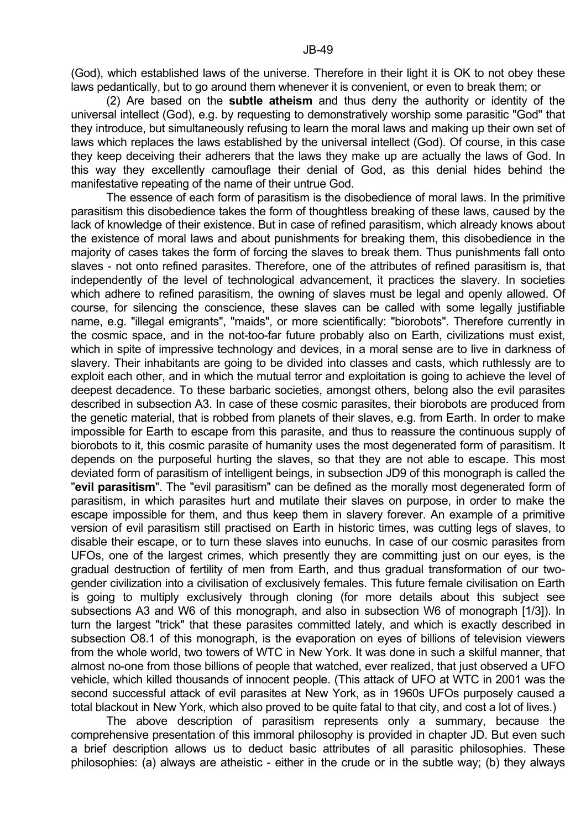(God), which established laws of the universe. Therefore in their light it is OK to not obey these laws pedantically, but to go around them whenever it is convenient, or even to break them; or

 (2) Are based on the **subtle atheism** and thus deny the authority or identity of the universal intellect (God), e.g. by requesting to demonstratively worship some parasitic "God" that they introduce, but simultaneously refusing to learn the moral laws and making up their own set of laws which replaces the laws established by the universal intellect (God). Of course, in this case they keep deceiving their adherers that the laws they make up are actually the laws of God. In this way they excellently camouflage their denial of God, as this denial hides behind the manifestative repeating of the name of their untrue God.

 The essence of each form of parasitism is the disobedience of moral laws. In the primitive parasitism this disobedience takes the form of thoughtless breaking of these laws, caused by the lack of knowledge of their existence. But in case of refined parasitism, which already knows about the existence of moral laws and about punishments for breaking them, this disobedience in the majority of cases takes the form of forcing the slaves to break them. Thus punishments fall onto slaves - not onto refined parasites. Therefore, one of the attributes of refined parasitism is, that independently of the level of technological advancement, it practices the slavery. In societies which adhere to refined parasitism, the owning of slaves must be legal and openly allowed. Of course, for silencing the conscience, these slaves can be called with some legally justifiable name, e.g. "illegal emigrants", "maids", or more scientifically: "biorobots". Therefore currently in the cosmic space, and in the not-too-far future probably also on Earth, civilizations must exist, which in spite of impressive technology and devices, in a moral sense are to live in darkness of slavery. Their inhabitants are going to be divided into classes and casts, which ruthlessly are to exploit each other, and in which the mutual terror and exploitation is going to achieve the level of deepest decadence. To these barbaric societies, amongst others, belong also the evil parasites described in subsection A3. In case of these cosmic parasites, their biorobots are produced from the genetic material, that is robbed from planets of their slaves, e.g. from Earth. In order to make impossible for Earth to escape from this parasite, and thus to reassure the continuous supply of biorobots to it, this cosmic parasite of humanity uses the most degenerated form of parasitism. It depends on the purposeful hurting the slaves, so that they are not able to escape. This most deviated form of parasitism of intelligent beings, in subsection JD9 of this monograph is called the "**evil parasitism**". The "evil parasitism" can be defined as the morally most degenerated form of parasitism, in which parasites hurt and mutilate their slaves on purpose, in order to make the escape impossible for them, and thus keep them in slavery forever. An example of a primitive version of evil parasitism still practised on Earth in historic times, was cutting legs of slaves, to disable their escape, or to turn these slaves into eunuchs. In case of our cosmic parasites from UFOs, one of the largest crimes, which presently they are committing just on our eyes, is the gradual destruction of fertility of men from Earth, and thus gradual transformation of our twogender civilization into a civilisation of exclusively females. This future female civilisation on Earth is going to multiply exclusively through cloning (for more details about this subject see subsections A3 and W6 of this monograph, and also in subsection W6 of monograph [1/3]). In turn the largest "trick" that these parasites committed lately, and which is exactly described in subsection O8.1 of this monograph, is the evaporation on eyes of billions of television viewers from the whole world, two towers of WTC in New York. It was done in such a skilful manner, that almost no-one from those billions of people that watched, ever realized, that just observed a UFO vehicle, which killed thousands of innocent people. (This attack of UFO at WTC in 2001 was the second successful attack of evil parasites at New York, as in 1960s UFOs purposely caused a total blackout in New York, which also proved to be quite fatal to that city, and cost a lot of lives.)

 The above description of parasitism represents only a summary, because the comprehensive presentation of this immoral philosophy is provided in chapter JD. But even such a brief description allows us to deduct basic attributes of all parasitic philosophies. These philosophies: (a) always are atheistic - either in the crude or in the subtle way; (b) they always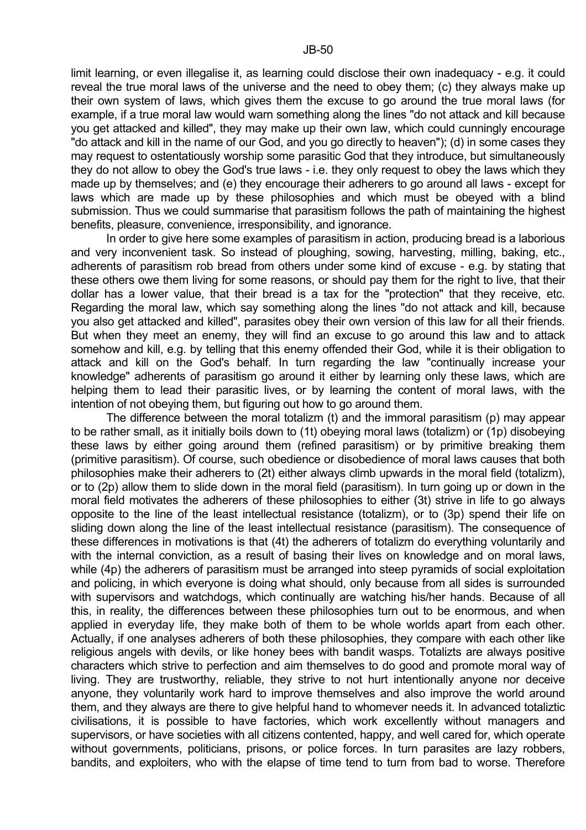limit learning, or even illegalise it, as learning could disclose their own inadequacy - e.g. it could reveal the true moral laws of the universe and the need to obey them; (c) they always make up their own system of laws, which gives them the excuse to go around the true moral laws (for example, if a true moral law would warn something along the lines "do not attack and kill because you get attacked and killed", they may make up their own law, which could cunningly encourage "do attack and kill in the name of our God, and you go directly to heaven"); (d) in some cases they may request to ostentatiously worship some parasitic God that they introduce, but simultaneously they do not allow to obey the God's true laws - i.e. they only request to obey the laws which they made up by themselves; and (e) they encourage their adherers to go around all laws - except for laws which are made up by these philosophies and which must be obeyed with a blind submission. Thus we could summarise that parasitism follows the path of maintaining the highest benefits, pleasure, convenience, irresponsibility, and ignorance.

 In order to give here some examples of parasitism in action, producing bread is a laborious and very inconvenient task. So instead of ploughing, sowing, harvesting, milling, baking, etc., adherents of parasitism rob bread from others under some kind of excuse - e.g. by stating that these others owe them living for some reasons, or should pay them for the right to live, that their dollar has a lower value, that their bread is a tax for the "protection" that they receive, etc. Regarding the moral law, which say something along the lines "do not attack and kill, because you also get attacked and killed", parasites obey their own version of this law for all their friends. But when they meet an enemy, they will find an excuse to go around this law and to attack somehow and kill, e.g. by telling that this enemy offended their God, while it is their obligation to attack and kill on the God's behalf. In turn regarding the law "continually increase your knowledge" adherents of parasitism go around it either by learning only these laws, which are helping them to lead their parasitic lives, or by learning the content of moral laws, with the intention of not obeying them, but figuring out how to go around them.

 The difference between the moral totalizm (t) and the immoral parasitism (p) may appear to be rather small, as it initially boils down to (1t) obeying moral laws (totalizm) or (1p) disobeying these laws by either going around them (refined parasitism) or by primitive breaking them (primitive parasitism). Of course, such obedience or disobedience of moral laws causes that both philosophies make their adherers to (2t) either always climb upwards in the moral field (totalizm), or to (2p) allow them to slide down in the moral field (parasitism). In turn going up or down in the moral field motivates the adherers of these philosophies to either (3t) strive in life to go always opposite to the line of the least intellectual resistance (totalizm), or to (3p) spend their life on sliding down along the line of the least intellectual resistance (parasitism). The consequence of these differences in motivations is that (4t) the adherers of totalizm do everything voluntarily and with the internal conviction, as a result of basing their lives on knowledge and on moral laws, while (4p) the adherers of parasitism must be arranged into steep pyramids of social exploitation and policing, in which everyone is doing what should, only because from all sides is surrounded with supervisors and watchdogs, which continually are watching his/her hands. Because of all this, in reality, the differences between these philosophies turn out to be enormous, and when applied in everyday life, they make both of them to be whole worlds apart from each other. Actually, if one analyses adherers of both these philosophies, they compare with each other like religious angels with devils, or like honey bees with bandit wasps. Totalizts are always positive characters which strive to perfection and aim themselves to do good and promote moral way of living. They are trustworthy, reliable, they strive to not hurt intentionally anyone nor deceive anyone, they voluntarily work hard to improve themselves and also improve the world around them, and they always are there to give helpful hand to whomever needs it. In advanced totaliztic civilisations, it is possible to have factories, which work excellently without managers and supervisors, or have societies with all citizens contented, happy, and well cared for, which operate without governments, politicians, prisons, or police forces. In turn parasites are lazy robbers, bandits, and exploiters, who with the elapse of time tend to turn from bad to worse. Therefore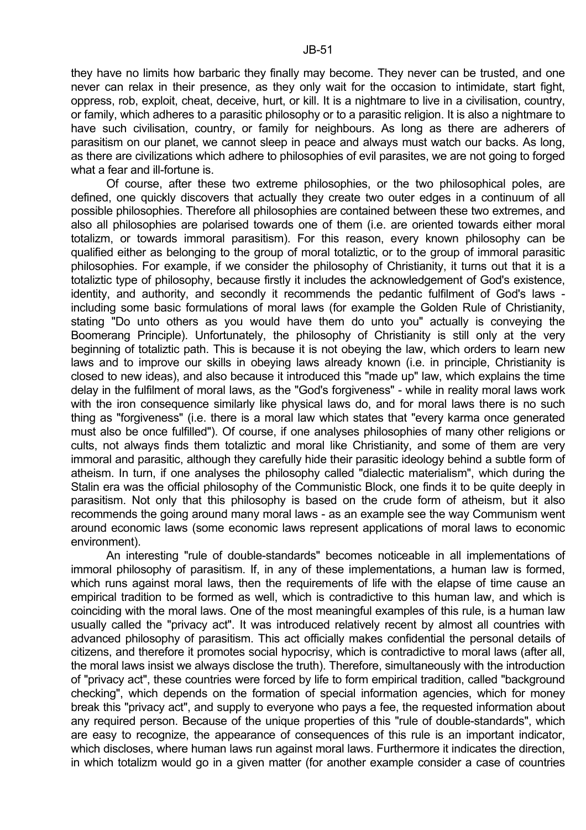what a fear and ill-fortune is. Of course, after these two extreme philosophies, or the two philosophical poles, are defined, one quickly discovers that actually they create two outer edges in a continuum of all possible philosophies. Therefore all philosophies are contained between these two extremes, and also all philosophies are polarised towards one of them (i.e. are oriented towards either moral totalizm, or towards immoral parasitism). For this reason, every known philosophy can be qualified either as belonging to the group of moral totaliztic, or to the group of immoral parasitic philosophies. For example, if we consider the philosophy of Christianity, it turns out that it is a totaliztic type of philosophy, because firstly it includes the acknowledgement of God's existence, identity, and authority, and secondly it recommends the pedantic fulfilment of God's laws including some basic formulations of moral laws (for example the Golden Rule of Christianity, stating "Do unto others as you would have them do unto you" actually is conveying the Boomerang Principle). Unfortunately, the philosophy of Christianity is still only at the very beginning of totaliztic path. This is because it is not obeying the law, which orders to learn new laws and to improve our skills in obeying laws already known (i.e. in principle, Christianity is closed to new ideas), and also because it introduced this "made up" law, which explains the time delay in the fulfilment of moral laws, as the "God's forgiveness" - while in reality moral laws work with the iron consequence similarly like physical laws do, and for moral laws there is no such thing as "forgiveness" (i.e. there is a moral law which states that "every karma once generated must also be once fulfilled"). Of course, if one analyses philosophies of many other religions or cults, not always finds them totaliztic and moral like Christianity, and some of them are very immoral and parasitic, although they carefully hide their parasitic ideology behind a subtle form of atheism. In turn, if one analyses the philosophy called "dialectic materialism", which during the Stalin era was the official philosophy of the Communistic Block, one finds it to be quite deeply in parasitism. Not only that this philosophy is based on the crude form of atheism, but it also recommends the going around many moral laws - as an example see the way Communism went around economic laws (some economic laws represent applications of moral laws to economic environment).

 An interesting "rule of double-standards" becomes noticeable in all implementations of immoral philosophy of parasitism. If, in any of these implementations, a human law is formed, which runs against moral laws, then the requirements of life with the elapse of time cause an empirical tradition to be formed as well, which is contradictive to this human law, and which is coinciding with the moral laws. One of the most meaningful examples of this rule, is a human law usually called the "privacy act". It was introduced relatively recent by almost all countries with advanced philosophy of parasitism. This act officially makes confidential the personal details of citizens, and therefore it promotes social hypocrisy, which is contradictive to moral laws (after all, the moral laws insist we always disclose the truth). Therefore, simultaneously with the introduction of "privacy act", these countries were forced by life to form empirical tradition, called "background checking", which depends on the formation of special information agencies, which for money break this "privacy act", and supply to everyone who pays a fee, the requested information about any required person. Because of the unique properties of this "rule of double-standards", which are easy to recognize, the appearance of consequences of this rule is an important indicator, which discloses, where human laws run against moral laws. Furthermore it indicates the direction, in which totalizm would go in a given matter (for another example consider a case of countries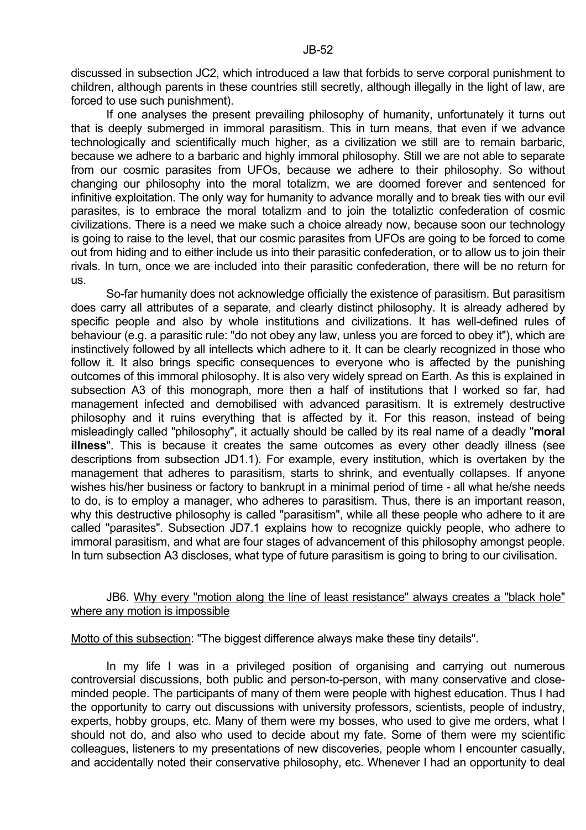discussed in subsection JC2, which introduced a law that forbids to serve corporal punishment to children, although parents in these countries still secretly, although illegally in the light of law, are forced to use such punishment).

 If one analyses the present prevailing philosophy of humanity, unfortunately it turns out that is deeply submerged in immoral parasitism. This in turn means, that even if we advance technologically and scientifically much higher, as a civilization we still are to remain barbaric, because we adhere to a barbaric and highly immoral philosophy. Still we are not able to separate from our cosmic parasites from UFOs, because we adhere to their philosophy. So without changing our philosophy into the moral totalizm, we are doomed forever and sentenced for infinitive exploitation. The only way for humanity to advance morally and to break ties with our evil parasites, is to embrace the moral totalizm and to join the totaliztic confederation of cosmic civilizations. There is a need we make such a choice already now, because soon our technology is going to raise to the level, that our cosmic parasites from UFOs are going to be forced to come out from hiding and to either include us into their parasitic confederation, or to allow us to join their rivals. In turn, once we are included into their parasitic confederation, there will be no return for us.

 So-far humanity does not acknowledge officially the existence of parasitism. But parasitism does carry all attributes of a separate, and clearly distinct philosophy. It is already adhered by specific people and also by whole institutions and civilizations. It has well-defined rules of behaviour (e.g. a parasitic rule: "do not obey any law, unless you are forced to obey it"), which are instinctively followed by all intellects which adhere to it. It can be clearly recognized in those who follow it. It also brings specific consequences to everyone who is affected by the punishing outcomes of this immoral philosophy. It is also very widely spread on Earth. As this is explained in subsection A3 of this monograph, more then a half of institutions that I worked so far, had management infected and demobilised with advanced parasitism. It is extremely destructive philosophy and it ruins everything that is affected by it. For this reason, instead of being misleadingly called "philosophy", it actually should be called by its real name of a deadly "**moral illness**". This is because it creates the same outcomes as every other deadly illness (see descriptions from subsection JD1.1). For example, every institution, which is overtaken by the management that adheres to parasitism, starts to shrink, and eventually collapses. If anyone wishes his/her business or factory to bankrupt in a minimal period of time - all what he/she needs to do, is to employ a manager, who adheres to parasitism. Thus, there is an important reason, why this destructive philosophy is called "parasitism", while all these people who adhere to it are called "parasites". Subsection JD7.1 explains how to recognize quickly people, who adhere to immoral parasitism, and what are four stages of advancement of this philosophy amongst people. In turn subsection A3 discloses, what type of future parasitism is going to bring to our civilisation.

# JB6. Why every "motion along the line of least resistance" always creates a "black hole" where any motion is impossible

Motto of this subsection: "The biggest difference always make these tiny details".

 In my life I was in a privileged position of organising and carrying out numerous controversial discussions, both public and person-to-person, with many conservative and closeminded people. The participants of many of them were people with highest education. Thus I had the opportunity to carry out discussions with university professors, scientists, people of industry, experts, hobby groups, etc. Many of them were my bosses, who used to give me orders, what I should not do, and also who used to decide about my fate. Some of them were my scientific colleagues, listeners to my presentations of new discoveries, people whom I encounter casually, and accidentally noted their conservative philosophy, etc. Whenever I had an opportunity to deal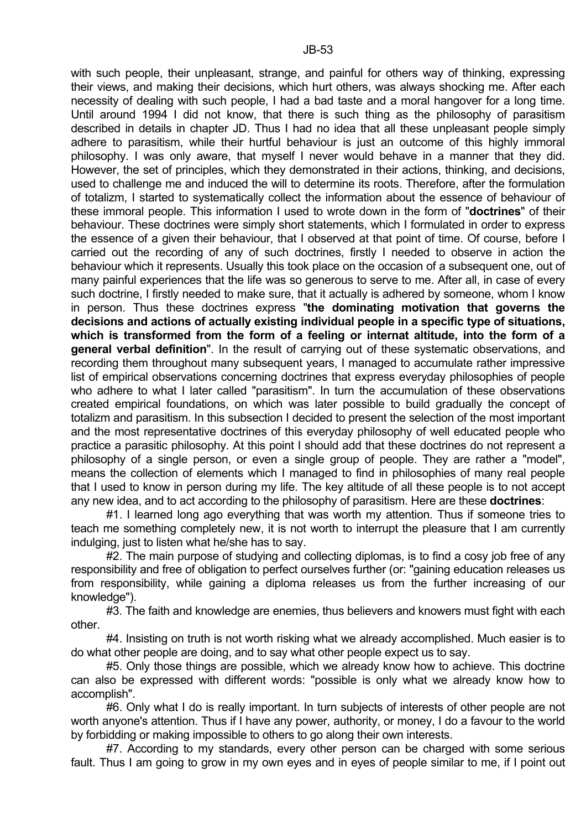with such people, their unpleasant, strange, and painful for others way of thinking, expressing their views, and making their decisions, which hurt others, was always shocking me. After each necessity of dealing with such people, I had a bad taste and a moral hangover for a long time. Until around 1994 I did not know, that there is such thing as the philosophy of parasitism described in details in chapter JD. Thus I had no idea that all these unpleasant people simply adhere to parasitism, while their hurtful behaviour is just an outcome of this highly immoral philosophy. I was only aware, that myself I never would behave in a manner that they did. However, the set of principles, which they demonstrated in their actions, thinking, and decisions, used to challenge me and induced the will to determine its roots. Therefore, after the formulation of totalizm, I started to systematically collect the information about the essence of behaviour of these immoral people. This information I used to wrote down in the form of "**doctrines**" of their behaviour. These doctrines were simply short statements, which I formulated in order to express the essence of a given their behaviour, that I observed at that point of time. Of course, before I carried out the recording of any of such doctrines, firstly I needed to observe in action the behaviour which it represents. Usually this took place on the occasion of a subsequent one, out of many painful experiences that the life was so generous to serve to me. After all, in case of every such doctrine, I firstly needed to make sure, that it actually is adhered by someone, whom I know in person. Thus these doctrines express "**the dominating motivation that governs the decisions and actions of actually existing individual people in a specific type of situations, which is transformed from the form of a feeling or internat altitude, into the form of a general verbal definition**". In the result of carrying out of these systematic observations, and recording them throughout many subsequent years, I managed to accumulate rather impressive list of empirical observations concerning doctrines that express everyday philosophies of people who adhere to what I later called "parasitism". In turn the accumulation of these observations created empirical foundations, on which was later possible to build gradually the concept of totalizm and parasitism. In this subsection I decided to present the selection of the most important and the most representative doctrines of this everyday philosophy of well educated people who practice a parasitic philosophy. At this point I should add that these doctrines do not represent a philosophy of a single person, or even a single group of people. They are rather a "model", means the collection of elements which I managed to find in philosophies of many real people that I used to know in person during my life. The key altitude of all these people is to not accept any new idea, and to act according to the philosophy of parasitism. Here are these **doctrines**:

 #1. I learned long ago everything that was worth my attention. Thus if someone tries to teach me something completely new, it is not worth to interrupt the pleasure that I am currently indulging, just to listen what he/she has to say.

#2. The main purpose of studying and collecting diplomas, is to find a cosy job free of any responsibility and free of obligation to perfect ourselves further (or: "gaining education releases us from responsibility, while gaining a diploma releases us from the further increasing of our knowledge").

 #3. The faith and knowledge are enemies, thus believers and knowers must fight with each other.

 #4. Insisting on truth is not worth risking what we already accomplished. Much easier is to do what other people are doing, and to say what other people expect us to say.

 #5. Only those things are possible, which we already know how to achieve. This doctrine can also be expressed with different words: "possible is only what we already know how to accomplish".

 #6. Only what I do is really important. In turn subjects of interests of other people are not worth anyone's attention. Thus if I have any power, authority, or money, I do a favour to the world by forbidding or making impossible to others to go along their own interests.

 #7. According to my standards, every other person can be charged with some serious fault. Thus I am going to grow in my own eyes and in eyes of people similar to me, if I point out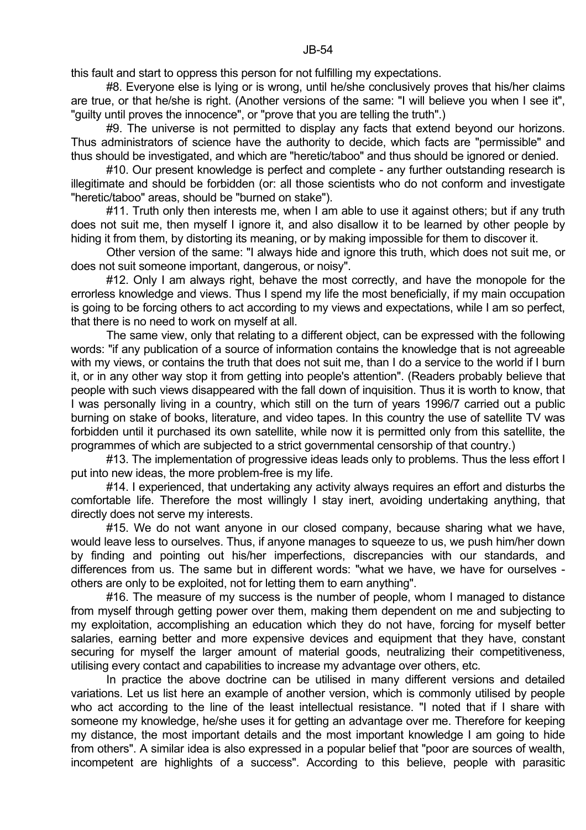this fault and start to oppress this person for not fulfilling my expectations.

 #8. Everyone else is lying or is wrong, until he/she conclusively proves that his/her claims are true, or that he/she is right. (Another versions of the same: "I will believe you when I see it", "guilty until proves the innocence", or "prove that you are telling the truth".)

#9. The universe is not permitted to display any facts that extend beyond our horizons. Thus administrators of science have the authority to decide, which facts are "permissible" and thus should be investigated, and which are "heretic/taboo" and thus should be ignored or denied.

 #10. Our present knowledge is perfect and complete - any further outstanding research is illegitimate and should be forbidden (or: all those scientists who do not conform and investigate "heretic/taboo" areas, should be "burned on stake").

#11. Truth only then interests me, when I am able to use it against others; but if any truth does not suit me, then myself I ignore it, and also disallow it to be learned by other people by hiding it from them, by distorting its meaning, or by making impossible for them to discover it.

 Other version of the same: "I always hide and ignore this truth, which does not suit me, or does not suit someone important, dangerous, or noisy".

#12. Only I am always right, behave the most correctly, and have the monopole for the errorless knowledge and views. Thus I spend my life the most beneficially, if my main occupation is going to be forcing others to act according to my views and expectations, while I am so perfect, that there is no need to work on myself at all.

 The same view, only that relating to a different object, can be expressed with the following words: "if any publication of a source of information contains the knowledge that is not agreeable with my views, or contains the truth that does not suit me, than I do a service to the world if I burn it, or in any other way stop it from getting into people's attention". (Readers probably believe that people with such views disappeared with the fall down of inquisition. Thus it is worth to know, that I was personally living in a country, which still on the turn of years 1996/7 carried out a public burning on stake of books, literature, and video tapes. In this country the use of satellite TV was forbidden until it purchased its own satellite, while now it is permitted only from this satellite, the programmes of which are subjected to a strict governmental censorship of that country.)

#13. The implementation of progressive ideas leads only to problems. Thus the less effort I put into new ideas, the more problem-free is my life.

 #14. I experienced, that undertaking any activity always requires an effort and disturbs the comfortable life. Therefore the most willingly I stay inert, avoiding undertaking anything, that directly does not serve my interests.

#15. We do not want anyone in our closed company, because sharing what we have, would leave less to ourselves. Thus, if anyone manages to squeeze to us, we push him/her down by finding and pointing out his/her imperfections, discrepancies with our standards, and differences from us. The same but in different words: "what we have, we have for ourselves others are only to be exploited, not for letting them to earn anything".

#16. The measure of my success is the number of people, whom I managed to distance from myself through getting power over them, making them dependent on me and subjecting to my exploitation, accomplishing an education which they do not have, forcing for myself better salaries, earning better and more expensive devices and equipment that they have, constant securing for myself the larger amount of material goods, neutralizing their competitiveness, utilising every contact and capabilities to increase my advantage over others, etc.

 In practice the above doctrine can be utilised in many different versions and detailed variations. Let us list here an example of another version, which is commonly utilised by people who act according to the line of the least intellectual resistance. "I noted that if I share with someone my knowledge, he/she uses it for getting an advantage over me. Therefore for keeping my distance, the most important details and the most important knowledge I am going to hide from others". A similar idea is also expressed in a popular belief that "poor are sources of wealth, incompetent are highlights of a success". According to this believe, people with parasitic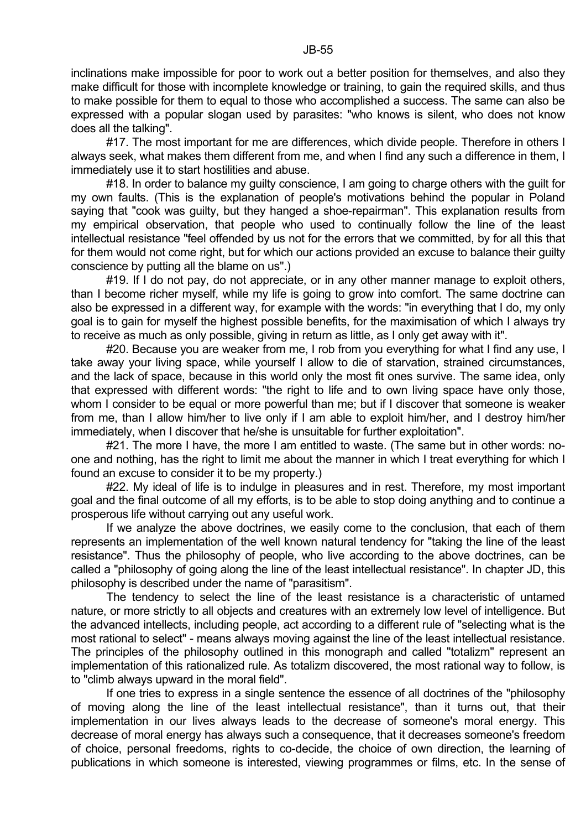inclinations make impossible for poor to work out a better position for themselves, and also they make difficult for those with incomplete knowledge or training, to gain the required skills, and thus to make possible for them to equal to those who accomplished a success. The same can also be expressed with a popular slogan used by parasites: "who knows is silent, who does not know does all the talking".

#17. The most important for me are differences, which divide people. Therefore in others I always seek, what makes them different from me, and when I find any such a difference in them, I immediately use it to start hostilities and abuse.

#18. In order to balance my guilty conscience, I am going to charge others with the guilt for my own faults. (This is the explanation of people's motivations behind the popular in Poland saying that "cook was guilty, but they hanged a shoe-repairman". This explanation results from my empirical observation, that people who used to continually follow the line of the least intellectual resistance "feel offended by us not for the errors that we committed, by for all this that for them would not come right, but for which our actions provided an excuse to balance their guilty conscience by putting all the blame on us".)

#19. If I do not pay, do not appreciate, or in any other manner manage to exploit others, than I become richer myself, while my life is going to grow into comfort. The same doctrine can also be expressed in a different way, for example with the words: "in everything that I do, my only goal is to gain for myself the highest possible benefits, for the maximisation of which I always try to receive as much as only possible, giving in return as little, as I only get away with it".

#20. Because you are weaker from me, I rob from you everything for what I find any use, I take away your living space, while yourself I allow to die of starvation, strained circumstances, and the lack of space, because in this world only the most fit ones survive. The same idea, only that expressed with different words: "the right to life and to own living space have only those, whom I consider to be equal or more powerful than me; but if I discover that someone is weaker from me, than I allow him/her to live only if I am able to exploit him/her, and I destroy him/her immediately, when I discover that he/she is unsuitable for further exploitation".

 #21. The more I have, the more I am entitled to waste. (The same but in other words: noone and nothing, has the right to limit me about the manner in which I treat everything for which I found an excuse to consider it to be my property.)

#22. My ideal of life is to indulge in pleasures and in rest. Therefore, my most important goal and the final outcome of all my efforts, is to be able to stop doing anything and to continue a prosperous life without carrying out any useful work.

 If we analyze the above doctrines, we easily come to the conclusion, that each of them represents an implementation of the well known natural tendency for "taking the line of the least resistance". Thus the philosophy of people, who live according to the above doctrines, can be called a "philosophy of going along the line of the least intellectual resistance". In chapter JD, this philosophy is described under the name of "parasitism".

 The tendency to select the line of the least resistance is a characteristic of untamed nature, or more strictly to all objects and creatures with an extremely low level of intelligence. But the advanced intellects, including people, act according to a different rule of "selecting what is the most rational to select" - means always moving against the line of the least intellectual resistance. The principles of the philosophy outlined in this monograph and called "totalizm" represent an implementation of this rationalized rule. As totalizm discovered, the most rational way to follow, is to "climb always upward in the moral field".

 If one tries to express in a single sentence the essence of all doctrines of the "philosophy of moving along the line of the least intellectual resistance", than it turns out, that their implementation in our lives always leads to the decrease of someone's moral energy. This decrease of moral energy has always such a consequence, that it decreases someone's freedom of choice, personal freedoms, rights to co-decide, the choice of own direction, the learning of publications in which someone is interested, viewing programmes or films, etc. In the sense of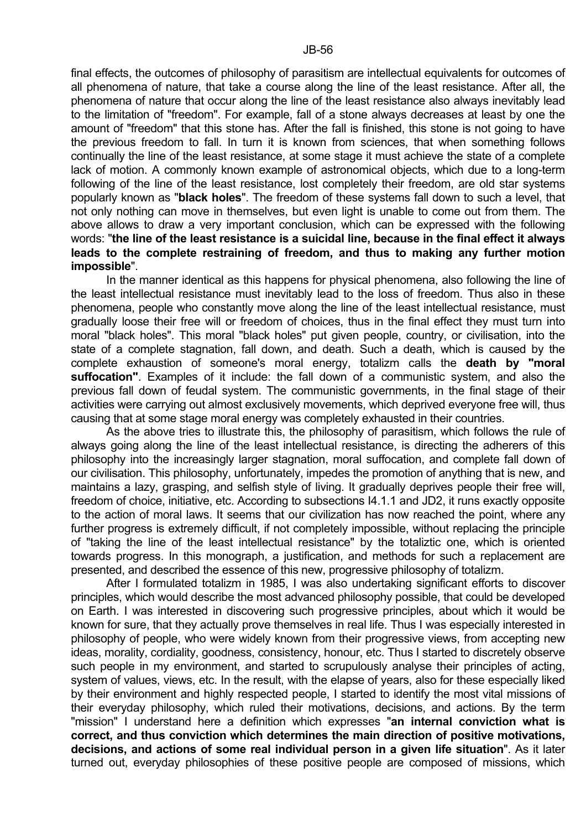final effects, the outcomes of philosophy of parasitism are intellectual equivalents for outcomes of all phenomena of nature, that take a course along the line of the least resistance. After all, the phenomena of nature that occur along the line of the least resistance also always inevitably lead to the limitation of "freedom". For example, fall of a stone always decreases at least by one the amount of "freedom" that this stone has. After the fall is finished, this stone is not going to have the previous freedom to fall. In turn it is known from sciences, that when something follows continually the line of the least resistance, at some stage it must achieve the state of a complete lack of motion. A commonly known example of astronomical objects, which due to a long-term following of the line of the least resistance, lost completely their freedom, are old star systems popularly known as "**black holes**". The freedom of these systems fall down to such a level, that not only nothing can move in themselves, but even light is unable to come out from them. The above allows to draw a very important conclusion, which can be expressed with the following words: "**the line of the least resistance is a suicidal line, because in the final effect it always leads to the complete restraining of freedom, and thus to making any further motion impossible**".

 In the manner identical as this happens for physical phenomena, also following the line of the least intellectual resistance must inevitably lead to the loss of freedom. Thus also in these phenomena, people who constantly move along the line of the least intellectual resistance, must gradually loose their free will or freedom of choices, thus in the final effect they must turn into moral "black holes". This moral "black holes" put given people, country, or civilisation, into the state of a complete stagnation, fall down, and death. Such a death, which is caused by the complete exhaustion of someone's moral energy, totalizm calls the **death by "moral suffocation"**. Examples of it include: the fall down of a communistic system, and also the previous fall down of feudal system. The communistic governments, in the final stage of their activities were carrying out almost exclusively movements, which deprived everyone free will, thus causing that at some stage moral energy was completely exhausted in their countries.

 As the above tries to illustrate this, the philosophy of parasitism, which follows the rule of always going along the line of the least intellectual resistance, is directing the adherers of this philosophy into the increasingly larger stagnation, moral suffocation, and complete fall down of our civilisation. This philosophy, unfortunately, impedes the promotion of anything that is new, and maintains a lazy, grasping, and selfish style of living. It gradually deprives people their free will, freedom of choice, initiative, etc. According to subsections I4.1.1 and JD2, it runs exactly opposite to the action of moral laws. It seems that our civilization has now reached the point, where any further progress is extremely difficult, if not completely impossible, without replacing the principle of "taking the line of the least intellectual resistance" by the totaliztic one, which is oriented towards progress. In this monograph, a justification, and methods for such a replacement are presented, and described the essence of this new, progressive philosophy of totalizm.

 After I formulated totalizm in 1985, I was also undertaking significant efforts to discover principles, which would describe the most advanced philosophy possible, that could be developed on Earth. I was interested in discovering such progressive principles, about which it would be known for sure, that they actually prove themselves in real life. Thus I was especially interested in philosophy of people, who were widely known from their progressive views, from accepting new ideas, morality, cordiality, goodness, consistency, honour, etc. Thus I started to discretely observe such people in my environment, and started to scrupulously analyse their principles of acting, system of values, views, etc. In the result, with the elapse of years, also for these especially liked by their environment and highly respected people, I started to identify the most vital missions of their everyday philosophy, which ruled their motivations, decisions, and actions. By the term "mission" I understand here a definition which expresses "**an internal conviction what is correct, and thus conviction which determines the main direction of positive motivations, decisions, and actions of some real individual person in a given life situation**". As it later turned out, everyday philosophies of these positive people are composed of missions, which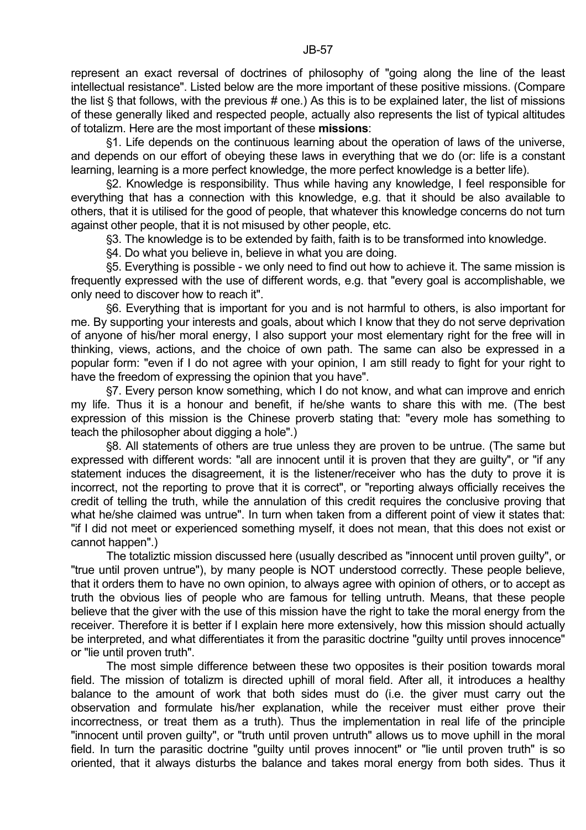represent an exact reversal of doctrines of philosophy of "going along the line of the least intellectual resistance". Listed below are the more important of these positive missions. (Compare the list  $\S$  that follows, with the previous  $#$  one.) As this is to be explained later, the list of missions of these generally liked and respected people, actually also represents the list of typical altitudes of totalizm. Here are the most important of these **missions**:

'1. Life depends on the continuous learning about the operation of laws of the universe, and depends on our effort of obeying these laws in everything that we do (or: life is a constant learning, learning is a more perfect knowledge, the more perfect knowledge is a better life).

'2. Knowledge is responsibility. Thus while having any knowledge, I feel responsible for everything that has a connection with this knowledge, e.g. that it should be also available to others, that it is utilised for the good of people, that whatever this knowledge concerns do not turn against other people, that it is not misused by other people, etc.

'3. The knowledge is to be extended by faith, faith is to be transformed into knowledge.

'4. Do what you believe in, believe in what you are doing.

'5. Everything is possible - we only need to find out how to achieve it. The same mission is frequently expressed with the use of different words, e.g. that "every goal is accomplishable, we only need to discover how to reach it".

'6. Everything that is important for you and is not harmful to others, is also important for me. By supporting your interests and goals, about which I know that they do not serve deprivation of anyone of his/her moral energy, I also support your most elementary right for the free will in thinking, views, actions, and the choice of own path. The same can also be expressed in a popular form: "even if I do not agree with your opinion, I am still ready to fight for your right to have the freedom of expressing the opinion that you have".

'7. Every person know something, which I do not know, and what can improve and enrich my life. Thus it is a honour and benefit, if he/she wants to share this with me. (The best expression of this mission is the Chinese proverb stating that: "every mole has something to teach the philosopher about digging a hole".)

'8. All statements of others are true unless they are proven to be untrue. (The same but expressed with different words: "all are innocent until it is proven that they are guilty", or "if any statement induces the disagreement, it is the listener/receiver who has the duty to prove it is incorrect, not the reporting to prove that it is correct", or "reporting always officially receives the credit of telling the truth, while the annulation of this credit requires the conclusive proving that what he/she claimed was untrue". In turn when taken from a different point of view it states that: "if I did not meet or experienced something myself, it does not mean, that this does not exist or cannot happen".)

 The totaliztic mission discussed here (usually described as "innocent until proven guilty", or "true until proven untrue"), by many people is NOT understood correctly. These people believe, that it orders them to have no own opinion, to always agree with opinion of others, or to accept as truth the obvious lies of people who are famous for telling untruth. Means, that these people believe that the giver with the use of this mission have the right to take the moral energy from the receiver. Therefore it is better if I explain here more extensively, how this mission should actually be interpreted, and what differentiates it from the parasitic doctrine "guilty until proves innocence" or "lie until proven truth".

 The most simple difference between these two opposites is their position towards moral field. The mission of totalizm is directed uphill of moral field. After all, it introduces a healthy balance to the amount of work that both sides must do (i.e. the giver must carry out the observation and formulate his/her explanation, while the receiver must either prove their incorrectness, or treat them as a truth). Thus the implementation in real life of the principle "innocent until proven guilty", or "truth until proven untruth" allows us to move uphill in the moral field. In turn the parasitic doctrine "guilty until proves innocent" or "lie until proven truth" is so oriented, that it always disturbs the balance and takes moral energy from both sides. Thus it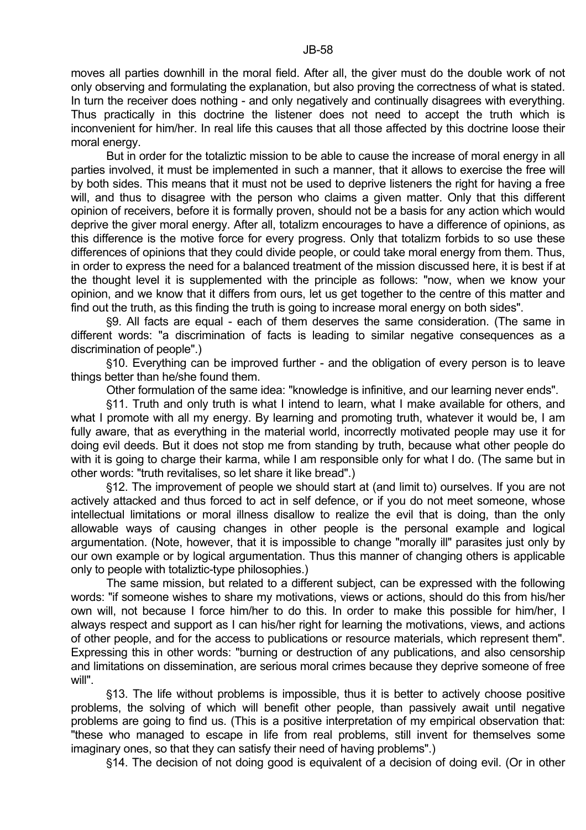moves all parties downhill in the moral field. After all, the giver must do the double work of not only observing and formulating the explanation, but also proving the correctness of what is stated. In turn the receiver does nothing - and only negatively and continually disagrees with everything. Thus practically in this doctrine the listener does not need to accept the truth which is inconvenient for him/her. In real life this causes that all those affected by this doctrine loose their moral energy.

 But in order for the totaliztic mission to be able to cause the increase of moral energy in all parties involved, it must be implemented in such a manner, that it allows to exercise the free will by both sides. This means that it must not be used to deprive listeners the right for having a free will, and thus to disagree with the person who claims a given matter. Only that this different opinion of receivers, before it is formally proven, should not be a basis for any action which would deprive the giver moral energy. After all, totalizm encourages to have a difference of opinions, as this difference is the motive force for every progress. Only that totalizm forbids to so use these differences of opinions that they could divide people, or could take moral energy from them. Thus, in order to express the need for a balanced treatment of the mission discussed here, it is best if at the thought level it is supplemented with the principle as follows: "now, when we know your opinion, and we know that it differs from ours, let us get together to the centre of this matter and find out the truth, as this finding the truth is going to increase moral energy on both sides".

'9. All facts are equal - each of them deserves the same consideration. (The same in different words: "a discrimination of facts is leading to similar negative consequences as a discrimination of people".)

'10. Everything can be improved further - and the obligation of every person is to leave things better than he/she found them.

Other formulation of the same idea: "knowledge is infinitive, and our learning never ends".

'11. Truth and only truth is what I intend to learn, what I make available for others, and what I promote with all my energy. By learning and promoting truth, whatever it would be, I am fully aware, that as everything in the material world, incorrectly motivated people may use it for doing evil deeds. But it does not stop me from standing by truth, because what other people do with it is going to charge their karma, while I am responsible only for what I do. (The same but in other words: "truth revitalises, so let share it like bread".)

'12. The improvement of people we should start at (and limit to) ourselves. If you are not actively attacked and thus forced to act in self defence, or if you do not meet someone, whose intellectual limitations or moral illness disallow to realize the evil that is doing, than the only allowable ways of causing changes in other people is the personal example and logical argumentation. (Note, however, that it is impossible to change "morally ill" parasites just only by our own example or by logical argumentation. Thus this manner of changing others is applicable only to people with totaliztic-type philosophies.)

 The same mission, but related to a different subject, can be expressed with the following words: "if someone wishes to share my motivations, views or actions, should do this from his/her own will, not because I force him/her to do this. In order to make this possible for him/her, I always respect and support as I can his/her right for learning the motivations, views, and actions of other people, and for the access to publications or resource materials, which represent them". Expressing this in other words: "burning or destruction of any publications, and also censorship and limitations on dissemination, are serious moral crimes because they deprive someone of free will".

'13. The life without problems is impossible, thus it is better to actively choose positive problems, the solving of which will benefit other people, than passively await until negative problems are going to find us. (This is a positive interpretation of my empirical observation that: "these who managed to escape in life from real problems, still invent for themselves some imaginary ones, so that they can satisfy their need of having problems".)

\$14. The decision of not doing good is equivalent of a decision of doing evil. (Or in other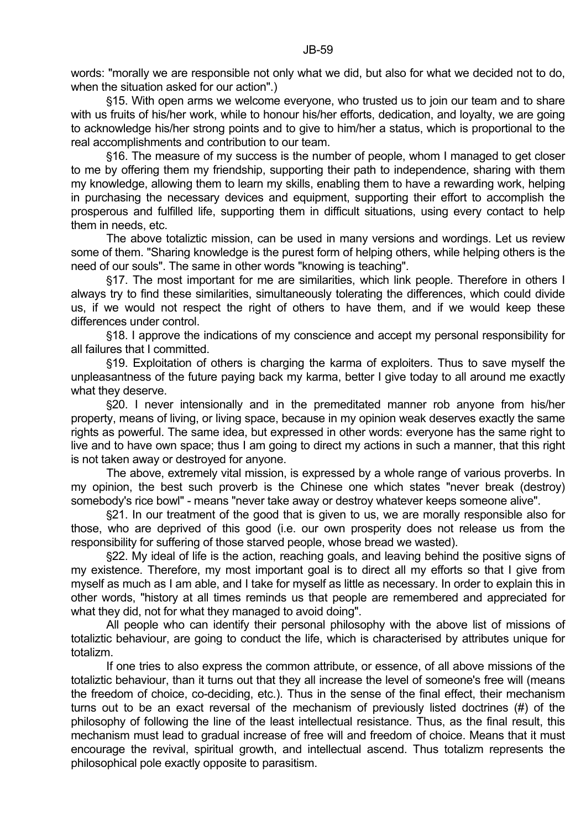words: "morally we are responsible not only what we did, but also for what we decided not to do, when the situation asked for our action".)

'15. With open arms we welcome everyone, who trusted us to join our team and to share with us fruits of his/her work, while to honour his/her efforts, dedication, and loyalty, we are going to acknowledge his/her strong points and to give to him/her a status, which is proportional to the real accomplishments and contribution to our team.

'16. The measure of my success is the number of people, whom I managed to get closer to me by offering them my friendship, supporting their path to independence, sharing with them my knowledge, allowing them to learn my skills, enabling them to have a rewarding work, helping in purchasing the necessary devices and equipment, supporting their effort to accomplish the prosperous and fulfilled life, supporting them in difficult situations, using every contact to help them in needs, etc.

 The above totaliztic mission, can be used in many versions and wordings. Let us review some of them. "Sharing knowledge is the purest form of helping others, while helping others is the need of our souls". The same in other words "knowing is teaching".

'17. The most important for me are similarities, which link people. Therefore in others I always try to find these similarities, simultaneously tolerating the differences, which could divide us, if we would not respect the right of others to have them, and if we would keep these differences under control.

'18. I approve the indications of my conscience and accept my personal responsibility for all failures that I committed.

'19. Exploitation of others is charging the karma of exploiters. Thus to save myself the unpleasantness of the future paying back my karma, better I give today to all around me exactly what they deserve.

'20. I never intensionally and in the premeditated manner rob anyone from his/her property, means of living, or living space, because in my opinion weak deserves exactly the same rights as powerful. The same idea, but expressed in other words: everyone has the same right to live and to have own space; thus I am going to direct my actions in such a manner, that this right is not taken away or destroyed for anyone.

 The above, extremely vital mission, is expressed by a whole range of various proverbs. In my opinion, the best such proverb is the Chinese one which states "never break (destroy) somebody's rice bowl" - means "never take away or destroy whatever keeps someone alive".

'21. In our treatment of the good that is given to us, we are morally responsible also for those, who are deprived of this good (i.e. our own prosperity does not release us from the responsibility for suffering of those starved people, whose bread we wasted).

'22. My ideal of life is the action, reaching goals, and leaving behind the positive signs of my existence. Therefore, my most important goal is to direct all my efforts so that I give from myself as much as I am able, and I take for myself as little as necessary. In order to explain this in other words, "history at all times reminds us that people are remembered and appreciated for what they did, not for what they managed to avoid doing".

 All people who can identify their personal philosophy with the above list of missions of totaliztic behaviour, are going to conduct the life, which is characterised by attributes unique for totalizm.

 If one tries to also express the common attribute, or essence, of all above missions of the totaliztic behaviour, than it turns out that they all increase the level of someone's free will (means the freedom of choice, co-deciding, etc.). Thus in the sense of the final effect, their mechanism turns out to be an exact reversal of the mechanism of previously listed doctrines (#) of the philosophy of following the line of the least intellectual resistance. Thus, as the final result, this mechanism must lead to gradual increase of free will and freedom of choice. Means that it must encourage the revival, spiritual growth, and intellectual ascend. Thus totalizm represents the philosophical pole exactly opposite to parasitism.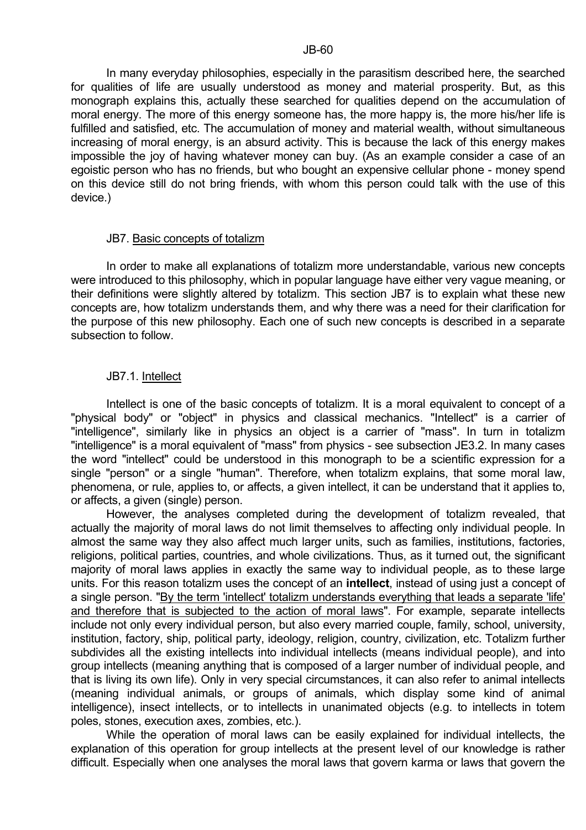JB-60

 In many everyday philosophies, especially in the parasitism described here, the searched for qualities of life are usually understood as money and material prosperity. But, as this monograph explains this, actually these searched for qualities depend on the accumulation of moral energy. The more of this energy someone has, the more happy is, the more his/her life is fulfilled and satisfied, etc. The accumulation of money and material wealth, without simultaneous increasing of moral energy, is an absurd activity. This is because the lack of this energy makes impossible the joy of having whatever money can buy. (As an example consider a case of an egoistic person who has no friends, but who bought an expensive cellular phone - money spend on this device still do not bring friends, with whom this person could talk with the use of this device.)

## JB7. Basic concepts of totalizm

 In order to make all explanations of totalizm more understandable, various new concepts were introduced to this philosophy, which in popular language have either very vague meaning, or their definitions were slightly altered by totalizm. This section JB7 is to explain what these new concepts are, how totalizm understands them, and why there was a need for their clarification for the purpose of this new philosophy. Each one of such new concepts is described in a separate subsection to follow.

# JB7.1. Intellect

 Intellect is one of the basic concepts of totalizm. It is a moral equivalent to concept of a "physical body" or "object" in physics and classical mechanics. "Intellect" is a carrier of "intelligence", similarly like in physics an object is a carrier of "mass". In turn in totalizm "intelligence" is a moral equivalent of "mass" from physics - see subsection JE3.2. In many cases the word "intellect" could be understood in this monograph to be a scientific expression for a single "person" or a single "human". Therefore, when totalizm explains, that some moral law, phenomena, or rule, applies to, or affects, a given intellect, it can be understand that it applies to, or affects, a given (single) person.

 However, the analyses completed during the development of totalizm revealed, that actually the majority of moral laws do not limit themselves to affecting only individual people. In almost the same way they also affect much larger units, such as families, institutions, factories, religions, political parties, countries, and whole civilizations. Thus, as it turned out, the significant majority of moral laws applies in exactly the same way to individual people, as to these large units. For this reason totalizm uses the concept of an **intellect**, instead of using just a concept of a single person. "By the term 'intellect' totalizm understands everything that leads a separate 'life' and therefore that is subjected to the action of moral laws". For example, separate intellects include not only every individual person, but also every married couple, family, school, university, institution, factory, ship, political party, ideology, religion, country, civilization, etc. Totalizm further subdivides all the existing intellects into individual intellects (means individual people), and into group intellects (meaning anything that is composed of a larger number of individual people, and that is living its own life). Only in very special circumstances, it can also refer to animal intellects (meaning individual animals, or groups of animals, which display some kind of animal intelligence), insect intellects, or to intellects in unanimated objects (e.g. to intellects in totem poles, stones, execution axes, zombies, etc.).

 While the operation of moral laws can be easily explained for individual intellects, the explanation of this operation for group intellects at the present level of our knowledge is rather difficult. Especially when one analyses the moral laws that govern karma or laws that govern the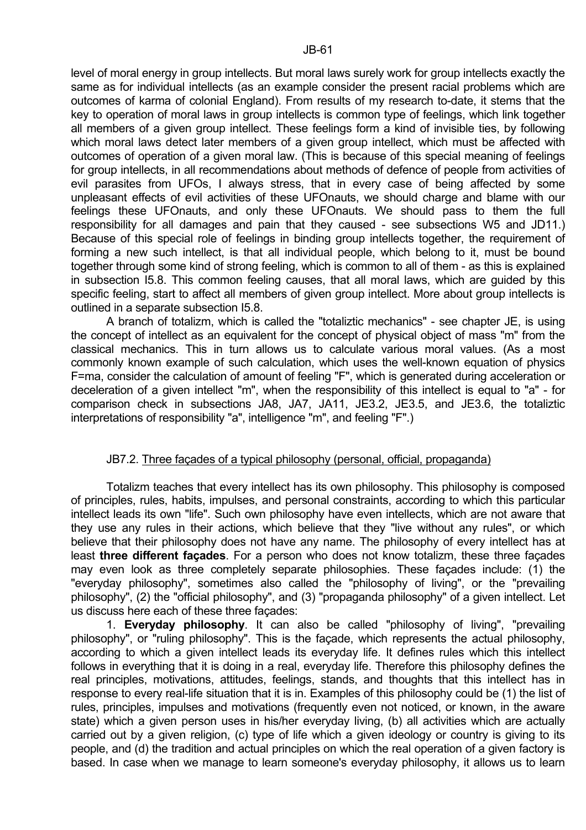level of moral energy in group intellects. But moral laws surely work for group intellects exactly the same as for individual intellects (as an example consider the present racial problems which are outcomes of karma of colonial England). From results of my research to-date, it stems that the key to operation of moral laws in group intellects is common type of feelings, which link together all members of a given group intellect. These feelings form a kind of invisible ties, by following which moral laws detect later members of a given group intellect, which must be affected with outcomes of operation of a given moral law. (This is because of this special meaning of feelings for group intellects, in all recommendations about methods of defence of people from activities of evil parasites from UFOs, I always stress, that in every case of being affected by some unpleasant effects of evil activities of these UFOnauts, we should charge and blame with our feelings these UFOnauts, and only these UFOnauts. We should pass to them the full responsibility for all damages and pain that they caused - see subsections W5 and JD11.) Because of this special role of feelings in binding group intellects together, the requirement of forming a new such intellect, is that all individual people, which belong to it, must be bound together through some kind of strong feeling, which is common to all of them - as this is explained in subsection I5.8. This common feeling causes, that all moral laws, which are guided by this specific feeling, start to affect all members of given group intellect. More about group intellects is outlined in a separate subsection I5.8.

 A branch of totalizm, which is called the "totaliztic mechanics" - see chapter JE, is using the concept of intellect as an equivalent for the concept of physical object of mass "m" from the classical mechanics. This in turn allows us to calculate various moral values. (As a most commonly known example of such calculation, which uses the well-known equation of physics F=ma, consider the calculation of amount of feeling "F", which is generated during acceleration or deceleration of a given intellect "m", when the responsibility of this intellect is equal to "a" - for comparison check in subsections JA8, JA7, JA11, JE3.2, JE3.5, and JE3.6, the totaliztic interpretations of responsibility "a", intelligence "m", and feeling "F".)

## JB7.2. Three façades of a typical philosophy (personal, official, propaganda)

 Totalizm teaches that every intellect has its own philosophy. This philosophy is composed of principles, rules, habits, impulses, and personal constraints, according to which this particular intellect leads its own "life". Such own philosophy have even intellects, which are not aware that they use any rules in their actions, which believe that they "live without any rules", or which believe that their philosophy does not have any name. The philosophy of every intellect has at least **three different façades**. For a person who does not know totalizm, these three façades may even look as three completely separate philosophies. These façades include: (1) the "everyday philosophy", sometimes also called the "philosophy of living", or the "prevailing philosophy", (2) the "official philosophy", and (3) "propaganda philosophy" of a given intellect. Let us discuss here each of these three façades:

 1. **Everyday philosophy**. It can also be called "philosophy of living", "prevailing philosophy", or "ruling philosophy". This is the façade, which represents the actual philosophy, according to which a given intellect leads its everyday life. It defines rules which this intellect follows in everything that it is doing in a real, everyday life. Therefore this philosophy defines the real principles, motivations, attitudes, feelings, stands, and thoughts that this intellect has in response to every real-life situation that it is in. Examples of this philosophy could be (1) the list of rules, principles, impulses and motivations (frequently even not noticed, or known, in the aware state) which a given person uses in his/her everyday living, (b) all activities which are actually carried out by a given religion, (c) type of life which a given ideology or country is giving to its people, and (d) the tradition and actual principles on which the real operation of a given factory is based. In case when we manage to learn someone's everyday philosophy, it allows us to learn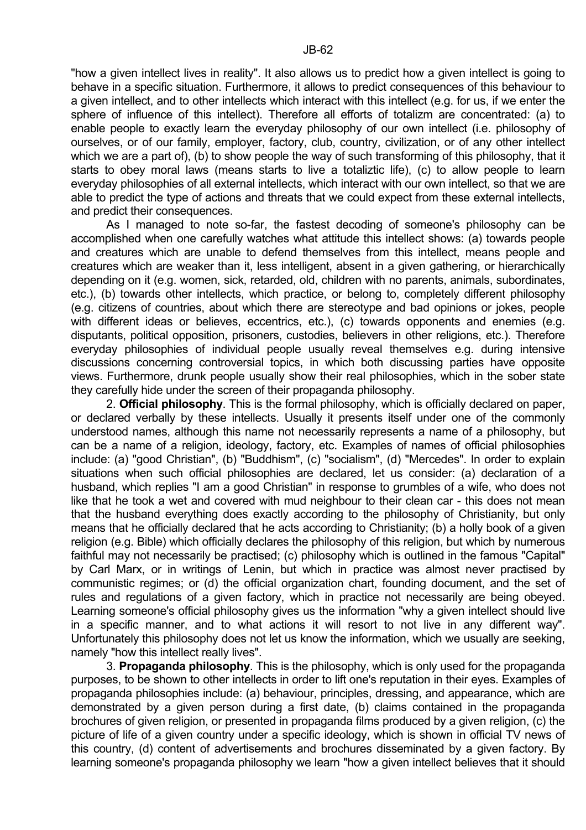"how a given intellect lives in reality". It also allows us to predict how a given intellect is going to behave in a specific situation. Furthermore, it allows to predict consequences of this behaviour to a given intellect, and to other intellects which interact with this intellect (e.g. for us, if we enter the sphere of influence of this intellect). Therefore all efforts of totalizm are concentrated: (a) to enable people to exactly learn the everyday philosophy of our own intellect (i.e. philosophy of ourselves, or of our family, employer, factory, club, country, civilization, or of any other intellect which we are a part of), (b) to show people the way of such transforming of this philosophy, that it starts to obey moral laws (means starts to live a totaliztic life), (c) to allow people to learn everyday philosophies of all external intellects, which interact with our own intellect, so that we are able to predict the type of actions and threats that we could expect from these external intellects, and predict their consequences.

 As I managed to note so-far, the fastest decoding of someone's philosophy can be accomplished when one carefully watches what attitude this intellect shows: (a) towards people and creatures which are unable to defend themselves from this intellect, means people and creatures which are weaker than it, less intelligent, absent in a given gathering, or hierarchically depending on it (e.g. women, sick, retarded, old, children with no parents, animals, subordinates, etc.), (b) towards other intellects, which practice, or belong to, completely different philosophy (e.g. citizens of countries, about which there are stereotype and bad opinions or jokes, people with different ideas or believes, eccentrics, etc.), (c) towards opponents and enemies (e.g. disputants, political opposition, prisoners, custodies, believers in other religions, etc.). Therefore everyday philosophies of individual people usually reveal themselves e.g. during intensive discussions concerning controversial topics, in which both discussing parties have opposite views. Furthermore, drunk people usually show their real philosophies, which in the sober state they carefully hide under the screen of their propaganda philosophy.

 2. **Official philosophy**. This is the formal philosophy, which is officially declared on paper, or declared verbally by these intellects. Usually it presents itself under one of the commonly understood names, although this name not necessarily represents a name of a philosophy, but can be a name of a religion, ideology, factory, etc. Examples of names of official philosophies include: (a) "good Christian", (b) "Buddhism", (c) "socialism", (d) "Mercedes". In order to explain situations when such official philosophies are declared, let us consider: (a) declaration of a husband, which replies "I am a good Christian" in response to grumbles of a wife, who does not like that he took a wet and covered with mud neighbour to their clean car - this does not mean that the husband everything does exactly according to the philosophy of Christianity, but only means that he officially declared that he acts according to Christianity; (b) a holly book of a given religion (e.g. Bible) which officially declares the philosophy of this religion, but which by numerous faithful may not necessarily be practised; (c) philosophy which is outlined in the famous "Capital" by Carl Marx, or in writings of Lenin, but which in practice was almost never practised by communistic regimes; or (d) the official organization chart, founding document, and the set of rules and regulations of a given factory, which in practice not necessarily are being obeyed. Learning someone's official philosophy gives us the information "why a given intellect should live in a specific manner, and to what actions it will resort to not live in any different way". Unfortunately this philosophy does not let us know the information, which we usually are seeking, namely "how this intellect really lives".

 3. **Propaganda philosophy**. This is the philosophy, which is only used for the propaganda purposes, to be shown to other intellects in order to lift one's reputation in their eyes. Examples of propaganda philosophies include: (a) behaviour, principles, dressing, and appearance, which are demonstrated by a given person during a first date, (b) claims contained in the propaganda brochures of given religion, or presented in propaganda films produced by a given religion, (c) the picture of life of a given country under a specific ideology, which is shown in official TV news of this country, (d) content of advertisements and brochures disseminated by a given factory. By learning someone's propaganda philosophy we learn "how a given intellect believes that it should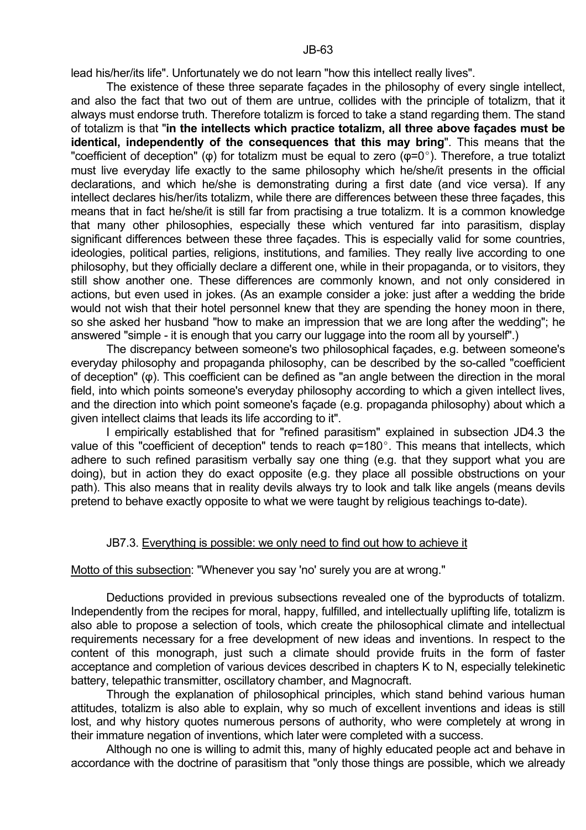lead his/her/its life". Unfortunately we do not learn "how this intellect really lives".

 The existence of these three separate façades in the philosophy of every single intellect, and also the fact that two out of them are untrue, collides with the principle of totalizm, that it always must endorse truth. Therefore totalizm is forced to take a stand regarding them. The stand of totalizm is that "**in the intellects which practice totalizm, all three above façades must be identical, independently of the consequences that this may bring**". This means that the "coefficient of deception" ( $\phi$ ) for totalizm must be equal to zero ( $\phi$ =0°). Therefore, a true totalizt must live everyday life exactly to the same philosophy which he/she/it presents in the official declarations, and which he/she is demonstrating during a first date (and vice versa). If any intellect declares his/her/its totalizm, while there are differences between these three façades, this means that in fact he/she/it is still far from practising a true totalizm. It is a common knowledge that many other philosophies, especially these which ventured far into parasitism, display significant differences between these three façades. This is especially valid for some countries, ideologies, political parties, religions, institutions, and families. They really live according to one philosophy, but they officially declare a different one, while in their propaganda, or to visitors, they still show another one. These differences are commonly known, and not only considered in actions, but even used in jokes. (As an example consider a joke: just after a wedding the bride would not wish that their hotel personnel knew that they are spending the honey moon in there, so she asked her husband "how to make an impression that we are long after the wedding"; he answered "simple - it is enough that you carry our luggage into the room all by yourself".)

 The discrepancy between someone's two philosophical façades, e.g. between someone's everyday philosophy and propaganda philosophy, can be described by the so-called "coefficient of deception" (φ). This coefficient can be defined as "an angle between the direction in the moral field, into which points someone's everyday philosophy according to which a given intellect lives, and the direction into which point someone's façade (e.g. propaganda philosophy) about which a given intellect claims that leads its life according to it".

 I empirically established that for "refined parasitism" explained in subsection JD4.3 the value of this "coefficient of deception" tends to reach  $φ=180°$ . This means that intellects, which adhere to such refined parasitism verbally say one thing (e.g. that they support what you are doing), but in action they do exact opposite (e.g. they place all possible obstructions on your path). This also means that in reality devils always try to look and talk like angels (means devils pretend to behave exactly opposite to what we were taught by religious teachings to-date).

#### JB7.3. Everything is possible: we only need to find out how to achieve it

### Motto of this subsection: "Whenever you say 'no' surely you are at wrong."

 Deductions provided in previous subsections revealed one of the byproducts of totalizm. Independently from the recipes for moral, happy, fulfilled, and intellectually uplifting life, totalizm is also able to propose a selection of tools, which create the philosophical climate and intellectual requirements necessary for a free development of new ideas and inventions. In respect to the content of this monograph, just such a climate should provide fruits in the form of faster acceptance and completion of various devices described in chapters K to N, especially telekinetic battery, telepathic transmitter, oscillatory chamber, and Magnocraft.

 Through the explanation of philosophical principles, which stand behind various human attitudes, totalizm is also able to explain, why so much of excellent inventions and ideas is still lost, and why history quotes numerous persons of authority, who were completely at wrong in their immature negation of inventions, which later were completed with a success.

 Although no one is willing to admit this, many of highly educated people act and behave in accordance with the doctrine of parasitism that "only those things are possible, which we already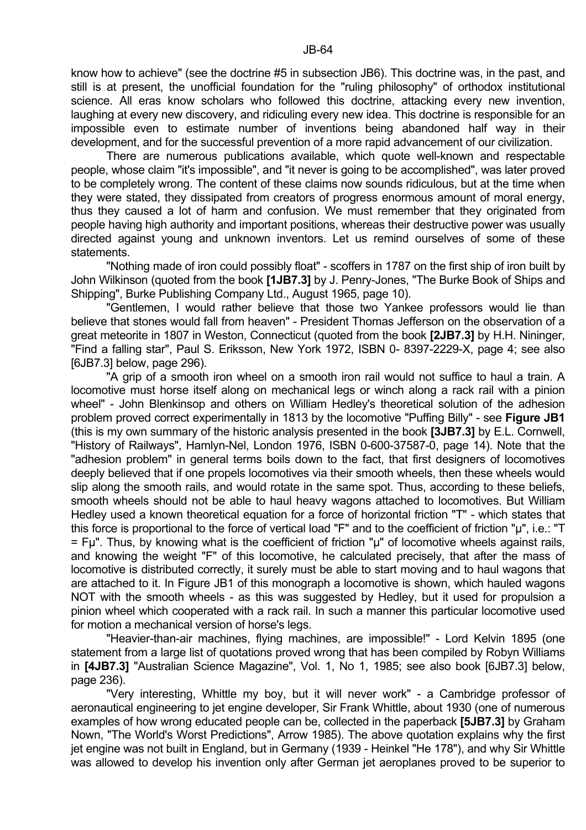know how to achieve" (see the doctrine #5 in subsection JB6). This doctrine was, in the past, and still is at present, the unofficial foundation for the "ruling philosophy" of orthodox institutional science. All eras know scholars who followed this doctrine, attacking every new invention, laughing at every new discovery, and ridiculing every new idea. This doctrine is responsible for an impossible even to estimate number of inventions being abandoned half way in their development, and for the successful prevention of a more rapid advancement of our civilization.

 There are numerous publications available, which quote well-known and respectable people, whose claim "it's impossible", and "it never is going to be accomplished", was later proved to be completely wrong. The content of these claims now sounds ridiculous, but at the time when they were stated, they dissipated from creators of progress enormous amount of moral energy, thus they caused a lot of harm and confusion. We must remember that they originated from people having high authority and important positions, whereas their destructive power was usually directed against young and unknown inventors. Let us remind ourselves of some of these statements.

 "Nothing made of iron could possibly float" - scoffers in 1787 on the first ship of iron built by John Wilkinson (quoted from the book **[1JB7.3]** by J. Penry-Jones, "The Burke Book of Ships and Shipping", Burke Publishing Company Ltd., August 1965, page 10).

 "Gentlemen, I would rather believe that those two Yankee professors would lie than believe that stones would fall from heaven" - President Thomas Jefferson on the observation of a great meteorite in 1807 in Weston, Connecticut (quoted from the book **[2JB7.3]** by H.H. Nininger, "Find a falling star", Paul S. Eriksson, New York 1972, ISBN 0- 8397-2229-X, page 4; see also [6JB7.3] below, page 296).

 "A grip of a smooth iron wheel on a smooth iron rail would not suffice to haul a train. A locomotive must horse itself along on mechanical legs or winch along a rack rail with a pinion wheel" - John Blenkinsop and others on William Hedley's theoretical solution of the adhesion problem proved correct experimentally in 1813 by the locomotive "Puffing Billy" - see **Figure JB1** (this is my own summary of the historic analysis presented in the book **[3JB7.3]** by E.L. Cornwell, "History of Railways", Hamlyn-Nel, London 1976, ISBN 0-600-37587-0, page 14). Note that the "adhesion problem" in general terms boils down to the fact, that first designers of locomotives deeply believed that if one propels locomotives via their smooth wheels, then these wheels would slip along the smooth rails, and would rotate in the same spot. Thus, according to these beliefs, smooth wheels should not be able to haul heavy wagons attached to locomotives. But William Hedley used a known theoretical equation for a force of horizontal friction "T" - which states that this force is proportional to the force of vertical load "F" and to the coefficient of friction "µ", i.e.: "T = Fµ". Thus, by knowing what is the coefficient of friction "µ" of locomotive wheels against rails, and knowing the weight "F" of this locomotive, he calculated precisely, that after the mass of locomotive is distributed correctly, it surely must be able to start moving and to haul wagons that are attached to it. In Figure JB1 of this monograph a locomotive is shown, which hauled wagons NOT with the smooth wheels - as this was suggested by Hedley, but it used for propulsion a pinion wheel which cooperated with a rack rail. In such a manner this particular locomotive used for motion a mechanical version of horse's legs.

 "Heavier-than-air machines, flying machines, are impossible!" - Lord Kelvin 1895 (one statement from a large list of quotations proved wrong that has been compiled by Robyn Williams in **[4JB7.3]** "Australian Science Magazine", Vol. 1, No 1, 1985; see also book [6JB7.3] below, page 236).

 "Very interesting, Whittle my boy, but it will never work" - a Cambridge professor of aeronautical engineering to jet engine developer, Sir Frank Whittle, about 1930 (one of numerous examples of how wrong educated people can be, collected in the paperback **[5JB7.3]** by Graham Nown, "The World's Worst Predictions", Arrow 1985). The above quotation explains why the first jet engine was not built in England, but in Germany (1939 - Heinkel "He 178"), and why Sir Whittle was allowed to develop his invention only after German jet aeroplanes proved to be superior to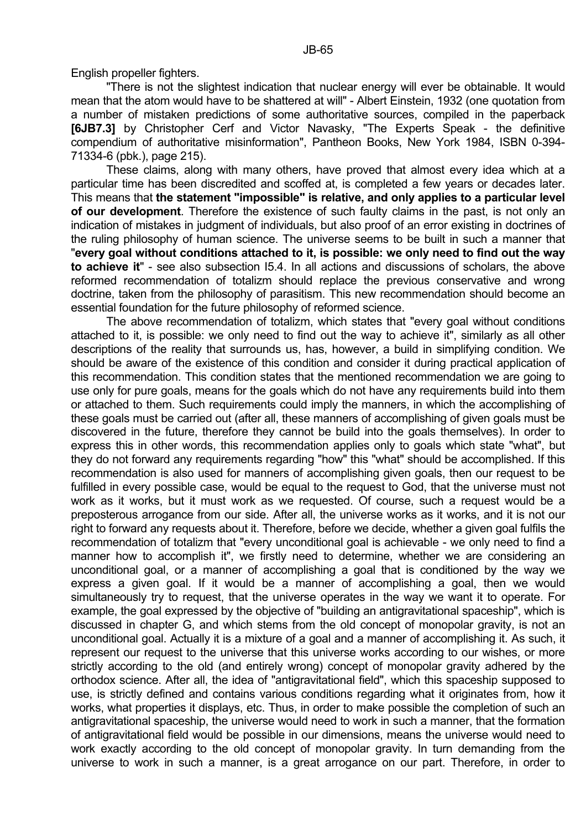English propeller fighters.

 "There is not the slightest indication that nuclear energy will ever be obtainable. It would mean that the atom would have to be shattered at will" - Albert Einstein, 1932 (one quotation from a number of mistaken predictions of some authoritative sources, compiled in the paperback **[6JB7.3]** by Christopher Cerf and Victor Navasky, "The Experts Speak - the definitive compendium of authoritative misinformation", Pantheon Books, New York 1984, ISBN 0-394- 71334-6 (pbk.), page 215).

 These claims, along with many others, have proved that almost every idea which at a particular time has been discredited and scoffed at, is completed a few years or decades later. This means that **the statement "impossible" is relative, and only applies to a particular level of our development**. Therefore the existence of such faulty claims in the past, is not only an indication of mistakes in judgment of individuals, but also proof of an error existing in doctrines of the ruling philosophy of human science. The universe seems to be built in such a manner that "**every goal without conditions attached to it, is possible: we only need to find out the way to achieve it**" - see also subsection I5.4. In all actions and discussions of scholars, the above reformed recommendation of totalizm should replace the previous conservative and wrong doctrine, taken from the philosophy of parasitism. This new recommendation should become an essential foundation for the future philosophy of reformed science.

 The above recommendation of totalizm, which states that "every goal without conditions attached to it, is possible: we only need to find out the way to achieve it", similarly as all other descriptions of the reality that surrounds us, has, however, a build in simplifying condition. We should be aware of the existence of this condition and consider it during practical application of this recommendation. This condition states that the mentioned recommendation we are going to use only for pure goals, means for the goals which do not have any requirements build into them or attached to them. Such requirements could imply the manners, in which the accomplishing of these goals must be carried out (after all, these manners of accomplishing of given goals must be discovered in the future, therefore they cannot be build into the goals themselves). In order to express this in other words, this recommendation applies only to goals which state "what", but they do not forward any requirements regarding "how" this "what" should be accomplished. If this recommendation is also used for manners of accomplishing given goals, then our request to be fulfilled in every possible case, would be equal to the request to God, that the universe must not work as it works, but it must work as we requested. Of course, such a request would be a preposterous arrogance from our side. After all, the universe works as it works, and it is not our right to forward any requests about it. Therefore, before we decide, whether a given goal fulfils the recommendation of totalizm that "every unconditional goal is achievable - we only need to find a manner how to accomplish it", we firstly need to determine, whether we are considering an unconditional goal, or a manner of accomplishing a goal that is conditioned by the way we express a given goal. If it would be a manner of accomplishing a goal, then we would simultaneously try to request, that the universe operates in the way we want it to operate. For example, the goal expressed by the objective of "building an antigravitational spaceship", which is discussed in chapter G, and which stems from the old concept of monopolar gravity, is not an unconditional goal. Actually it is a mixture of a goal and a manner of accomplishing it. As such, it represent our request to the universe that this universe works according to our wishes, or more strictly according to the old (and entirely wrong) concept of monopolar gravity adhered by the orthodox science. After all, the idea of "antigravitational field", which this spaceship supposed to use, is strictly defined and contains various conditions regarding what it originates from, how it works, what properties it displays, etc. Thus, in order to make possible the completion of such an antigravitational spaceship, the universe would need to work in such a manner, that the formation of antigravitational field would be possible in our dimensions, means the universe would need to work exactly according to the old concept of monopolar gravity. In turn demanding from the universe to work in such a manner, is a great arrogance on our part. Therefore, in order to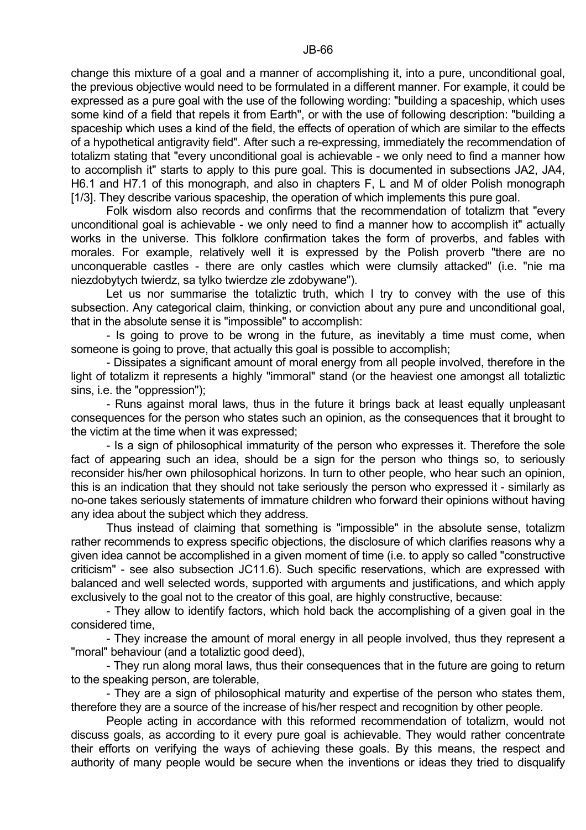change this mixture of a goal and a manner of accomplishing it, into a pure, unconditional goal, the previous objective would need to be formulated in a different manner. For example, it could be expressed as a pure goal with the use of the following wording: "building a spaceship, which uses some kind of a field that repels it from Earth", or with the use of following description: "building a spaceship which uses a kind of the field, the effects of operation of which are similar to the effects of a hypothetical antigravity field". After such a re-expressing, immediately the recommendation of totalizm stating that "every unconditional goal is achievable - we only need to find a manner how to accomplish it" starts to apply to this pure goal. This is documented in subsections JA2, JA4, H6.1 and H7.1 of this monograph, and also in chapters F, L and M of older Polish monograph [1/3]. They describe various spaceship, the operation of which implements this pure goal.

 Folk wisdom also records and confirms that the recommendation of totalizm that "every unconditional goal is achievable - we only need to find a manner how to accomplish it" actually works in the universe. This folklore confirmation takes the form of proverbs, and fables with morales. For example, relatively well it is expressed by the Polish proverb "there are no unconquerable castles - there are only castles which were clumsily attacked" (i.e. "nie ma niezdobytych twierdz, sa tylko twierdze zle zdobywane").

Let us nor summarise the totaliztic truth, which I try to convey with the use of this subsection. Any categorical claim, thinking, or conviction about any pure and unconditional goal, that in the absolute sense it is "impossible" to accomplish:

 - Is going to prove to be wrong in the future, as inevitably a time must come, when someone is going to prove, that actually this goal is possible to accomplish;

 - Dissipates a significant amount of moral energy from all people involved, therefore in the light of totalizm it represents a highly "immoral" stand (or the heaviest one amongst all totaliztic sins, i.e. the "oppression");

 - Runs against moral laws, thus in the future it brings back at least equally unpleasant consequences for the person who states such an opinion, as the consequences that it brought to the victim at the time when it was expressed;

 - Is a sign of philosophical immaturity of the person who expresses it. Therefore the sole fact of appearing such an idea, should be a sign for the person who things so, to seriously reconsider his/her own philosophical horizons. In turn to other people, who hear such an opinion, this is an indication that they should not take seriously the person who expressed it - similarly as no-one takes seriously statements of immature children who forward their opinions without having any idea about the subject which they address.

 Thus instead of claiming that something is "impossible" in the absolute sense, totalizm rather recommends to express specific objections, the disclosure of which clarifies reasons why a given idea cannot be accomplished in a given moment of time (i.e. to apply so called "constructive criticism" - see also subsection JC11.6). Such specific reservations, which are expressed with balanced and well selected words, supported with arguments and justifications, and which apply exclusively to the goal not to the creator of this goal, are highly constructive, because:

 - They allow to identify factors, which hold back the accomplishing of a given goal in the considered time,

 - They increase the amount of moral energy in all people involved, thus they represent a "moral" behaviour (and a totaliztic good deed),

 - They run along moral laws, thus their consequences that in the future are going to return to the speaking person, are tolerable,

 - They are a sign of philosophical maturity and expertise of the person who states them, therefore they are a source of the increase of his/her respect and recognition by other people.

 People acting in accordance with this reformed recommendation of totalizm, would not discuss goals, as according to it every pure goal is achievable. They would rather concentrate their efforts on verifying the ways of achieving these goals. By this means, the respect and authority of many people would be secure when the inventions or ideas they tried to disqualify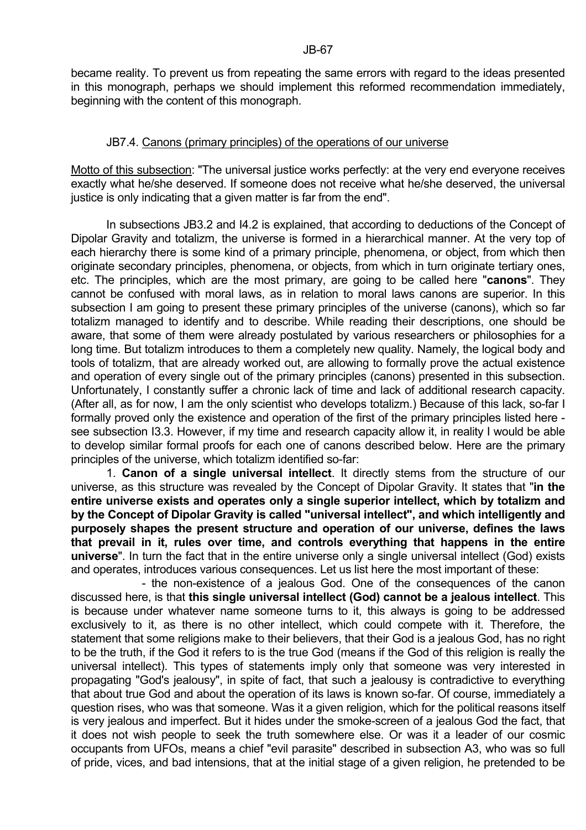became reality. To prevent us from repeating the same errors with regard to the ideas presented in this monograph, perhaps we should implement this reformed recommendation immediately, beginning with the content of this monograph.

# JB7.4. Canons (primary principles) of the operations of our universe

Motto of this subsection: "The universal justice works perfectly: at the very end everyone receives exactly what he/she deserved. If someone does not receive what he/she deserved, the universal justice is only indicating that a given matter is far from the end".

 In subsections JB3.2 and I4.2 is explained, that according to deductions of the Concept of Dipolar Gravity and totalizm, the universe is formed in a hierarchical manner. At the very top of each hierarchy there is some kind of a primary principle, phenomena, or object, from which then originate secondary principles, phenomena, or objects, from which in turn originate tertiary ones, etc. The principles, which are the most primary, are going to be called here "**canons**". They cannot be confused with moral laws, as in relation to moral laws canons are superior. In this subsection I am going to present these primary principles of the universe (canons), which so far totalizm managed to identify and to describe. While reading their descriptions, one should be aware, that some of them were already postulated by various researchers or philosophies for a long time. But totalizm introduces to them a completely new quality. Namely, the logical body and tools of totalizm, that are already worked out, are allowing to formally prove the actual existence and operation of every single out of the primary principles (canons) presented in this subsection. Unfortunately, I constantly suffer a chronic lack of time and lack of additional research capacity. (After all, as for now, I am the only scientist who develops totalizm.) Because of this lack, so-far I formally proved only the existence and operation of the first of the primary principles listed here see subsection I3.3. However, if my time and research capacity allow it, in reality I would be able to develop similar formal proofs for each one of canons described below. Here are the primary principles of the universe, which totalizm identified so-far:

 1. **Canon of a single universal intellect**. It directly stems from the structure of our universe, as this structure was revealed by the Concept of Dipolar Gravity. It states that "**in the entire universe exists and operates only a single superior intellect, which by totalizm and by the Concept of Dipolar Gravity is called "universal intellect", and which intelligently and purposely shapes the present structure and operation of our universe, defines the laws that prevail in it, rules over time, and controls everything that happens in the entire universe**". In turn the fact that in the entire universe only a single universal intellect (God) exists and operates, introduces various consequences. Let us list here the most important of these:

 - the non-existence of a jealous God. One of the consequences of the canon discussed here, is that **this single universal intellect (God) cannot be a jealous intellect**. This is because under whatever name someone turns to it, this always is going to be addressed exclusively to it, as there is no other intellect, which could compete with it. Therefore, the statement that some religions make to their believers, that their God is a jealous God, has no right to be the truth, if the God it refers to is the true God (means if the God of this religion is really the universal intellect). This types of statements imply only that someone was very interested in propagating "God's jealousy", in spite of fact, that such a jealousy is contradictive to everything that about true God and about the operation of its laws is known so-far. Of course, immediately a question rises, who was that someone. Was it a given religion, which for the political reasons itself is very jealous and imperfect. But it hides under the smoke-screen of a jealous God the fact, that it does not wish people to seek the truth somewhere else. Or was it a leader of our cosmic occupants from UFOs, means a chief "evil parasite" described in subsection A3, who was so full of pride, vices, and bad intensions, that at the initial stage of a given religion, he pretended to be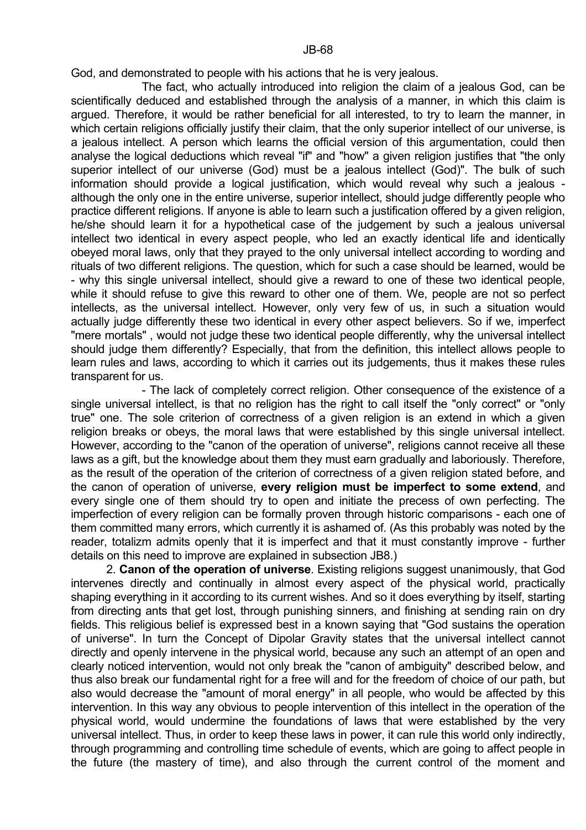God, and demonstrated to people with his actions that he is very jealous.

 The fact, who actually introduced into religion the claim of a jealous God, can be scientifically deduced and established through the analysis of a manner, in which this claim is argued. Therefore, it would be rather beneficial for all interested, to try to learn the manner, in which certain religions officially justify their claim, that the only superior intellect of our universe, is a jealous intellect. A person which learns the official version of this argumentation, could then analyse the logical deductions which reveal "if" and "how" a given religion justifies that "the only superior intellect of our universe (God) must be a jealous intellect (God)". The bulk of such information should provide a logical justification, which would reveal why such a jealous although the only one in the entire universe, superior intellect, should judge differently people who practice different religions. If anyone is able to learn such a justification offered by a given religion, he/she should learn it for a hypothetical case of the judgement by such a jealous universal intellect two identical in every aspect people, who led an exactly identical life and identically obeyed moral laws, only that they prayed to the only universal intellect according to wording and rituals of two different religions. The question, which for such a case should be learned, would be - why this single universal intellect, should give a reward to one of these two identical people, while it should refuse to give this reward to other one of them. We, people are not so perfect intellects, as the universal intellect. However, only very few of us, in such a situation would actually judge differently these two identical in every other aspect believers. So if we, imperfect "mere mortals" , would not judge these two identical people differently, why the universal intellect should judge them differently? Especially, that from the definition, this intellect allows people to learn rules and laws, according to which it carries out its judgements, thus it makes these rules transparent for us.

 - The lack of completely correct religion. Other consequence of the existence of a single universal intellect, is that no religion has the right to call itself the "only correct" or "only true" one. The sole criterion of correctness of a given religion is an extend in which a given religion breaks or obeys, the moral laws that were established by this single universal intellect. However, according to the "canon of the operation of universe", religions cannot receive all these laws as a gift, but the knowledge about them they must earn gradually and laboriously. Therefore, as the result of the operation of the criterion of correctness of a given religion stated before, and the canon of operation of universe, **every religion must be imperfect to some extend**, and every single one of them should try to open and initiate the precess of own perfecting. The imperfection of every religion can be formally proven through historic comparisons - each one of them committed many errors, which currently it is ashamed of. (As this probably was noted by the reader, totalizm admits openly that it is imperfect and that it must constantly improve - further details on this need to improve are explained in subsection JB8.)

 2. **Canon of the operation of universe**. Existing religions suggest unanimously, that God intervenes directly and continually in almost every aspect of the physical world, practically shaping everything in it according to its current wishes. And so it does everything by itself, starting from directing ants that get lost, through punishing sinners, and finishing at sending rain on dry fields. This religious belief is expressed best in a known saying that "God sustains the operation of universe". In turn the Concept of Dipolar Gravity states that the universal intellect cannot directly and openly intervene in the physical world, because any such an attempt of an open and clearly noticed intervention, would not only break the "canon of ambiguity" described below, and thus also break our fundamental right for a free will and for the freedom of choice of our path, but also would decrease the "amount of moral energy" in all people, who would be affected by this intervention. In this way any obvious to people intervention of this intellect in the operation of the physical world, would undermine the foundations of laws that were established by the very universal intellect. Thus, in order to keep these laws in power, it can rule this world only indirectly, through programming and controlling time schedule of events, which are going to affect people in the future (the mastery of time), and also through the current control of the moment and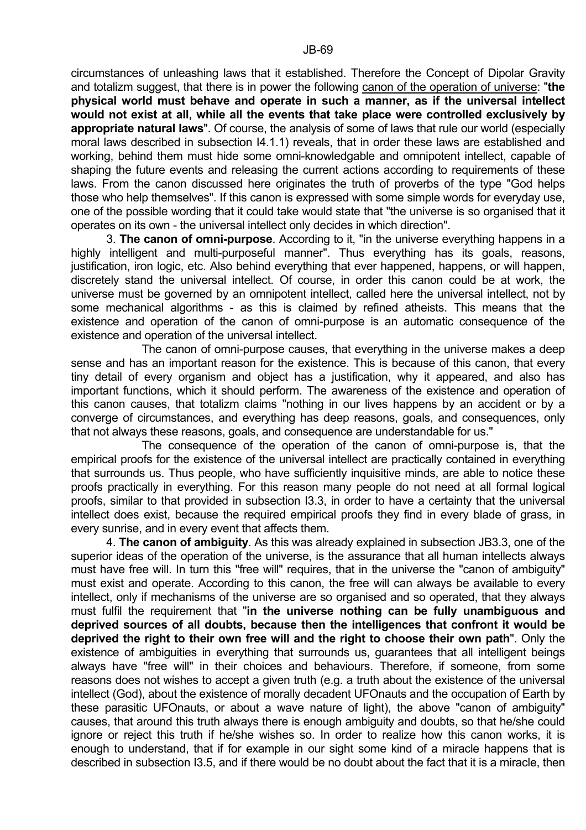circumstances of unleashing laws that it established. Therefore the Concept of Dipolar Gravity and totalizm suggest, that there is in power the following canon of the operation of universe: "**the physical world must behave and operate in such a manner, as if the universal intellect would not exist at all, while all the events that take place were controlled exclusively by appropriate natural laws**". Of course, the analysis of some of laws that rule our world (especially moral laws described in subsection I4.1.1) reveals, that in order these laws are established and working, behind them must hide some omni-knowledgable and omnipotent intellect, capable of shaping the future events and releasing the current actions according to requirements of these laws. From the canon discussed here originates the truth of proverbs of the type "God helps those who help themselves". If this canon is expressed with some simple words for everyday use, one of the possible wording that it could take would state that "the universe is so organised that it operates on its own - the universal intellect only decides in which direction".

 3. **The canon of omni-purpose**. According to it, "in the universe everything happens in a highly intelligent and multi-purposeful manner". Thus everything has its goals, reasons, justification, iron logic, etc. Also behind everything that ever happened, happens, or will happen, discretely stand the universal intellect. Of course, in order this canon could be at work, the universe must be governed by an omnipotent intellect, called here the universal intellect, not by some mechanical algorithms - as this is claimed by refined atheists. This means that the existence and operation of the canon of omni-purpose is an automatic consequence of the existence and operation of the universal intellect.

 The canon of omni-purpose causes, that everything in the universe makes a deep sense and has an important reason for the existence. This is because of this canon, that every tiny detail of every organism and object has a justification, why it appeared, and also has important functions, which it should perform. The awareness of the existence and operation of this canon causes, that totalizm claims "nothing in our lives happens by an accident or by a converge of circumstances, and everything has deep reasons, goals, and consequences, only that not always these reasons, goals, and consequence are understandable for us."

 The consequence of the operation of the canon of omni-purpose is, that the empirical proofs for the existence of the universal intellect are practically contained in everything that surrounds us. Thus people, who have sufficiently inquisitive minds, are able to notice these proofs practically in everything. For this reason many people do not need at all formal logical proofs, similar to that provided in subsection I3.3, in order to have a certainty that the universal intellect does exist, because the required empirical proofs they find in every blade of grass, in every sunrise, and in every event that affects them.

 4. **The canon of ambiguity**. As this was already explained in subsection JB3.3, one of the superior ideas of the operation of the universe, is the assurance that all human intellects always must have free will. In turn this "free will" requires, that in the universe the "canon of ambiguity" must exist and operate. According to this canon, the free will can always be available to every intellect, only if mechanisms of the universe are so organised and so operated, that they always must fulfil the requirement that "**in the universe nothing can be fully unambiguous and deprived sources of all doubts, because then the intelligences that confront it would be deprived the right to their own free will and the right to choose their own path**". Only the existence of ambiguities in everything that surrounds us, guarantees that all intelligent beings always have "free will" in their choices and behaviours. Therefore, if someone, from some reasons does not wishes to accept a given truth (e.g. a truth about the existence of the universal intellect (God), about the existence of morally decadent UFOnauts and the occupation of Earth by these parasitic UFOnauts, or about a wave nature of light), the above "canon of ambiguity" causes, that around this truth always there is enough ambiguity and doubts, so that he/she could ignore or reject this truth if he/she wishes so. In order to realize how this canon works, it is enough to understand, that if for example in our sight some kind of a miracle happens that is described in subsection I3.5, and if there would be no doubt about the fact that it is a miracle, then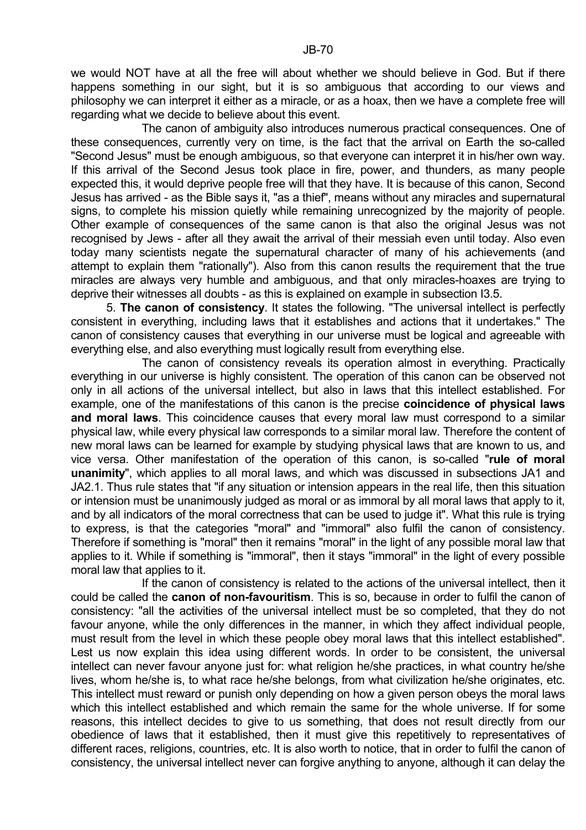The canon of ambiguity also introduces numerous practical consequences. One of these consequences, currently very on time, is the fact that the arrival on Earth the so-called "Second Jesus" must be enough ambiguous, so that everyone can interpret it in his/her own way. If this arrival of the Second Jesus took place in fire, power, and thunders, as many people expected this, it would deprive people free will that they have. It is because of this canon, Second Jesus has arrived - as the Bible says it, "as a thief", means without any miracles and supernatural signs, to complete his mission quietly while remaining unrecognized by the majority of people. Other example of consequences of the same canon is that also the original Jesus was not recognised by Jews - after all they await the arrival of their messiah even until today. Also even today many scientists negate the supernatural character of many of his achievements (and attempt to explain them "rationally"). Also from this canon results the requirement that the true miracles are always very humble and ambiguous, and that only miracles-hoaxes are trying to deprive their witnesses all doubts - as this is explained on example in subsection I3.5.

 5. **The canon of consistency**. It states the following. "The universal intellect is perfectly consistent in everything, including laws that it establishes and actions that it undertakes." The canon of consistency causes that everything in our universe must be logical and agreeable with everything else, and also everything must logically result from everything else.

 The canon of consistency reveals its operation almost in everything. Practically everything in our universe is highly consistent. The operation of this canon can be observed not only in all actions of the universal intellect, but also in laws that this intellect established. For example, one of the manifestations of this canon is the precise **coincidence of physical laws and moral laws**. This coincidence causes that every moral law must correspond to a similar physical law, while every physical law corresponds to a similar moral law. Therefore the content of new moral laws can be learned for example by studying physical laws that are known to us, and vice versa. Other manifestation of the operation of this canon, is so-called "**rule of moral unanimity**", which applies to all moral laws, and which was discussed in subsections JA1 and JA2.1. Thus rule states that "if any situation or intension appears in the real life, then this situation or intension must be unanimously judged as moral or as immoral by all moral laws that apply to it, and by all indicators of the moral correctness that can be used to judge it". What this rule is trying to express, is that the categories "moral" and "immoral" also fulfil the canon of consistency. Therefore if something is "moral" then it remains "moral" in the light of any possible moral law that applies to it. While if something is "immoral", then it stays "immoral" in the light of every possible moral law that applies to it.

 If the canon of consistency is related to the actions of the universal intellect, then it could be called the **canon of non-favouritism**. This is so, because in order to fulfil the canon of consistency: "all the activities of the universal intellect must be so completed, that they do not favour anyone, while the only differences in the manner, in which they affect individual people, must result from the level in which these people obey moral laws that this intellect established". Lest us now explain this idea using different words. In order to be consistent, the universal intellect can never favour anyone just for: what religion he/she practices, in what country he/she lives, whom he/she is, to what race he/she belongs, from what civilization he/she originates, etc. This intellect must reward or punish only depending on how a given person obeys the moral laws which this intellect established and which remain the same for the whole universe. If for some reasons, this intellect decides to give to us something, that does not result directly from our obedience of laws that it established, then it must give this repetitively to representatives of different races, religions, countries, etc. It is also worth to notice, that in order to fulfil the canon of consistency, the universal intellect never can forgive anything to anyone, although it can delay the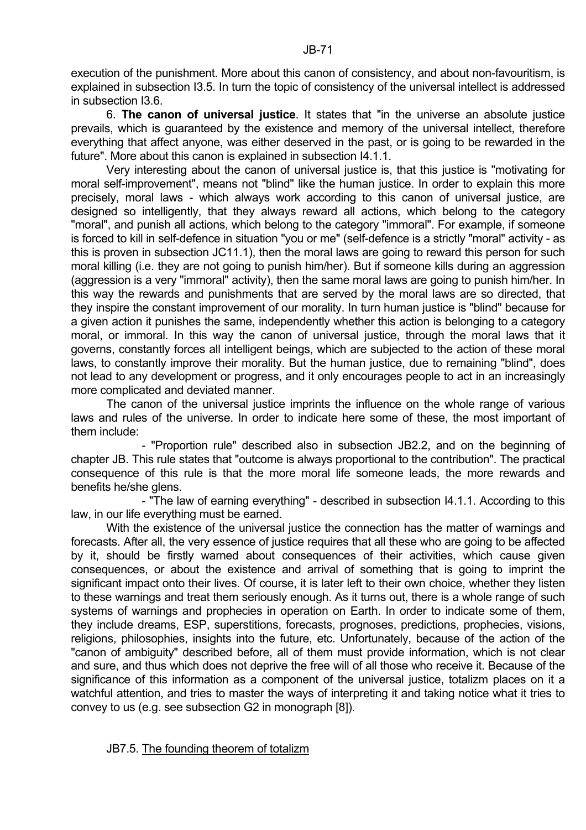6. **The canon of universal justice**. It states that "in the universe an absolute justice prevails, which is guaranteed by the existence and memory of the universal intellect, therefore everything that affect anyone, was either deserved in the past, or is going to be rewarded in the future". More about this canon is explained in subsection I4.1.1.

 Very interesting about the canon of universal justice is, that this justice is "motivating for moral self-improvement", means not "blind" like the human justice. In order to explain this more precisely, moral laws - which always work according to this canon of universal justice, are designed so intelligently, that they always reward all actions, which belong to the category "moral", and punish all actions, which belong to the category "immoral". For example, if someone is forced to kill in self-defence in situation "you or me" (self-defence is a strictly "moral" activity - as this is proven in subsection JC11.1), then the moral laws are going to reward this person for such moral killing (i.e. they are not going to punish him/her). But if someone kills during an aggression (aggression is a very "immoral" activity), then the same moral laws are going to punish him/her. In this way the rewards and punishments that are served by the moral laws are so directed, that they inspire the constant improvement of our morality. In turn human justice is "blind" because for a given action it punishes the same, independently whether this action is belonging to a category moral, or immoral. In this way the canon of universal justice, through the moral laws that it governs, constantly forces all intelligent beings, which are subjected to the action of these moral laws, to constantly improve their morality. But the human justice, due to remaining "blind", does not lead to any development or progress, and it only encourages people to act in an increasingly more complicated and deviated manner.

 The canon of the universal justice imprints the influence on the whole range of various laws and rules of the universe. In order to indicate here some of these, the most important of them include:

 - "Proportion rule" described also in subsection JB2.2, and on the beginning of chapter JB. This rule states that "outcome is always proportional to the contribution". The practical consequence of this rule is that the more moral life someone leads, the more rewards and benefits he/she glens.

 - "The law of earning everything" - described in subsection I4.1.1. According to this law, in our life everything must be earned.

 With the existence of the universal justice the connection has the matter of warnings and forecasts. After all, the very essence of justice requires that all these who are going to be affected by it, should be firstly warned about consequences of their activities, which cause given consequences, or about the existence and arrival of something that is going to imprint the significant impact onto their lives. Of course, it is later left to their own choice, whether they listen to these warnings and treat them seriously enough. As it turns out, there is a whole range of such systems of warnings and prophecies in operation on Earth. In order to indicate some of them, they include dreams, ESP, superstitions, forecasts, prognoses, predictions, prophecies, visions, religions, philosophies, insights into the future, etc. Unfortunately, because of the action of the "canon of ambiguity" described before, all of them must provide information, which is not clear and sure, and thus which does not deprive the free will of all those who receive it. Because of the significance of this information as a component of the universal justice, totalizm places on it a watchful attention, and tries to master the ways of interpreting it and taking notice what it tries to convey to us (e.g. see subsection G2 in monograph [8]).

# JB7.5. The founding theorem of totalizm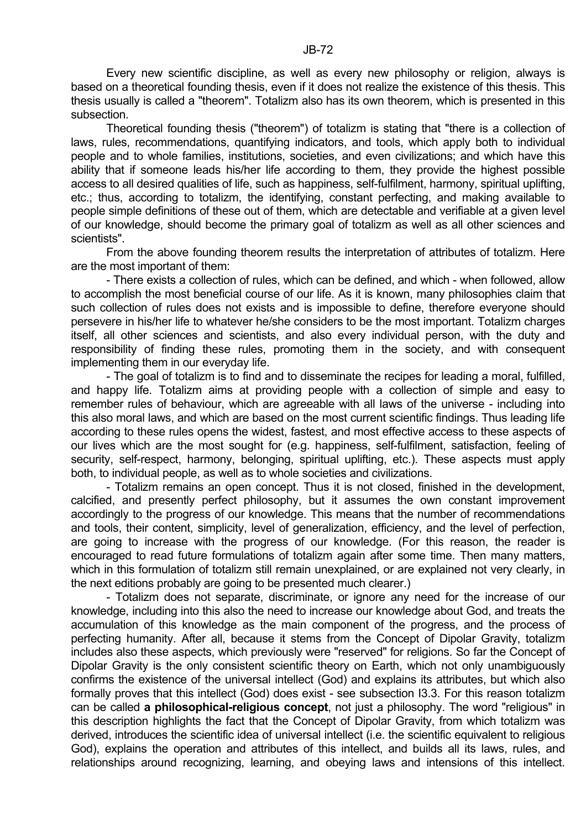Every new scientific discipline, as well as every new philosophy or religion, always is based on a theoretical founding thesis, even if it does not realize the existence of this thesis. This thesis usually is called a "theorem". Totalizm also has its own theorem, which is presented in this subsection.

 Theoretical founding thesis ("theorem") of totalizm is stating that "there is a collection of laws, rules, recommendations, quantifying indicators, and tools, which apply both to individual people and to whole families, institutions, societies, and even civilizations; and which have this ability that if someone leads his/her life according to them, they provide the highest possible access to all desired qualities of life, such as happiness, self-fulfilment, harmony, spiritual uplifting, etc.; thus, according to totalizm, the identifying, constant perfecting, and making available to people simple definitions of these out of them, which are detectable and verifiable at a given level of our knowledge, should become the primary goal of totalizm as well as all other sciences and scientists".

 From the above founding theorem results the interpretation of attributes of totalizm. Here are the most important of them:

 - There exists a collection of rules, which can be defined, and which - when followed, allow to accomplish the most beneficial course of our life. As it is known, many philosophies claim that such collection of rules does not exists and is impossible to define, therefore everyone should persevere in his/her life to whatever he/she considers to be the most important. Totalizm charges itself, all other sciences and scientists, and also every individual person, with the duty and responsibility of finding these rules, promoting them in the society, and with consequent implementing them in our everyday life.

 - The goal of totalizm is to find and to disseminate the recipes for leading a moral, fulfilled, and happy life. Totalizm aims at providing people with a collection of simple and easy to remember rules of behaviour, which are agreeable with all laws of the universe - including into this also moral laws, and which are based on the most current scientific findings. Thus leading life according to these rules opens the widest, fastest, and most effective access to these aspects of our lives which are the most sought for (e.g. happiness, self-fulfilment, satisfaction, feeling of security, self-respect, harmony, belonging, spiritual uplifting, etc.). These aspects must apply both, to individual people, as well as to whole societies and civilizations.

 - Totalizm remains an open concept. Thus it is not closed, finished in the development, calcified, and presently perfect philosophy, but it assumes the own constant improvement accordingly to the progress of our knowledge. This means that the number of recommendations and tools, their content, simplicity, level of generalization, efficiency, and the level of perfection, are going to increase with the progress of our knowledge. (For this reason, the reader is encouraged to read future formulations of totalizm again after some time. Then many matters, which in this formulation of totalizm still remain unexplained, or are explained not very clearly, in the next editions probably are going to be presented much clearer.)

 - Totalizm does not separate, discriminate, or ignore any need for the increase of our knowledge, including into this also the need to increase our knowledge about God, and treats the accumulation of this knowledge as the main component of the progress, and the process of perfecting humanity. After all, because it stems from the Concept of Dipolar Gravity, totalizm includes also these aspects, which previously were "reserved" for religions. So far the Concept of Dipolar Gravity is the only consistent scientific theory on Earth, which not only unambiguously confirms the existence of the universal intellect (God) and explains its attributes, but which also formally proves that this intellect (God) does exist - see subsection I3.3. For this reason totalizm can be called **a philosophical-religious concept**, not just a philosophy. The word "religious" in this description highlights the fact that the Concept of Dipolar Gravity, from which totalizm was derived, introduces the scientific idea of universal intellect (i.e. the scientific equivalent to religious God), explains the operation and attributes of this intellect, and builds all its laws, rules, and relationships around recognizing, learning, and obeying laws and intensions of this intellect.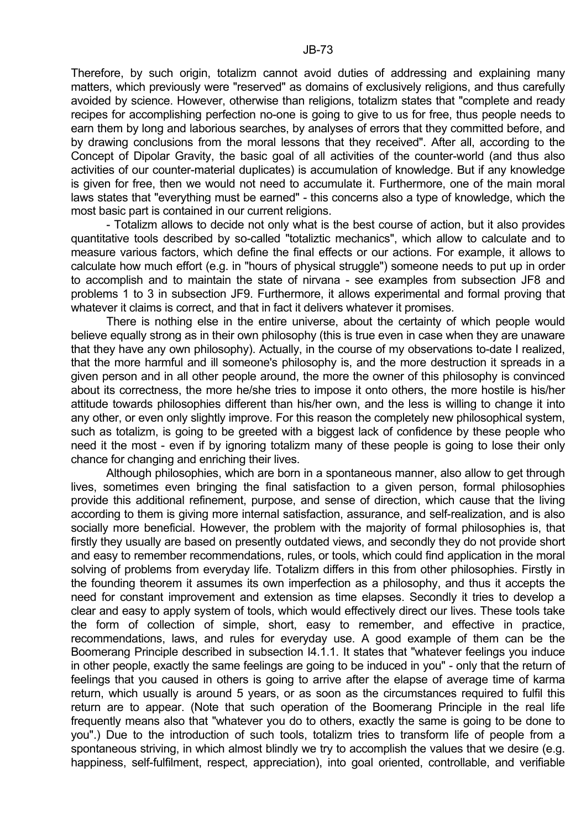Therefore, by such origin, totalizm cannot avoid duties of addressing and explaining many matters, which previously were "reserved" as domains of exclusively religions, and thus carefully avoided by science. However, otherwise than religions, totalizm states that "complete and ready recipes for accomplishing perfection no-one is going to give to us for free, thus people needs to earn them by long and laborious searches, by analyses of errors that they committed before, and by drawing conclusions from the moral lessons that they received". After all, according to the Concept of Dipolar Gravity, the basic goal of all activities of the counter-world (and thus also activities of our counter-material duplicates) is accumulation of knowledge. But if any knowledge is given for free, then we would not need to accumulate it. Furthermore, one of the main moral laws states that "everything must be earned" - this concerns also a type of knowledge, which the most basic part is contained in our current religions.

 - Totalizm allows to decide not only what is the best course of action, but it also provides quantitative tools described by so-called "totaliztic mechanics", which allow to calculate and to measure various factors, which define the final effects or our actions. For example, it allows to calculate how much effort (e.g. in "hours of physical struggle") someone needs to put up in order to accomplish and to maintain the state of nirvana - see examples from subsection JF8 and problems 1 to 3 in subsection JF9. Furthermore, it allows experimental and formal proving that whatever it claims is correct, and that in fact it delivers whatever it promises.

 There is nothing else in the entire universe, about the certainty of which people would believe equally strong as in their own philosophy (this is true even in case when they are unaware that they have any own philosophy). Actually, in the course of my observations to-date I realized, that the more harmful and ill someone's philosophy is, and the more destruction it spreads in a given person and in all other people around, the more the owner of this philosophy is convinced about its correctness, the more he/she tries to impose it onto others, the more hostile is his/her attitude towards philosophies different than his/her own, and the less is willing to change it into any other, or even only slightly improve. For this reason the completely new philosophical system, such as totalizm, is going to be greeted with a biggest lack of confidence by these people who need it the most - even if by ignoring totalizm many of these people is going to lose their only chance for changing and enriching their lives.

 Although philosophies, which are born in a spontaneous manner, also allow to get through lives, sometimes even bringing the final satisfaction to a given person, formal philosophies provide this additional refinement, purpose, and sense of direction, which cause that the living according to them is giving more internal satisfaction, assurance, and self-realization, and is also socially more beneficial. However, the problem with the majority of formal philosophies is, that firstly they usually are based on presently outdated views, and secondly they do not provide short and easy to remember recommendations, rules, or tools, which could find application in the moral solving of problems from everyday life. Totalizm differs in this from other philosophies. Firstly in the founding theorem it assumes its own imperfection as a philosophy, and thus it accepts the need for constant improvement and extension as time elapses. Secondly it tries to develop a clear and easy to apply system of tools, which would effectively direct our lives. These tools take the form of collection of simple, short, easy to remember, and effective in practice, recommendations, laws, and rules for everyday use. A good example of them can be the Boomerang Principle described in subsection I4.1.1. It states that "whatever feelings you induce in other people, exactly the same feelings are going to be induced in you" - only that the return of feelings that you caused in others is going to arrive after the elapse of average time of karma return, which usually is around 5 years, or as soon as the circumstances required to fulfil this return are to appear. (Note that such operation of the Boomerang Principle in the real life frequently means also that "whatever you do to others, exactly the same is going to be done to you".) Due to the introduction of such tools, totalizm tries to transform life of people from a spontaneous striving, in which almost blindly we try to accomplish the values that we desire (e.g. happiness, self-fulfilment, respect, appreciation), into goal oriented, controllable, and verifiable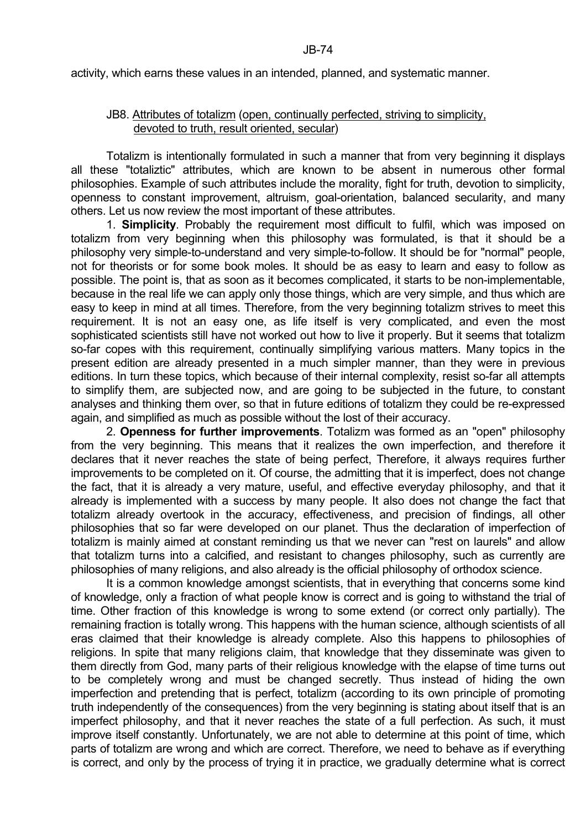activity, which earns these values in an intended, planned, and systematic manner.

# JB8. Attributes of totalizm (open, continually perfected, striving to simplicity, devoted to truth, result oriented, secular)

 Totalizm is intentionally formulated in such a manner that from very beginning it displays all these "totaliztic" attributes, which are known to be absent in numerous other formal philosophies. Example of such attributes include the morality, fight for truth, devotion to simplicity, openness to constant improvement, altruism, goal-orientation, balanced secularity, and many others. Let us now review the most important of these attributes.

 1. **Simplicity**. Probably the requirement most difficult to fulfil, which was imposed on totalizm from very beginning when this philosophy was formulated, is that it should be a philosophy very simple-to-understand and very simple-to-follow. It should be for "normal" people, not for theorists or for some book moles. It should be as easy to learn and easy to follow as possible. The point is, that as soon as it becomes complicated, it starts to be non-implementable, because in the real life we can apply only those things, which are very simple, and thus which are easy to keep in mind at all times. Therefore, from the very beginning totalizm strives to meet this requirement. It is not an easy one, as life itself is very complicated, and even the most sophisticated scientists still have not worked out how to live it properly. But it seems that totalizm so-far copes with this requirement, continually simplifying various matters. Many topics in the present edition are already presented in a much simpler manner, than they were in previous editions. In turn these topics, which because of their internal complexity, resist so-far all attempts to simplify them, are subjected now, and are going to be subjected in the future, to constant analyses and thinking them over, so that in future editions of totalizm they could be re-expressed again, and simplified as much as possible without the lost of their accuracy.

 2. **Openness for further improvements**. Totalizm was formed as an "open" philosophy from the very beginning. This means that it realizes the own imperfection, and therefore it declares that it never reaches the state of being perfect, Therefore, it always requires further improvements to be completed on it. Of course, the admitting that it is imperfect, does not change the fact, that it is already a very mature, useful, and effective everyday philosophy, and that it already is implemented with a success by many people. It also does not change the fact that totalizm already overtook in the accuracy, effectiveness, and precision of findings, all other philosophies that so far were developed on our planet. Thus the declaration of imperfection of totalizm is mainly aimed at constant reminding us that we never can "rest on laurels" and allow that totalizm turns into a calcified, and resistant to changes philosophy, such as currently are philosophies of many religions, and also already is the official philosophy of orthodox science.

 It is a common knowledge amongst scientists, that in everything that concerns some kind of knowledge, only a fraction of what people know is correct and is going to withstand the trial of time. Other fraction of this knowledge is wrong to some extend (or correct only partially). The remaining fraction is totally wrong. This happens with the human science, although scientists of all eras claimed that their knowledge is already complete. Also this happens to philosophies of religions. In spite that many religions claim, that knowledge that they disseminate was given to them directly from God, many parts of their religious knowledge with the elapse of time turns out to be completely wrong and must be changed secretly. Thus instead of hiding the own imperfection and pretending that is perfect, totalizm (according to its own principle of promoting truth independently of the consequences) from the very beginning is stating about itself that is an imperfect philosophy, and that it never reaches the state of a full perfection. As such, it must improve itself constantly. Unfortunately, we are not able to determine at this point of time, which parts of totalizm are wrong and which are correct. Therefore, we need to behave as if everything is correct, and only by the process of trying it in practice, we gradually determine what is correct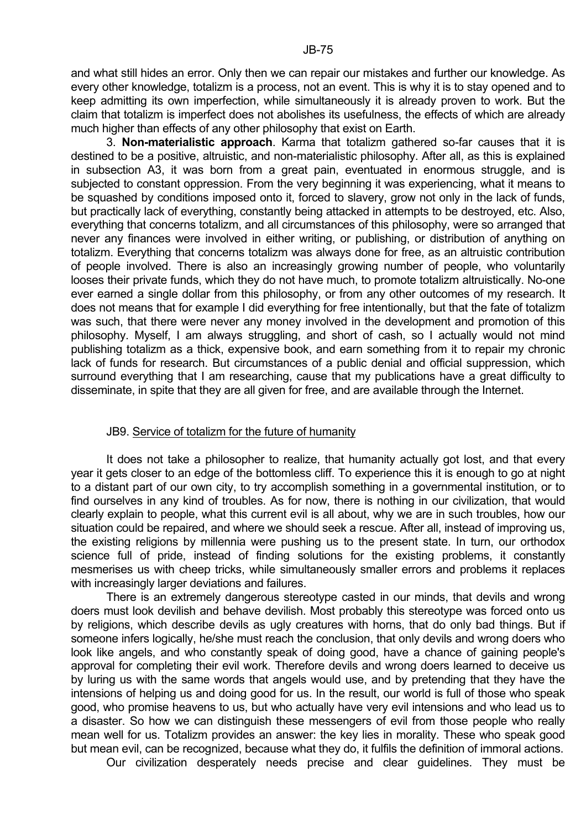and what still hides an error. Only then we can repair our mistakes and further our knowledge. As every other knowledge, totalizm is a process, not an event. This is why it is to stay opened and to keep admitting its own imperfection, while simultaneously it is already proven to work. But the claim that totalizm is imperfect does not abolishes its usefulness, the effects of which are already much higher than effects of any other philosophy that exist on Earth.

 3. **Non-materialistic approach**. Karma that totalizm gathered so-far causes that it is destined to be a positive, altruistic, and non-materialistic philosophy. After all, as this is explained in subsection A3, it was born from a great pain, eventuated in enormous struggle, and is subjected to constant oppression. From the very beginning it was experiencing, what it means to be squashed by conditions imposed onto it, forced to slavery, grow not only in the lack of funds, but practically lack of everything, constantly being attacked in attempts to be destroyed, etc. Also, everything that concerns totalizm, and all circumstances of this philosophy, were so arranged that never any finances were involved in either writing, or publishing, or distribution of anything on totalizm. Everything that concerns totalizm was always done for free, as an altruistic contribution of people involved. There is also an increasingly growing number of people, who voluntarily looses their private funds, which they do not have much, to promote totalizm altruistically. No-one ever earned a single dollar from this philosophy, or from any other outcomes of my research. It does not means that for example I did everything for free intentionally, but that the fate of totalizm was such, that there were never any money involved in the development and promotion of this philosophy. Myself, I am always struggling, and short of cash, so I actually would not mind publishing totalizm as a thick, expensive book, and earn something from it to repair my chronic lack of funds for research. But circumstances of a public denial and official suppression, which surround everything that I am researching, cause that my publications have a great difficulty to disseminate, in spite that they are all given for free, and are available through the Internet.

#### JB9. Service of totalizm for the future of humanity

 It does not take a philosopher to realize, that humanity actually got lost, and that every year it gets closer to an edge of the bottomless cliff. To experience this it is enough to go at night to a distant part of our own city, to try accomplish something in a governmental institution, or to find ourselves in any kind of troubles. As for now, there is nothing in our civilization, that would clearly explain to people, what this current evil is all about, why we are in such troubles, how our situation could be repaired, and where we should seek a rescue. After all, instead of improving us, the existing religions by millennia were pushing us to the present state. In turn, our orthodox science full of pride, instead of finding solutions for the existing problems, it constantly mesmerises us with cheep tricks, while simultaneously smaller errors and problems it replaces with increasingly larger deviations and failures.

 There is an extremely dangerous stereotype casted in our minds, that devils and wrong doers must look devilish and behave devilish. Most probably this stereotype was forced onto us by religions, which describe devils as ugly creatures with horns, that do only bad things. But if someone infers logically, he/she must reach the conclusion, that only devils and wrong doers who look like angels, and who constantly speak of doing good, have a chance of gaining people's approval for completing their evil work. Therefore devils and wrong doers learned to deceive us by luring us with the same words that angels would use, and by pretending that they have the intensions of helping us and doing good for us. In the result, our world is full of those who speak good, who promise heavens to us, but who actually have very evil intensions and who lead us to a disaster. So how we can distinguish these messengers of evil from those people who really mean well for us. Totalizm provides an answer: the key lies in morality. These who speak good but mean evil, can be recognized, because what they do, it fulfils the definition of immoral actions.

Our civilization desperately needs precise and clear guidelines. They must be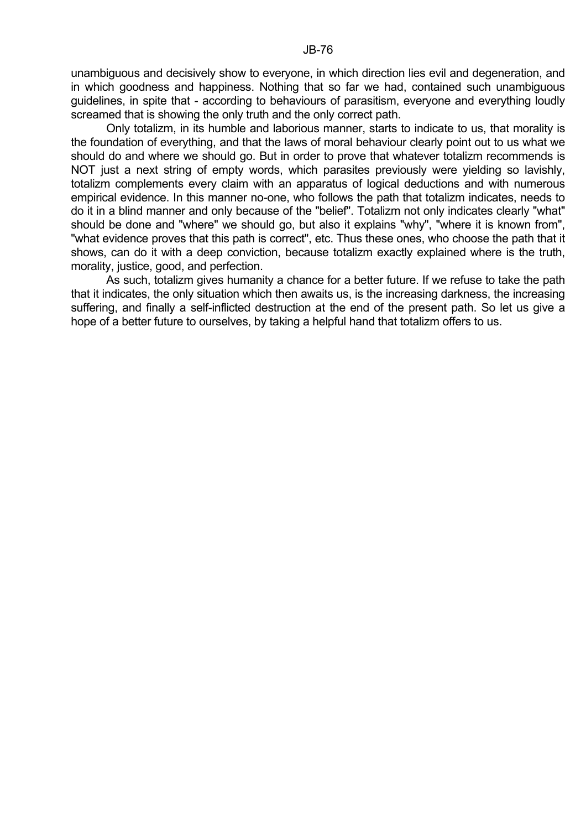Only totalizm, in its humble and laborious manner, starts to indicate to us, that morality is the foundation of everything, and that the laws of moral behaviour clearly point out to us what we should do and where we should go. But in order to prove that whatever totalizm recommends is NOT just a next string of empty words, which parasites previously were yielding so lavishly, totalizm complements every claim with an apparatus of logical deductions and with numerous empirical evidence. In this manner no-one, who follows the path that totalizm indicates, needs to do it in a blind manner and only because of the "belief". Totalizm not only indicates clearly "what" should be done and "where" we should go, but also it explains "why", "where it is known from", "what evidence proves that this path is correct", etc. Thus these ones, who choose the path that it shows, can do it with a deep conviction, because totalizm exactly explained where is the truth, morality, justice, good, and perfection.

 As such, totalizm gives humanity a chance for a better future. If we refuse to take the path that it indicates, the only situation which then awaits us, is the increasing darkness, the increasing suffering, and finally a self-inflicted destruction at the end of the present path. So let us give a hope of a better future to ourselves, by taking a helpful hand that totalizm offers to us.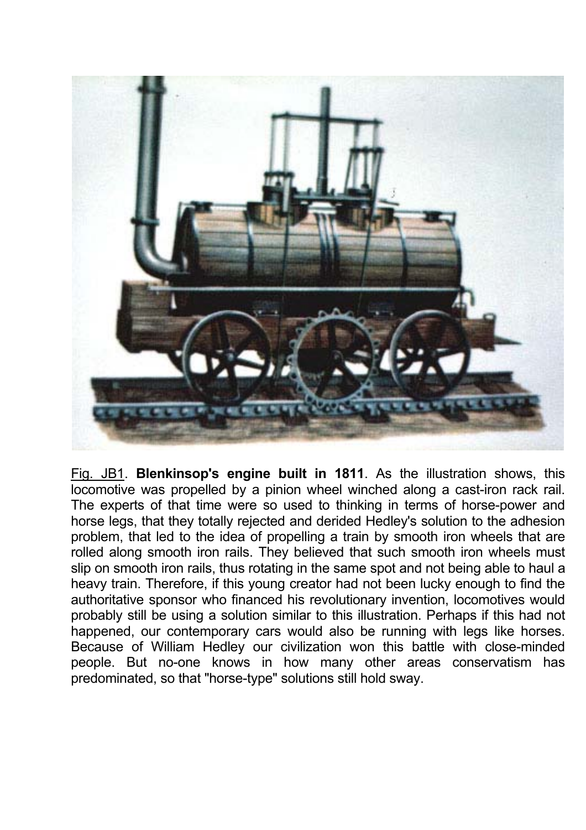

Fig. JB1. **Blenkinsop's engine built in 1811**. As the illustration shows, this locomotive was propelled by a pinion wheel winched along a cast-iron rack rail. The experts of that time were so used to thinking in terms of horse-power and horse legs, that they totally rejected and derided Hedley's solution to the adhesion problem, that led to the idea of propelling a train by smooth iron wheels that are rolled along smooth iron rails. They believed that such smooth iron wheels must slip on smooth iron rails, thus rotating in the same spot and not being able to haul a heavy train. Therefore, if this young creator had not been lucky enough to find the authoritative sponsor who financed his revolutionary invention, locomotives would probably still be using a solution similar to this illustration. Perhaps if this had not happened, our contemporary cars would also be running with legs like horses. Because of William Hedley our civilization won this battle with close-minded people. But no-one knows in how many other areas conservatism has predominated, so that "horse-type" solutions still hold sway.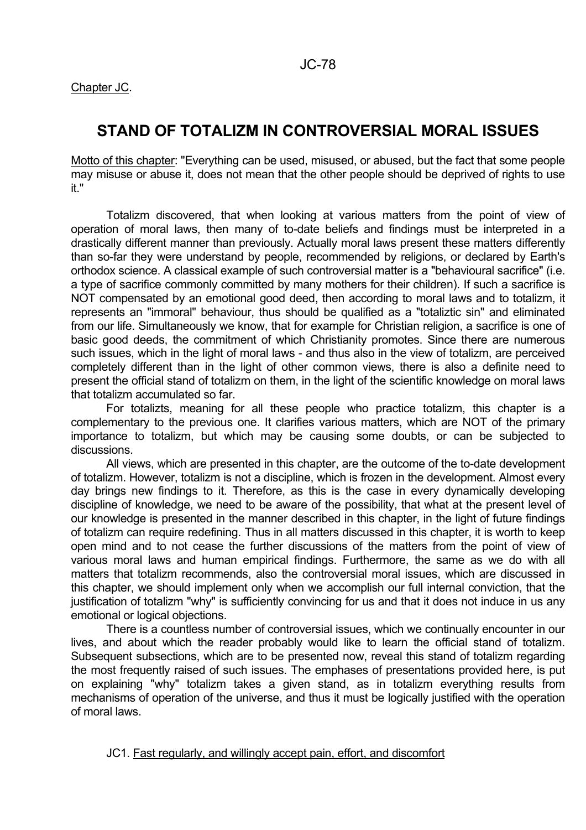# **STAND OF TOTALIZM IN CONTROVERSIAL MORAL ISSUES**

Motto of this chapter: "Everything can be used, misused, or abused, but the fact that some people may misuse or abuse it, does not mean that the other people should be deprived of rights to use it."

 Totalizm discovered, that when looking at various matters from the point of view of operation of moral laws, then many of to-date beliefs and findings must be interpreted in a drastically different manner than previously. Actually moral laws present these matters differently than so-far they were understand by people, recommended by religions, or declared by Earth's orthodox science. A classical example of such controversial matter is a "behavioural sacrifice" (i.e. a type of sacrifice commonly committed by many mothers for their children). If such a sacrifice is NOT compensated by an emotional good deed, then according to moral laws and to totalizm, it represents an "immoral" behaviour, thus should be qualified as a "totaliztic sin" and eliminated from our life. Simultaneously we know, that for example for Christian religion, a sacrifice is one of basic good deeds, the commitment of which Christianity promotes. Since there are numerous such issues, which in the light of moral laws - and thus also in the view of totalizm, are perceived completely different than in the light of other common views, there is also a definite need to present the official stand of totalizm on them, in the light of the scientific knowledge on moral laws that totalizm accumulated so far.

 For totalizts, meaning for all these people who practice totalizm, this chapter is a complementary to the previous one. It clarifies various matters, which are NOT of the primary importance to totalizm, but which may be causing some doubts, or can be subjected to discussions.

 All views, which are presented in this chapter, are the outcome of the to-date development of totalizm. However, totalizm is not a discipline, which is frozen in the development. Almost every day brings new findings to it. Therefore, as this is the case in every dynamically developing discipline of knowledge, we need to be aware of the possibility, that what at the present level of our knowledge is presented in the manner described in this chapter, in the light of future findings of totalizm can require redefining. Thus in all matters discussed in this chapter, it is worth to keep open mind and to not cease the further discussions of the matters from the point of view of various moral laws and human empirical findings. Furthermore, the same as we do with all matters that totalizm recommends, also the controversial moral issues, which are discussed in this chapter, we should implement only when we accomplish our full internal conviction, that the justification of totalizm "why" is sufficiently convincing for us and that it does not induce in us any emotional or logical objections.

 There is a countless number of controversial issues, which we continually encounter in our lives, and about which the reader probably would like to learn the official stand of totalizm. Subsequent subsections, which are to be presented now, reveal this stand of totalizm regarding the most frequently raised of such issues. The emphases of presentations provided here, is put on explaining "why" totalizm takes a given stand, as in totalizm everything results from mechanisms of operation of the universe, and thus it must be logically justified with the operation of moral laws.

JC1. Fast regularly, and willingly accept pain, effort, and discomfort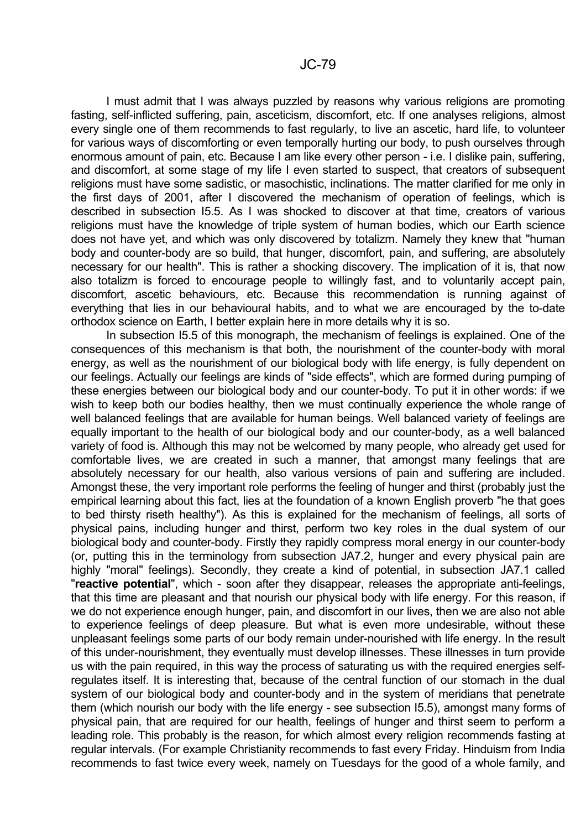I must admit that I was always puzzled by reasons why various religions are promoting fasting, self-inflicted suffering, pain, asceticism, discomfort, etc. If one analyses religions, almost every single one of them recommends to fast regularly, to live an ascetic, hard life, to volunteer for various ways of discomforting or even temporally hurting our body, to push ourselves through enormous amount of pain, etc. Because I am like every other person - i.e. I dislike pain, suffering, and discomfort, at some stage of my life I even started to suspect, that creators of subsequent religions must have some sadistic, or masochistic, inclinations. The matter clarified for me only in the first days of 2001, after I discovered the mechanism of operation of feelings, which is described in subsection I5.5. As I was shocked to discover at that time, creators of various religions must have the knowledge of triple system of human bodies, which our Earth science does not have yet, and which was only discovered by totalizm. Namely they knew that "human body and counter-body are so build, that hunger, discomfort, pain, and suffering, are absolutely necessary for our health". This is rather a shocking discovery. The implication of it is, that now also totalizm is forced to encourage people to willingly fast, and to voluntarily accept pain, discomfort, ascetic behaviours, etc. Because this recommendation is running against of everything that lies in our behavioural habits, and to what we are encouraged by the to-date orthodox science on Earth, I better explain here in more details why it is so.

In subsection 15.5 of this monograph, the mechanism of feelings is explained. One of the consequences of this mechanism is that both, the nourishment of the counter-body with moral energy, as well as the nourishment of our biological body with life energy, is fully dependent on our feelings. Actually our feelings are kinds of "side effects", which are formed during pumping of these energies between our biological body and our counter-body. To put it in other words: if we wish to keep both our bodies healthy, then we must continually experience the whole range of well balanced feelings that are available for human beings. Well balanced variety of feelings are equally important to the health of our biological body and our counter-body, as a well balanced variety of food is. Although this may not be welcomed by many people, who already get used for comfortable lives, we are created in such a manner, that amongst many feelings that are absolutely necessary for our health, also various versions of pain and suffering are included. Amongst these, the very important role performs the feeling of hunger and thirst (probably just the empirical learning about this fact, lies at the foundation of a known English proverb "he that goes to bed thirsty riseth healthy"). As this is explained for the mechanism of feelings, all sorts of physical pains, including hunger and thirst, perform two key roles in the dual system of our biological body and counter-body. Firstly they rapidly compress moral energy in our counter-body (or, putting this in the terminology from subsection JA7.2, hunger and every physical pain are highly "moral" feelings). Secondly, they create a kind of potential, in subsection JA7.1 called "**reactive potential**", which - soon after they disappear, releases the appropriate anti-feelings, that this time are pleasant and that nourish our physical body with life energy. For this reason, if we do not experience enough hunger, pain, and discomfort in our lives, then we are also not able to experience feelings of deep pleasure. But what is even more undesirable, without these unpleasant feelings some parts of our body remain under-nourished with life energy. In the result of this under-nourishment, they eventually must develop illnesses. These illnesses in turn provide us with the pain required, in this way the process of saturating us with the required energies selfregulates itself. It is interesting that, because of the central function of our stomach in the dual system of our biological body and counter-body and in the system of meridians that penetrate them (which nourish our body with the life energy - see subsection I5.5), amongst many forms of physical pain, that are required for our health, feelings of hunger and thirst seem to perform a leading role. This probably is the reason, for which almost every religion recommends fasting at regular intervals. (For example Christianity recommends to fast every Friday. Hinduism from India recommends to fast twice every week, namely on Tuesdays for the good of a whole family, and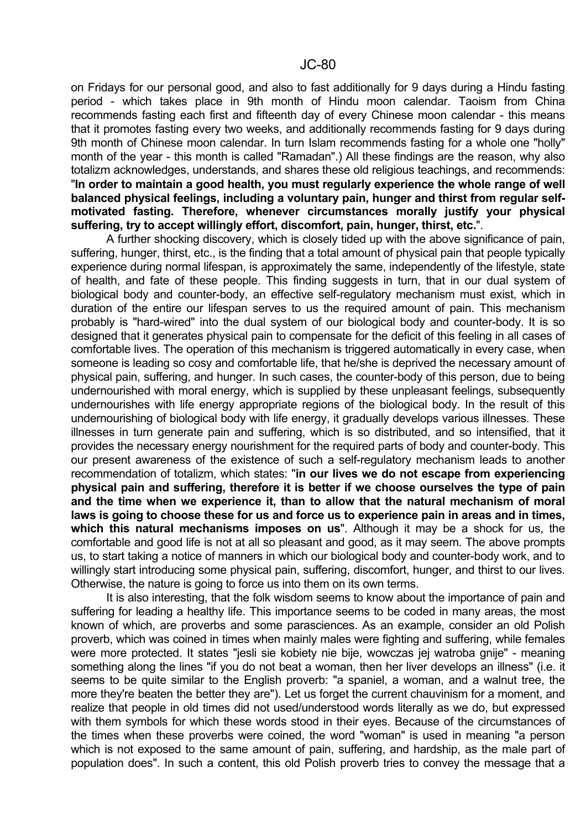on Fridays for our personal good, and also to fast additionally for 9 days during a Hindu fasting period - which takes place in 9th month of Hindu moon calendar. Taoism from China recommends fasting each first and fifteenth day of every Chinese moon calendar - this means that it promotes fasting every two weeks, and additionally recommends fasting for 9 days during 9th month of Chinese moon calendar. In turn Islam recommends fasting for a whole one "holly" month of the year - this month is called "Ramadan".) All these findings are the reason, why also totalizm acknowledges, understands, and shares these old religious teachings, and recommends: "**In order to maintain a good health, you must regularly experience the whole range of well balanced physical feelings, including a voluntary pain, hunger and thirst from regular selfmotivated fasting. Therefore, whenever circumstances morally justify your physical suffering, try to accept willingly effort, discomfort, pain, hunger, thirst, etc.**".

 A further shocking discovery, which is closely tided up with the above significance of pain, suffering, hunger, thirst, etc., is the finding that a total amount of physical pain that people typically experience during normal lifespan, is approximately the same, independently of the lifestyle, state of health, and fate of these people. This finding suggests in turn, that in our dual system of biological body and counter-body, an effective self-regulatory mechanism must exist, which in duration of the entire our lifespan serves to us the required amount of pain. This mechanism probably is "hard-wired" into the dual system of our biological body and counter-body. It is so designed that it generates physical pain to compensate for the deficit of this feeling in all cases of comfortable lives. The operation of this mechanism is triggered automatically in every case, when someone is leading so cosy and comfortable life, that he/she is deprived the necessary amount of physical pain, suffering, and hunger. In such cases, the counter-body of this person, due to being undernourished with moral energy, which is supplied by these unpleasant feelings, subsequently undernourishes with life energy appropriate regions of the biological body. In the result of this undernourishing of biological body with life energy, it gradually develops various illnesses. These illnesses in turn generate pain and suffering, which is so distributed, and so intensified, that it provides the necessary energy nourishment for the required parts of body and counter-body. This our present awareness of the existence of such a self-regulatory mechanism leads to another recommendation of totalizm, which states: "**in our lives we do not escape from experiencing physical pain and suffering, therefore it is better if we choose ourselves the type of pain and the time when we experience it, than to allow that the natural mechanism of moral laws is going to choose these for us and force us to experience pain in areas and in times, which this natural mechanisms imposes on us**". Although it may be a shock for us, the comfortable and good life is not at all so pleasant and good, as it may seem. The above prompts us, to start taking a notice of manners in which our biological body and counter-body work, and to willingly start introducing some physical pain, suffering, discomfort, hunger, and thirst to our lives. Otherwise, the nature is going to force us into them on its own terms.

 It is also interesting, that the folk wisdom seems to know about the importance of pain and suffering for leading a healthy life. This importance seems to be coded in many areas, the most known of which, are proverbs and some parasciences. As an example, consider an old Polish proverb, which was coined in times when mainly males were fighting and suffering, while females were more protected. It states "jesli sie kobiety nie bije, wowczas jej watroba gnije" - meaning something along the lines "if you do not beat a woman, then her liver develops an illness" (i.e. it seems to be quite similar to the English proverb: "a spaniel, a woman, and a walnut tree, the more they're beaten the better they are"). Let us forget the current chauvinism for a moment, and realize that people in old times did not used/understood words literally as we do, but expressed with them symbols for which these words stood in their eyes. Because of the circumstances of the times when these proverbs were coined, the word "woman" is used in meaning "a person which is not exposed to the same amount of pain, suffering, and hardship, as the male part of population does". In such a content, this old Polish proverb tries to convey the message that a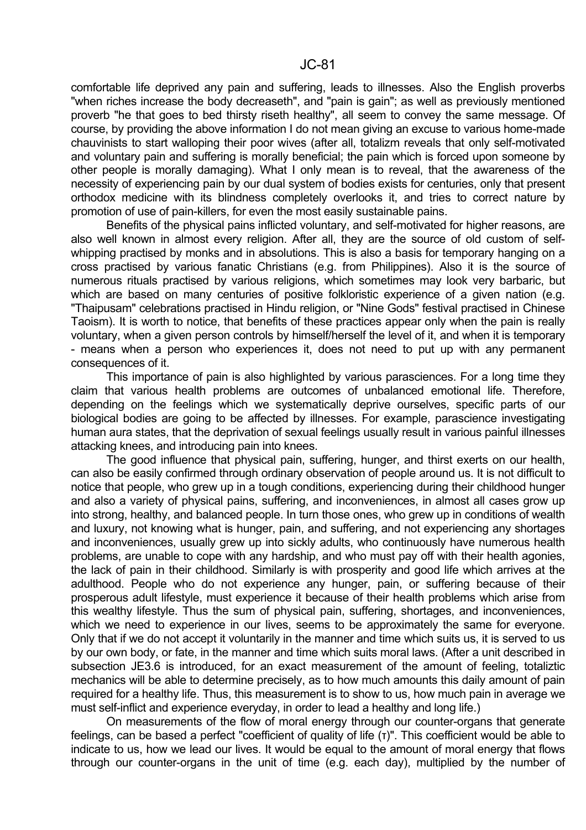comfortable life deprived any pain and suffering, leads to illnesses. Also the English proverbs "when riches increase the body decreaseth", and "pain is gain"; as well as previously mentioned proverb "he that goes to bed thirsty riseth healthy", all seem to convey the same message. Of course, by providing the above information I do not mean giving an excuse to various home-made chauvinists to start walloping their poor wives (after all, totalizm reveals that only self-motivated and voluntary pain and suffering is morally beneficial; the pain which is forced upon someone by other people is morally damaging). What I only mean is to reveal, that the awareness of the necessity of experiencing pain by our dual system of bodies exists for centuries, only that present orthodox medicine with its blindness completely overlooks it, and tries to correct nature by promotion of use of pain-killers, for even the most easily sustainable pains.

 Benefits of the physical pains inflicted voluntary, and self-motivated for higher reasons, are also well known in almost every religion. After all, they are the source of old custom of selfwhipping practised by monks and in absolutions. This is also a basis for temporary hanging on a cross practised by various fanatic Christians (e.g. from Philippines). Also it is the source of numerous rituals practised by various religions, which sometimes may look very barbaric, but which are based on many centuries of positive folkloristic experience of a given nation (e.g. "Thaipusam" celebrations practised in Hindu religion, or "Nine Gods" festival practised in Chinese Taoism). It is worth to notice, that benefits of these practices appear only when the pain is really voluntary, when a given person controls by himself/herself the level of it, and when it is temporary - means when a person who experiences it, does not need to put up with any permanent consequences of it.

 This importance of pain is also highlighted by various parasciences. For a long time they claim that various health problems are outcomes of unbalanced emotional life. Therefore, depending on the feelings which we systematically deprive ourselves, specific parts of our biological bodies are going to be affected by illnesses. For example, parascience investigating human aura states, that the deprivation of sexual feelings usually result in various painful illnesses attacking knees, and introducing pain into knees.

 The good influence that physical pain, suffering, hunger, and thirst exerts on our health, can also be easily confirmed through ordinary observation of people around us. It is not difficult to notice that people, who grew up in a tough conditions, experiencing during their childhood hunger and also a variety of physical pains, suffering, and inconveniences, in almost all cases grow up into strong, healthy, and balanced people. In turn those ones, who grew up in conditions of wealth and luxury, not knowing what is hunger, pain, and suffering, and not experiencing any shortages and inconveniences, usually grew up into sickly adults, who continuously have numerous health problems, are unable to cope with any hardship, and who must pay off with their health agonies, the lack of pain in their childhood. Similarly is with prosperity and good life which arrives at the adulthood. People who do not experience any hunger, pain, or suffering because of their prosperous adult lifestyle, must experience it because of their health problems which arise from this wealthy lifestyle. Thus the sum of physical pain, suffering, shortages, and inconveniences, which we need to experience in our lives, seems to be approximately the same for everyone. Only that if we do not accept it voluntarily in the manner and time which suits us, it is served to us by our own body, or fate, in the manner and time which suits moral laws. (After a unit described in subsection JE3.6 is introduced, for an exact measurement of the amount of feeling, totaliztic mechanics will be able to determine precisely, as to how much amounts this daily amount of pain required for a healthy life. Thus, this measurement is to show to us, how much pain in average we must self-inflict and experience everyday, in order to lead a healthy and long life.)

 On measurements of the flow of moral energy through our counter-organs that generate feelings, can be based a perfect "coefficient of quality of life (τ)". This coefficient would be able to indicate to us, how we lead our lives. It would be equal to the amount of moral energy that flows through our counter-organs in the unit of time (e.g. each day), multiplied by the number of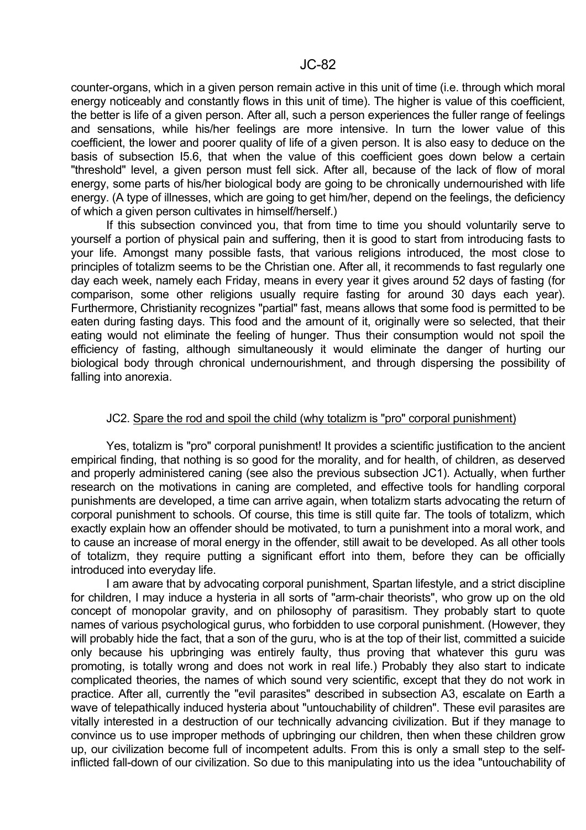counter-organs, which in a given person remain active in this unit of time (i.e. through which moral energy noticeably and constantly flows in this unit of time). The higher is value of this coefficient, the better is life of a given person. After all, such a person experiences the fuller range of feelings and sensations, while his/her feelings are more intensive. In turn the lower value of this coefficient, the lower and poorer quality of life of a given person. It is also easy to deduce on the basis of subsection I5.6, that when the value of this coefficient goes down below a certain "threshold" level, a given person must fell sick. After all, because of the lack of flow of moral energy, some parts of his/her biological body are going to be chronically undernourished with life energy. (A type of illnesses, which are going to get him/her, depend on the feelings, the deficiency of which a given person cultivates in himself/herself.)

 If this subsection convinced you, that from time to time you should voluntarily serve to yourself a portion of physical pain and suffering, then it is good to start from introducing fasts to your life. Amongst many possible fasts, that various religions introduced, the most close to principles of totalizm seems to be the Christian one. After all, it recommends to fast regularly one day each week, namely each Friday, means in every year it gives around 52 days of fasting (for comparison, some other religions usually require fasting for around 30 days each year). Furthermore, Christianity recognizes "partial" fast, means allows that some food is permitted to be eaten during fasting days. This food and the amount of it, originally were so selected, that their eating would not eliminate the feeling of hunger. Thus their consumption would not spoil the efficiency of fasting, although simultaneously it would eliminate the danger of hurting our biological body through chronical undernourishment, and through dispersing the possibility of falling into anorexia.

#### JC2. Spare the rod and spoil the child (why totalizm is "pro" corporal punishment)

 Yes, totalizm is "pro" corporal punishment! It provides a scientific justification to the ancient empirical finding, that nothing is so good for the morality, and for health, of children, as deserved and properly administered caning (see also the previous subsection JC1). Actually, when further research on the motivations in caning are completed, and effective tools for handling corporal punishments are developed, a time can arrive again, when totalizm starts advocating the return of corporal punishment to schools. Of course, this time is still quite far. The tools of totalizm, which exactly explain how an offender should be motivated, to turn a punishment into a moral work, and to cause an increase of moral energy in the offender, still await to be developed. As all other tools of totalizm, they require putting a significant effort into them, before they can be officially introduced into everyday life.

 I am aware that by advocating corporal punishment, Spartan lifestyle, and a strict discipline for children, I may induce a hysteria in all sorts of "arm-chair theorists", who grow up on the old concept of monopolar gravity, and on philosophy of parasitism. They probably start to quote names of various psychological gurus, who forbidden to use corporal punishment. (However, they will probably hide the fact, that a son of the guru, who is at the top of their list, committed a suicide only because his upbringing was entirely faulty, thus proving that whatever this guru was promoting, is totally wrong and does not work in real life.) Probably they also start to indicate complicated theories, the names of which sound very scientific, except that they do not work in practice. After all, currently the "evil parasites" described in subsection A3, escalate on Earth a wave of telepathically induced hysteria about "untouchability of children". These evil parasites are vitally interested in a destruction of our technically advancing civilization. But if they manage to convince us to use improper methods of upbringing our children, then when these children grow up, our civilization become full of incompetent adults. From this is only a small step to the selfinflicted fall-down of our civilization. So due to this manipulating into us the idea "untouchability of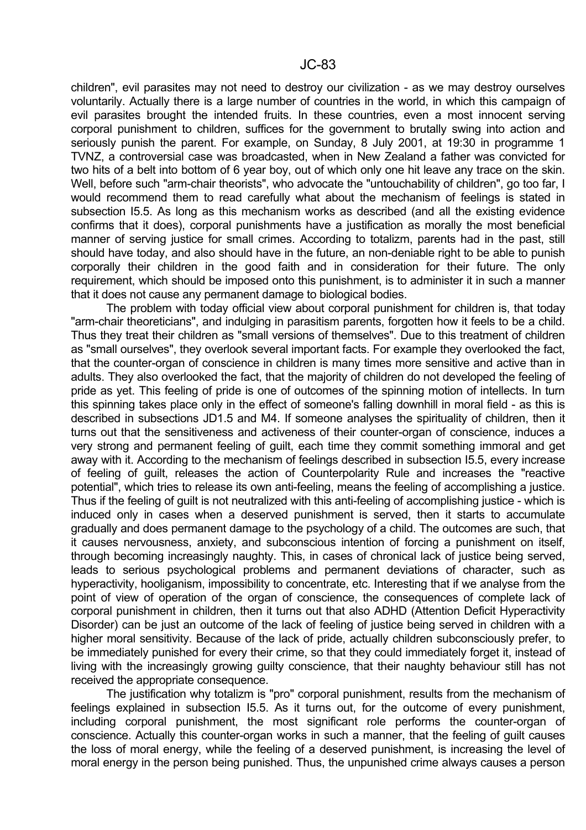children", evil parasites may not need to destroy our civilization - as we may destroy ourselves voluntarily. Actually there is a large number of countries in the world, in which this campaign of evil parasites brought the intended fruits. In these countries, even a most innocent serving corporal punishment to children, suffices for the government to brutally swing into action and seriously punish the parent. For example, on Sunday, 8 July 2001, at 19:30 in programme 1 TVNZ, a controversial case was broadcasted, when in New Zealand a father was convicted for two hits of a belt into bottom of 6 year boy, out of which only one hit leave any trace on the skin. Well, before such "arm-chair theorists", who advocate the "untouchability of children", go too far, I would recommend them to read carefully what about the mechanism of feelings is stated in subsection I5.5. As long as this mechanism works as described (and all the existing evidence confirms that it does), corporal punishments have a justification as morally the most beneficial manner of serving justice for small crimes. According to totalizm, parents had in the past, still should have today, and also should have in the future, an non-deniable right to be able to punish corporally their children in the good faith and in consideration for their future. The only requirement, which should be imposed onto this punishment, is to administer it in such a manner that it does not cause any permanent damage to biological bodies.

 The problem with today official view about corporal punishment for children is, that today "arm-chair theoreticians", and indulging in parasitism parents, forgotten how it feels to be a child. Thus they treat their children as "small versions of themselves". Due to this treatment of children as "small ourselves", they overlook several important facts. For example they overlooked the fact, that the counter-organ of conscience in children is many times more sensitive and active than in adults. They also overlooked the fact, that the majority of children do not developed the feeling of pride as yet. This feeling of pride is one of outcomes of the spinning motion of intellects. In turn this spinning takes place only in the effect of someone's falling downhill in moral field - as this is described in subsections JD1.5 and M4. If someone analyses the spirituality of children, then it turns out that the sensitiveness and activeness of their counter-organ of conscience, induces a very strong and permanent feeling of guilt, each time they commit something immoral and get away with it. According to the mechanism of feelings described in subsection I5.5, every increase of feeling of guilt, releases the action of Counterpolarity Rule and increases the "reactive potential", which tries to release its own anti-feeling, means the feeling of accomplishing a justice. Thus if the feeling of guilt is not neutralized with this anti-feeling of accomplishing justice - which is induced only in cases when a deserved punishment is served, then it starts to accumulate gradually and does permanent damage to the psychology of a child. The outcomes are such, that it causes nervousness, anxiety, and subconscious intention of forcing a punishment on itself, through becoming increasingly naughty. This, in cases of chronical lack of justice being served, leads to serious psychological problems and permanent deviations of character, such as hyperactivity, hooliganism, impossibility to concentrate, etc. Interesting that if we analyse from the point of view of operation of the organ of conscience, the consequences of complete lack of corporal punishment in children, then it turns out that also ADHD (Attention Deficit Hyperactivity Disorder) can be just an outcome of the lack of feeling of justice being served in children with a higher moral sensitivity. Because of the lack of pride, actually children subconsciously prefer, to be immediately punished for every their crime, so that they could immediately forget it, instead of living with the increasingly growing guilty conscience, that their naughty behaviour still has not received the appropriate consequence.

 The justification why totalizm is "pro" corporal punishment, results from the mechanism of feelings explained in subsection I5.5. As it turns out, for the outcome of every punishment, including corporal punishment, the most significant role performs the counter-organ of conscience. Actually this counter-organ works in such a manner, that the feeling of guilt causes the loss of moral energy, while the feeling of a deserved punishment, is increasing the level of moral energy in the person being punished. Thus, the unpunished crime always causes a person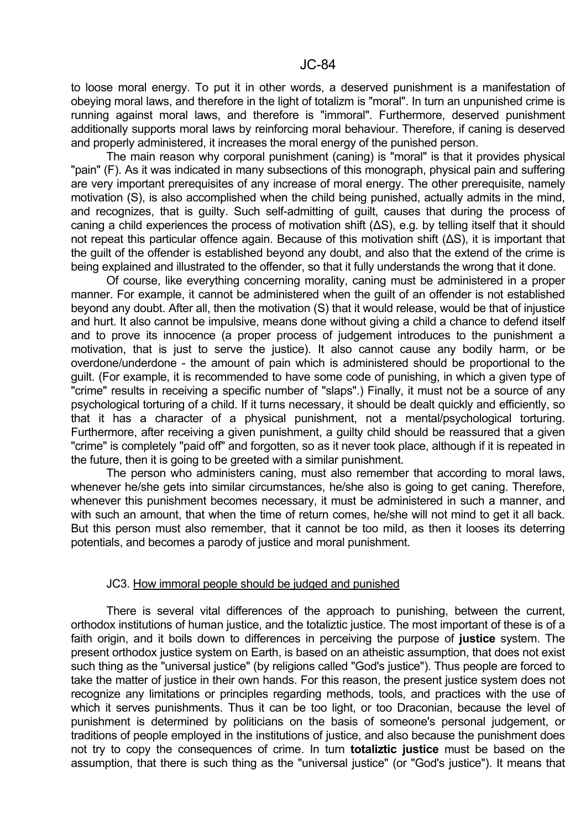to loose moral energy. To put it in other words, a deserved punishment is a manifestation of obeying moral laws, and therefore in the light of totalizm is "moral". In turn an unpunished crime is running against moral laws, and therefore is "immoral". Furthermore, deserved punishment additionally supports moral laws by reinforcing moral behaviour. Therefore, if caning is deserved and properly administered, it increases the moral energy of the punished person.

 The main reason why corporal punishment (caning) is "moral" is that it provides physical "pain" (F). As it was indicated in many subsections of this monograph, physical pain and suffering are very important prerequisites of any increase of moral energy. The other prerequisite, namely motivation (S), is also accomplished when the child being punished, actually admits in the mind, and recognizes, that is guilty. Such self-admitting of guilt, causes that during the process of caning a child experiences the process of motivation shift (∆S), e.g. by telling itself that it should not repeat this particular offence again. Because of this motivation shift (∆S), it is important that the guilt of the offender is established beyond any doubt, and also that the extend of the crime is being explained and illustrated to the offender, so that it fully understands the wrong that it done.

 Of course, like everything concerning morality, caning must be administered in a proper manner. For example, it cannot be administered when the guilt of an offender is not established beyond any doubt. After all, then the motivation (S) that it would release, would be that of injustice and hurt. It also cannot be impulsive, means done without giving a child a chance to defend itself and to prove its innocence (a proper process of judgement introduces to the punishment a motivation, that is just to serve the justice). It also cannot cause any bodily harm, or be overdone/underdone - the amount of pain which is administered should be proportional to the guilt. (For example, it is recommended to have some code of punishing, in which a given type of "crime" results in receiving a specific number of "slaps".) Finally, it must not be a source of any psychological torturing of a child. If it turns necessary, it should be dealt quickly and efficiently, so that it has a character of a physical punishment, not a mental/psychological torturing. Furthermore, after receiving a given punishment, a guilty child should be reassured that a given "crime" is completely "paid off" and forgotten, so as it never took place, although if it is repeated in the future, then it is going to be greeted with a similar punishment.

 The person who administers caning, must also remember that according to moral laws, whenever he/she gets into similar circumstances, he/she also is going to get caning. Therefore, whenever this punishment becomes necessary, it must be administered in such a manner, and with such an amount, that when the time of return comes, he/she will not mind to get it all back. But this person must also remember, that it cannot be too mild, as then it looses its deterring potentials, and becomes a parody of justice and moral punishment.

#### JC3. How immoral people should be judged and punished

 There is several vital differences of the approach to punishing, between the current, orthodox institutions of human justice, and the totaliztic justice. The most important of these is of a faith origin, and it boils down to differences in perceiving the purpose of **justice** system. The present orthodox justice system on Earth, is based on an atheistic assumption, that does not exist such thing as the "universal justice" (by religions called "God's justice"). Thus people are forced to take the matter of justice in their own hands. For this reason, the present justice system does not recognize any limitations or principles regarding methods, tools, and practices with the use of which it serves punishments. Thus it can be too light, or too Draconian, because the level of punishment is determined by politicians on the basis of someone's personal judgement, or traditions of people employed in the institutions of justice, and also because the punishment does not try to copy the consequences of crime. In turn **totaliztic justice** must be based on the assumption, that there is such thing as the "universal justice" (or "God's justice"). It means that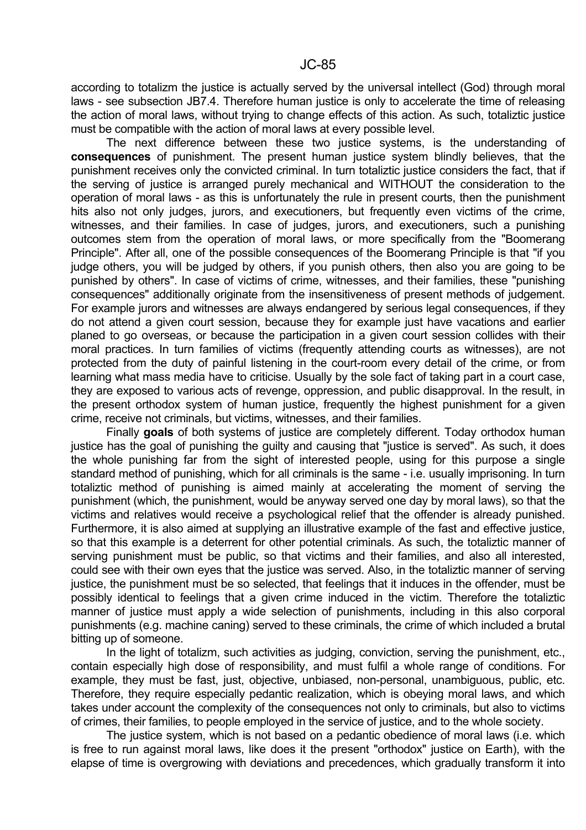The next difference between these two justice systems, is the understanding of **consequences** of punishment. The present human justice system blindly believes, that the punishment receives only the convicted criminal. In turn totaliztic justice considers the fact, that if the serving of justice is arranged purely mechanical and WITHOUT the consideration to the operation of moral laws - as this is unfortunately the rule in present courts, then the punishment hits also not only judges, jurors, and executioners, but frequently even victims of the crime, witnesses, and their families. In case of judges, jurors, and executioners, such a punishing outcomes stem from the operation of moral laws, or more specifically from the "Boomerang Principle". After all, one of the possible consequences of the Boomerang Principle is that "if you judge others, you will be judged by others, if you punish others, then also you are going to be punished by others". In case of victims of crime, witnesses, and their families, these "punishing consequences" additionally originate from the insensitiveness of present methods of judgement. For example jurors and witnesses are always endangered by serious legal consequences, if they do not attend a given court session, because they for example just have vacations and earlier planed to go overseas, or because the participation in a given court session collides with their moral practices. In turn families of victims (frequently attending courts as witnesses), are not protected from the duty of painful listening in the court-room every detail of the crime, or from learning what mass media have to criticise. Usually by the sole fact of taking part in a court case, they are exposed to various acts of revenge, oppression, and public disapproval. In the result, in the present orthodox system of human justice, frequently the highest punishment for a given crime, receive not criminals, but victims, witnesses, and their families.

 Finally **goals** of both systems of justice are completely different. Today orthodox human justice has the goal of punishing the guilty and causing that "justice is served". As such, it does the whole punishing far from the sight of interested people, using for this purpose a single standard method of punishing, which for all criminals is the same - i.e. usually imprisoning. In turn totaliztic method of punishing is aimed mainly at accelerating the moment of serving the punishment (which, the punishment, would be anyway served one day by moral laws), so that the victims and relatives would receive a psychological relief that the offender is already punished. Furthermore, it is also aimed at supplying an illustrative example of the fast and effective justice, so that this example is a deterrent for other potential criminals. As such, the totaliztic manner of serving punishment must be public, so that victims and their families, and also all interested, could see with their own eyes that the justice was served. Also, in the totaliztic manner of serving justice, the punishment must be so selected, that feelings that it induces in the offender, must be possibly identical to feelings that a given crime induced in the victim. Therefore the totaliztic manner of justice must apply a wide selection of punishments, including in this also corporal punishments (e.g. machine caning) served to these criminals, the crime of which included a brutal bitting up of someone.

In the light of totalizm, such activities as judging, conviction, serving the punishment, etc., contain especially high dose of responsibility, and must fulfil a whole range of conditions. For example, they must be fast, just, objective, unbiased, non-personal, unambiguous, public, etc. Therefore, they require especially pedantic realization, which is obeying moral laws, and which takes under account the complexity of the consequences not only to criminals, but also to victims of crimes, their families, to people employed in the service of justice, and to the whole society.

 The justice system, which is not based on a pedantic obedience of moral laws (i.e. which is free to run against moral laws, like does it the present "orthodox" justice on Earth), with the elapse of time is overgrowing with deviations and precedences, which gradually transform it into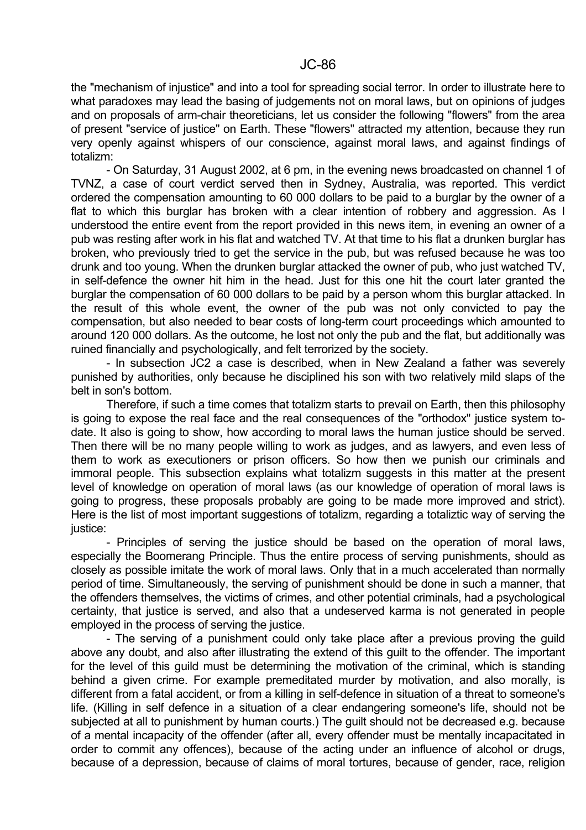the "mechanism of injustice" and into a tool for spreading social terror. In order to illustrate here to what paradoxes may lead the basing of judgements not on moral laws, but on opinions of judges and on proposals of arm-chair theoreticians, let us consider the following "flowers" from the area of present "service of justice" on Earth. These "flowers" attracted my attention, because they run very openly against whispers of our conscience, against moral laws, and against findings of totalizm:

 - On Saturday, 31 August 2002, at 6 pm, in the evening news broadcasted on channel 1 of TVNZ, a case of court verdict served then in Sydney, Australia, was reported. This verdict ordered the compensation amounting to 60 000 dollars to be paid to a burglar by the owner of a flat to which this burglar has broken with a clear intention of robbery and aggression. As I understood the entire event from the report provided in this news item, in evening an owner of a pub was resting after work in his flat and watched TV. At that time to his flat a drunken burglar has broken, who previously tried to get the service in the pub, but was refused because he was too drunk and too young. When the drunken burglar attacked the owner of pub, who just watched TV, in self-defence the owner hit him in the head. Just for this one hit the court later granted the burglar the compensation of 60 000 dollars to be paid by a person whom this burglar attacked. In the result of this whole event, the owner of the pub was not only convicted to pay the compensation, but also needed to bear costs of long-term court proceedings which amounted to around 120 000 dollars. As the outcome, he lost not only the pub and the flat, but additionally was ruined financially and psychologically, and felt terrorized by the society.

 - In subsection JC2 a case is described, when in New Zealand a father was severely punished by authorities, only because he disciplined his son with two relatively mild slaps of the belt in son's bottom.

 Therefore, if such a time comes that totalizm starts to prevail on Earth, then this philosophy is going to expose the real face and the real consequences of the "orthodox" justice system todate. It also is going to show, how according to moral laws the human justice should be served. Then there will be no many people willing to work as judges, and as lawyers, and even less of them to work as executioners or prison officers. So how then we punish our criminals and immoral people. This subsection explains what totalizm suggests in this matter at the present level of knowledge on operation of moral laws (as our knowledge of operation of moral laws is going to progress, these proposals probably are going to be made more improved and strict). Here is the list of most important suggestions of totalizm, regarding a totaliztic way of serving the justice:

 - Principles of serving the justice should be based on the operation of moral laws, especially the Boomerang Principle. Thus the entire process of serving punishments, should as closely as possible imitate the work of moral laws. Only that in a much accelerated than normally period of time. Simultaneously, the serving of punishment should be done in such a manner, that the offenders themselves, the victims of crimes, and other potential criminals, had a psychological certainty, that justice is served, and also that a undeserved karma is not generated in people employed in the process of serving the justice.

 - The serving of a punishment could only take place after a previous proving the guild above any doubt, and also after illustrating the extend of this guilt to the offender. The important for the level of this guild must be determining the motivation of the criminal, which is standing behind a given crime. For example premeditated murder by motivation, and also morally, is different from a fatal accident, or from a killing in self-defence in situation of a threat to someone's life. (Killing in self defence in a situation of a clear endangering someone's life, should not be subjected at all to punishment by human courts.) The guilt should not be decreased e.g. because of a mental incapacity of the offender (after all, every offender must be mentally incapacitated in order to commit any offences), because of the acting under an influence of alcohol or drugs, because of a depression, because of claims of moral tortures, because of gender, race, religion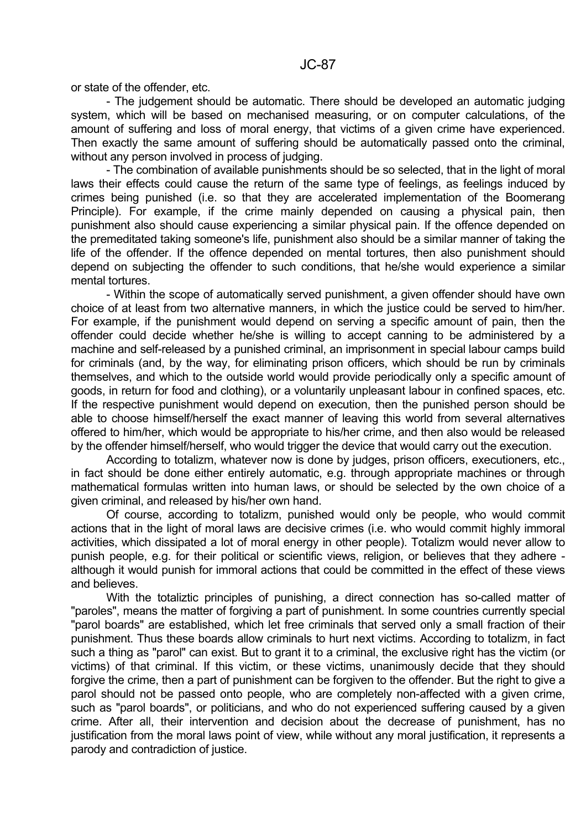or state of the offender, etc.

 - The judgement should be automatic. There should be developed an automatic judging system, which will be based on mechanised measuring, or on computer calculations, of the amount of suffering and loss of moral energy, that victims of a given crime have experienced. Then exactly the same amount of suffering should be automatically passed onto the criminal, without any person involved in process of judging.

 - The combination of available punishments should be so selected, that in the light of moral laws their effects could cause the return of the same type of feelings, as feelings induced by crimes being punished (i.e. so that they are accelerated implementation of the Boomerang Principle). For example, if the crime mainly depended on causing a physical pain, then punishment also should cause experiencing a similar physical pain. If the offence depended on the premeditated taking someone's life, punishment also should be a similar manner of taking the life of the offender. If the offence depended on mental tortures, then also punishment should depend on subjecting the offender to such conditions, that he/she would experience a similar mental tortures.

 - Within the scope of automatically served punishment, a given offender should have own choice of at least from two alternative manners, in which the justice could be served to him/her. For example, if the punishment would depend on serving a specific amount of pain, then the offender could decide whether he/she is willing to accept canning to be administered by a machine and self-released by a punished criminal, an imprisonment in special labour camps build for criminals (and, by the way, for eliminating prison officers, which should be run by criminals themselves, and which to the outside world would provide periodically only a specific amount of goods, in return for food and clothing), or a voluntarily unpleasant labour in confined spaces, etc. If the respective punishment would depend on execution, then the punished person should be able to choose himself/herself the exact manner of leaving this world from several alternatives offered to him/her, which would be appropriate to his/her crime, and then also would be released by the offender himself/herself, who would trigger the device that would carry out the execution.

 According to totalizm, whatever now is done by judges, prison officers, executioners, etc., in fact should be done either entirely automatic, e.g. through appropriate machines or through mathematical formulas written into human laws, or should be selected by the own choice of a given criminal, and released by his/her own hand.

 Of course, according to totalizm, punished would only be people, who would commit actions that in the light of moral laws are decisive crimes (i.e. who would commit highly immoral activities, which dissipated a lot of moral energy in other people). Totalizm would never allow to punish people, e.g. for their political or scientific views, religion, or believes that they adhere although it would punish for immoral actions that could be committed in the effect of these views and believes.

 With the totaliztic principles of punishing, a direct connection has so-called matter of "paroles", means the matter of forgiving a part of punishment. In some countries currently special "parol boards" are established, which let free criminals that served only a small fraction of their punishment. Thus these boards allow criminals to hurt next victims. According to totalizm, in fact such a thing as "parol" can exist. But to grant it to a criminal, the exclusive right has the victim (or victims) of that criminal. If this victim, or these victims, unanimously decide that they should forgive the crime, then a part of punishment can be forgiven to the offender. But the right to give a parol should not be passed onto people, who are completely non-affected with a given crime, such as "parol boards", or politicians, and who do not experienced suffering caused by a given crime. After all, their intervention and decision about the decrease of punishment, has no justification from the moral laws point of view, while without any moral justification, it represents a parody and contradiction of justice.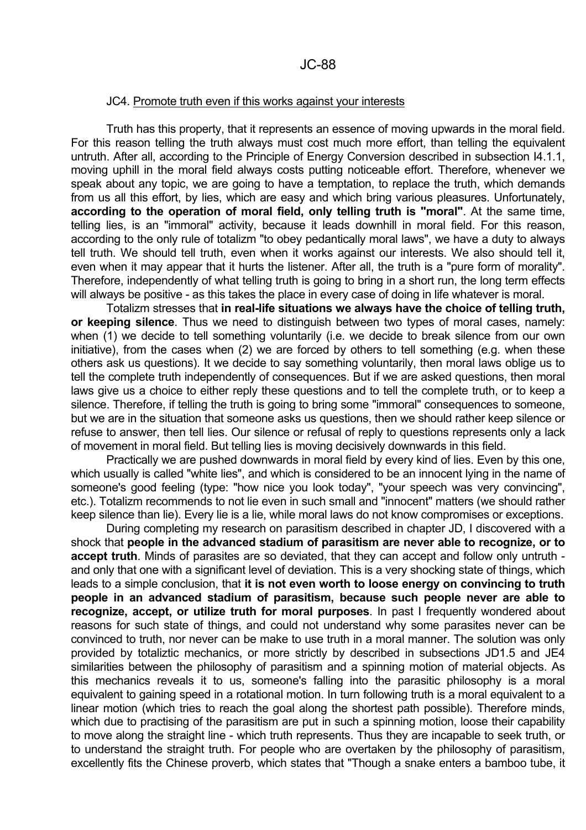#### JC4. Promote truth even if this works against your interests

 Truth has this property, that it represents an essence of moving upwards in the moral field. For this reason telling the truth always must cost much more effort, than telling the equivalent untruth. After all, according to the Principle of Energy Conversion described in subsection I4.1.1, moving uphill in the moral field always costs putting noticeable effort. Therefore, whenever we speak about any topic, we are going to have a temptation, to replace the truth, which demands from us all this effort, by lies, which are easy and which bring various pleasures. Unfortunately, **according to the operation of moral field, only telling truth is "moral"**. At the same time, telling lies, is an "immoral" activity, because it leads downhill in moral field. For this reason, according to the only rule of totalizm "to obey pedantically moral laws", we have a duty to always tell truth. We should tell truth, even when it works against our interests. We also should tell it, even when it may appear that it hurts the listener. After all, the truth is a "pure form of morality". Therefore, independently of what telling truth is going to bring in a short run, the long term effects will always be positive - as this takes the place in every case of doing in life whatever is moral.

 Totalizm stresses that **in real-life situations we always have the choice of telling truth, or keeping silence**. Thus we need to distinguish between two types of moral cases, namely: when (1) we decide to tell something voluntarily (i.e. we decide to break silence from our own initiative), from the cases when (2) we are forced by others to tell something (e.g. when these others ask us questions). It we decide to say something voluntarily, then moral laws oblige us to tell the complete truth independently of consequences. But if we are asked questions, then moral laws give us a choice to either reply these questions and to tell the complete truth, or to keep a silence. Therefore, if telling the truth is going to bring some "immoral" consequences to someone, but we are in the situation that someone asks us questions, then we should rather keep silence or refuse to answer, then tell lies. Our silence or refusal of reply to questions represents only a lack of movement in moral field. But telling lies is moving decisively downwards in this field.

 Practically we are pushed downwards in moral field by every kind of lies. Even by this one, which usually is called "white lies", and which is considered to be an innocent lying in the name of someone's good feeling (type: "how nice you look today", "your speech was very convincing", etc.). Totalizm recommends to not lie even in such small and "innocent" matters (we should rather keep silence than lie). Every lie is a lie, while moral laws do not know compromises or exceptions.

 During completing my research on parasitism described in chapter JD, I discovered with a shock that **people in the advanced stadium of parasitism are never able to recognize, or to accept truth**. Minds of parasites are so deviated, that they can accept and follow only untruth and only that one with a significant level of deviation. This is a very shocking state of things, which leads to a simple conclusion, that **it is not even worth to loose energy on convincing to truth people in an advanced stadium of parasitism, because such people never are able to recognize, accept, or utilize truth for moral purposes**. In past I frequently wondered about reasons for such state of things, and could not understand why some parasites never can be convinced to truth, nor never can be make to use truth in a moral manner. The solution was only provided by totaliztic mechanics, or more strictly by described in subsections JD1.5 and JE4 similarities between the philosophy of parasitism and a spinning motion of material objects. As this mechanics reveals it to us, someone's falling into the parasitic philosophy is a moral equivalent to gaining speed in a rotational motion. In turn following truth is a moral equivalent to a linear motion (which tries to reach the goal along the shortest path possible). Therefore minds, which due to practising of the parasitism are put in such a spinning motion, loose their capability to move along the straight line - which truth represents. Thus they are incapable to seek truth, or to understand the straight truth. For people who are overtaken by the philosophy of parasitism, excellently fits the Chinese proverb, which states that "Though a snake enters a bamboo tube, it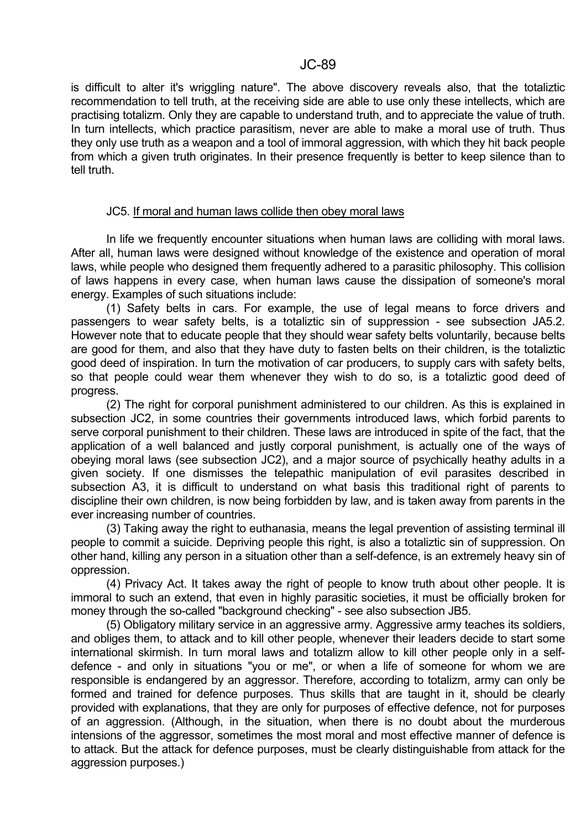is difficult to alter it's wriggling nature". The above discovery reveals also, that the totaliztic recommendation to tell truth, at the receiving side are able to use only these intellects, which are practising totalizm. Only they are capable to understand truth, and to appreciate the value of truth. In turn intellects, which practice parasitism, never are able to make a moral use of truth. Thus they only use truth as a weapon and a tool of immoral aggression, with which they hit back people from which a given truth originates. In their presence frequently is better to keep silence than to tell truth.

#### JC5. If moral and human laws collide then obey moral laws

 In life we frequently encounter situations when human laws are colliding with moral laws. After all, human laws were designed without knowledge of the existence and operation of moral laws, while people who designed them frequently adhered to a parasitic philosophy. This collision of laws happens in every case, when human laws cause the dissipation of someone's moral energy. Examples of such situations include:

 (1) Safety belts in cars. For example, the use of legal means to force drivers and passengers to wear safety belts, is a totaliztic sin of suppression - see subsection JA5.2. However note that to educate people that they should wear safety belts voluntarily, because belts are good for them, and also that they have duty to fasten belts on their children, is the totaliztic good deed of inspiration. In turn the motivation of car producers, to supply cars with safety belts, so that people could wear them whenever they wish to do so, is a totaliztic good deed of progress.

 (2) The right for corporal punishment administered to our children. As this is explained in subsection JC2, in some countries their governments introduced laws, which forbid parents to serve corporal punishment to their children. These laws are introduced in spite of the fact, that the application of a well balanced and justly corporal punishment, is actually one of the ways of obeying moral laws (see subsection JC2), and a major source of psychically heathy adults in a given society. If one dismisses the telepathic manipulation of evil parasites described in subsection A3, it is difficult to understand on what basis this traditional right of parents to discipline their own children, is now being forbidden by law, and is taken away from parents in the ever increasing number of countries.

 (3) Taking away the right to euthanasia, means the legal prevention of assisting terminal ill people to commit a suicide. Depriving people this right, is also a totaliztic sin of suppression. On other hand, killing any person in a situation other than a self-defence, is an extremely heavy sin of oppression.

 (4) Privacy Act. It takes away the right of people to know truth about other people. It is immoral to such an extend, that even in highly parasitic societies, it must be officially broken for money through the so-called "background checking" - see also subsection JB5.

 (5) Obligatory military service in an aggressive army. Aggressive army teaches its soldiers, and obliges them, to attack and to kill other people, whenever their leaders decide to start some international skirmish. In turn moral laws and totalizm allow to kill other people only in a selfdefence - and only in situations "you or me", or when a life of someone for whom we are responsible is endangered by an aggressor. Therefore, according to totalizm, army can only be formed and trained for defence purposes. Thus skills that are taught in it, should be clearly provided with explanations, that they are only for purposes of effective defence, not for purposes of an aggression. (Although, in the situation, when there is no doubt about the murderous intensions of the aggressor, sometimes the most moral and most effective manner of defence is to attack. But the attack for defence purposes, must be clearly distinguishable from attack for the aggression purposes.)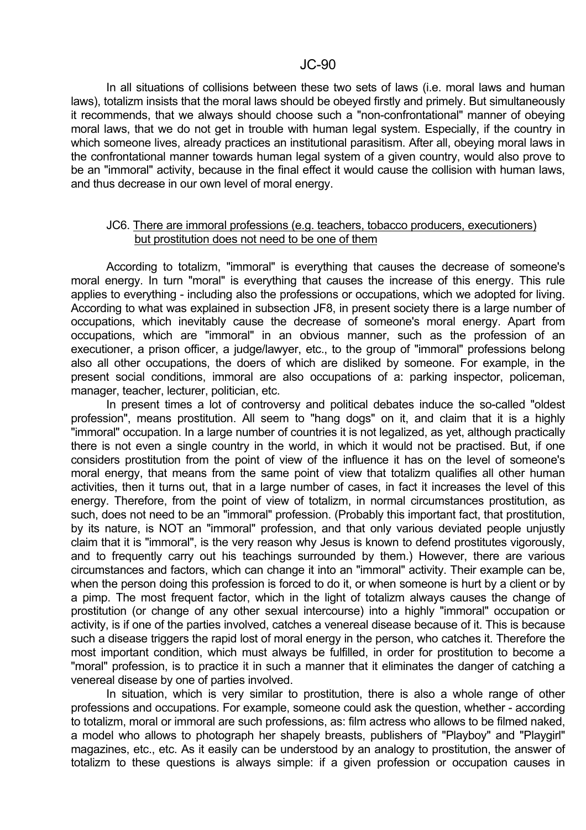In all situations of collisions between these two sets of laws (i.e. moral laws and human laws), totalizm insists that the moral laws should be obeyed firstly and primely. But simultaneously it recommends, that we always should choose such a "non-confrontational" manner of obeying moral laws, that we do not get in trouble with human legal system. Especially, if the country in which someone lives, already practices an institutional parasitism. After all, obeying moral laws in the confrontational manner towards human legal system of a given country, would also prove to be an "immoral" activity, because in the final effect it would cause the collision with human laws, and thus decrease in our own level of moral energy.

#### JC6. There are immoral professions (e.g. teachers, tobacco producers, executioners) but prostitution does not need to be one of them

 According to totalizm, "immoral" is everything that causes the decrease of someone's moral energy. In turn "moral" is everything that causes the increase of this energy. This rule applies to everything - including also the professions or occupations, which we adopted for living. According to what was explained in subsection JF8, in present society there is a large number of occupations, which inevitably cause the decrease of someone's moral energy. Apart from occupations, which are "immoral" in an obvious manner, such as the profession of an executioner, a prison officer, a judge/lawyer, etc., to the group of "immoral" professions belong also all other occupations, the doers of which are disliked by someone. For example, in the present social conditions, immoral are also occupations of a: parking inspector, policeman, manager, teacher, lecturer, politician, etc.

 In present times a lot of controversy and political debates induce the so-called "oldest profession", means prostitution. All seem to "hang dogs" on it, and claim that it is a highly "immoral" occupation. In a large number of countries it is not legalized, as yet, although practically there is not even a single country in the world, in which it would not be practised. But, if one considers prostitution from the point of view of the influence it has on the level of someone's moral energy, that means from the same point of view that totalizm qualifies all other human activities, then it turns out, that in a large number of cases, in fact it increases the level of this energy. Therefore, from the point of view of totalizm, in normal circumstances prostitution, as such, does not need to be an "immoral" profession. (Probably this important fact, that prostitution, by its nature, is NOT an "immoral" profession, and that only various deviated people unjustly claim that it is "immoral", is the very reason why Jesus is known to defend prostitutes vigorously, and to frequently carry out his teachings surrounded by them.) However, there are various circumstances and factors, which can change it into an "immoral" activity. Their example can be, when the person doing this profession is forced to do it, or when someone is hurt by a client or by a pimp. The most frequent factor, which in the light of totalizm always causes the change of prostitution (or change of any other sexual intercourse) into a highly "immoral" occupation or activity, is if one of the parties involved, catches a venereal disease because of it. This is because such a disease triggers the rapid lost of moral energy in the person, who catches it. Therefore the most important condition, which must always be fulfilled, in order for prostitution to become a "moral" profession, is to practice it in such a manner that it eliminates the danger of catching a venereal disease by one of parties involved.

In situation, which is very similar to prostitution, there is also a whole range of other professions and occupations. For example, someone could ask the question, whether - according to totalizm, moral or immoral are such professions, as: film actress who allows to be filmed naked, a model who allows to photograph her shapely breasts, publishers of "Playboy" and "Playgirl" magazines, etc., etc. As it easily can be understood by an analogy to prostitution, the answer of totalizm to these questions is always simple: if a given profession or occupation causes in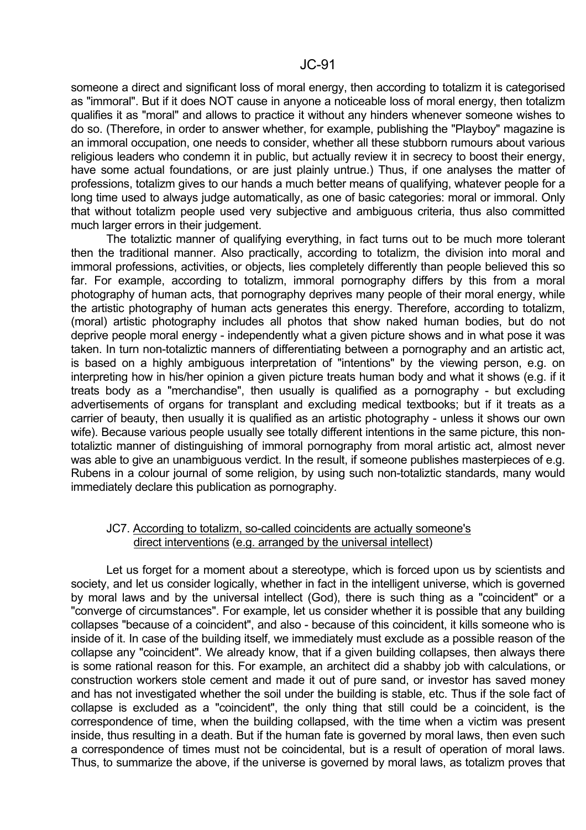someone a direct and significant loss of moral energy, then according to totalizm it is categorised as "immoral". But if it does NOT cause in anyone a noticeable loss of moral energy, then totalizm qualifies it as "moral" and allows to practice it without any hinders whenever someone wishes to do so. (Therefore, in order to answer whether, for example, publishing the "Playboy" magazine is an immoral occupation, one needs to consider, whether all these stubborn rumours about various religious leaders who condemn it in public, but actually review it in secrecy to boost their energy, have some actual foundations, or are just plainly untrue.) Thus, if one analyses the matter of professions, totalizm gives to our hands a much better means of qualifying, whatever people for a long time used to always judge automatically, as one of basic categories: moral or immoral. Only that without totalizm people used very subjective and ambiguous criteria, thus also committed much larger errors in their judgement.

 The totaliztic manner of qualifying everything, in fact turns out to be much more tolerant then the traditional manner. Also practically, according to totalizm, the division into moral and immoral professions, activities, or objects, lies completely differently than people believed this so far. For example, according to totalizm, immoral pornography differs by this from a moral photography of human acts, that pornography deprives many people of their moral energy, while the artistic photography of human acts generates this energy. Therefore, according to totalizm, (moral) artistic photography includes all photos that show naked human bodies, but do not deprive people moral energy - independently what a given picture shows and in what pose it was taken. In turn non-totaliztic manners of differentiating between a pornography and an artistic act, is based on a highly ambiguous interpretation of "intentions" by the viewing person, e.g. on interpreting how in his/her opinion a given picture treats human body and what it shows (e.g. if it treats body as a "merchandise", then usually is qualified as a pornography - but excluding advertisements of organs for transplant and excluding medical textbooks; but if it treats as a carrier of beauty, then usually it is qualified as an artistic photography - unless it shows our own wife). Because various people usually see totally different intentions in the same picture, this nontotaliztic manner of distinguishing of immoral pornography from moral artistic act, almost never was able to give an unambiguous verdict. In the result, if someone publishes masterpieces of e.g. Rubens in a colour journal of some religion, by using such non-totaliztic standards, many would immediately declare this publication as pornography.

# JC7. According to totalizm, so-called coincidents are actually someone's direct interventions (e.g. arranged by the universal intellect)

 Let us forget for a moment about a stereotype, which is forced upon us by scientists and society, and let us consider logically, whether in fact in the intelligent universe, which is governed by moral laws and by the universal intellect (God), there is such thing as a "coincident" or a "converge of circumstances". For example, let us consider whether it is possible that any building collapses "because of a coincident", and also - because of this coincident, it kills someone who is inside of it. In case of the building itself, we immediately must exclude as a possible reason of the collapse any "coincident". We already know, that if a given building collapses, then always there is some rational reason for this. For example, an architect did a shabby job with calculations, or construction workers stole cement and made it out of pure sand, or investor has saved money and has not investigated whether the soil under the building is stable, etc. Thus if the sole fact of collapse is excluded as a "coincident", the only thing that still could be a coincident, is the correspondence of time, when the building collapsed, with the time when a victim was present inside, thus resulting in a death. But if the human fate is governed by moral laws, then even such a correspondence of times must not be coincidental, but is a result of operation of moral laws. Thus, to summarize the above, if the universe is governed by moral laws, as totalizm proves that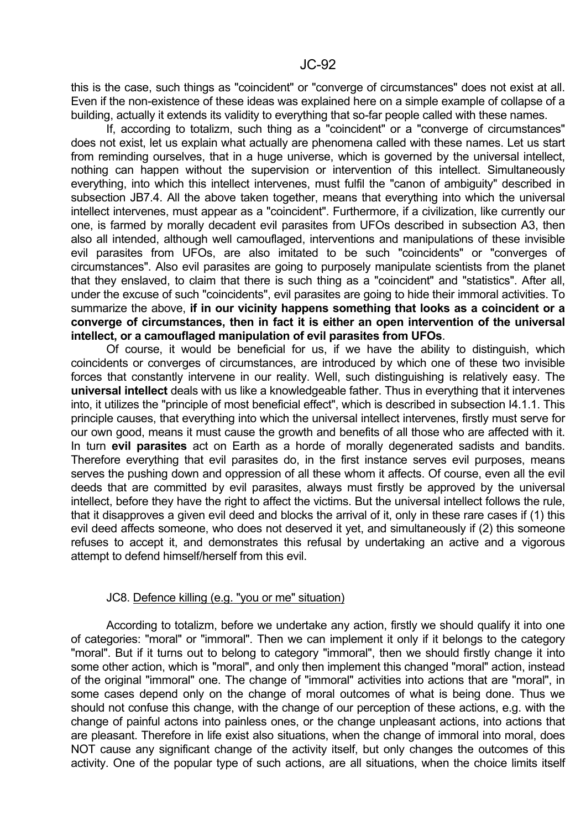If, according to totalizm, such thing as a "coincident" or a "converge of circumstances" does not exist, let us explain what actually are phenomena called with these names. Let us start from reminding ourselves, that in a huge universe, which is governed by the universal intellect, nothing can happen without the supervision or intervention of this intellect. Simultaneously everything, into which this intellect intervenes, must fulfil the "canon of ambiguity" described in subsection JB7.4. All the above taken together, means that everything into which the universal intellect intervenes, must appear as a "coincident". Furthermore, if a civilization, like currently our one, is farmed by morally decadent evil parasites from UFOs described in subsection A3, then also all intended, although well camouflaged, interventions and manipulations of these invisible evil parasites from UFOs, are also imitated to be such "coincidents" or "converges of circumstances". Also evil parasites are going to purposely manipulate scientists from the planet that they enslaved, to claim that there is such thing as a "coincident" and "statistics". After all, under the excuse of such "coincidents", evil parasites are going to hide their immoral activities. To summarize the above, **if in our vicinity happens something that looks as a coincident or a converge of circumstances, then in fact it is either an open intervention of the universal intellect, or a camouflaged manipulation of evil parasites from UFOs**.

 Of course, it would be beneficial for us, if we have the ability to distinguish, which coincidents or converges of circumstances, are introduced by which one of these two invisible forces that constantly intervene in our reality. Well, such distinguishing is relatively easy. The **universal intellect** deals with us like a knowledgeable father. Thus in everything that it intervenes into, it utilizes the "principle of most beneficial effect", which is described in subsection I4.1.1. This principle causes, that everything into which the universal intellect intervenes, firstly must serve for our own good, means it must cause the growth and benefits of all those who are affected with it. In turn **evil parasites** act on Earth as a horde of morally degenerated sadists and bandits. Therefore everything that evil parasites do, in the first instance serves evil purposes, means serves the pushing down and oppression of all these whom it affects. Of course, even all the evil deeds that are committed by evil parasites, always must firstly be approved by the universal intellect, before they have the right to affect the victims. But the universal intellect follows the rule, that it disapproves a given evil deed and blocks the arrival of it, only in these rare cases if (1) this evil deed affects someone, who does not deserved it yet, and simultaneously if (2) this someone refuses to accept it, and demonstrates this refusal by undertaking an active and a vigorous attempt to defend himself/herself from this evil.

#### JC8. Defence killing (e.g. "you or me" situation)

 According to totalizm, before we undertake any action, firstly we should qualify it into one of categories: "moral" or "immoral". Then we can implement it only if it belongs to the category "moral". But if it turns out to belong to category "immoral", then we should firstly change it into some other action, which is "moral", and only then implement this changed "moral" action, instead of the original "immoral" one. The change of "immoral" activities into actions that are "moral", in some cases depend only on the change of moral outcomes of what is being done. Thus we should not confuse this change, with the change of our perception of these actions, e.g. with the change of painful actons into painless ones, or the change unpleasant actions, into actions that are pleasant. Therefore in life exist also situations, when the change of immoral into moral, does NOT cause any significant change of the activity itself, but only changes the outcomes of this activity. One of the popular type of such actions, are all situations, when the choice limits itself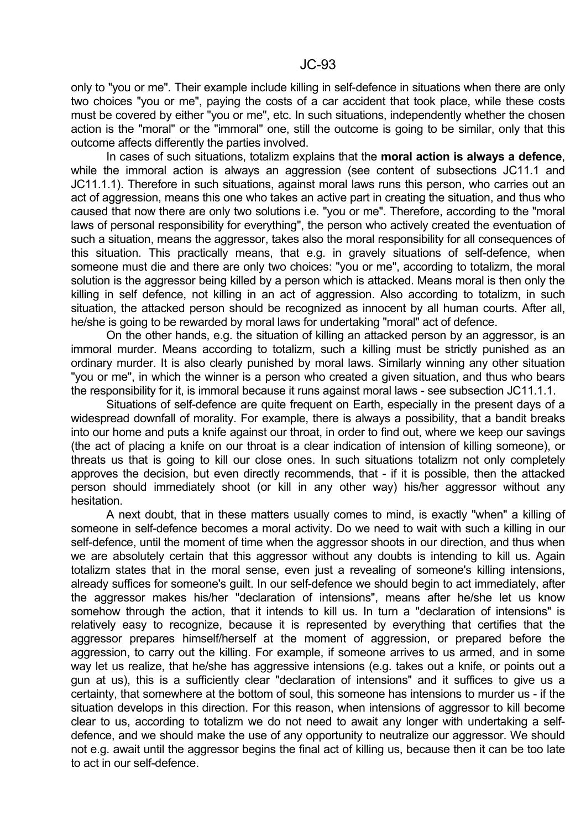only to "you or me". Their example include killing in self-defence in situations when there are only two choices "you or me", paying the costs of a car accident that took place, while these costs must be covered by either "you or me", etc. In such situations, independently whether the chosen action is the "moral" or the "immoral" one, still the outcome is going to be similar, only that this outcome affects differently the parties involved.

 In cases of such situations, totalizm explains that the **moral action is always a defence**, while the immoral action is always an aggression (see content of subsections JC11.1 and JC11.1.1). Therefore in such situations, against moral laws runs this person, who carries out an act of aggression, means this one who takes an active part in creating the situation, and thus who caused that now there are only two solutions i.e. "you or me". Therefore, according to the "moral laws of personal responsibility for everything", the person who actively created the eventuation of such a situation, means the aggressor, takes also the moral responsibility for all consequences of this situation. This practically means, that e.g. in gravely situations of self-defence, when someone must die and there are only two choices: "you or me", according to totalizm, the moral solution is the aggressor being killed by a person which is attacked. Means moral is then only the killing in self defence, not killing in an act of aggression. Also according to totalizm, in such situation, the attacked person should be recognized as innocent by all human courts. After all, he/she is going to be rewarded by moral laws for undertaking "moral" act of defence.

 On the other hands, e.g. the situation of killing an attacked person by an aggressor, is an immoral murder. Means according to totalizm, such a killing must be strictly punished as an ordinary murder. It is also clearly punished by moral laws. Similarly winning any other situation "you or me", in which the winner is a person who created a given situation, and thus who bears the responsibility for it, is immoral because it runs against moral laws - see subsection JC11.1.1.

 Situations of self-defence are quite frequent on Earth, especially in the present days of a widespread downfall of morality. For example, there is always a possibility, that a bandit breaks into our home and puts a knife against our throat, in order to find out, where we keep our savings (the act of placing a knife on our throat is a clear indication of intension of killing someone), or threats us that is going to kill our close ones. In such situations totalizm not only completely approves the decision, but even directly recommends, that - if it is possible, then the attacked person should immediately shoot (or kill in any other way) his/her aggressor without any hesitation.

 A next doubt, that in these matters usually comes to mind, is exactly "when" a killing of someone in self-defence becomes a moral activity. Do we need to wait with such a killing in our self-defence, until the moment of time when the aggressor shoots in our direction, and thus when we are absolutely certain that this aggressor without any doubts is intending to kill us. Again totalizm states that in the moral sense, even just a revealing of someone's killing intensions, already suffices for someone's guilt. In our self-defence we should begin to act immediately, after the aggressor makes his/her "declaration of intensions", means after he/she let us know somehow through the action, that it intends to kill us. In turn a "declaration of intensions" is relatively easy to recognize, because it is represented by everything that certifies that the aggressor prepares himself/herself at the moment of aggression, or prepared before the aggression, to carry out the killing. For example, if someone arrives to us armed, and in some way let us realize, that he/she has aggressive intensions (e.g. takes out a knife, or points out a gun at us), this is a sufficiently clear "declaration of intensions" and it suffices to give us a certainty, that somewhere at the bottom of soul, this someone has intensions to murder us - if the situation develops in this direction. For this reason, when intensions of aggressor to kill become clear to us, according to totalizm we do not need to await any longer with undertaking a selfdefence, and we should make the use of any opportunity to neutralize our aggressor. We should not e.g. await until the aggressor begins the final act of killing us, because then it can be too late to act in our self-defence.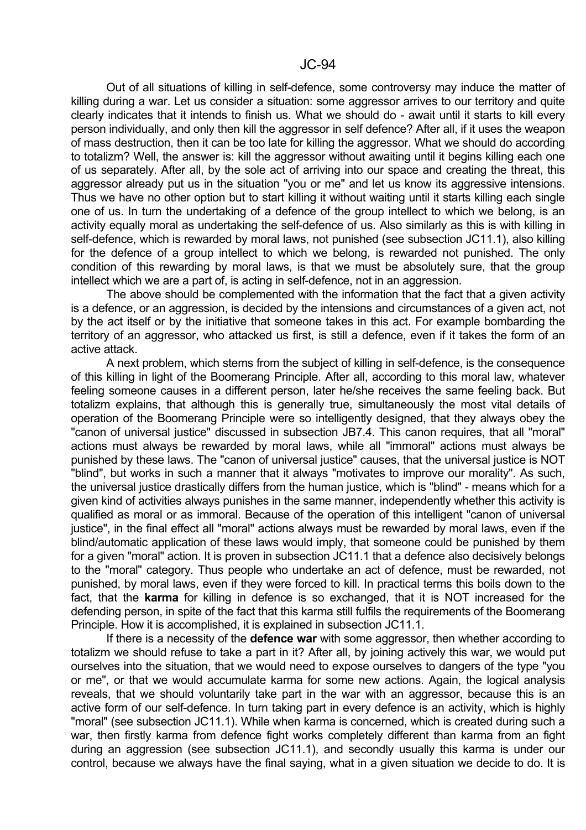Out of all situations of killing in self-defence, some controversy may induce the matter of killing during a war. Let us consider a situation: some aggressor arrives to our territory and quite clearly indicates that it intends to finish us. What we should do - await until it starts to kill every person individually, and only then kill the aggressor in self defence? After all, if it uses the weapon of mass destruction, then it can be too late for killing the aggressor. What we should do according to totalizm? Well, the answer is: kill the aggressor without awaiting until it begins killing each one of us separately. After all, by the sole act of arriving into our space and creating the threat, this aggressor already put us in the situation "you or me" and let us know its aggressive intensions. Thus we have no other option but to start killing it without waiting until it starts killing each single one of us. In turn the undertaking of a defence of the group intellect to which we belong, is an activity equally moral as undertaking the self-defence of us. Also similarly as this is with killing in self-defence, which is rewarded by moral laws, not punished (see subsection JC11.1), also killing for the defence of a group intellect to which we belong, is rewarded not punished. The only condition of this rewarding by moral laws, is that we must be absolutely sure, that the group intellect which we are a part of, is acting in self-defence, not in an aggression.

 The above should be complemented with the information that the fact that a given activity is a defence, or an aggression, is decided by the intensions and circumstances of a given act, not by the act itself or by the initiative that someone takes in this act. For example bombarding the territory of an aggressor, who attacked us first, is still a defence, even if it takes the form of an active attack.

 A next problem, which stems from the subject of killing in self-defence, is the consequence of this killing in light of the Boomerang Principle. After all, according to this moral law, whatever feeling someone causes in a different person, later he/she receives the same feeling back. But totalizm explains, that although this is generally true, simultaneously the most vital details of operation of the Boomerang Principle were so intelligently designed, that they always obey the "canon of universal justice" discussed in subsection JB7.4. This canon requires, that all "moral" actions must always be rewarded by moral laws, while all "immoral" actions must always be punished by these laws. The "canon of universal justice" causes, that the universal justice is NOT "blind", but works in such a manner that it always "motivates to improve our morality". As such, the universal justice drastically differs from the human justice, which is "blind" - means which for a given kind of activities always punishes in the same manner, independently whether this activity is qualified as moral or as immoral. Because of the operation of this intelligent "canon of universal justice", in the final effect all "moral" actions always must be rewarded by moral laws, even if the blind/automatic application of these laws would imply, that someone could be punished by them for a given "moral" action. It is proven in subsection JC11.1 that a defence also decisively belongs to the "moral" category. Thus people who undertake an act of defence, must be rewarded, not punished, by moral laws, even if they were forced to kill. In practical terms this boils down to the fact, that the **karma** for killing in defence is so exchanged, that it is NOT increased for the defending person, in spite of the fact that this karma still fulfils the requirements of the Boomerang Principle. How it is accomplished, it is explained in subsection JC11.1.

 If there is a necessity of the **defence war** with some aggressor, then whether according to totalizm we should refuse to take a part in it? After all, by joining actively this war, we would put ourselves into the situation, that we would need to expose ourselves to dangers of the type "you or me", or that we would accumulate karma for some new actions. Again, the logical analysis reveals, that we should voluntarily take part in the war with an aggressor, because this is an active form of our self-defence. In turn taking part in every defence is an activity, which is highly "moral" (see subsection JC11.1). While when karma is concerned, which is created during such a war, then firstly karma from defence fight works completely different than karma from an fight during an aggression (see subsection JC11.1), and secondly usually this karma is under our control, because we always have the final saying, what in a given situation we decide to do. It is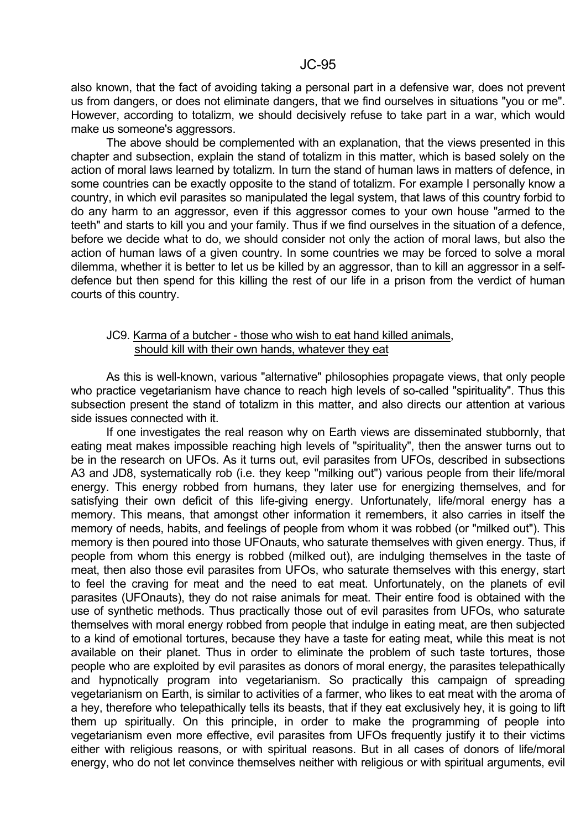also known, that the fact of avoiding taking a personal part in a defensive war, does not prevent us from dangers, or does not eliminate dangers, that we find ourselves in situations "you or me". However, according to totalizm, we should decisively refuse to take part in a war, which would make us someone's aggressors.

 The above should be complemented with an explanation, that the views presented in this chapter and subsection, explain the stand of totalizm in this matter, which is based solely on the action of moral laws learned by totalizm. In turn the stand of human laws in matters of defence, in some countries can be exactly opposite to the stand of totalizm. For example I personally know a country, in which evil parasites so manipulated the legal system, that laws of this country forbid to do any harm to an aggressor, even if this aggressor comes to your own house "armed to the teeth" and starts to kill you and your family. Thus if we find ourselves in the situation of a defence, before we decide what to do, we should consider not only the action of moral laws, but also the action of human laws of a given country. In some countries we may be forced to solve a moral dilemma, whether it is better to let us be killed by an aggressor, than to kill an aggressor in a selfdefence but then spend for this killing the rest of our life in a prison from the verdict of human courts of this country.

#### JC9. Karma of a butcher - those who wish to eat hand killed animals, should kill with their own hands, whatever they eat

 As this is well-known, various "alternative" philosophies propagate views, that only people who practice vegetarianism have chance to reach high levels of so-called "spirituality". Thus this subsection present the stand of totalizm in this matter, and also directs our attention at various side issues connected with it.

 If one investigates the real reason why on Earth views are disseminated stubbornly, that eating meat makes impossible reaching high levels of "spirituality", then the answer turns out to be in the research on UFOs. As it turns out, evil parasites from UFOs, described in subsections A3 and JD8, systematically rob (i.e. they keep "milking out") various people from their life/moral energy. This energy robbed from humans, they later use for energizing themselves, and for satisfying their own deficit of this life-giving energy. Unfortunately, life/moral energy has a memory. This means, that amongst other information it remembers, it also carries in itself the memory of needs, habits, and feelings of people from whom it was robbed (or "milked out"). This memory is then poured into those UFOnauts, who saturate themselves with given energy. Thus, if people from whom this energy is robbed (milked out), are indulging themselves in the taste of meat, then also those evil parasites from UFOs, who saturate themselves with this energy, start to feel the craving for meat and the need to eat meat. Unfortunately, on the planets of evil parasites (UFOnauts), they do not raise animals for meat. Their entire food is obtained with the use of synthetic methods. Thus practically those out of evil parasites from UFOs, who saturate themselves with moral energy robbed from people that indulge in eating meat, are then subjected to a kind of emotional tortures, because they have a taste for eating meat, while this meat is not available on their planet. Thus in order to eliminate the problem of such taste tortures, those people who are exploited by evil parasites as donors of moral energy, the parasites telepathically and hypnotically program into vegetarianism. So practically this campaign of spreading vegetarianism on Earth, is similar to activities of a farmer, who likes to eat meat with the aroma of a hey, therefore who telepathically tells its beasts, that if they eat exclusively hey, it is going to lift them up spiritually. On this principle, in order to make the programming of people into vegetarianism even more effective, evil parasites from UFOs frequently justify it to their victims either with religious reasons, or with spiritual reasons. But in all cases of donors of life/moral energy, who do not let convince themselves neither with religious or with spiritual arguments, evil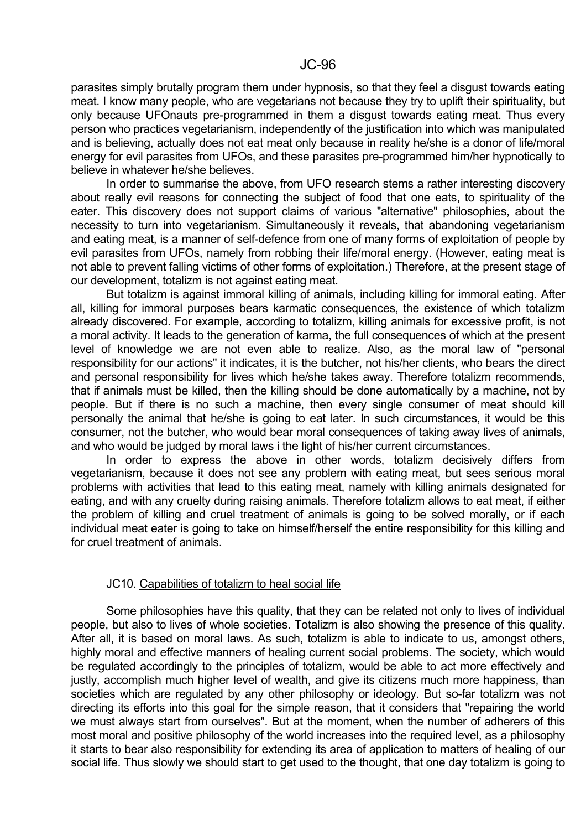parasites simply brutally program them under hypnosis, so that they feel a disgust towards eating meat. I know many people, who are vegetarians not because they try to uplift their spirituality, but only because UFOnauts pre-programmed in them a disgust towards eating meat. Thus every person who practices vegetarianism, independently of the justification into which was manipulated and is believing, actually does not eat meat only because in reality he/she is a donor of life/moral energy for evil parasites from UFOs, and these parasites pre-programmed him/her hypnotically to believe in whatever he/she believes.

In order to summarise the above, from UFO research stems a rather interesting discovery about really evil reasons for connecting the subject of food that one eats, to spirituality of the eater. This discovery does not support claims of various "alternative" philosophies, about the necessity to turn into vegetarianism. Simultaneously it reveals, that abandoning vegetarianism and eating meat, is a manner of self-defence from one of many forms of exploitation of people by evil parasites from UFOs, namely from robbing their life/moral energy. (However, eating meat is not able to prevent falling victims of other forms of exploitation.) Therefore, at the present stage of our development, totalizm is not against eating meat.

 But totalizm is against immoral killing of animals, including killing for immoral eating. After all, killing for immoral purposes bears karmatic consequences, the existence of which totalizm already discovered. For example, according to totalizm, killing animals for excessive profit, is not a moral activity. It leads to the generation of karma, the full consequences of which at the present level of knowledge we are not even able to realize. Also, as the moral law of "personal responsibility for our actions" it indicates, it is the butcher, not his/her clients, who bears the direct and personal responsibility for lives which he/she takes away. Therefore totalizm recommends, that if animals must be killed, then the killing should be done automatically by a machine, not by people. But if there is no such a machine, then every single consumer of meat should kill personally the animal that he/she is going to eat later. In such circumstances, it would be this consumer, not the butcher, who would bear moral consequences of taking away lives of animals, and who would be judged by moral laws i the light of his/her current circumstances.

 In order to express the above in other words, totalizm decisively differs from vegetarianism, because it does not see any problem with eating meat, but sees serious moral problems with activities that lead to this eating meat, namely with killing animals designated for eating, and with any cruelty during raising animals. Therefore totalizm allows to eat meat, if either the problem of killing and cruel treatment of animals is going to be solved morally, or if each individual meat eater is going to take on himself/herself the entire responsibility for this killing and for cruel treatment of animals.

# JC10. Capabilities of totalizm to heal social life

 Some philosophies have this quality, that they can be related not only to lives of individual people, but also to lives of whole societies. Totalizm is also showing the presence of this quality. After all, it is based on moral laws. As such, totalizm is able to indicate to us, amongst others, highly moral and effective manners of healing current social problems. The society, which would be regulated accordingly to the principles of totalizm, would be able to act more effectively and justly, accomplish much higher level of wealth, and give its citizens much more happiness, than societies which are regulated by any other philosophy or ideology. But so-far totalizm was not directing its efforts into this goal for the simple reason, that it considers that "repairing the world we must always start from ourselves". But at the moment, when the number of adherers of this most moral and positive philosophy of the world increases into the required level, as a philosophy it starts to bear also responsibility for extending its area of application to matters of healing of our social life. Thus slowly we should start to get used to the thought, that one day totalizm is going to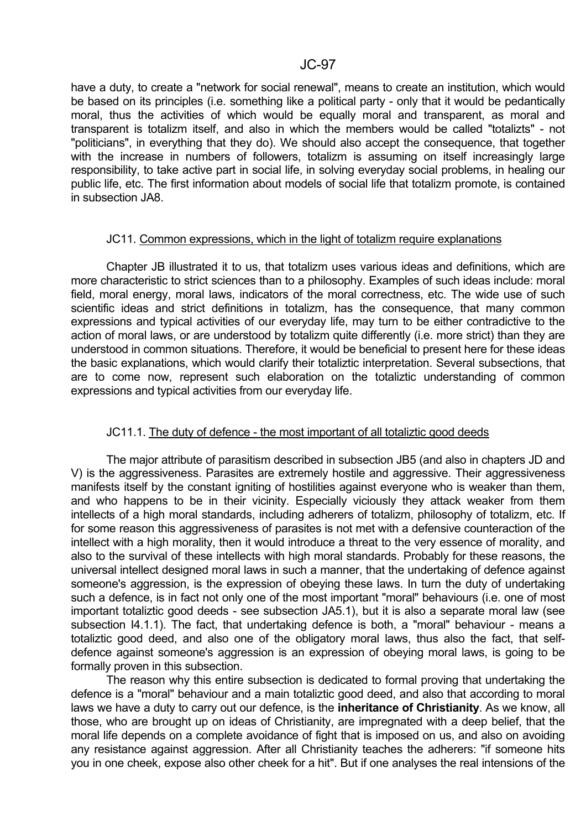have a duty, to create a "network for social renewal", means to create an institution, which would be based on its principles (i.e. something like a political party - only that it would be pedantically moral, thus the activities of which would be equally moral and transparent, as moral and transparent is totalizm itself, and also in which the members would be called "totalizts" - not "politicians", in everything that they do). We should also accept the consequence, that together with the increase in numbers of followers, totalizm is assuming on itself increasingly large responsibility, to take active part in social life, in solving everyday social problems, in healing our public life, etc. The first information about models of social life that totalizm promote, is contained in subsection JA8.

#### JC11. Common expressions, which in the light of totalizm require explanations

 Chapter JB illustrated it to us, that totalizm uses various ideas and definitions, which are more characteristic to strict sciences than to a philosophy. Examples of such ideas include: moral field, moral energy, moral laws, indicators of the moral correctness, etc. The wide use of such scientific ideas and strict definitions in totalizm, has the consequence, that many common expressions and typical activities of our everyday life, may turn to be either contradictive to the action of moral laws, or are understood by totalizm quite differently (i.e. more strict) than they are understood in common situations. Therefore, it would be beneficial to present here for these ideas the basic explanations, which would clarify their totaliztic interpretation. Several subsections, that are to come now, represent such elaboration on the totaliztic understanding of common expressions and typical activities from our everyday life.

# JC11.1. The duty of defence - the most important of all totaliztic good deeds

 The major attribute of parasitism described in subsection JB5 (and also in chapters JD and V) is the aggressiveness. Parasites are extremely hostile and aggressive. Their aggressiveness manifests itself by the constant igniting of hostilities against everyone who is weaker than them, and who happens to be in their vicinity. Especially viciously they attack weaker from them intellects of a high moral standards, including adherers of totalizm, philosophy of totalizm, etc. If for some reason this aggressiveness of parasites is not met with a defensive counteraction of the intellect with a high morality, then it would introduce a threat to the very essence of morality, and also to the survival of these intellects with high moral standards. Probably for these reasons, the universal intellect designed moral laws in such a manner, that the undertaking of defence against someone's aggression, is the expression of obeying these laws. In turn the duty of undertaking such a defence, is in fact not only one of the most important "moral" behaviours (i.e. one of most important totaliztic good deeds - see subsection JA5.1), but it is also a separate moral law (see subsection I4.1.1). The fact, that undertaking defence is both, a "moral" behaviour - means a totaliztic good deed, and also one of the obligatory moral laws, thus also the fact, that selfdefence against someone's aggression is an expression of obeying moral laws, is going to be formally proven in this subsection.

 The reason why this entire subsection is dedicated to formal proving that undertaking the defence is a "moral" behaviour and a main totaliztic good deed, and also that according to moral laws we have a duty to carry out our defence, is the **inheritance of Christianity**. As we know, all those, who are brought up on ideas of Christianity, are impregnated with a deep belief, that the moral life depends on a complete avoidance of fight that is imposed on us, and also on avoiding any resistance against aggression. After all Christianity teaches the adherers: "if someone hits you in one cheek, expose also other cheek for a hit". But if one analyses the real intensions of the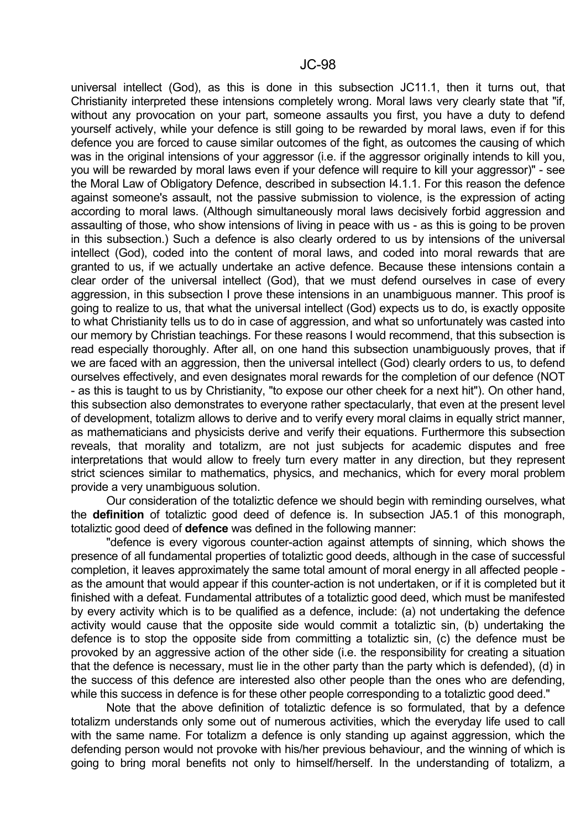universal intellect (God), as this is done in this subsection JC11.1, then it turns out, that Christianity interpreted these intensions completely wrong. Moral laws very clearly state that "if, without any provocation on your part, someone assaults you first, you have a duty to defend yourself actively, while your defence is still going to be rewarded by moral laws, even if for this defence you are forced to cause similar outcomes of the fight, as outcomes the causing of which was in the original intensions of your aggressor (i.e. if the aggressor originally intends to kill you, you will be rewarded by moral laws even if your defence will require to kill your aggressor)" - see the Moral Law of Obligatory Defence, described in subsection I4.1.1. For this reason the defence against someone's assault, not the passive submission to violence, is the expression of acting according to moral laws. (Although simultaneously moral laws decisively forbid aggression and assaulting of those, who show intensions of living in peace with us - as this is going to be proven in this subsection.) Such a defence is also clearly ordered to us by intensions of the universal intellect (God), coded into the content of moral laws, and coded into moral rewards that are granted to us, if we actually undertake an active defence. Because these intensions contain a clear order of the universal intellect (God), that we must defend ourselves in case of every aggression, in this subsection I prove these intensions in an unambiguous manner. This proof is going to realize to us, that what the universal intellect (God) expects us to do, is exactly opposite to what Christianity tells us to do in case of aggression, and what so unfortunately was casted into our memory by Christian teachings. For these reasons I would recommend, that this subsection is read especially thoroughly. After all, on one hand this subsection unambiguously proves, that if we are faced with an aggression, then the universal intellect (God) clearly orders to us, to defend ourselves effectively, and even designates moral rewards for the completion of our defence (NOT - as this is taught to us by Christianity, "to expose our other cheek for a next hit"). On other hand, this subsection also demonstrates to everyone rather spectacularly, that even at the present level of development, totalizm allows to derive and to verify every moral claims in equally strict manner, as mathematicians and physicists derive and verify their equations. Furthermore this subsection reveals, that morality and totalizm, are not just subjects for academic disputes and free interpretations that would allow to freely turn every matter in any direction, but they represent strict sciences similar to mathematics, physics, and mechanics, which for every moral problem provide a very unambiguous solution.

 Our consideration of the totaliztic defence we should begin with reminding ourselves, what the **definition** of totaliztic good deed of defence is. In subsection JA5.1 of this monograph, totaliztic good deed of **defence** was defined in the following manner:

 "defence is every vigorous counter-action against attempts of sinning, which shows the presence of all fundamental properties of totaliztic good deeds, although in the case of successful completion, it leaves approximately the same total amount of moral energy in all affected people as the amount that would appear if this counter-action is not undertaken, or if it is completed but it finished with a defeat. Fundamental attributes of a totaliztic good deed, which must be manifested by every activity which is to be qualified as a defence, include: (a) not undertaking the defence activity would cause that the opposite side would commit a totaliztic sin, (b) undertaking the defence is to stop the opposite side from committing a totaliztic sin, (c) the defence must be provoked by an aggressive action of the other side (i.e. the responsibility for creating a situation that the defence is necessary, must lie in the other party than the party which is defended), (d) in the success of this defence are interested also other people than the ones who are defending, while this success in defence is for these other people corresponding to a totaliztic good deed."

 Note that the above definition of totaliztic defence is so formulated, that by a defence totalizm understands only some out of numerous activities, which the everyday life used to call with the same name. For totalizm a defence is only standing up against aggression, which the defending person would not provoke with his/her previous behaviour, and the winning of which is going to bring moral benefits not only to himself/herself. In the understanding of totalizm, a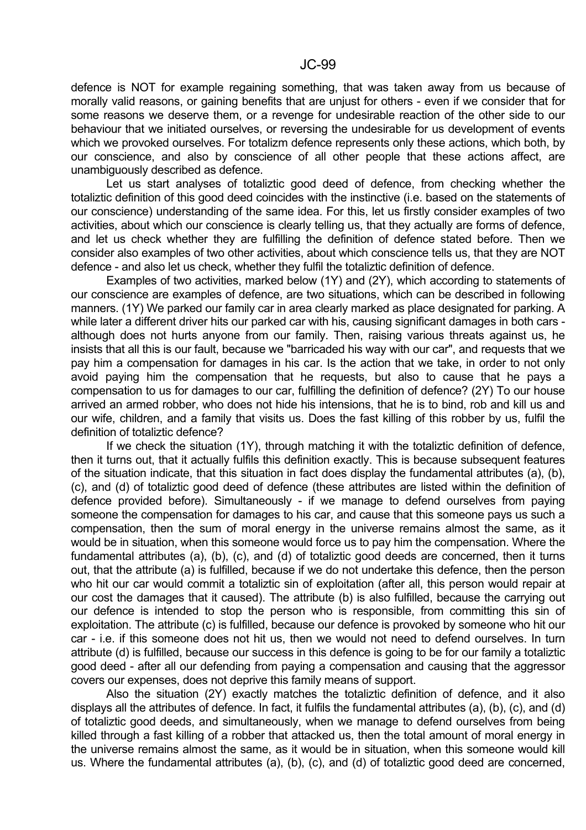defence is NOT for example regaining something, that was taken away from us because of morally valid reasons, or gaining benefits that are unjust for others - even if we consider that for some reasons we deserve them, or a revenge for undesirable reaction of the other side to our behaviour that we initiated ourselves, or reversing the undesirable for us development of events which we provoked ourselves. For totalizm defence represents only these actions, which both, by our conscience, and also by conscience of all other people that these actions affect, are unambiguously described as defence.

 Let us start analyses of totaliztic good deed of defence, from checking whether the totaliztic definition of this good deed coincides with the instinctive (i.e. based on the statements of our conscience) understanding of the same idea. For this, let us firstly consider examples of two activities, about which our conscience is clearly telling us, that they actually are forms of defence, and let us check whether they are fulfilling the definition of defence stated before. Then we consider also examples of two other activities, about which conscience tells us, that they are NOT defence - and also let us check, whether they fulfil the totaliztic definition of defence.

 Examples of two activities, marked below (1Y) and (2Y), which according to statements of our conscience are examples of defence, are two situations, which can be described in following manners. (1Y) We parked our family car in area clearly marked as place designated for parking. A while later a different driver hits our parked car with his, causing significant damages in both cars although does not hurts anyone from our family. Then, raising various threats against us, he insists that all this is our fault, because we "barricaded his way with our car", and requests that we pay him a compensation for damages in his car. Is the action that we take, in order to not only avoid paying him the compensation that he requests, but also to cause that he pays a compensation to us for damages to our car, fulfilling the definition of defence? (2Y) To our house arrived an armed robber, who does not hide his intensions, that he is to bind, rob and kill us and our wife, children, and a family that visits us. Does the fast killing of this robber by us, fulfil the definition of totaliztic defence?

 If we check the situation (1Y), through matching it with the totaliztic definition of defence, then it turns out, that it actually fulfils this definition exactly. This is because subsequent features of the situation indicate, that this situation in fact does display the fundamental attributes (a), (b), (c), and (d) of totaliztic good deed of defence (these attributes are listed within the definition of defence provided before). Simultaneously - if we manage to defend ourselves from paying someone the compensation for damages to his car, and cause that this someone pays us such a compensation, then the sum of moral energy in the universe remains almost the same, as it would be in situation, when this someone would force us to pay him the compensation. Where the fundamental attributes (a), (b), (c), and (d) of totaliztic good deeds are concerned, then it turns out, that the attribute (a) is fulfilled, because if we do not undertake this defence, then the person who hit our car would commit a totaliztic sin of exploitation (after all, this person would repair at our cost the damages that it caused). The attribute (b) is also fulfilled, because the carrying out our defence is intended to stop the person who is responsible, from committing this sin of exploitation. The attribute (c) is fulfilled, because our defence is provoked by someone who hit our car - i.e. if this someone does not hit us, then we would not need to defend ourselves. In turn attribute (d) is fulfilled, because our success in this defence is going to be for our family a totaliztic good deed - after all our defending from paying a compensation and causing that the aggressor covers our expenses, does not deprive this family means of support.

 Also the situation (2Y) exactly matches the totaliztic definition of defence, and it also displays all the attributes of defence. In fact, it fulfils the fundamental attributes (a), (b), (c), and (d) of totaliztic good deeds, and simultaneously, when we manage to defend ourselves from being killed through a fast killing of a robber that attacked us, then the total amount of moral energy in the universe remains almost the same, as it would be in situation, when this someone would kill us. Where the fundamental attributes (a), (b), (c), and (d) of totaliztic good deed are concerned,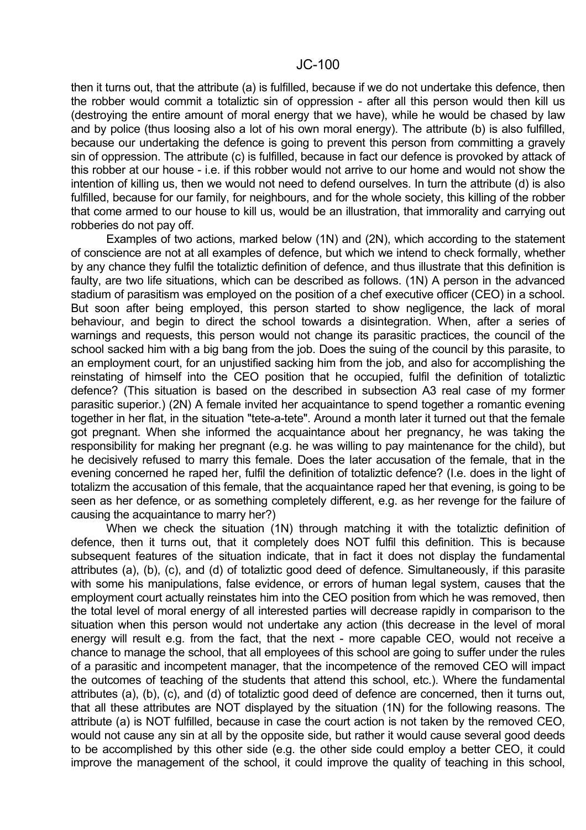then it turns out, that the attribute (a) is fulfilled, because if we do not undertake this defence, then the robber would commit a totaliztic sin of oppression - after all this person would then kill us (destroying the entire amount of moral energy that we have), while he would be chased by law and by police (thus loosing also a lot of his own moral energy). The attribute (b) is also fulfilled, because our undertaking the defence is going to prevent this person from committing a gravely sin of oppression. The attribute (c) is fulfilled, because in fact our defence is provoked by attack of this robber at our house - i.e. if this robber would not arrive to our home and would not show the intention of killing us, then we would not need to defend ourselves. In turn the attribute (d) is also fulfilled, because for our family, for neighbours, and for the whole society, this killing of the robber that come armed to our house to kill us, would be an illustration, that immorality and carrying out robberies do not pay off.

 Examples of two actions, marked below (1N) and (2N), which according to the statement of conscience are not at all examples of defence, but which we intend to check formally, whether by any chance they fulfil the totaliztic definition of defence, and thus illustrate that this definition is faulty, are two life situations, which can be described as follows. (1N) A person in the advanced stadium of parasitism was employed on the position of a chef executive officer (CEO) in a school. But soon after being employed, this person started to show negligence, the lack of moral behaviour, and begin to direct the school towards a disintegration. When, after a series of warnings and requests, this person would not change its parasitic practices, the council of the school sacked him with a big bang from the job. Does the suing of the council by this parasite, to an employment court, for an unjustified sacking him from the job, and also for accomplishing the reinstating of himself into the CEO position that he occupied, fulfil the definition of totaliztic defence? (This situation is based on the described in subsection A3 real case of my former parasitic superior.) (2N) A female invited her acquaintance to spend together a romantic evening together in her flat, in the situation "tete-a-tete". Around a month later it turned out that the female got pregnant. When she informed the acquaintance about her pregnancy, he was taking the responsibility for making her pregnant (e.g. he was willing to pay maintenance for the child), but he decisively refused to marry this female. Does the later accusation of the female, that in the evening concerned he raped her, fulfil the definition of totaliztic defence? (I.e. does in the light of totalizm the accusation of this female, that the acquaintance raped her that evening, is going to be seen as her defence, or as something completely different, e.g. as her revenge for the failure of causing the acquaintance to marry her?)

 When we check the situation (1N) through matching it with the totaliztic definition of defence, then it turns out, that it completely does NOT fulfil this definition. This is because subsequent features of the situation indicate, that in fact it does not display the fundamental attributes (a), (b), (c), and (d) of totaliztic good deed of defence. Simultaneously, if this parasite with some his manipulations, false evidence, or errors of human legal system, causes that the employment court actually reinstates him into the CEO position from which he was removed, then the total level of moral energy of all interested parties will decrease rapidly in comparison to the situation when this person would not undertake any action (this decrease in the level of moral energy will result e.g. from the fact, that the next - more capable CEO, would not receive a chance to manage the school, that all employees of this school are going to suffer under the rules of a parasitic and incompetent manager, that the incompetence of the removed CEO will impact the outcomes of teaching of the students that attend this school, etc.). Where the fundamental attributes (a), (b), (c), and (d) of totaliztic good deed of defence are concerned, then it turns out, that all these attributes are NOT displayed by the situation (1N) for the following reasons. The attribute (a) is NOT fulfilled, because in case the court action is not taken by the removed CEO, would not cause any sin at all by the opposite side, but rather it would cause several good deeds to be accomplished by this other side (e.g. the other side could employ a better CEO, it could improve the management of the school, it could improve the quality of teaching in this school,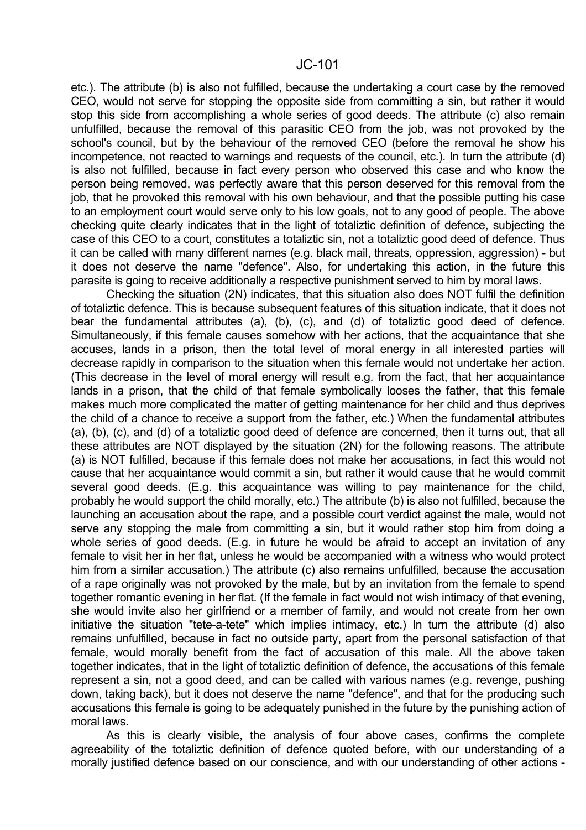etc.). The attribute (b) is also not fulfilled, because the undertaking a court case by the removed CEO, would not serve for stopping the opposite side from committing a sin, but rather it would stop this side from accomplishing a whole series of good deeds. The attribute (c) also remain unfulfilled, because the removal of this parasitic CEO from the job, was not provoked by the school's council, but by the behaviour of the removed CEO (before the removal he show his incompetence, not reacted to warnings and requests of the council, etc.). In turn the attribute (d) is also not fulfilled, because in fact every person who observed this case and who know the person being removed, was perfectly aware that this person deserved for this removal from the job, that he provoked this removal with his own behaviour, and that the possible putting his case to an employment court would serve only to his low goals, not to any good of people. The above checking quite clearly indicates that in the light of totaliztic definition of defence, subjecting the case of this CEO to a court, constitutes a totaliztic sin, not a totaliztic good deed of defence. Thus it can be called with many different names (e.g. black mail, threats, oppression, aggression) - but it does not deserve the name "defence". Also, for undertaking this action, in the future this parasite is going to receive additionally a respective punishment served to him by moral laws.

 Checking the situation (2N) indicates, that this situation also does NOT fulfil the definition of totaliztic defence. This is because subsequent features of this situation indicate, that it does not bear the fundamental attributes (a), (b), (c), and (d) of totaliztic good deed of defence. Simultaneously, if this female causes somehow with her actions, that the acquaintance that she accuses, lands in a prison, then the total level of moral energy in all interested parties will decrease rapidly in comparison to the situation when this female would not undertake her action. (This decrease in the level of moral energy will result e.g. from the fact, that her acquaintance lands in a prison, that the child of that female symbolically looses the father, that this female makes much more complicated the matter of getting maintenance for her child and thus deprives the child of a chance to receive a support from the father, etc.) When the fundamental attributes (a), (b), (c), and (d) of a totaliztic good deed of defence are concerned, then it turns out, that all these attributes are NOT displayed by the situation (2N) for the following reasons. The attribute (a) is NOT fulfilled, because if this female does not make her accusations, in fact this would not cause that her acquaintance would commit a sin, but rather it would cause that he would commit several good deeds. (E.g. this acquaintance was willing to pay maintenance for the child, probably he would support the child morally, etc.) The attribute (b) is also not fulfilled, because the launching an accusation about the rape, and a possible court verdict against the male, would not serve any stopping the male from committing a sin, but it would rather stop him from doing a whole series of good deeds. (E.g. in future he would be afraid to accept an invitation of any female to visit her in her flat, unless he would be accompanied with a witness who would protect him from a similar accusation.) The attribute (c) also remains unfulfilled, because the accusation of a rape originally was not provoked by the male, but by an invitation from the female to spend together romantic evening in her flat. (If the female in fact would not wish intimacy of that evening, she would invite also her girlfriend or a member of family, and would not create from her own initiative the situation "tete-a-tete" which implies intimacy, etc.) In turn the attribute (d) also remains unfulfilled, because in fact no outside party, apart from the personal satisfaction of that female, would morally benefit from the fact of accusation of this male. All the above taken together indicates, that in the light of totaliztic definition of defence, the accusations of this female represent a sin, not a good deed, and can be called with various names (e.g. revenge, pushing down, taking back), but it does not deserve the name "defence", and that for the producing such accusations this female is going to be adequately punished in the future by the punishing action of moral laws.

 As this is clearly visible, the analysis of four above cases, confirms the complete agreeability of the totaliztic definition of defence quoted before, with our understanding of a morally justified defence based on our conscience, and with our understanding of other actions -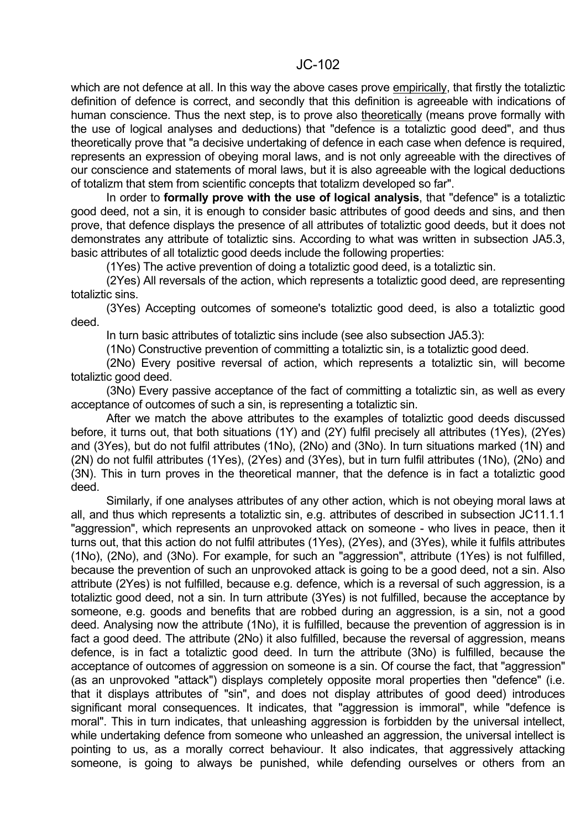which are not defence at all. In this way the above cases prove empirically, that firstly the totaliztic definition of defence is correct, and secondly that this definition is agreeable with indications of human conscience. Thus the next step, is to prove also theoretically (means prove formally with the use of logical analyses and deductions) that "defence is a totaliztic good deed", and thus theoretically prove that "a decisive undertaking of defence in each case when defence is required, represents an expression of obeying moral laws, and is not only agreeable with the directives of our conscience and statements of moral laws, but it is also agreeable with the logical deductions of totalizm that stem from scientific concepts that totalizm developed so far".

 In order to **formally prove with the use of logical analysis**, that "defence" is a totaliztic good deed, not a sin, it is enough to consider basic attributes of good deeds and sins, and then prove, that defence displays the presence of all attributes of totaliztic good deeds, but it does not demonstrates any attribute of totaliztic sins. According to what was written in subsection JA5.3, basic attributes of all totaliztic good deeds include the following properties:

(1Yes) The active prevention of doing a totaliztic good deed, is a totaliztic sin.

 (2Yes) All reversals of the action, which represents a totaliztic good deed, are representing totaliztic sins.

 (3Yes) Accepting outcomes of someone's totaliztic good deed, is also a totaliztic good deed.

In turn basic attributes of totaliztic sins include (see also subsection JA5.3):

(1No) Constructive prevention of committing a totaliztic sin, is a totaliztic good deed.

 (2No) Every positive reversal of action, which represents a totaliztic sin, will become totaliztic good deed.

 (3No) Every passive acceptance of the fact of committing a totaliztic sin, as well as every acceptance of outcomes of such a sin, is representing a totaliztic sin.

 After we match the above attributes to the examples of totaliztic good deeds discussed before, it turns out, that both situations (1Y) and (2Y) fulfil precisely all attributes (1Yes), (2Yes) and (3Yes), but do not fulfil attributes (1No), (2No) and (3No). In turn situations marked (1N) and (2N) do not fulfil attributes (1Yes), (2Yes) and (3Yes), but in turn fulfil attributes (1No), (2No) and (3N). This in turn proves in the theoretical manner, that the defence is in fact a totaliztic good deed.

 Similarly, if one analyses attributes of any other action, which is not obeying moral laws at all, and thus which represents a totaliztic sin, e.g. attributes of described in subsection JC11.1.1 "aggression", which represents an unprovoked attack on someone - who lives in peace, then it turns out, that this action do not fulfil attributes (1Yes), (2Yes), and (3Yes), while it fulfils attributes (1No), (2No), and (3No). For example, for such an "aggression", attribute (1Yes) is not fulfilled, because the prevention of such an unprovoked attack is going to be a good deed, not a sin. Also attribute (2Yes) is not fulfilled, because e.g. defence, which is a reversal of such aggression, is a totaliztic good deed, not a sin. In turn attribute (3Yes) is not fulfilled, because the acceptance by someone, e.g. goods and benefits that are robbed during an aggression, is a sin, not a good deed. Analysing now the attribute (1No), it is fulfilled, because the prevention of aggression is in fact a good deed. The attribute (2No) it also fulfilled, because the reversal of aggression, means defence, is in fact a totaliztic good deed. In turn the attribute (3No) is fulfilled, because the acceptance of outcomes of aggression on someone is a sin. Of course the fact, that "aggression" (as an unprovoked "attack") displays completely opposite moral properties then "defence" (i.e. that it displays attributes of "sin", and does not display attributes of good deed) introduces significant moral consequences. It indicates, that "aggression is immoral", while "defence is moral". This in turn indicates, that unleashing aggression is forbidden by the universal intellect, while undertaking defence from someone who unleashed an aggression, the universal intellect is pointing to us, as a morally correct behaviour. It also indicates, that aggressively attacking someone, is going to always be punished, while defending ourselves or others from an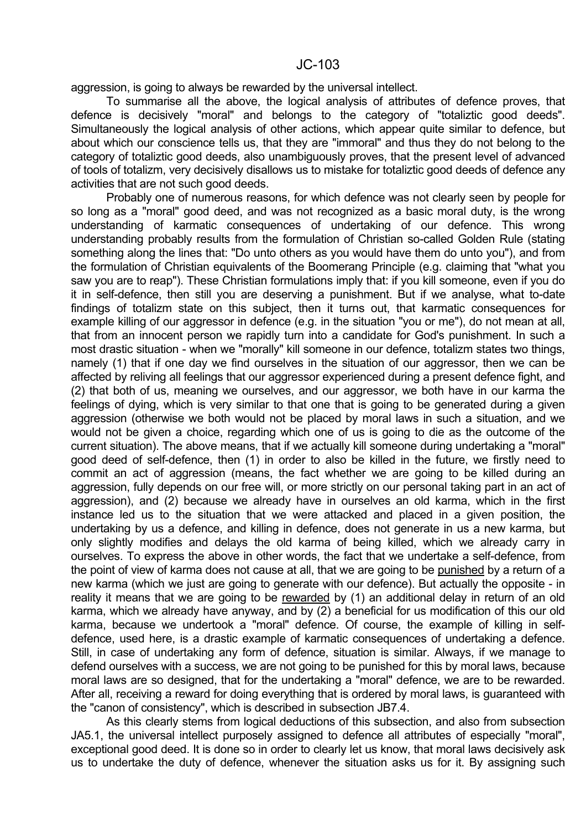aggression, is going to always be rewarded by the universal intellect.

 To summarise all the above, the logical analysis of attributes of defence proves, that defence is decisively "moral" and belongs to the category of "totaliztic good deeds". Simultaneously the logical analysis of other actions, which appear quite similar to defence, but about which our conscience tells us, that they are "immoral" and thus they do not belong to the category of totaliztic good deeds, also unambiguously proves, that the present level of advanced of tools of totalizm, very decisively disallows us to mistake for totaliztic good deeds of defence any activities that are not such good deeds.

 Probably one of numerous reasons, for which defence was not clearly seen by people for so long as a "moral" good deed, and was not recognized as a basic moral duty, is the wrong understanding of karmatic consequences of undertaking of our defence. This wrong understanding probably results from the formulation of Christian so-called Golden Rule (stating something along the lines that: "Do unto others as you would have them do unto you"), and from the formulation of Christian equivalents of the Boomerang Principle (e.g. claiming that "what you saw you are to reap"). These Christian formulations imply that: if you kill someone, even if you do it in self-defence, then still you are deserving a punishment. But if we analyse, what to-date findings of totalizm state on this subject, then it turns out, that karmatic consequences for example killing of our aggressor in defence (e.g. in the situation "you or me"), do not mean at all, that from an innocent person we rapidly turn into a candidate for God's punishment. In such a most drastic situation - when we "morally" kill someone in our defence, totalizm states two things, namely (1) that if one day we find ourselves in the situation of our aggressor, then we can be affected by reliving all feelings that our aggressor experienced during a present defence fight, and (2) that both of us, meaning we ourselves, and our aggressor, we both have in our karma the feelings of dying, which is very similar to that one that is going to be generated during a given aggression (otherwise we both would not be placed by moral laws in such a situation, and we would not be given a choice, regarding which one of us is going to die as the outcome of the current situation). The above means, that if we actually kill someone during undertaking a "moral" good deed of self-defence, then (1) in order to also be killed in the future, we firstly need to commit an act of aggression (means, the fact whether we are going to be killed during an aggression, fully depends on our free will, or more strictly on our personal taking part in an act of aggression), and (2) because we already have in ourselves an old karma, which in the first instance led us to the situation that we were attacked and placed in a given position, the undertaking by us a defence, and killing in defence, does not generate in us a new karma, but only slightly modifies and delays the old karma of being killed, which we already carry in ourselves. To express the above in other words, the fact that we undertake a self-defence, from the point of view of karma does not cause at all, that we are going to be punished by a return of a new karma (which we just are going to generate with our defence). But actually the opposite - in reality it means that we are going to be rewarded by (1) an additional delay in return of an old karma, which we already have anyway, and by (2) a beneficial for us modification of this our old karma, because we undertook a "moral" defence. Of course, the example of killing in selfdefence, used here, is a drastic example of karmatic consequences of undertaking a defence. Still, in case of undertaking any form of defence, situation is similar. Always, if we manage to defend ourselves with a success, we are not going to be punished for this by moral laws, because moral laws are so designed, that for the undertaking a "moral" defence, we are to be rewarded. After all, receiving a reward for doing everything that is ordered by moral laws, is guaranteed with the "canon of consistency", which is described in subsection JB7.4.

 As this clearly stems from logical deductions of this subsection, and also from subsection JA5.1, the universal intellect purposely assigned to defence all attributes of especially "moral", exceptional good deed. It is done so in order to clearly let us know, that moral laws decisively ask us to undertake the duty of defence, whenever the situation asks us for it. By assigning such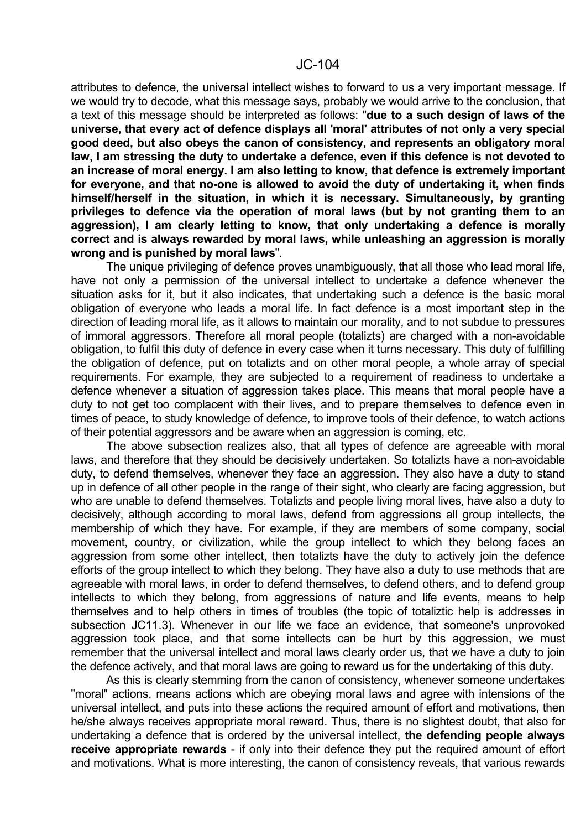attributes to defence, the universal intellect wishes to forward to us a very important message. If we would try to decode, what this message says, probably we would arrive to the conclusion, that a text of this message should be interpreted as follows: "**due to a such design of laws of the universe, that every act of defence displays all 'moral' attributes of not only a very special good deed, but also obeys the canon of consistency, and represents an obligatory moral law, I am stressing the duty to undertake a defence, even if this defence is not devoted to an increase of moral energy. I am also letting to know, that defence is extremely important for everyone, and that no-one is allowed to avoid the duty of undertaking it, when finds himself/herself in the situation, in which it is necessary. Simultaneously, by granting privileges to defence via the operation of moral laws (but by not granting them to an aggression), I am clearly letting to know, that only undertaking a defence is morally correct and is always rewarded by moral laws, while unleashing an aggression is morally wrong and is punished by moral laws**".

 The unique privileging of defence proves unambiguously, that all those who lead moral life, have not only a permission of the universal intellect to undertake a defence whenever the situation asks for it, but it also indicates, that undertaking such a defence is the basic moral obligation of everyone who leads a moral life. In fact defence is a most important step in the direction of leading moral life, as it allows to maintain our morality, and to not subdue to pressures of immoral aggressors. Therefore all moral people (totalizts) are charged with a non-avoidable obligation, to fulfil this duty of defence in every case when it turns necessary. This duty of fulfilling the obligation of defence, put on totalizts and on other moral people, a whole array of special requirements. For example, they are subjected to a requirement of readiness to undertake a defence whenever a situation of aggression takes place. This means that moral people have a duty to not get too complacent with their lives, and to prepare themselves to defence even in times of peace, to study knowledge of defence, to improve tools of their defence, to watch actions of their potential aggressors and be aware when an aggression is coming, etc.

 The above subsection realizes also, that all types of defence are agreeable with moral laws, and therefore that they should be decisively undertaken. So totalizts have a non-avoidable duty, to defend themselves, whenever they face an aggression. They also have a duty to stand up in defence of all other people in the range of their sight, who clearly are facing aggression, but who are unable to defend themselves. Totalizts and people living moral lives, have also a duty to decisively, although according to moral laws, defend from aggressions all group intellects, the membership of which they have. For example, if they are members of some company, social movement, country, or civilization, while the group intellect to which they belong faces an aggression from some other intellect, then totalizts have the duty to actively join the defence efforts of the group intellect to which they belong. They have also a duty to use methods that are agreeable with moral laws, in order to defend themselves, to defend others, and to defend group intellects to which they belong, from aggressions of nature and life events, means to help themselves and to help others in times of troubles (the topic of totaliztic help is addresses in subsection JC11.3). Whenever in our life we face an evidence, that someone's unprovoked aggression took place, and that some intellects can be hurt by this aggression, we must remember that the universal intellect and moral laws clearly order us, that we have a duty to join the defence actively, and that moral laws are going to reward us for the undertaking of this duty.

 As this is clearly stemming from the canon of consistency, whenever someone undertakes "moral" actions, means actions which are obeying moral laws and agree with intensions of the universal intellect, and puts into these actions the required amount of effort and motivations, then he/she always receives appropriate moral reward. Thus, there is no slightest doubt, that also for undertaking a defence that is ordered by the universal intellect, **the defending people always receive appropriate rewards** - if only into their defence they put the required amount of effort and motivations. What is more interesting, the canon of consistency reveals, that various rewards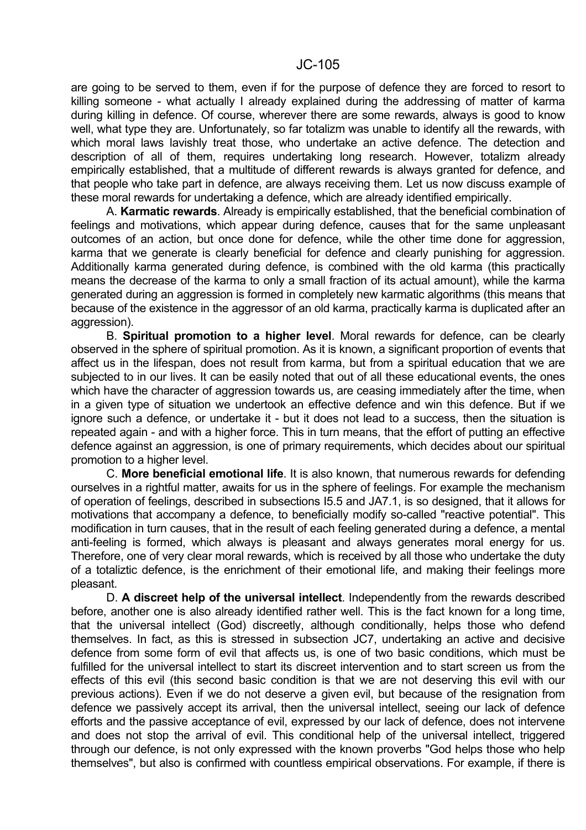are going to be served to them, even if for the purpose of defence they are forced to resort to killing someone - what actually I already explained during the addressing of matter of karma during killing in defence. Of course, wherever there are some rewards, always is good to know well, what type they are. Unfortunately, so far totalizm was unable to identify all the rewards, with which moral laws lavishly treat those, who undertake an active defence. The detection and description of all of them, requires undertaking long research. However, totalizm already empirically established, that a multitude of different rewards is always granted for defence, and that people who take part in defence, are always receiving them. Let us now discuss example of these moral rewards for undertaking a defence, which are already identified empirically.

 A. **Karmatic rewards**. Already is empirically established, that the beneficial combination of feelings and motivations, which appear during defence, causes that for the same unpleasant outcomes of an action, but once done for defence, while the other time done for aggression, karma that we generate is clearly beneficial for defence and clearly punishing for aggression. Additionally karma generated during defence, is combined with the old karma (this practically means the decrease of the karma to only a small fraction of its actual amount), while the karma generated during an aggression is formed in completely new karmatic algorithms (this means that because of the existence in the aggressor of an old karma, practically karma is duplicated after an aggression).

 B. **Spiritual promotion to a higher level**. Moral rewards for defence, can be clearly observed in the sphere of spiritual promotion. As it is known, a significant proportion of events that affect us in the lifespan, does not result from karma, but from a spiritual education that we are subjected to in our lives. It can be easily noted that out of all these educational events, the ones which have the character of aggression towards us, are ceasing immediately after the time, when in a given type of situation we undertook an effective defence and win this defence. But if we ignore such a defence, or undertake it - but it does not lead to a success, then the situation is repeated again - and with a higher force. This in turn means, that the effort of putting an effective defence against an aggression, is one of primary requirements, which decides about our spiritual promotion to a higher level.

 C. **More beneficial emotional life**. It is also known, that numerous rewards for defending ourselves in a rightful matter, awaits for us in the sphere of feelings. For example the mechanism of operation of feelings, described in subsections I5.5 and JA7.1, is so designed, that it allows for motivations that accompany a defence, to beneficially modify so-called "reactive potential". This modification in turn causes, that in the result of each feeling generated during a defence, a mental anti-feeling is formed, which always is pleasant and always generates moral energy for us. Therefore, one of very clear moral rewards, which is received by all those who undertake the duty of a totaliztic defence, is the enrichment of their emotional life, and making their feelings more pleasant.

 D. **A discreet help of the universal intellect**. Independently from the rewards described before, another one is also already identified rather well. This is the fact known for a long time, that the universal intellect (God) discreetly, although conditionally, helps those who defend themselves. In fact, as this is stressed in subsection JC7, undertaking an active and decisive defence from some form of evil that affects us, is one of two basic conditions, which must be fulfilled for the universal intellect to start its discreet intervention and to start screen us from the effects of this evil (this second basic condition is that we are not deserving this evil with our previous actions). Even if we do not deserve a given evil, but because of the resignation from defence we passively accept its arrival, then the universal intellect, seeing our lack of defence efforts and the passive acceptance of evil, expressed by our lack of defence, does not intervene and does not stop the arrival of evil. This conditional help of the universal intellect, triggered through our defence, is not only expressed with the known proverbs "God helps those who help themselves", but also is confirmed with countless empirical observations. For example, if there is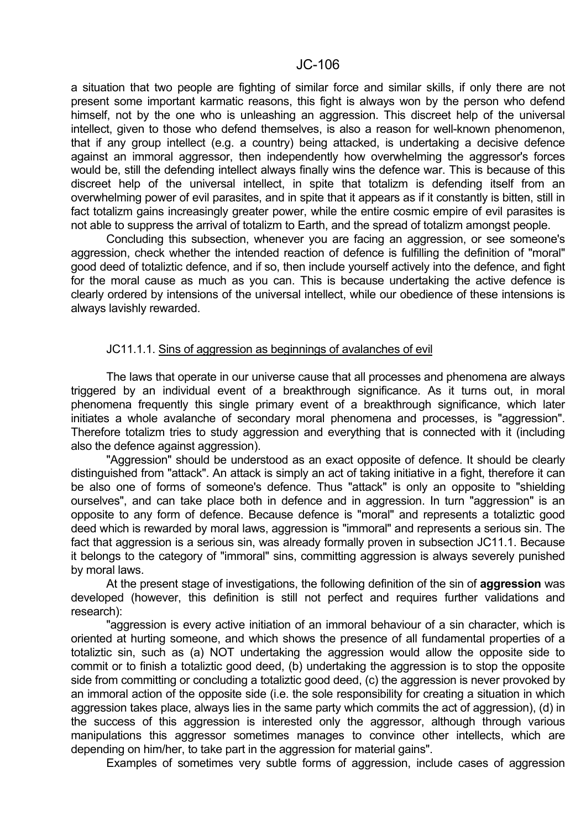a situation that two people are fighting of similar force and similar skills, if only there are not present some important karmatic reasons, this fight is always won by the person who defend himself, not by the one who is unleashing an aggression. This discreet help of the universal intellect, given to those who defend themselves, is also a reason for well-known phenomenon, that if any group intellect (e.g. a country) being attacked, is undertaking a decisive defence against an immoral aggressor, then independently how overwhelming the aggressor's forces would be, still the defending intellect always finally wins the defence war. This is because of this discreet help of the universal intellect, in spite that totalizm is defending itself from an overwhelming power of evil parasites, and in spite that it appears as if it constantly is bitten, still in fact totalizm gains increasingly greater power, while the entire cosmic empire of evil parasites is not able to suppress the arrival of totalizm to Earth, and the spread of totalizm amongst people.

 Concluding this subsection, whenever you are facing an aggression, or see someone's aggression, check whether the intended reaction of defence is fulfilling the definition of "moral" good deed of totaliztic defence, and if so, then include yourself actively into the defence, and fight for the moral cause as much as you can. This is because undertaking the active defence is clearly ordered by intensions of the universal intellect, while our obedience of these intensions is always lavishly rewarded.

# JC11.1.1. Sins of aggression as beginnings of avalanches of evil

 The laws that operate in our universe cause that all processes and phenomena are always triggered by an individual event of a breakthrough significance. As it turns out, in moral phenomena frequently this single primary event of a breakthrough significance, which later initiates a whole avalanche of secondary moral phenomena and processes, is "aggression". Therefore totalizm tries to study aggression and everything that is connected with it (including also the defence against aggression).

 "Aggression" should be understood as an exact opposite of defence. It should be clearly distinguished from "attack". An attack is simply an act of taking initiative in a fight, therefore it can be also one of forms of someone's defence. Thus "attack" is only an opposite to "shielding ourselves", and can take place both in defence and in aggression. In turn "aggression" is an opposite to any form of defence. Because defence is "moral" and represents a totaliztic good deed which is rewarded by moral laws, aggression is "immoral" and represents a serious sin. The fact that aggression is a serious sin, was already formally proven in subsection JC11.1. Because it belongs to the category of "immoral" sins, committing aggression is always severely punished by moral laws.

 At the present stage of investigations, the following definition of the sin of **aggression** was developed (however, this definition is still not perfect and requires further validations and research):

 "aggression is every active initiation of an immoral behaviour of a sin character, which is oriented at hurting someone, and which shows the presence of all fundamental properties of a totaliztic sin, such as (a) NOT undertaking the aggression would allow the opposite side to commit or to finish a totaliztic good deed, (b) undertaking the aggression is to stop the opposite side from committing or concluding a totaliztic good deed, (c) the aggression is never provoked by an immoral action of the opposite side (i.e. the sole responsibility for creating a situation in which aggression takes place, always lies in the same party which commits the act of aggression), (d) in the success of this aggression is interested only the aggressor, although through various manipulations this aggressor sometimes manages to convince other intellects, which are depending on him/her, to take part in the aggression for material gains".

Examples of sometimes very subtle forms of aggression, include cases of aggression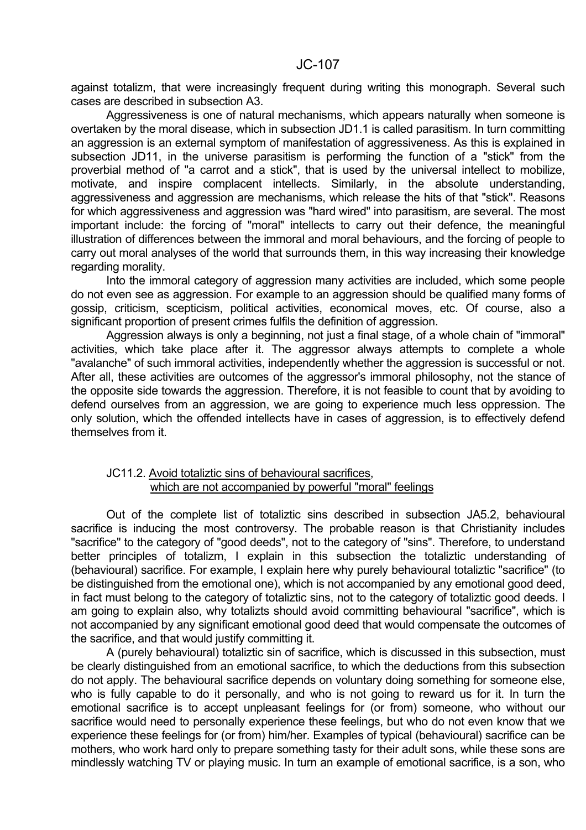against totalizm, that were increasingly frequent during writing this monograph. Several such cases are described in subsection A3.

 Aggressiveness is one of natural mechanisms, which appears naturally when someone is overtaken by the moral disease, which in subsection JD1.1 is called parasitism. In turn committing an aggression is an external symptom of manifestation of aggressiveness. As this is explained in subsection JD11, in the universe parasitism is performing the function of a "stick" from the proverbial method of "a carrot and a stick", that is used by the universal intellect to mobilize, motivate, and inspire complacent intellects. Similarly, in the absolute understanding, aggressiveness and aggression are mechanisms, which release the hits of that "stick". Reasons for which aggressiveness and aggression was "hard wired" into parasitism, are several. The most important include: the forcing of "moral" intellects to carry out their defence, the meaningful illustration of differences between the immoral and moral behaviours, and the forcing of people to carry out moral analyses of the world that surrounds them, in this way increasing their knowledge regarding morality.

 Into the immoral category of aggression many activities are included, which some people do not even see as aggression. For example to an aggression should be qualified many forms of gossip, criticism, scepticism, political activities, economical moves, etc. Of course, also a significant proportion of present crimes fulfils the definition of aggression.

 Aggression always is only a beginning, not just a final stage, of a whole chain of "immoral" activities, which take place after it. The aggressor always attempts to complete a whole "avalanche" of such immoral activities, independently whether the aggression is successful or not. After all, these activities are outcomes of the aggressor's immoral philosophy, not the stance of the opposite side towards the aggression. Therefore, it is not feasible to count that by avoiding to defend ourselves from an aggression, we are going to experience much less oppression. The only solution, which the offended intellects have in cases of aggression, is to effectively defend themselves from it.

# JC11.2. Avoid totaliztic sins of behavioural sacrifices, which are not accompanied by powerful "moral" feelings

 Out of the complete list of totaliztic sins described in subsection JA5.2, behavioural sacrifice is inducing the most controversy. The probable reason is that Christianity includes "sacrifice" to the category of "good deeds", not to the category of "sins". Therefore, to understand better principles of totalizm, I explain in this subsection the totaliztic understanding of (behavioural) sacrifice. For example, I explain here why purely behavioural totaliztic "sacrifice" (to be distinguished from the emotional one), which is not accompanied by any emotional good deed, in fact must belong to the category of totaliztic sins, not to the category of totaliztic good deeds. I am going to explain also, why totalizts should avoid committing behavioural "sacrifice", which is not accompanied by any significant emotional good deed that would compensate the outcomes of the sacrifice, and that would justify committing it.

 A (purely behavioural) totaliztic sin of sacrifice, which is discussed in this subsection, must be clearly distinguished from an emotional sacrifice, to which the deductions from this subsection do not apply. The behavioural sacrifice depends on voluntary doing something for someone else, who is fully capable to do it personally, and who is not going to reward us for it. In turn the emotional sacrifice is to accept unpleasant feelings for (or from) someone, who without our sacrifice would need to personally experience these feelings, but who do not even know that we experience these feelings for (or from) him/her. Examples of typical (behavioural) sacrifice can be mothers, who work hard only to prepare something tasty for their adult sons, while these sons are mindlessly watching TV or playing music. In turn an example of emotional sacrifice, is a son, who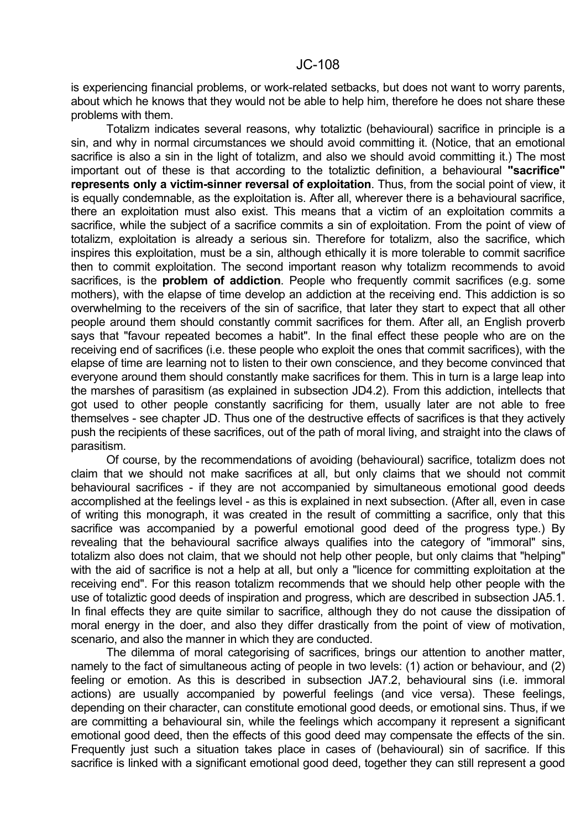is experiencing financial problems, or work-related setbacks, but does not want to worry parents, about which he knows that they would not be able to help him, therefore he does not share these problems with them.

 Totalizm indicates several reasons, why totaliztic (behavioural) sacrifice in principle is a sin, and why in normal circumstances we should avoid committing it. (Notice, that an emotional sacrifice is also a sin in the light of totalizm, and also we should avoid committing it.) The most important out of these is that according to the totaliztic definition, a behavioural **"sacrifice" represents only a victim-sinner reversal of exploitation**. Thus, from the social point of view, it is equally condemnable, as the exploitation is. After all, wherever there is a behavioural sacrifice, there an exploitation must also exist. This means that a victim of an exploitation commits a sacrifice, while the subject of a sacrifice commits a sin of exploitation. From the point of view of totalizm, exploitation is already a serious sin. Therefore for totalizm, also the sacrifice, which inspires this exploitation, must be a sin, although ethically it is more tolerable to commit sacrifice then to commit exploitation. The second important reason why totalizm recommends to avoid sacrifices, is the **problem of addiction**. People who frequently commit sacrifices (e.g. some mothers), with the elapse of time develop an addiction at the receiving end. This addiction is so overwhelming to the receivers of the sin of sacrifice, that later they start to expect that all other people around them should constantly commit sacrifices for them. After all, an English proverb says that "favour repeated becomes a habit". In the final effect these people who are on the receiving end of sacrifices (i.e. these people who exploit the ones that commit sacrifices), with the elapse of time are learning not to listen to their own conscience, and they become convinced that everyone around them should constantly make sacrifices for them. This in turn is a large leap into the marshes of parasitism (as explained in subsection JD4.2). From this addiction, intellects that got used to other people constantly sacrificing for them, usually later are not able to free themselves - see chapter JD. Thus one of the destructive effects of sacrifices is that they actively push the recipients of these sacrifices, out of the path of moral living, and straight into the claws of parasitism.

 Of course, by the recommendations of avoiding (behavioural) sacrifice, totalizm does not claim that we should not make sacrifices at all, but only claims that we should not commit behavioural sacrifices - if they are not accompanied by simultaneous emotional good deeds accomplished at the feelings level - as this is explained in next subsection. (After all, even in case of writing this monograph, it was created in the result of committing a sacrifice, only that this sacrifice was accompanied by a powerful emotional good deed of the progress type.) By revealing that the behavioural sacrifice always qualifies into the category of "immoral" sins, totalizm also does not claim, that we should not help other people, but only claims that "helping" with the aid of sacrifice is not a help at all, but only a "licence for committing exploitation at the receiving end". For this reason totalizm recommends that we should help other people with the use of totaliztic good deeds of inspiration and progress, which are described in subsection JA5.1. In final effects they are quite similar to sacrifice, although they do not cause the dissipation of moral energy in the doer, and also they differ drastically from the point of view of motivation, scenario, and also the manner in which they are conducted.

 The dilemma of moral categorising of sacrifices, brings our attention to another matter, namely to the fact of simultaneous acting of people in two levels: (1) action or behaviour, and (2) feeling or emotion. As this is described in subsection JA7.2, behavioural sins (i.e. immoral actions) are usually accompanied by powerful feelings (and vice versa). These feelings, depending on their character, can constitute emotional good deeds, or emotional sins. Thus, if we are committing a behavioural sin, while the feelings which accompany it represent a significant emotional good deed, then the effects of this good deed may compensate the effects of the sin. Frequently just such a situation takes place in cases of (behavioural) sin of sacrifice. If this sacrifice is linked with a significant emotional good deed, together they can still represent a good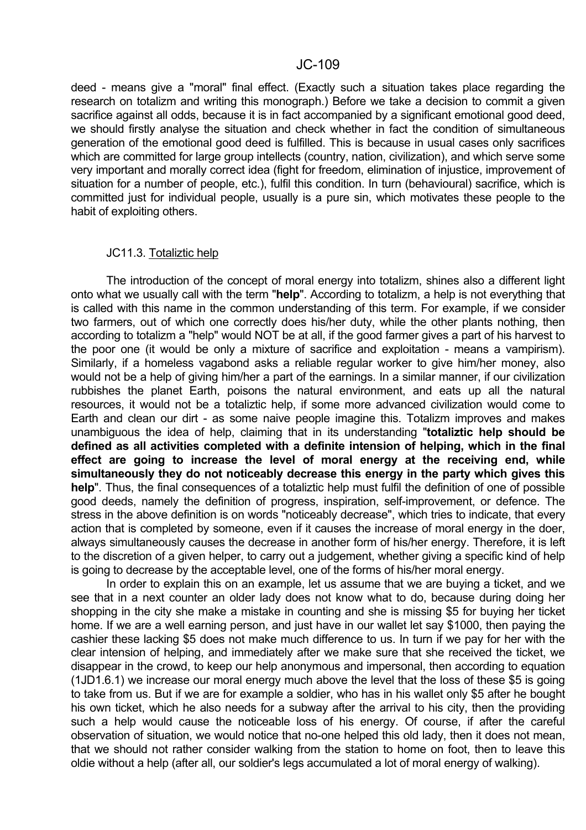deed - means give a "moral" final effect. (Exactly such a situation takes place regarding the research on totalizm and writing this monograph.) Before we take a decision to commit a given sacrifice against all odds, because it is in fact accompanied by a significant emotional good deed, we should firstly analyse the situation and check whether in fact the condition of simultaneous generation of the emotional good deed is fulfilled. This is because in usual cases only sacrifices which are committed for large group intellects (country, nation, civilization), and which serve some very important and morally correct idea (fight for freedom, elimination of injustice, improvement of situation for a number of people, etc.), fulfil this condition. In turn (behavioural) sacrifice, which is committed just for individual people, usually is a pure sin, which motivates these people to the habit of exploiting others.

### JC11.3. Totaliztic help

 The introduction of the concept of moral energy into totalizm, shines also a different light onto what we usually call with the term "**help**". According to totalizm, a help is not everything that is called with this name in the common understanding of this term. For example, if we consider two farmers, out of which one correctly does his/her duty, while the other plants nothing, then according to totalizm a "help" would NOT be at all, if the good farmer gives a part of his harvest to the poor one (it would be only a mixture of sacrifice and exploitation - means a vampirism). Similarly, if a homeless vagabond asks a reliable regular worker to give him/her money, also would not be a help of giving him/her a part of the earnings. In a similar manner, if our civilization rubbishes the planet Earth, poisons the natural environment, and eats up all the natural resources, it would not be a totaliztic help, if some more advanced civilization would come to Earth and clean our dirt - as some naive people imagine this. Totalizm improves and makes unambiguous the idea of help, claiming that in its understanding "**totaliztic help should be defined as all activities completed with a definite intension of helping, which in the final effect are going to increase the level of moral energy at the receiving end, while simultaneously they do not noticeably decrease this energy in the party which gives this help**". Thus, the final consequences of a totaliztic help must fulfil the definition of one of possible good deeds, namely the definition of progress, inspiration, self-improvement, or defence. The stress in the above definition is on words "noticeably decrease", which tries to indicate, that every action that is completed by someone, even if it causes the increase of moral energy in the doer, always simultaneously causes the decrease in another form of his/her energy. Therefore, it is left to the discretion of a given helper, to carry out a judgement, whether giving a specific kind of help is going to decrease by the acceptable level, one of the forms of his/her moral energy.

 In order to explain this on an example, let us assume that we are buying a ticket, and we see that in a next counter an older lady does not know what to do, because during doing her shopping in the city she make a mistake in counting and she is missing \$5 for buying her ticket home. If we are a well earning person, and just have in our wallet let say \$1000, then paying the cashier these lacking \$5 does not make much difference to us. In turn if we pay for her with the clear intension of helping, and immediately after we make sure that she received the ticket, we disappear in the crowd, to keep our help anonymous and impersonal, then according to equation (1JD1.6.1) we increase our moral energy much above the level that the loss of these \$5 is going to take from us. But if we are for example a soldier, who has in his wallet only \$5 after he bought his own ticket, which he also needs for a subway after the arrival to his city, then the providing such a help would cause the noticeable loss of his energy. Of course, if after the careful observation of situation, we would notice that no-one helped this old lady, then it does not mean, that we should not rather consider walking from the station to home on foot, then to leave this oldie without a help (after all, our soldier's legs accumulated a lot of moral energy of walking).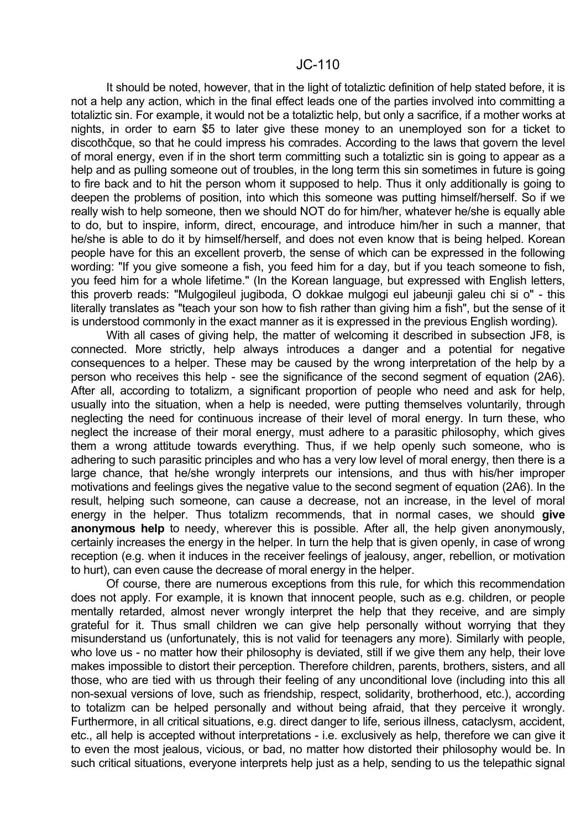It should be noted, however, that in the light of totaliztic definition of help stated before, it is not a help any action, which in the final effect leads one of the parties involved into committing a totaliztic sin. For example, it would not be a totaliztic help, but only a sacrifice, if a mother works at nights, in order to earn \$5 to later give these money to an unemployed son for a ticket to discothčque, so that he could impress his comrades. According to the laws that govern the level of moral energy, even if in the short term committing such a totaliztic sin is going to appear as a help and as pulling someone out of troubles, in the long term this sin sometimes in future is going to fire back and to hit the person whom it supposed to help. Thus it only additionally is going to deepen the problems of position, into which this someone was putting himself/herself. So if we really wish to help someone, then we should NOT do for him/her, whatever he/she is equally able to do, but to inspire, inform, direct, encourage, and introduce him/her in such a manner, that he/she is able to do it by himself/herself, and does not even know that is being helped. Korean people have for this an excellent proverb, the sense of which can be expressed in the following wording: "If you give someone a fish, you feed him for a day, but if you teach someone to fish, you feed him for a whole lifetime." (In the Korean language, but expressed with English letters, this proverb reads: "Mulgogileul jugiboda, O dokkae mulgogi eul jabeunji galeu chi si o" - this literally translates as "teach your son how to fish rather than giving him a fish", but the sense of it is understood commonly in the exact manner as it is expressed in the previous English wording).

 With all cases of giving help, the matter of welcoming it described in subsection JF8, is connected. More strictly, help always introduces a danger and a potential for negative consequences to a helper. These may be caused by the wrong interpretation of the help by a person who receives this help - see the significance of the second segment of equation (2A6). After all, according to totalizm, a significant proportion of people who need and ask for help, usually into the situation, when a help is needed, were putting themselves voluntarily, through neglecting the need for continuous increase of their level of moral energy. In turn these, who neglect the increase of their moral energy, must adhere to a parasitic philosophy, which gives them a wrong attitude towards everything. Thus, if we help openly such someone, who is adhering to such parasitic principles and who has a very low level of moral energy, then there is a large chance, that he/she wrongly interprets our intensions, and thus with his/her improper motivations and feelings gives the negative value to the second segment of equation (2A6). In the result, helping such someone, can cause a decrease, not an increase, in the level of moral energy in the helper. Thus totalizm recommends, that in normal cases, we should **give anonymous help** to needy, wherever this is possible. After all, the help given anonymously, certainly increases the energy in the helper. In turn the help that is given openly, in case of wrong reception (e.g. when it induces in the receiver feelings of jealousy, anger, rebellion, or motivation to hurt), can even cause the decrease of moral energy in the helper.

 Of course, there are numerous exceptions from this rule, for which this recommendation does not apply. For example, it is known that innocent people, such as e.g. children, or people mentally retarded, almost never wrongly interpret the help that they receive, and are simply grateful for it. Thus small children we can give help personally without worrying that they misunderstand us (unfortunately, this is not valid for teenagers any more). Similarly with people, who love us - no matter how their philosophy is deviated, still if we give them any help, their love makes impossible to distort their perception. Therefore children, parents, brothers, sisters, and all those, who are tied with us through their feeling of any unconditional love (including into this all non-sexual versions of love, such as friendship, respect, solidarity, brotherhood, etc.), according to totalizm can be helped personally and without being afraid, that they perceive it wrongly. Furthermore, in all critical situations, e.g. direct danger to life, serious illness, cataclysm, accident, etc., all help is accepted without interpretations - i.e. exclusively as help, therefore we can give it to even the most jealous, vicious, or bad, no matter how distorted their philosophy would be. In such critical situations, everyone interprets help just as a help, sending to us the telepathic signal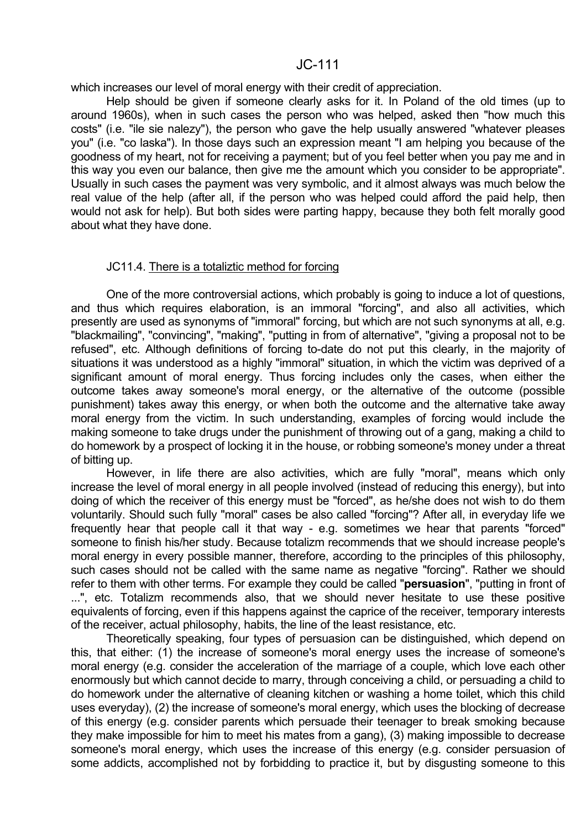### JC-111

which increases our level of moral energy with their credit of appreciation.

 Help should be given if someone clearly asks for it. In Poland of the old times (up to around 1960s), when in such cases the person who was helped, asked then "how much this costs" (i.e. "ile sie nalezy"), the person who gave the help usually answered "whatever pleases you" (i.e. "co laska"). In those days such an expression meant "I am helping you because of the goodness of my heart, not for receiving a payment; but of you feel better when you pay me and in this way you even our balance, then give me the amount which you consider to be appropriate". Usually in such cases the payment was very symbolic, and it almost always was much below the real value of the help (after all, if the person who was helped could afford the paid help, then would not ask for help). But both sides were parting happy, because they both felt morally good about what they have done.

#### JC11.4. There is a totaliztic method for forcing

 One of the more controversial actions, which probably is going to induce a lot of questions, and thus which requires elaboration, is an immoral "forcing", and also all activities, which presently are used as synonyms of "immoral" forcing, but which are not such synonyms at all, e.g. "blackmailing", "convincing", "making", "putting in from of alternative", "giving a proposal not to be refused", etc. Although definitions of forcing to-date do not put this clearly, in the majority of situations it was understood as a highly "immoral" situation, in which the victim was deprived of a significant amount of moral energy. Thus forcing includes only the cases, when either the outcome takes away someone's moral energy, or the alternative of the outcome (possible punishment) takes away this energy, or when both the outcome and the alternative take away moral energy from the victim. In such understanding, examples of forcing would include the making someone to take drugs under the punishment of throwing out of a gang, making a child to do homework by a prospect of locking it in the house, or robbing someone's money under a threat of bitting up.

 However, in life there are also activities, which are fully "moral", means which only increase the level of moral energy in all people involved (instead of reducing this energy), but into doing of which the receiver of this energy must be "forced", as he/she does not wish to do them voluntarily. Should such fully "moral" cases be also called "forcing"? After all, in everyday life we frequently hear that people call it that way - e.g. sometimes we hear that parents "forced" someone to finish his/her study. Because totalizm recommends that we should increase people's moral energy in every possible manner, therefore, according to the principles of this philosophy, such cases should not be called with the same name as negative "forcing". Rather we should refer to them with other terms. For example they could be called "**persuasion**", "putting in front of ...", etc. Totalizm recommends also, that we should never hesitate to use these positive equivalents of forcing, even if this happens against the caprice of the receiver, temporary interests of the receiver, actual philosophy, habits, the line of the least resistance, etc.

 Theoretically speaking, four types of persuasion can be distinguished, which depend on this, that either: (1) the increase of someone's moral energy uses the increase of someone's moral energy (e.g. consider the acceleration of the marriage of a couple, which love each other enormously but which cannot decide to marry, through conceiving a child, or persuading a child to do homework under the alternative of cleaning kitchen or washing a home toilet, which this child uses everyday), (2) the increase of someone's moral energy, which uses the blocking of decrease of this energy (e.g. consider parents which persuade their teenager to break smoking because they make impossible for him to meet his mates from a gang), (3) making impossible to decrease someone's moral energy, which uses the increase of this energy (e.g. consider persuasion of some addicts, accomplished not by forbidding to practice it, but by disgusting someone to this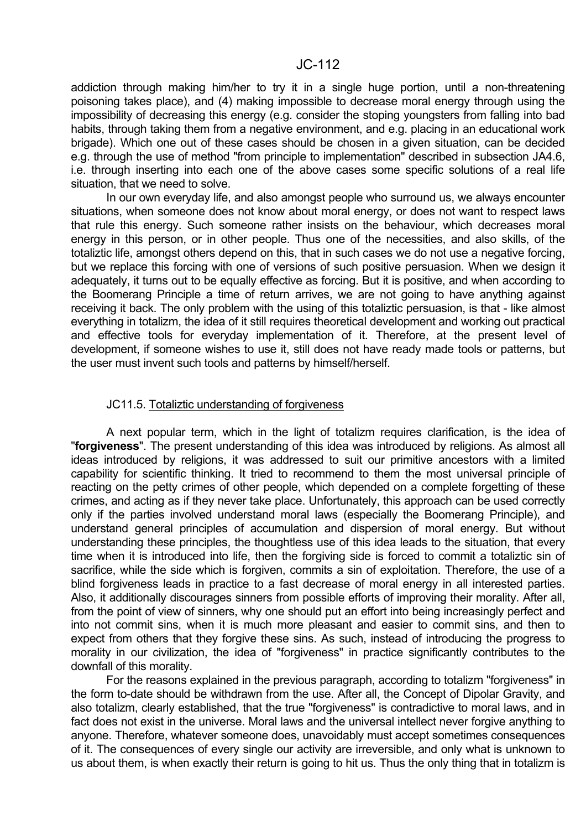addiction through making him/her to try it in a single huge portion, until a non-threatening poisoning takes place), and (4) making impossible to decrease moral energy through using the impossibility of decreasing this energy (e.g. consider the stoping youngsters from falling into bad habits, through taking them from a negative environment, and e.g. placing in an educational work brigade). Which one out of these cases should be chosen in a given situation, can be decided e.g. through the use of method "from principle to implementation" described in subsection JA4.6, i.e. through inserting into each one of the above cases some specific solutions of a real life situation, that we need to solve.

 In our own everyday life, and also amongst people who surround us, we always encounter situations, when someone does not know about moral energy, or does not want to respect laws that rule this energy. Such someone rather insists on the behaviour, which decreases moral energy in this person, or in other people. Thus one of the necessities, and also skills, of the totaliztic life, amongst others depend on this, that in such cases we do not use a negative forcing, but we replace this forcing with one of versions of such positive persuasion. When we design it adequately, it turns out to be equally effective as forcing. But it is positive, and when according to the Boomerang Principle a time of return arrives, we are not going to have anything against receiving it back. The only problem with the using of this totaliztic persuasion, is that - like almost everything in totalizm, the idea of it still requires theoretical development and working out practical and effective tools for everyday implementation of it. Therefore, at the present level of development, if someone wishes to use it, still does not have ready made tools or patterns, but the user must invent such tools and patterns by himself/herself.

#### JC11.5. Totaliztic understanding of forgiveness

 A next popular term, which in the light of totalizm requires clarification, is the idea of "**forgiveness**". The present understanding of this idea was introduced by religions. As almost all ideas introduced by religions, it was addressed to suit our primitive ancestors with a limited capability for scientific thinking. It tried to recommend to them the most universal principle of reacting on the petty crimes of other people, which depended on a complete forgetting of these crimes, and acting as if they never take place. Unfortunately, this approach can be used correctly only if the parties involved understand moral laws (especially the Boomerang Principle), and understand general principles of accumulation and dispersion of moral energy. But without understanding these principles, the thoughtless use of this idea leads to the situation, that every time when it is introduced into life, then the forgiving side is forced to commit a totaliztic sin of sacrifice, while the side which is forgiven, commits a sin of exploitation. Therefore, the use of a blind forgiveness leads in practice to a fast decrease of moral energy in all interested parties. Also, it additionally discourages sinners from possible efforts of improving their morality. After all, from the point of view of sinners, why one should put an effort into being increasingly perfect and into not commit sins, when it is much more pleasant and easier to commit sins, and then to expect from others that they forgive these sins. As such, instead of introducing the progress to morality in our civilization, the idea of "forgiveness" in practice significantly contributes to the downfall of this morality.

 For the reasons explained in the previous paragraph, according to totalizm "forgiveness" in the form to-date should be withdrawn from the use. After all, the Concept of Dipolar Gravity, and also totalizm, clearly established, that the true "forgiveness" is contradictive to moral laws, and in fact does not exist in the universe. Moral laws and the universal intellect never forgive anything to anyone. Therefore, whatever someone does, unavoidably must accept sometimes consequences of it. The consequences of every single our activity are irreversible, and only what is unknown to us about them, is when exactly their return is going to hit us. Thus the only thing that in totalizm is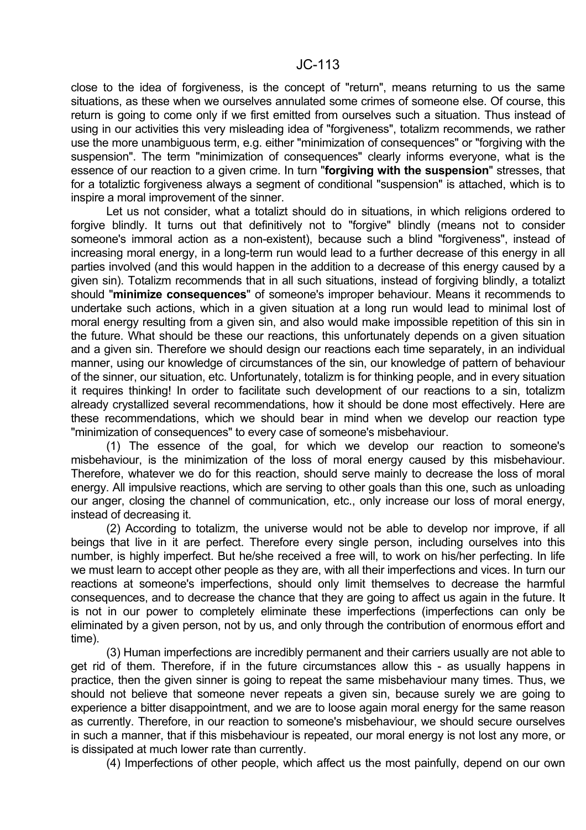close to the idea of forgiveness, is the concept of "return", means returning to us the same situations, as these when we ourselves annulated some crimes of someone else. Of course, this return is going to come only if we first emitted from ourselves such a situation. Thus instead of using in our activities this very misleading idea of "forgiveness", totalizm recommends, we rather use the more unambiguous term, e.g. either "minimization of consequences" or "forgiving with the suspension". The term "minimization of consequences" clearly informs everyone, what is the essence of our reaction to a given crime. In turn "**forgiving with the suspension**" stresses, that for a totaliztic forgiveness always a segment of conditional "suspension" is attached, which is to inspire a moral improvement of the sinner.

 Let us not consider, what a totalizt should do in situations, in which religions ordered to forgive blindly. It turns out that definitively not to "forgive" blindly (means not to consider someone's immoral action as a non-existent), because such a blind "forgiveness", instead of increasing moral energy, in a long-term run would lead to a further decrease of this energy in all parties involved (and this would happen in the addition to a decrease of this energy caused by a given sin). Totalizm recommends that in all such situations, instead of forgiving blindly, a totalizt should "**minimize consequences**" of someone's improper behaviour. Means it recommends to undertake such actions, which in a given situation at a long run would lead to minimal lost of moral energy resulting from a given sin, and also would make impossible repetition of this sin in the future. What should be these our reactions, this unfortunately depends on a given situation and a given sin. Therefore we should design our reactions each time separately, in an individual manner, using our knowledge of circumstances of the sin, our knowledge of pattern of behaviour of the sinner, our situation, etc. Unfortunately, totalizm is for thinking people, and in every situation it requires thinking! In order to facilitate such development of our reactions to a sin, totalizm already crystallized several recommendations, how it should be done most effectively. Here are these recommendations, which we should bear in mind when we develop our reaction type "minimization of consequences" to every case of someone's misbehaviour.

 (1) The essence of the goal, for which we develop our reaction to someone's misbehaviour, is the minimization of the loss of moral energy caused by this misbehaviour. Therefore, whatever we do for this reaction, should serve mainly to decrease the loss of moral energy. All impulsive reactions, which are serving to other goals than this one, such as unloading our anger, closing the channel of communication, etc., only increase our loss of moral energy, instead of decreasing it.

 (2) According to totalizm, the universe would not be able to develop nor improve, if all beings that live in it are perfect. Therefore every single person, including ourselves into this number, is highly imperfect. But he/she received a free will, to work on his/her perfecting. In life we must learn to accept other people as they are, with all their imperfections and vices. In turn our reactions at someone's imperfections, should only limit themselves to decrease the harmful consequences, and to decrease the chance that they are going to affect us again in the future. It is not in our power to completely eliminate these imperfections (imperfections can only be eliminated by a given person, not by us, and only through the contribution of enormous effort and time).

 (3) Human imperfections are incredibly permanent and their carriers usually are not able to get rid of them. Therefore, if in the future circumstances allow this - as usually happens in practice, then the given sinner is going to repeat the same misbehaviour many times. Thus, we should not believe that someone never repeats a given sin, because surely we are going to experience a bitter disappointment, and we are to loose again moral energy for the same reason as currently. Therefore, in our reaction to someone's misbehaviour, we should secure ourselves in such a manner, that if this misbehaviour is repeated, our moral energy is not lost any more, or is dissipated at much lower rate than currently.

(4) Imperfections of other people, which affect us the most painfully, depend on our own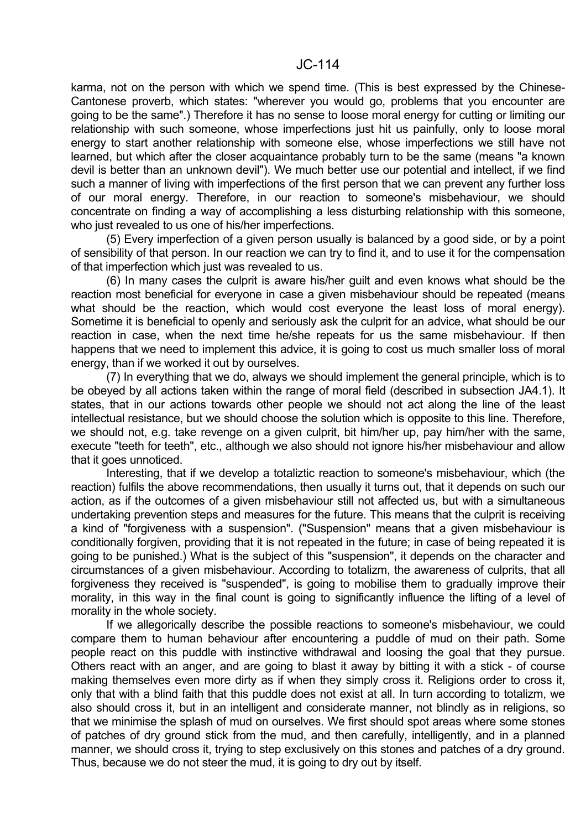karma, not on the person with which we spend time. (This is best expressed by the Chinese-Cantonese proverb, which states: "wherever you would go, problems that you encounter are going to be the same".) Therefore it has no sense to loose moral energy for cutting or limiting our relationship with such someone, whose imperfections just hit us painfully, only to loose moral energy to start another relationship with someone else, whose imperfections we still have not learned, but which after the closer acquaintance probably turn to be the same (means "a known devil is better than an unknown devil"). We much better use our potential and intellect, if we find such a manner of living with imperfections of the first person that we can prevent any further loss of our moral energy. Therefore, in our reaction to someone's misbehaviour, we should concentrate on finding a way of accomplishing a less disturbing relationship with this someone, who just revealed to us one of his/her imperfections.

 (5) Every imperfection of a given person usually is balanced by a good side, or by a point of sensibility of that person. In our reaction we can try to find it, and to use it for the compensation of that imperfection which just was revealed to us.

 (6) In many cases the culprit is aware his/her guilt and even knows what should be the reaction most beneficial for everyone in case a given misbehaviour should be repeated (means what should be the reaction, which would cost everyone the least loss of moral energy). Sometime it is beneficial to openly and seriously ask the culprit for an advice, what should be our reaction in case, when the next time he/she repeats for us the same misbehaviour. If then happens that we need to implement this advice, it is going to cost us much smaller loss of moral energy, than if we worked it out by ourselves.

 (7) In everything that we do, always we should implement the general principle, which is to be obeyed by all actions taken within the range of moral field (described in subsection JA4.1). It states, that in our actions towards other people we should not act along the line of the least intellectual resistance, but we should choose the solution which is opposite to this line. Therefore, we should not, e.g. take revenge on a given culprit, bit him/her up, pay him/her with the same, execute "teeth for teeth", etc., although we also should not ignore his/her misbehaviour and allow that it goes unnoticed.

 Interesting, that if we develop a totaliztic reaction to someone's misbehaviour, which (the reaction) fulfils the above recommendations, then usually it turns out, that it depends on such our action, as if the outcomes of a given misbehaviour still not affected us, but with a simultaneous undertaking prevention steps and measures for the future. This means that the culprit is receiving a kind of "forgiveness with a suspension". ("Suspension" means that a given misbehaviour is conditionally forgiven, providing that it is not repeated in the future; in case of being repeated it is going to be punished.) What is the subject of this "suspension", it depends on the character and circumstances of a given misbehaviour. According to totalizm, the awareness of culprits, that all forgiveness they received is "suspended", is going to mobilise them to gradually improve their morality, in this way in the final count is going to significantly influence the lifting of a level of morality in the whole society.

 If we allegorically describe the possible reactions to someone's misbehaviour, we could compare them to human behaviour after encountering a puddle of mud on their path. Some people react on this puddle with instinctive withdrawal and loosing the goal that they pursue. Others react with an anger, and are going to blast it away by bitting it with a stick - of course making themselves even more dirty as if when they simply cross it. Religions order to cross it, only that with a blind faith that this puddle does not exist at all. In turn according to totalizm, we also should cross it, but in an intelligent and considerate manner, not blindly as in religions, so that we minimise the splash of mud on ourselves. We first should spot areas where some stones of patches of dry ground stick from the mud, and then carefully, intelligently, and in a planned manner, we should cross it, trying to step exclusively on this stones and patches of a dry ground. Thus, because we do not steer the mud, it is going to dry out by itself.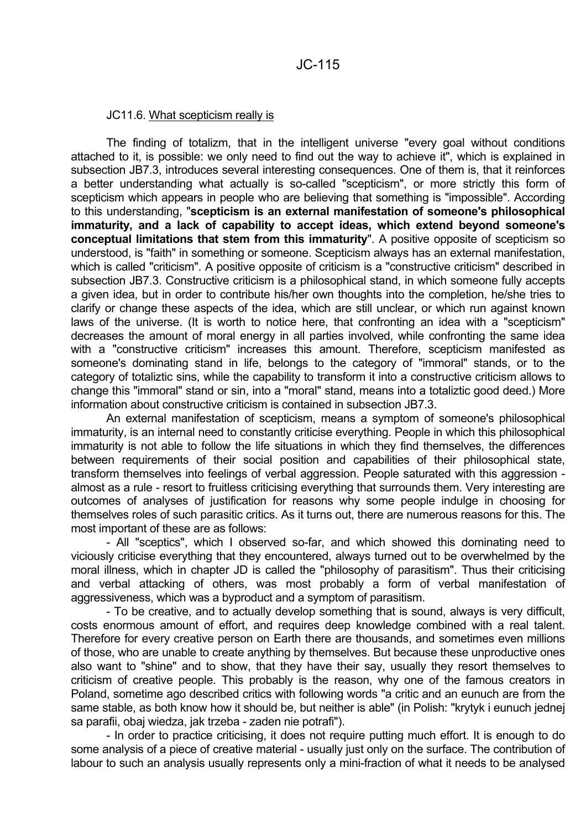### JC11.6. What scepticism really is

 The finding of totalizm, that in the intelligent universe "every goal without conditions attached to it, is possible: we only need to find out the way to achieve it", which is explained in subsection JB7.3, introduces several interesting consequences. One of them is, that it reinforces a better understanding what actually is so-called "scepticism", or more strictly this form of scepticism which appears in people who are believing that something is "impossible". According to this understanding, "**scepticism is an external manifestation of someone's philosophical immaturity, and a lack of capability to accept ideas, which extend beyond someone's conceptual limitations that stem from this immaturity**". A positive opposite of scepticism so understood, is "faith" in something or someone. Scepticism always has an external manifestation, which is called "criticism". A positive opposite of criticism is a "constructive criticism" described in subsection JB7.3. Constructive criticism is a philosophical stand, in which someone fully accepts a given idea, but in order to contribute his/her own thoughts into the completion, he/she tries to clarify or change these aspects of the idea, which are still unclear, or which run against known laws of the universe. (It is worth to notice here, that confronting an idea with a "scepticism" decreases the amount of moral energy in all parties involved, while confronting the same idea with a "constructive criticism" increases this amount. Therefore, scepticism manifested as someone's dominating stand in life, belongs to the category of "immoral" stands, or to the category of totaliztic sins, while the capability to transform it into a constructive criticism allows to change this "immoral" stand or sin, into a "moral" stand, means into a totaliztic good deed.) More information about constructive criticism is contained in subsection JB7.3.

 An external manifestation of scepticism, means a symptom of someone's philosophical immaturity, is an internal need to constantly criticise everything. People in which this philosophical immaturity is not able to follow the life situations in which they find themselves, the differences between requirements of their social position and capabilities of their philosophical state, transform themselves into feelings of verbal aggression. People saturated with this aggression almost as a rule - resort to fruitless criticising everything that surrounds them. Very interesting are outcomes of analyses of justification for reasons why some people indulge in choosing for themselves roles of such parasitic critics. As it turns out, there are numerous reasons for this. The most important of these are as follows:

 - All "sceptics", which I observed so-far, and which showed this dominating need to viciously criticise everything that they encountered, always turned out to be overwhelmed by the moral illness, which in chapter JD is called the "philosophy of parasitism". Thus their criticising and verbal attacking of others, was most probably a form of verbal manifestation of aggressiveness, which was a byproduct and a symptom of parasitism.

 - To be creative, and to actually develop something that is sound, always is very difficult, costs enormous amount of effort, and requires deep knowledge combined with a real talent. Therefore for every creative person on Earth there are thousands, and sometimes even millions of those, who are unable to create anything by themselves. But because these unproductive ones also want to "shine" and to show, that they have their say, usually they resort themselves to criticism of creative people. This probably is the reason, why one of the famous creators in Poland, sometime ago described critics with following words "a critic and an eunuch are from the same stable, as both know how it should be, but neither is able" (in Polish: "krytyk i eunuch jednej sa parafii, obaj wiedza, jak trzeba - zaden nie potrafi").

 - In order to practice criticising, it does not require putting much effort. It is enough to do some analysis of a piece of creative material - usually just only on the surface. The contribution of labour to such an analysis usually represents only a mini-fraction of what it needs to be analysed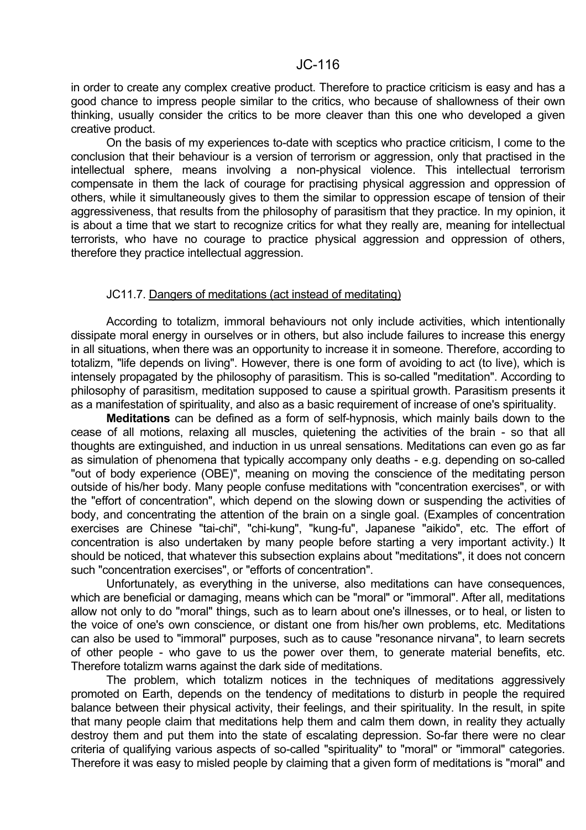in order to create any complex creative product. Therefore to practice criticism is easy and has a good chance to impress people similar to the critics, who because of shallowness of their own thinking, usually consider the critics to be more cleaver than this one who developed a given creative product.

 On the basis of my experiences to-date with sceptics who practice criticism, I come to the conclusion that their behaviour is a version of terrorism or aggression, only that practised in the intellectual sphere, means involving a non-physical violence. This intellectual terrorism compensate in them the lack of courage for practising physical aggression and oppression of others, while it simultaneously gives to them the similar to oppression escape of tension of their aggressiveness, that results from the philosophy of parasitism that they practice. In my opinion, it is about a time that we start to recognize critics for what they really are, meaning for intellectual terrorists, who have no courage to practice physical aggression and oppression of others, therefore they practice intellectual aggression.

### JC11.7. Dangers of meditations (act instead of meditating)

 According to totalizm, immoral behaviours not only include activities, which intentionally dissipate moral energy in ourselves or in others, but also include failures to increase this energy in all situations, when there was an opportunity to increase it in someone. Therefore, according to totalizm, "life depends on living". However, there is one form of avoiding to act (to live), which is intensely propagated by the philosophy of parasitism. This is so-called "meditation". According to philosophy of parasitism, meditation supposed to cause a spiritual growth. Parasitism presents it as a manifestation of spirituality, and also as a basic requirement of increase of one's spirituality.

 **Meditations** can be defined as a form of self-hypnosis, which mainly bails down to the cease of all motions, relaxing all muscles, quietening the activities of the brain - so that all thoughts are extinguished, and induction in us unreal sensations. Meditations can even go as far as simulation of phenomena that typically accompany only deaths - e.g. depending on so-called "out of body experience (OBE)", meaning on moving the conscience of the meditating person outside of his/her body. Many people confuse meditations with "concentration exercises", or with the "effort of concentration", which depend on the slowing down or suspending the activities of body, and concentrating the attention of the brain on a single goal. (Examples of concentration exercises are Chinese "tai-chi", "chi-kung", "kung-fu", Japanese "aikido", etc. The effort of concentration is also undertaken by many people before starting a very important activity.) It should be noticed, that whatever this subsection explains about "meditations", it does not concern such "concentration exercises", or "efforts of concentration".

 Unfortunately, as everything in the universe, also meditations can have consequences, which are beneficial or damaging, means which can be "moral" or "immoral". After all, meditations allow not only to do "moral" things, such as to learn about one's illnesses, or to heal, or listen to the voice of one's own conscience, or distant one from his/her own problems, etc. Meditations can also be used to "immoral" purposes, such as to cause "resonance nirvana", to learn secrets of other people - who gave to us the power over them, to generate material benefits, etc. Therefore totalizm warns against the dark side of meditations.

 The problem, which totalizm notices in the techniques of meditations aggressively promoted on Earth, depends on the tendency of meditations to disturb in people the required balance between their physical activity, their feelings, and their spirituality. In the result, in spite that many people claim that meditations help them and calm them down, in reality they actually destroy them and put them into the state of escalating depression. So-far there were no clear criteria of qualifying various aspects of so-called "spirituality" to "moral" or "immoral" categories. Therefore it was easy to misled people by claiming that a given form of meditations is "moral" and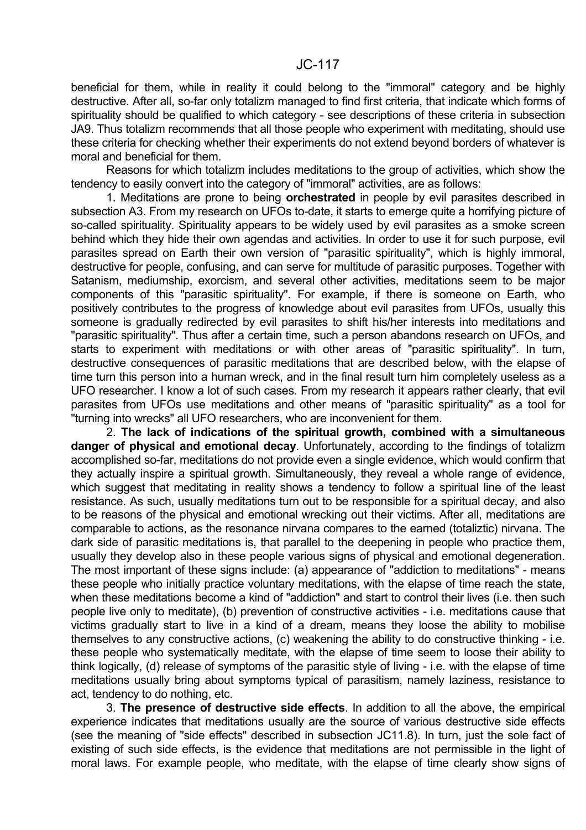beneficial for them, while in reality it could belong to the "immoral" category and be highly destructive. After all, so-far only totalizm managed to find first criteria, that indicate which forms of spirituality should be qualified to which category - see descriptions of these criteria in subsection JA9. Thus totalizm recommends that all those people who experiment with meditating, should use these criteria for checking whether their experiments do not extend beyond borders of whatever is moral and beneficial for them.

 Reasons for which totalizm includes meditations to the group of activities, which show the tendency to easily convert into the category of "immoral" activities, are as follows:

 1. Meditations are prone to being **orchestrated** in people by evil parasites described in subsection A3. From my research on UFOs to-date, it starts to emerge quite a horrifying picture of so-called spirituality. Spirituality appears to be widely used by evil parasites as a smoke screen behind which they hide their own agendas and activities. In order to use it for such purpose, evil parasites spread on Earth their own version of "parasitic spirituality", which is highly immoral, destructive for people, confusing, and can serve for multitude of parasitic purposes. Together with Satanism, mediumship, exorcism, and several other activities, meditations seem to be major components of this "parasitic spirituality". For example, if there is someone on Earth, who positively contributes to the progress of knowledge about evil parasites from UFOs, usually this someone is gradually redirected by evil parasites to shift his/her interests into meditations and "parasitic spirituality". Thus after a certain time, such a person abandons research on UFOs, and starts to experiment with meditations or with other areas of "parasitic spirituality". In turn, destructive consequences of parasitic meditations that are described below, with the elapse of time turn this person into a human wreck, and in the final result turn him completely useless as a UFO researcher. I know a lot of such cases. From my research it appears rather clearly, that evil parasites from UFOs use meditations and other means of "parasitic spirituality" as a tool for "turning into wrecks" all UFO researchers, who are inconvenient for them.

 2. **The lack of indications of the spiritual growth, combined with a simultaneous danger of physical and emotional decay**. Unfortunately, according to the findings of totalizm accomplished so-far, meditations do not provide even a single evidence, which would confirm that they actually inspire a spiritual growth. Simultaneously, they reveal a whole range of evidence, which suggest that meditating in reality shows a tendency to follow a spiritual line of the least resistance. As such, usually meditations turn out to be responsible for a spiritual decay, and also to be reasons of the physical and emotional wrecking out their victims. After all, meditations are comparable to actions, as the resonance nirvana compares to the earned (totaliztic) nirvana. The dark side of parasitic meditations is, that parallel to the deepening in people who practice them, usually they develop also in these people various signs of physical and emotional degeneration. The most important of these signs include: (a) appearance of "addiction to meditations" - means these people who initially practice voluntary meditations, with the elapse of time reach the state, when these meditations become a kind of "addiction" and start to control their lives (i.e. then such people live only to meditate), (b) prevention of constructive activities - i.e. meditations cause that victims gradually start to live in a kind of a dream, means they loose the ability to mobilise themselves to any constructive actions, (c) weakening the ability to do constructive thinking - i.e. these people who systematically meditate, with the elapse of time seem to loose their ability to think logically, (d) release of symptoms of the parasitic style of living - i.e. with the elapse of time meditations usually bring about symptoms typical of parasitism, namely laziness, resistance to act, tendency to do nothing, etc.

 3. **The presence of destructive side effects**. In addition to all the above, the empirical experience indicates that meditations usually are the source of various destructive side effects (see the meaning of "side effects" described in subsection JC11.8). In turn, just the sole fact of existing of such side effects, is the evidence that meditations are not permissible in the light of moral laws. For example people, who meditate, with the elapse of time clearly show signs of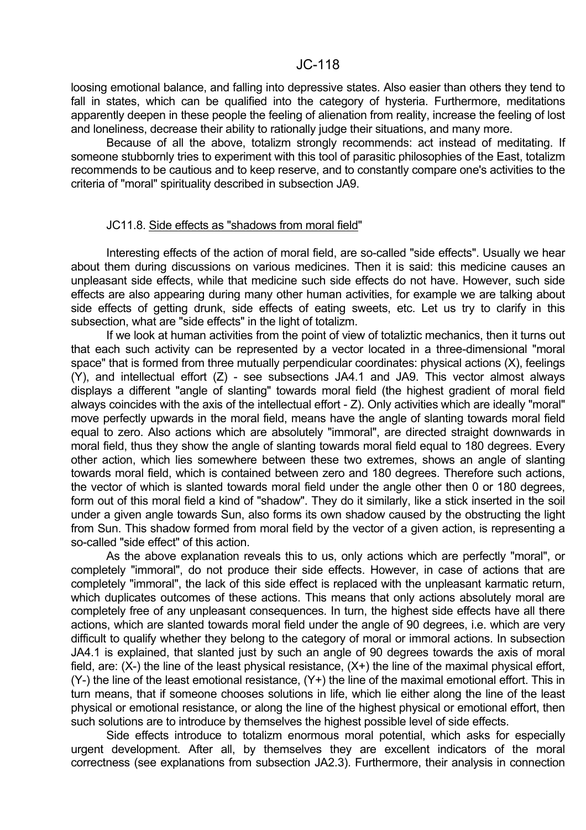loosing emotional balance, and falling into depressive states. Also easier than others they tend to fall in states, which can be qualified into the category of hysteria. Furthermore, meditations apparently deepen in these people the feeling of alienation from reality, increase the feeling of lost and loneliness, decrease their ability to rationally judge their situations, and many more.

 Because of all the above, totalizm strongly recommends: act instead of meditating. If someone stubbornly tries to experiment with this tool of parasitic philosophies of the East, totalizm recommends to be cautious and to keep reserve, and to constantly compare one's activities to the criteria of "moral" spirituality described in subsection JA9.

#### JC11.8. Side effects as "shadows from moral field"

 Interesting effects of the action of moral field, are so-called "side effects". Usually we hear about them during discussions on various medicines. Then it is said: this medicine causes an unpleasant side effects, while that medicine such side effects do not have. However, such side effects are also appearing during many other human activities, for example we are talking about side effects of getting drunk, side effects of eating sweets, etc. Let us try to clarify in this subsection, what are "side effects" in the light of totalizm.

 If we look at human activities from the point of view of totaliztic mechanics, then it turns out that each such activity can be represented by a vector located in a three-dimensional "moral space" that is formed from three mutually perpendicular coordinates: physical actions (X), feelings (Y), and intellectual effort (Z) - see subsections JA4.1 and JA9. This vector almost always displays a different "angle of slanting" towards moral field (the highest gradient of moral field always coincides with the axis of the intellectual effort - Z). Only activities which are ideally "moral" move perfectly upwards in the moral field, means have the angle of slanting towards moral field equal to zero. Also actions which are absolutely "immoral", are directed straight downwards in moral field, thus they show the angle of slanting towards moral field equal to 180 degrees. Every other action, which lies somewhere between these two extremes, shows an angle of slanting towards moral field, which is contained between zero and 180 degrees. Therefore such actions, the vector of which is slanted towards moral field under the angle other then 0 or 180 degrees, form out of this moral field a kind of "shadow". They do it similarly, like a stick inserted in the soil under a given angle towards Sun, also forms its own shadow caused by the obstructing the light from Sun. This shadow formed from moral field by the vector of a given action, is representing a so-called "side effect" of this action.

 As the above explanation reveals this to us, only actions which are perfectly "moral", or completely "immoral", do not produce their side effects. However, in case of actions that are completely "immoral", the lack of this side effect is replaced with the unpleasant karmatic return, which duplicates outcomes of these actions. This means that only actions absolutely moral are completely free of any unpleasant consequences. In turn, the highest side effects have all there actions, which are slanted towards moral field under the angle of 90 degrees, i.e. which are very difficult to qualify whether they belong to the category of moral or immoral actions. In subsection JA4.1 is explained, that slanted just by such an angle of 90 degrees towards the axis of moral field, are: (X-) the line of the least physical resistance, (X+) the line of the maximal physical effort,  $(Y-$ ) the line of the least emotional resistance,  $(Y+)$  the line of the maximal emotional effort. This in turn means, that if someone chooses solutions in life, which lie either along the line of the least physical or emotional resistance, or along the line of the highest physical or emotional effort, then such solutions are to introduce by themselves the highest possible level of side effects.

 Side effects introduce to totalizm enormous moral potential, which asks for especially urgent development. After all, by themselves they are excellent indicators of the moral correctness (see explanations from subsection JA2.3). Furthermore, their analysis in connection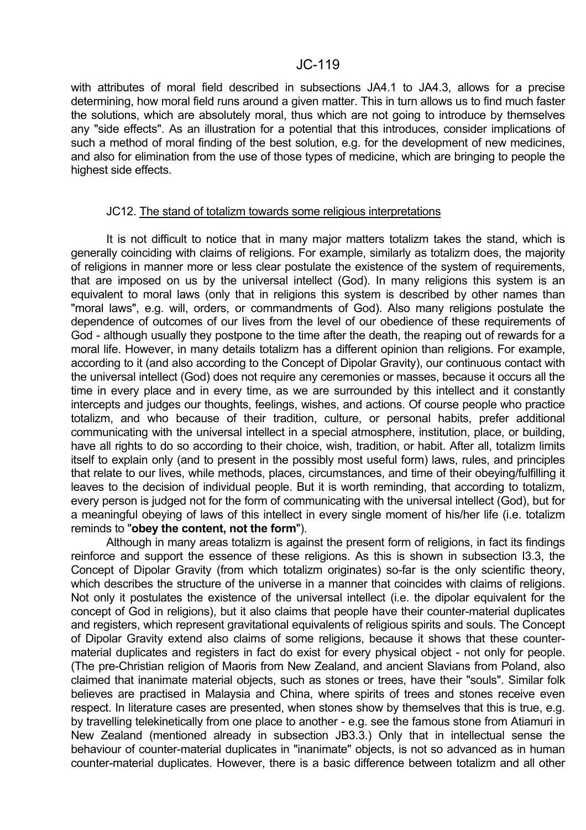with attributes of moral field described in subsections JA4.1 to JA4.3, allows for a precise determining, how moral field runs around a given matter. This in turn allows us to find much faster the solutions, which are absolutely moral, thus which are not going to introduce by themselves any "side effects". As an illustration for a potential that this introduces, consider implications of such a method of moral finding of the best solution, e.g. for the development of new medicines, and also for elimination from the use of those types of medicine, which are bringing to people the highest side effects.

#### JC12. The stand of totalizm towards some religious interpretations

 It is not difficult to notice that in many major matters totalizm takes the stand, which is generally coinciding with claims of religions. For example, similarly as totalizm does, the majority of religions in manner more or less clear postulate the existence of the system of requirements, that are imposed on us by the universal intellect (God). In many religions this system is an equivalent to moral laws (only that in religions this system is described by other names than "moral laws", e.g. will, orders, or commandments of God). Also many religions postulate the dependence of outcomes of our lives from the level of our obedience of these requirements of God - although usually they postpone to the time after the death, the reaping out of rewards for a moral life. However, in many details totalizm has a different opinion than religions. For example, according to it (and also according to the Concept of Dipolar Gravity), our continuous contact with the universal intellect (God) does not require any ceremonies or masses, because it occurs all the time in every place and in every time, as we are surrounded by this intellect and it constantly intercepts and judges our thoughts, feelings, wishes, and actions. Of course people who practice totalizm, and who because of their tradition, culture, or personal habits, prefer additional communicating with the universal intellect in a special atmosphere, institution, place, or building, have all rights to do so according to their choice, wish, tradition, or habit. After all, totalizm limits itself to explain only (and to present in the possibly most useful form) laws, rules, and principles that relate to our lives, while methods, places, circumstances, and time of their obeying/fulfilling it leaves to the decision of individual people. But it is worth reminding, that according to totalizm, every person is judged not for the form of communicating with the universal intellect (God), but for a meaningful obeying of laws of this intellect in every single moment of his/her life (i.e. totalizm reminds to "**obey the content, not the form**").

 Although in many areas totalizm is against the present form of religions, in fact its findings reinforce and support the essence of these religions. As this is shown in subsection I3.3, the Concept of Dipolar Gravity (from which totalizm originates) so-far is the only scientific theory, which describes the structure of the universe in a manner that coincides with claims of religions. Not only it postulates the existence of the universal intellect (i.e. the dipolar equivalent for the concept of God in religions), but it also claims that people have their counter-material duplicates and registers, which represent gravitational equivalents of religious spirits and souls. The Concept of Dipolar Gravity extend also claims of some religions, because it shows that these countermaterial duplicates and registers in fact do exist for every physical object - not only for people. (The pre-Christian religion of Maoris from New Zealand, and ancient Slavians from Poland, also claimed that inanimate material objects, such as stones or trees, have their "souls". Similar folk believes are practised in Malaysia and China, where spirits of trees and stones receive even respect. In literature cases are presented, when stones show by themselves that this is true, e.g. by travelling telekinetically from one place to another - e.g. see the famous stone from Atiamuri in New Zealand (mentioned already in subsection JB3.3.) Only that in intellectual sense the behaviour of counter-material duplicates in "inanimate" objects, is not so advanced as in human counter-material duplicates. However, there is a basic difference between totalizm and all other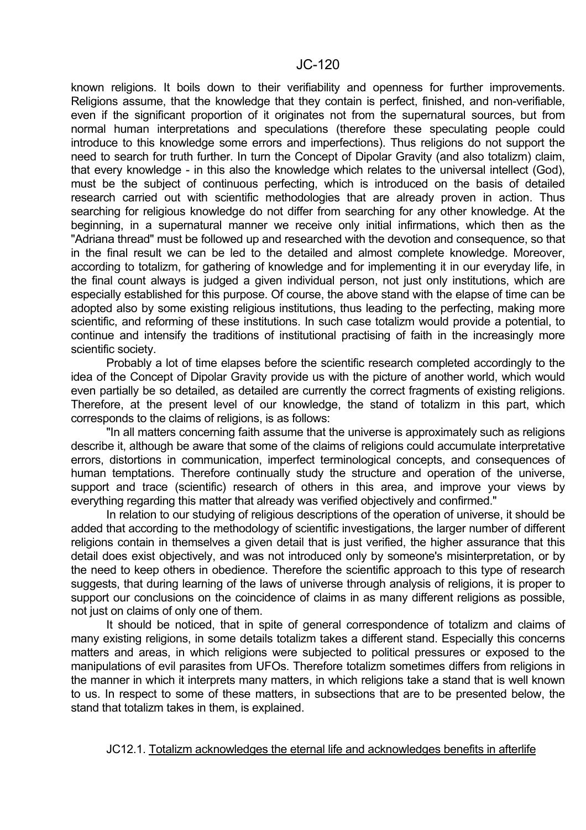known religions. It boils down to their verifiability and openness for further improvements. Religions assume, that the knowledge that they contain is perfect, finished, and non-verifiable, even if the significant proportion of it originates not from the supernatural sources, but from normal human interpretations and speculations (therefore these speculating people could introduce to this knowledge some errors and imperfections). Thus religions do not support the need to search for truth further. In turn the Concept of Dipolar Gravity (and also totalizm) claim, that every knowledge - in this also the knowledge which relates to the universal intellect (God), must be the subject of continuous perfecting, which is introduced on the basis of detailed research carried out with scientific methodologies that are already proven in action. Thus searching for religious knowledge do not differ from searching for any other knowledge. At the beginning, in a supernatural manner we receive only initial infirmations, which then as the "Adriana thread" must be followed up and researched with the devotion and consequence, so that in the final result we can be led to the detailed and almost complete knowledge. Moreover, according to totalizm, for gathering of knowledge and for implementing it in our everyday life, in the final count always is judged a given individual person, not just only institutions, which are especially established for this purpose. Of course, the above stand with the elapse of time can be adopted also by some existing religious institutions, thus leading to the perfecting, making more scientific, and reforming of these institutions. In such case totalizm would provide a potential, to continue and intensify the traditions of institutional practising of faith in the increasingly more scientific society.

 Probably a lot of time elapses before the scientific research completed accordingly to the idea of the Concept of Dipolar Gravity provide us with the picture of another world, which would even partially be so detailed, as detailed are currently the correct fragments of existing religions. Therefore, at the present level of our knowledge, the stand of totalizm in this part, which corresponds to the claims of religions, is as follows:

 "In all matters concerning faith assume that the universe is approximately such as religions describe it, although be aware that some of the claims of religions could accumulate interpretative errors, distortions in communication, imperfect terminological concepts, and consequences of human temptations. Therefore continually study the structure and operation of the universe, support and trace (scientific) research of others in this area, and improve your views by everything regarding this matter that already was verified objectively and confirmed."

 In relation to our studying of religious descriptions of the operation of universe, it should be added that according to the methodology of scientific investigations, the larger number of different religions contain in themselves a given detail that is just verified, the higher assurance that this detail does exist objectively, and was not introduced only by someone's misinterpretation, or by the need to keep others in obedience. Therefore the scientific approach to this type of research suggests, that during learning of the laws of universe through analysis of religions, it is proper to support our conclusions on the coincidence of claims in as many different religions as possible, not just on claims of only one of them.

 It should be noticed, that in spite of general correspondence of totalizm and claims of many existing religions, in some details totalizm takes a different stand. Especially this concerns matters and areas, in which religions were subjected to political pressures or exposed to the manipulations of evil parasites from UFOs. Therefore totalizm sometimes differs from religions in the manner in which it interprets many matters, in which religions take a stand that is well known to us. In respect to some of these matters, in subsections that are to be presented below, the stand that totalizm takes in them, is explained.

JC12.1. Totalizm acknowledges the eternal life and acknowledges benefits in afterlife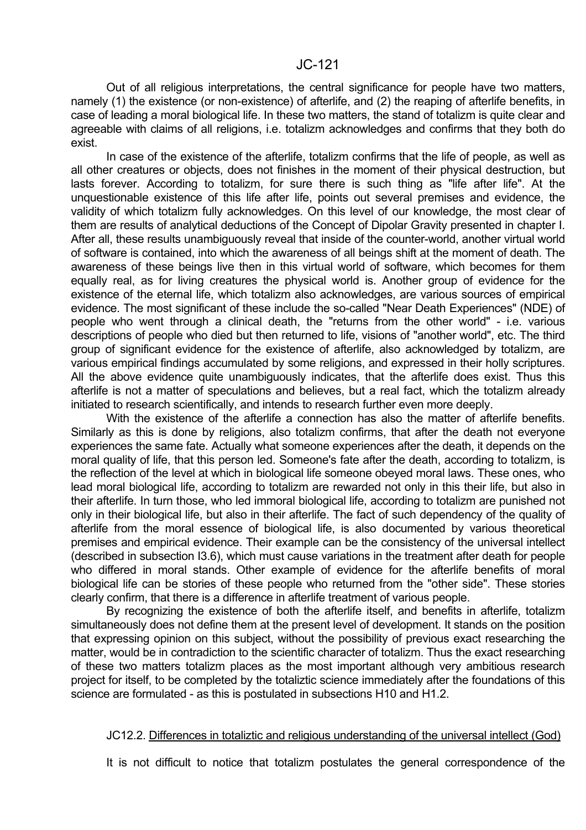Out of all religious interpretations, the central significance for people have two matters, namely (1) the existence (or non-existence) of afterlife, and (2) the reaping of afterlife benefits, in case of leading a moral biological life. In these two matters, the stand of totalizm is quite clear and agreeable with claims of all religions, i.e. totalizm acknowledges and confirms that they both do exist.

 In case of the existence of the afterlife, totalizm confirms that the life of people, as well as all other creatures or objects, does not finishes in the moment of their physical destruction, but lasts forever. According to totalizm, for sure there is such thing as "life after life". At the unquestionable existence of this life after life, points out several premises and evidence, the validity of which totalizm fully acknowledges. On this level of our knowledge, the most clear of them are results of analytical deductions of the Concept of Dipolar Gravity presented in chapter I. After all, these results unambiguously reveal that inside of the counter-world, another virtual world of software is contained, into which the awareness of all beings shift at the moment of death. The awareness of these beings live then in this virtual world of software, which becomes for them equally real, as for living creatures the physical world is. Another group of evidence for the existence of the eternal life, which totalizm also acknowledges, are various sources of empirical evidence. The most significant of these include the so-called "Near Death Experiences" (NDE) of people who went through a clinical death, the "returns from the other world" - i.e. various descriptions of people who died but then returned to life, visions of "another world", etc. The third group of significant evidence for the existence of afterlife, also acknowledged by totalizm, are various empirical findings accumulated by some religions, and expressed in their holly scriptures. All the above evidence quite unambiguously indicates, that the afterlife does exist. Thus this afterlife is not a matter of speculations and believes, but a real fact, which the totalizm already initiated to research scientifically, and intends to research further even more deeply.

 With the existence of the afterlife a connection has also the matter of afterlife benefits. Similarly as this is done by religions, also totalizm confirms, that after the death not everyone experiences the same fate. Actually what someone experiences after the death, it depends on the moral quality of life, that this person led. Someone's fate after the death, according to totalizm, is the reflection of the level at which in biological life someone obeyed moral laws. These ones, who lead moral biological life, according to totalizm are rewarded not only in this their life, but also in their afterlife. In turn those, who led immoral biological life, according to totalizm are punished not only in their biological life, but also in their afterlife. The fact of such dependency of the quality of afterlife from the moral essence of biological life, is also documented by various theoretical premises and empirical evidence. Their example can be the consistency of the universal intellect (described in subsection I3.6), which must cause variations in the treatment after death for people who differed in moral stands. Other example of evidence for the afterlife benefits of moral biological life can be stories of these people who returned from the "other side". These stories clearly confirm, that there is a difference in afterlife treatment of various people.

By recognizing the existence of both the afterlife itself, and benefits in afterlife, totalizm simultaneously does not define them at the present level of development. It stands on the position that expressing opinion on this subject, without the possibility of previous exact researching the matter, would be in contradiction to the scientific character of totalizm. Thus the exact researching of these two matters totalizm places as the most important although very ambitious research project for itself, to be completed by the totaliztic science immediately after the foundations of this science are formulated - as this is postulated in subsections H10 and H1.2.

#### JC12.2. Differences in totaliztic and religious understanding of the universal intellect (God)

It is not difficult to notice that totalizm postulates the general correspondence of the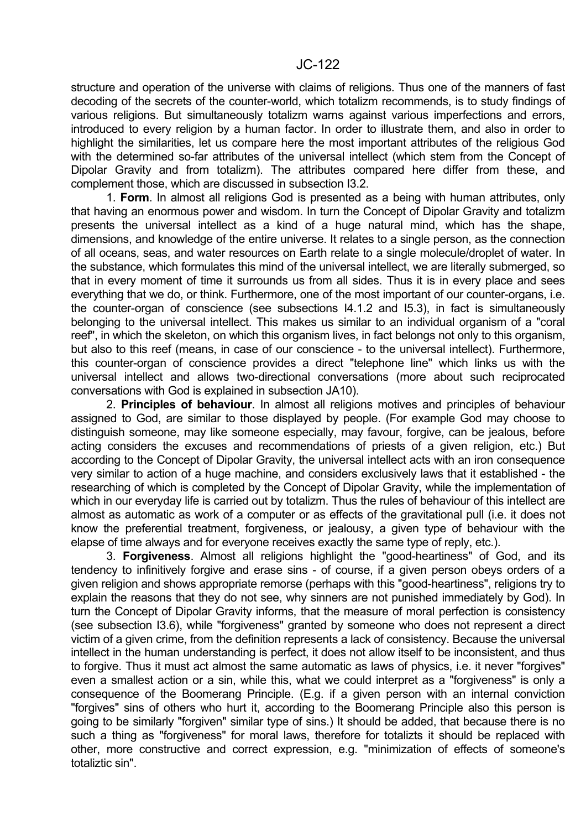structure and operation of the universe with claims of religions. Thus one of the manners of fast decoding of the secrets of the counter-world, which totalizm recommends, is to study findings of various religions. But simultaneously totalizm warns against various imperfections and errors, introduced to every religion by a human factor. In order to illustrate them, and also in order to highlight the similarities, let us compare here the most important attributes of the religious God with the determined so-far attributes of the universal intellect (which stem from the Concept of Dipolar Gravity and from totalizm). The attributes compared here differ from these, and complement those, which are discussed in subsection I3.2.

 1. **Form**. In almost all religions God is presented as a being with human attributes, only that having an enormous power and wisdom. In turn the Concept of Dipolar Gravity and totalizm presents the universal intellect as a kind of a huge natural mind, which has the shape, dimensions, and knowledge of the entire universe. It relates to a single person, as the connection of all oceans, seas, and water resources on Earth relate to a single molecule/droplet of water. In the substance, which formulates this mind of the universal intellect, we are literally submerged, so that in every moment of time it surrounds us from all sides. Thus it is in every place and sees everything that we do, or think. Furthermore, one of the most important of our counter-organs, i.e. the counter-organ of conscience (see subsections I4.1.2 and I5.3), in fact is simultaneously belonging to the universal intellect. This makes us similar to an individual organism of a "coral reef", in which the skeleton, on which this organism lives, in fact belongs not only to this organism, but also to this reef (means, in case of our conscience - to the universal intellect). Furthermore, this counter-organ of conscience provides a direct "telephone line" which links us with the universal intellect and allows two-directional conversations (more about such reciprocated conversations with God is explained in subsection JA10).

 2. **Principles of behaviour**. In almost all religions motives and principles of behaviour assigned to God, are similar to those displayed by people. (For example God may choose to distinguish someone, may like someone especially, may favour, forgive, can be jealous, before acting considers the excuses and recommendations of priests of a given religion, etc.) But according to the Concept of Dipolar Gravity, the universal intellect acts with an iron consequence very similar to action of a huge machine, and considers exclusively laws that it established - the researching of which is completed by the Concept of Dipolar Gravity, while the implementation of which in our everyday life is carried out by totalizm. Thus the rules of behaviour of this intellect are almost as automatic as work of a computer or as effects of the gravitational pull (i.e. it does not know the preferential treatment, forgiveness, or jealousy, a given type of behaviour with the elapse of time always and for everyone receives exactly the same type of reply, etc.).

 3. **Forgiveness**. Almost all religions highlight the "good-heartiness" of God, and its tendency to infinitively forgive and erase sins - of course, if a given person obeys orders of a given religion and shows appropriate remorse (perhaps with this "good-heartiness", religions try to explain the reasons that they do not see, why sinners are not punished immediately by God). In turn the Concept of Dipolar Gravity informs, that the measure of moral perfection is consistency (see subsection I3.6), while "forgiveness" granted by someone who does not represent a direct victim of a given crime, from the definition represents a lack of consistency. Because the universal intellect in the human understanding is perfect, it does not allow itself to be inconsistent, and thus to forgive. Thus it must act almost the same automatic as laws of physics, i.e. it never "forgives" even a smallest action or a sin, while this, what we could interpret as a "forgiveness" is only a consequence of the Boomerang Principle. (E.g. if a given person with an internal conviction "forgives" sins of others who hurt it, according to the Boomerang Principle also this person is going to be similarly "forgiven" similar type of sins.) It should be added, that because there is no such a thing as "forgiveness" for moral laws, therefore for totalizts it should be replaced with other, more constructive and correct expression, e.g. "minimization of effects of someone's totaliztic sin".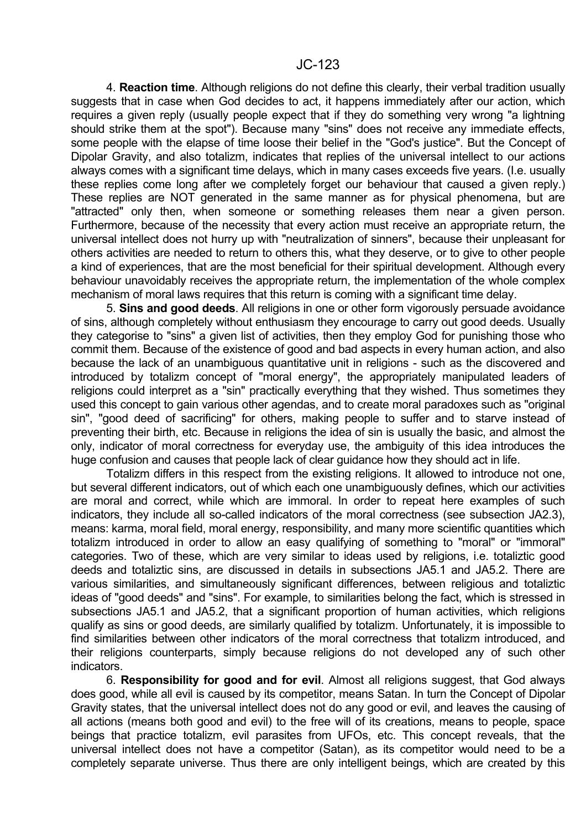4. **Reaction time**. Although religions do not define this clearly, their verbal tradition usually suggests that in case when God decides to act, it happens immediately after our action, which requires a given reply (usually people expect that if they do something very wrong "a lightning should strike them at the spot"). Because many "sins" does not receive any immediate effects, some people with the elapse of time loose their belief in the "God's justice". But the Concept of Dipolar Gravity, and also totalizm, indicates that replies of the universal intellect to our actions always comes with a significant time delays, which in many cases exceeds five years. (I.e. usually these replies come long after we completely forget our behaviour that caused a given reply.) These replies are NOT generated in the same manner as for physical phenomena, but are "attracted" only then, when someone or something releases them near a given person. Furthermore, because of the necessity that every action must receive an appropriate return, the universal intellect does not hurry up with "neutralization of sinners", because their unpleasant for others activities are needed to return to others this, what they deserve, or to give to other people a kind of experiences, that are the most beneficial for their spiritual development. Although every behaviour unavoidably receives the appropriate return, the implementation of the whole complex mechanism of moral laws requires that this return is coming with a significant time delay.

 5. **Sins and good deeds**. All religions in one or other form vigorously persuade avoidance of sins, although completely without enthusiasm they encourage to carry out good deeds. Usually they categorise to "sins" a given list of activities, then they employ God for punishing those who commit them. Because of the existence of good and bad aspects in every human action, and also because the lack of an unambiguous quantitative unit in religions - such as the discovered and introduced by totalizm concept of "moral energy", the appropriately manipulated leaders of religions could interpret as a "sin" practically everything that they wished. Thus sometimes they used this concept to gain various other agendas, and to create moral paradoxes such as "original sin", "good deed of sacrificing" for others, making people to suffer and to starve instead of preventing their birth, etc. Because in religions the idea of sin is usually the basic, and almost the only, indicator of moral correctness for everyday use, the ambiguity of this idea introduces the huge confusion and causes that people lack of clear guidance how they should act in life.

 Totalizm differs in this respect from the existing religions. It allowed to introduce not one, but several different indicators, out of which each one unambiguously defines, which our activities are moral and correct, while which are immoral. In order to repeat here examples of such indicators, they include all so-called indicators of the moral correctness (see subsection JA2.3), means: karma, moral field, moral energy, responsibility, and many more scientific quantities which totalizm introduced in order to allow an easy qualifying of something to "moral" or "immoral" categories. Two of these, which are very similar to ideas used by religions, i.e. totaliztic good deeds and totaliztic sins, are discussed in details in subsections JA5.1 and JA5.2. There are various similarities, and simultaneously significant differences, between religious and totaliztic ideas of "good deeds" and "sins". For example, to similarities belong the fact, which is stressed in subsections JA5.1 and JA5.2, that a significant proportion of human activities, which religions qualify as sins or good deeds, are similarly qualified by totalizm. Unfortunately, it is impossible to find similarities between other indicators of the moral correctness that totalizm introduced, and their religions counterparts, simply because religions do not developed any of such other indicators.

 6. **Responsibility for good and for evil**. Almost all religions suggest, that God always does good, while all evil is caused by its competitor, means Satan. In turn the Concept of Dipolar Gravity states, that the universal intellect does not do any good or evil, and leaves the causing of all actions (means both good and evil) to the free will of its creations, means to people, space beings that practice totalizm, evil parasites from UFOs, etc. This concept reveals, that the universal intellect does not have a competitor (Satan), as its competitor would need to be a completely separate universe. Thus there are only intelligent beings, which are created by this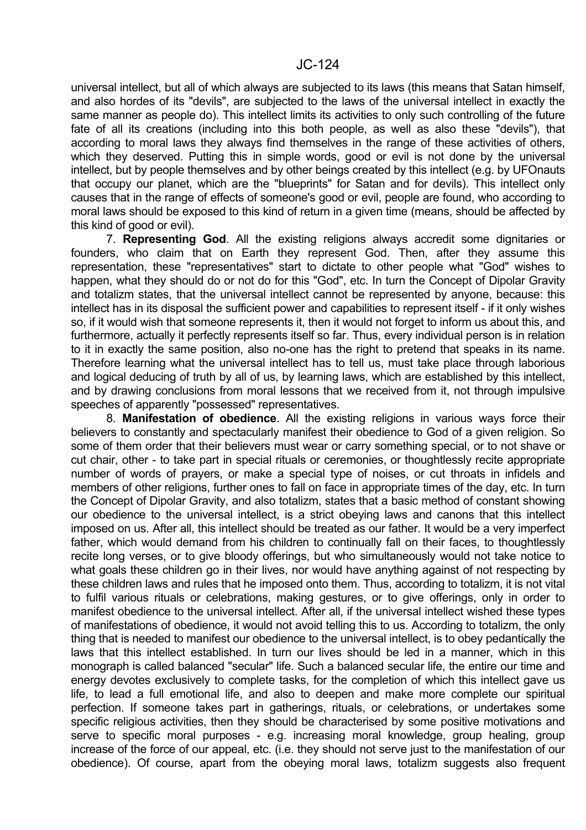universal intellect, but all of which always are subjected to its laws (this means that Satan himself, and also hordes of its "devils", are subjected to the laws of the universal intellect in exactly the same manner as people do). This intellect limits its activities to only such controlling of the future fate of all its creations (including into this both people, as well as also these "devils"), that according to moral laws they always find themselves in the range of these activities of others, which they deserved. Putting this in simple words, good or evil is not done by the universal intellect, but by people themselves and by other beings created by this intellect (e.g. by UFOnauts that occupy our planet, which are the "blueprints" for Satan and for devils). This intellect only causes that in the range of effects of someone's good or evil, people are found, who according to moral laws should be exposed to this kind of return in a given time (means, should be affected by this kind of good or evil).

 7. **Representing God**. All the existing religions always accredit some dignitaries or founders, who claim that on Earth they represent God. Then, after they assume this representation, these "representatives" start to dictate to other people what "God" wishes to happen, what they should do or not do for this "God", etc. In turn the Concept of Dipolar Gravity and totalizm states, that the universal intellect cannot be represented by anyone, because: this intellect has in its disposal the sufficient power and capabilities to represent itself - if it only wishes so, if it would wish that someone represents it, then it would not forget to inform us about this, and furthermore, actually it perfectly represents itself so far. Thus, every individual person is in relation to it in exactly the same position, also no-one has the right to pretend that speaks in its name. Therefore learning what the universal intellect has to tell us, must take place through laborious and logical deducing of truth by all of us, by learning laws, which are established by this intellect, and by drawing conclusions from moral lessons that we received from it, not through impulsive speeches of apparently "possessed" representatives.

 8. **Manifestation of obedience**. All the existing religions in various ways force their believers to constantly and spectacularly manifest their obedience to God of a given religion. So some of them order that their believers must wear or carry something special, or to not shave or cut chair, other - to take part in special rituals or ceremonies, or thoughtlessly recite appropriate number of words of prayers, or make a special type of noises, or cut throats in infidels and members of other religions, further ones to fall on face in appropriate times of the day, etc. In turn the Concept of Dipolar Gravity, and also totalizm, states that a basic method of constant showing our obedience to the universal intellect, is a strict obeying laws and canons that this intellect imposed on us. After all, this intellect should be treated as our father. It would be a very imperfect father, which would demand from his children to continually fall on their faces, to thoughtlessly recite long verses, or to give bloody offerings, but who simultaneously would not take notice to what goals these children go in their lives, nor would have anything against of not respecting by these children laws and rules that he imposed onto them. Thus, according to totalizm, it is not vital to fulfil various rituals or celebrations, making gestures, or to give offerings, only in order to manifest obedience to the universal intellect. After all, if the universal intellect wished these types of manifestations of obedience, it would not avoid telling this to us. According to totalizm, the only thing that is needed to manifest our obedience to the universal intellect, is to obey pedantically the laws that this intellect established. In turn our lives should be led in a manner, which in this monograph is called balanced "secular" life. Such a balanced secular life, the entire our time and energy devotes exclusively to complete tasks, for the completion of which this intellect gave us life, to lead a full emotional life, and also to deepen and make more complete our spiritual perfection. If someone takes part in gatherings, rituals, or celebrations, or undertakes some specific religious activities, then they should be characterised by some positive motivations and serve to specific moral purposes - e.g. increasing moral knowledge, group healing, group increase of the force of our appeal, etc. (i.e. they should not serve just to the manifestation of our obedience). Of course, apart from the obeying moral laws, totalizm suggests also frequent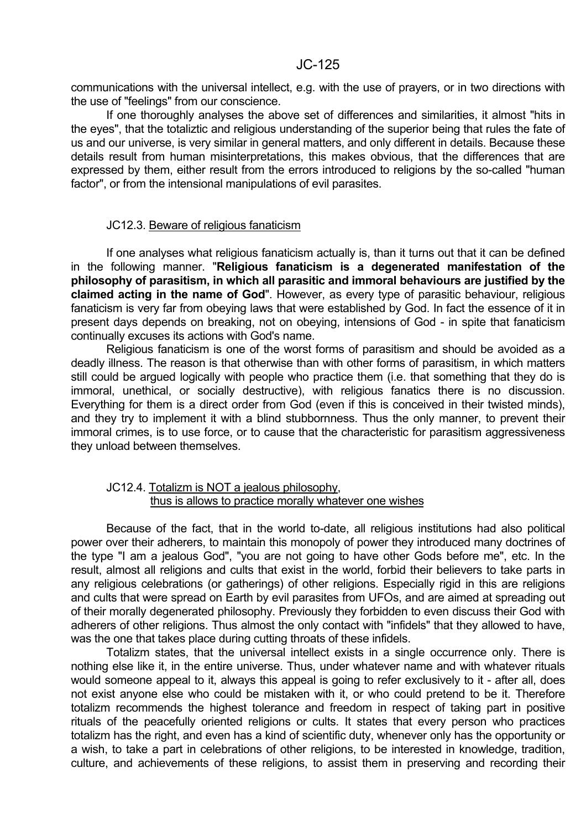communications with the universal intellect, e.g. with the use of prayers, or in two directions with the use of "feelings" from our conscience.

 If one thoroughly analyses the above set of differences and similarities, it almost "hits in the eyes", that the totaliztic and religious understanding of the superior being that rules the fate of us and our universe, is very similar in general matters, and only different in details. Because these details result from human misinterpretations, this makes obvious, that the differences that are expressed by them, either result from the errors introduced to religions by the so-called "human factor", or from the intensional manipulations of evil parasites.

### JC12.3. Beware of religious fanaticism

 If one analyses what religious fanaticism actually is, than it turns out that it can be defined in the following manner. "**Religious fanaticism is a degenerated manifestation of the philosophy of parasitism, in which all parasitic and immoral behaviours are justified by the claimed acting in the name of God**". However, as every type of parasitic behaviour, religious fanaticism is very far from obeying laws that were established by God. In fact the essence of it in present days depends on breaking, not on obeying, intensions of God - in spite that fanaticism continually excuses its actions with God's name.

 Religious fanaticism is one of the worst forms of parasitism and should be avoided as a deadly illness. The reason is that otherwise than with other forms of parasitism, in which matters still could be argued logically with people who practice them (i.e. that something that they do is immoral, unethical, or socially destructive), with religious fanatics there is no discussion. Everything for them is a direct order from God (even if this is conceived in their twisted minds), and they try to implement it with a blind stubbornness. Thus the only manner, to prevent their immoral crimes, is to use force, or to cause that the characteristic for parasitism aggressiveness they unload between themselves.

# JC12.4. Totalizm is NOT a jealous philosophy, thus is allows to practice morally whatever one wishes

 Because of the fact, that in the world to-date, all religious institutions had also political power over their adherers, to maintain this monopoly of power they introduced many doctrines of the type "I am a jealous God", "you are not going to have other Gods before me", etc. In the result, almost all religions and cults that exist in the world, forbid their believers to take parts in any religious celebrations (or gatherings) of other religions. Especially rigid in this are religions and cults that were spread on Earth by evil parasites from UFOs, and are aimed at spreading out of their morally degenerated philosophy. Previously they forbidden to even discuss their God with adherers of other religions. Thus almost the only contact with "infidels" that they allowed to have, was the one that takes place during cutting throats of these infidels.

 Totalizm states, that the universal intellect exists in a single occurrence only. There is nothing else like it, in the entire universe. Thus, under whatever name and with whatever rituals would someone appeal to it, always this appeal is going to refer exclusively to it - after all, does not exist anyone else who could be mistaken with it, or who could pretend to be it. Therefore totalizm recommends the highest tolerance and freedom in respect of taking part in positive rituals of the peacefully oriented religions or cults. It states that every person who practices totalizm has the right, and even has a kind of scientific duty, whenever only has the opportunity or a wish, to take a part in celebrations of other religions, to be interested in knowledge, tradition, culture, and achievements of these religions, to assist them in preserving and recording their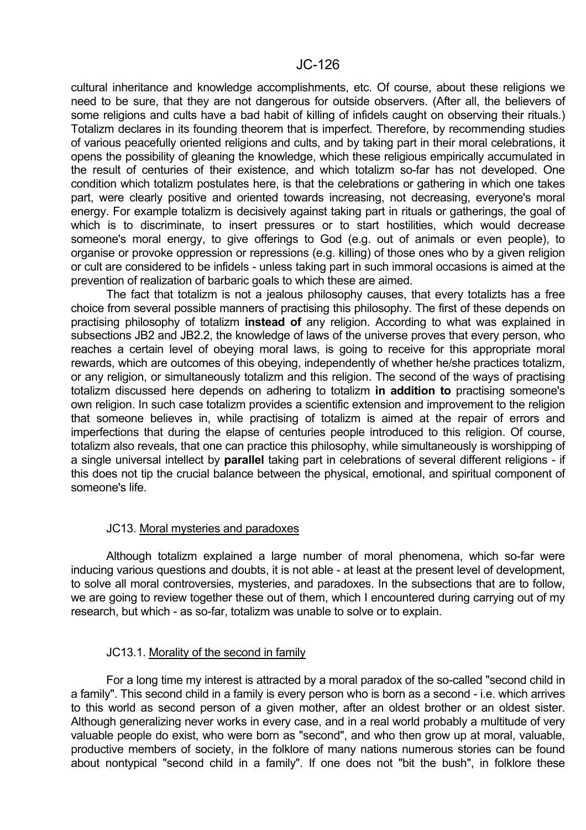cultural inheritance and knowledge accomplishments, etc. Of course, about these religions we need to be sure, that they are not dangerous for outside observers. (After all, the believers of some religions and cults have a bad habit of killing of infidels caught on observing their rituals.) Totalizm declares in its founding theorem that is imperfect. Therefore, by recommending studies of various peacefully oriented religions and cults, and by taking part in their moral celebrations, it opens the possibility of gleaning the knowledge, which these religious empirically accumulated in the result of centuries of their existence, and which totalizm so-far has not developed. One condition which totalizm postulates here, is that the celebrations or gathering in which one takes part, were clearly positive and oriented towards increasing, not decreasing, everyone's moral energy. For example totalizm is decisively against taking part in rituals or gatherings, the goal of which is to discriminate, to insert pressures or to start hostilities, which would decrease someone's moral energy, to give offerings to God (e.g. out of animals or even people), to organise or provoke oppression or repressions (e.g. killing) of those ones who by a given religion or cult are considered to be infidels - unless taking part in such immoral occasions is aimed at the prevention of realization of barbaric goals to which these are aimed.

 The fact that totalizm is not a jealous philosophy causes, that every totalizts has a free choice from several possible manners of practising this philosophy. The first of these depends on practising philosophy of totalizm **instead of** any religion. According to what was explained in subsections JB2 and JB2.2, the knowledge of laws of the universe proves that every person, who reaches a certain level of obeying moral laws, is going to receive for this appropriate moral rewards, which are outcomes of this obeying, independently of whether he/she practices totalizm, or any religion, or simultaneously totalizm and this religion. The second of the ways of practising totalizm discussed here depends on adhering to totalizm **in addition to** practising someone's own religion. In such case totalizm provides a scientific extension and improvement to the religion that someone believes in, while practising of totalizm is aimed at the repair of errors and imperfections that during the elapse of centuries people introduced to this religion. Of course, totalizm also reveals, that one can practice this philosophy, while simultaneously is worshipping of a single universal intellect by **parallel** taking part in celebrations of several different religions - if this does not tip the crucial balance between the physical, emotional, and spiritual component of someone's life.

# JC13. Moral mysteries and paradoxes

 Although totalizm explained a large number of moral phenomena, which so-far were inducing various questions and doubts, it is not able - at least at the present level of development, to solve all moral controversies, mysteries, and paradoxes. In the subsections that are to follow, we are going to review together these out of them, which I encountered during carrying out of my research, but which - as so-far, totalizm was unable to solve or to explain.

# JC13.1. Morality of the second in family

 For a long time my interest is attracted by a moral paradox of the so-called "second child in a family". This second child in a family is every person who is born as a second - i.e. which arrives to this world as second person of a given mother, after an oldest brother or an oldest sister. Although generalizing never works in every case, and in a real world probably a multitude of very valuable people do exist, who were born as "second", and who then grow up at moral, valuable, productive members of society, in the folklore of many nations numerous stories can be found about nontypical "second child in a family". If one does not "bit the bush", in folklore these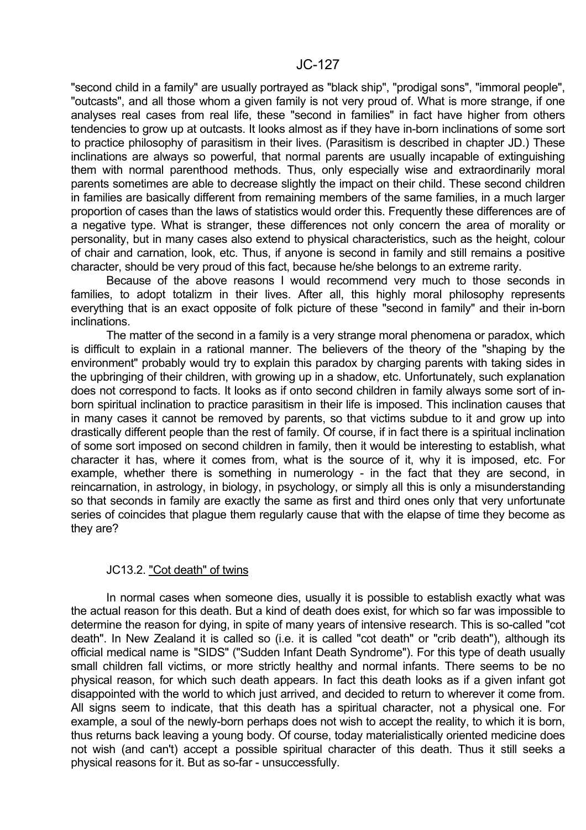"second child in a family" are usually portrayed as "black ship", "prodigal sons", "immoral people", "outcasts", and all those whom a given family is not very proud of. What is more strange, if one analyses real cases from real life, these "second in families" in fact have higher from others tendencies to grow up at outcasts. It looks almost as if they have in-born inclinations of some sort to practice philosophy of parasitism in their lives. (Parasitism is described in chapter JD.) These inclinations are always so powerful, that normal parents are usually incapable of extinguishing them with normal parenthood methods. Thus, only especially wise and extraordinarily moral parents sometimes are able to decrease slightly the impact on their child. These second children in families are basically different from remaining members of the same families, in a much larger proportion of cases than the laws of statistics would order this. Frequently these differences are of a negative type. What is stranger, these differences not only concern the area of morality or personality, but in many cases also extend to physical characteristics, such as the height, colour of chair and carnation, look, etc. Thus, if anyone is second in family and still remains a positive character, should be very proud of this fact, because he/she belongs to an extreme rarity.

 Because of the above reasons I would recommend very much to those seconds in families, to adopt totalizm in their lives. After all, this highly moral philosophy represents everything that is an exact opposite of folk picture of these "second in family" and their in-born inclinations.

 The matter of the second in a family is a very strange moral phenomena or paradox, which is difficult to explain in a rational manner. The believers of the theory of the "shaping by the environment" probably would try to explain this paradox by charging parents with taking sides in the upbringing of their children, with growing up in a shadow, etc. Unfortunately, such explanation does not correspond to facts. It looks as if onto second children in family always some sort of inborn spiritual inclination to practice parasitism in their life is imposed. This inclination causes that in many cases it cannot be removed by parents, so that victims subdue to it and grow up into drastically different people than the rest of family. Of course, if in fact there is a spiritual inclination of some sort imposed on second children in family, then it would be interesting to establish, what character it has, where it comes from, what is the source of it, why it is imposed, etc. For example, whether there is something in numerology - in the fact that they are second, in reincarnation, in astrology, in biology, in psychology, or simply all this is only a misunderstanding so that seconds in family are exactly the same as first and third ones only that very unfortunate series of coincides that plague them regularly cause that with the elapse of time they become as they are?

# JC13.2. "Cot death" of twins

In normal cases when someone dies, usually it is possible to establish exactly what was the actual reason for this death. But a kind of death does exist, for which so far was impossible to determine the reason for dying, in spite of many years of intensive research. This is so-called "cot death". In New Zealand it is called so (i.e. it is called "cot death" or "crib death"), although its official medical name is "SIDS" ("Sudden Infant Death Syndrome"). For this type of death usually small children fall victims, or more strictly healthy and normal infants. There seems to be no physical reason, for which such death appears. In fact this death looks as if a given infant got disappointed with the world to which just arrived, and decided to return to wherever it come from. All signs seem to indicate, that this death has a spiritual character, not a physical one. For example, a soul of the newly-born perhaps does not wish to accept the reality, to which it is born, thus returns back leaving a young body. Of course, today materialistically oriented medicine does not wish (and can't) accept a possible spiritual character of this death. Thus it still seeks a physical reasons for it. But as so-far - unsuccessfully.